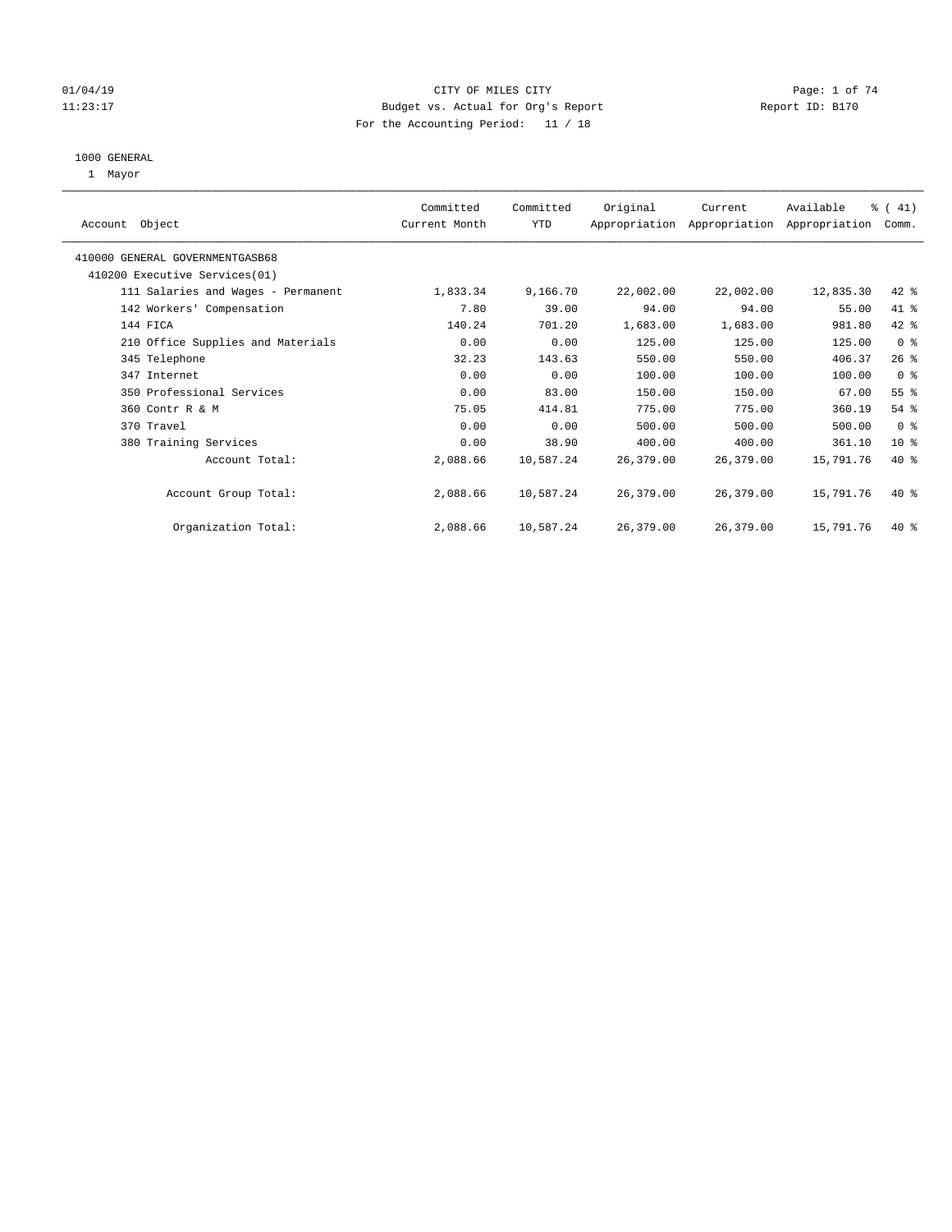#### 01/04/19 CITY OF MILES CITY CHECK CITY CONTROL Page: 1 of 74 11:23:17 Budget vs. Actual for Org's Report Changer Report ID: B170 For the Accounting Period: 11 / 18

#### 1000 GENERAL

1 Mayor

| Original<br>Committed<br>Committed<br>Current<br>Account Object<br>YTD<br>Current Month<br>Appropriation Appropriation Appropriation<br>410000 GENERAL GOVERNMENTGASB68<br>410200 Executive Services (01)<br>22,002.00<br>111 Salaries and Wages - Permanent<br>1,833.34<br>9,166.70<br>22,002.00<br>7.80<br>39.00<br>94.00<br>94.00<br>142 Workers' Compensation<br>140.24<br>701.20<br>144 FICA<br>1,683.00<br>1,683.00<br>0.00<br>210 Office Supplies and Materials<br>0.00<br>125.00<br>125.00<br>550.00<br>345 Telephone<br>32.23<br>143.63<br>550.00<br>0.00<br>0.00<br>100.00<br>100.00<br>347 Internet<br>350 Professional Services<br>150.00<br>150.00<br>0.00<br>83.00<br>775.00<br>775.00<br>75.05<br>414.81<br>360 Contr R & M<br>0.00<br>0.00<br>500.00<br>500.00<br>370 Travel<br>38.90<br>400.00<br>380 Training Services<br>0.00<br>400.00<br>Account Total:<br>2,088.66<br>10,587.24<br>26,379.00<br>26,379.00<br>Account Group Total:<br>2,088.66<br>10,587.24<br>26,379.00<br>26,379.00 |                     |                 |
|------------------------------------------------------------------------------------------------------------------------------------------------------------------------------------------------------------------------------------------------------------------------------------------------------------------------------------------------------------------------------------------------------------------------------------------------------------------------------------------------------------------------------------------------------------------------------------------------------------------------------------------------------------------------------------------------------------------------------------------------------------------------------------------------------------------------------------------------------------------------------------------------------------------------------------------------------------------------------------------------------------|---------------------|-----------------|
|                                                                                                                                                                                                                                                                                                                                                                                                                                                                                                                                                                                                                                                                                                                                                                                                                                                                                                                                                                                                            | Available<br>% (41) |                 |
|                                                                                                                                                                                                                                                                                                                                                                                                                                                                                                                                                                                                                                                                                                                                                                                                                                                                                                                                                                                                            |                     | Comm.           |
|                                                                                                                                                                                                                                                                                                                                                                                                                                                                                                                                                                                                                                                                                                                                                                                                                                                                                                                                                                                                            |                     |                 |
|                                                                                                                                                                                                                                                                                                                                                                                                                                                                                                                                                                                                                                                                                                                                                                                                                                                                                                                                                                                                            |                     |                 |
|                                                                                                                                                                                                                                                                                                                                                                                                                                                                                                                                                                                                                                                                                                                                                                                                                                                                                                                                                                                                            | 12,835.30           | $42$ %          |
|                                                                                                                                                                                                                                                                                                                                                                                                                                                                                                                                                                                                                                                                                                                                                                                                                                                                                                                                                                                                            | 55.00               | 41 %            |
|                                                                                                                                                                                                                                                                                                                                                                                                                                                                                                                                                                                                                                                                                                                                                                                                                                                                                                                                                                                                            | 981.80              | 42 %            |
|                                                                                                                                                                                                                                                                                                                                                                                                                                                                                                                                                                                                                                                                                                                                                                                                                                                                                                                                                                                                            | 125.00              | 0 <sup>8</sup>  |
|                                                                                                                                                                                                                                                                                                                                                                                                                                                                                                                                                                                                                                                                                                                                                                                                                                                                                                                                                                                                            | 406.37              | $26$ %          |
|                                                                                                                                                                                                                                                                                                                                                                                                                                                                                                                                                                                                                                                                                                                                                                                                                                                                                                                                                                                                            | 100.00              | 0 <sup>8</sup>  |
|                                                                                                                                                                                                                                                                                                                                                                                                                                                                                                                                                                                                                                                                                                                                                                                                                                                                                                                                                                                                            | 67.00               | 55 <sup>°</sup> |
|                                                                                                                                                                                                                                                                                                                                                                                                                                                                                                                                                                                                                                                                                                                                                                                                                                                                                                                                                                                                            | 360.19              | $54$ %          |
|                                                                                                                                                                                                                                                                                                                                                                                                                                                                                                                                                                                                                                                                                                                                                                                                                                                                                                                                                                                                            | 500.00              | 0 <sub>8</sub>  |
|                                                                                                                                                                                                                                                                                                                                                                                                                                                                                                                                                                                                                                                                                                                                                                                                                                                                                                                                                                                                            | 361.10              | 10 <sup>8</sup> |
|                                                                                                                                                                                                                                                                                                                                                                                                                                                                                                                                                                                                                                                                                                                                                                                                                                                                                                                                                                                                            | 15,791.76           | $40*$           |
|                                                                                                                                                                                                                                                                                                                                                                                                                                                                                                                                                                                                                                                                                                                                                                                                                                                                                                                                                                                                            |                     |                 |
|                                                                                                                                                                                                                                                                                                                                                                                                                                                                                                                                                                                                                                                                                                                                                                                                                                                                                                                                                                                                            | 15,791.76           | $40*$           |
|                                                                                                                                                                                                                                                                                                                                                                                                                                                                                                                                                                                                                                                                                                                                                                                                                                                                                                                                                                                                            |                     |                 |
| 2,088.66<br>26,379.00<br>Organization Total:<br>10,587.24<br>26,379.00                                                                                                                                                                                                                                                                                                                                                                                                                                                                                                                                                                                                                                                                                                                                                                                                                                                                                                                                     | 15,791.76           | $40*$           |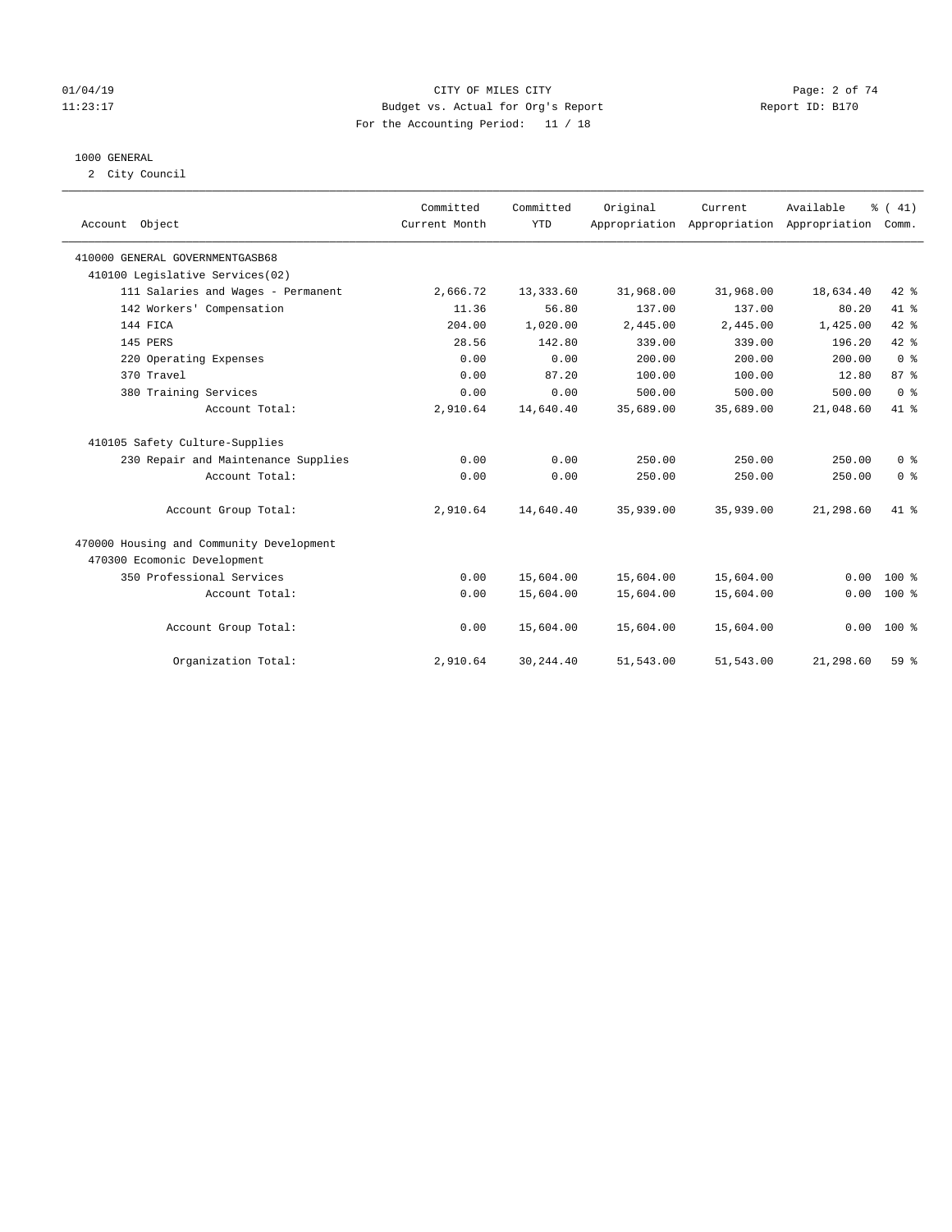#### 01/04/19 CITY OF MILES CITY Page: 2 of 74 11:23:17 Budget vs. Actual for Org's Report Changer Report ID: B170 For the Accounting Period: 11 / 18

#### 1000 GENERAL

2 City Council

|                                          | Committed     | Committed  | Original  | Current                                   | Available | % (41)          |
|------------------------------------------|---------------|------------|-----------|-------------------------------------------|-----------|-----------------|
| Account Object                           | Current Month | <b>YTD</b> |           | Appropriation Appropriation Appropriation |           | Comm.           |
| 410000 GENERAL GOVERNMENTGASB68          |               |            |           |                                           |           |                 |
| 410100 Legislative Services(02)          |               |            |           |                                           |           |                 |
| 111 Salaries and Wages - Permanent       | 2,666.72      | 13,333.60  | 31,968.00 | 31,968.00                                 | 18,634.40 | 42 %            |
| 142 Workers' Compensation                | 11.36         | 56.80      | 137.00    | 137.00                                    | 80.20     | 41 %            |
| 144 FICA                                 | 204.00        | 1,020.00   | 2,445.00  | 2,445.00                                  | 1,425.00  | $42$ $%$        |
| 145 PERS                                 | 28.56         | 142.80     | 339.00    | 339.00                                    | 196.20    | 42 %            |
| 220 Operating Expenses                   | 0.00          | 0.00       | 200.00    | 200.00                                    | 200.00    | 0 <sup>8</sup>  |
| 370 Travel                               | 0.00          | 87.20      | 100.00    | 100.00                                    | 12.80     | 87 <sup>°</sup> |
| 380 Training Services                    | 0.00          | 0.00       | 500.00    | 500.00                                    | 500.00    | 0 <sup>8</sup>  |
| Account Total:                           | 2,910.64      | 14,640.40  | 35,689.00 | 35,689.00                                 | 21,048.60 | 41 %            |
| 410105 Safety Culture-Supplies           |               |            |           |                                           |           |                 |
| 230 Repair and Maintenance Supplies      | 0.00          | 0.00       | 250.00    | 250.00                                    | 250.00    | 0 <sup>8</sup>  |
| Account Total:                           | 0.00          | 0.00       | 250.00    | 250.00                                    | 250.00    | 0 <sup>8</sup>  |
| Account Group Total:                     | 2,910.64      | 14,640.40  | 35,939.00 | 35,939.00                                 | 21,298.60 | $41*$           |
| 470000 Housing and Community Development |               |            |           |                                           |           |                 |
| 470300 Ecomonic Development              |               |            |           |                                           |           |                 |
| 350 Professional Services                | 0.00          | 15,604.00  | 15,604.00 | 15,604.00                                 | 0.00      | $100*$          |
| Account Total:                           | 0.00          | 15,604.00  | 15,604.00 | 15,604.00                                 | 0.00      | $100*$          |
| Account Group Total:                     | 0.00          | 15,604.00  | 15,604.00 | 15,604.00                                 | 0.00      | $100*$          |
| Organization Total:                      | 2,910.64      | 30, 244.40 | 51,543.00 | 51,543.00                                 | 21,298.60 | 59 <sup>8</sup> |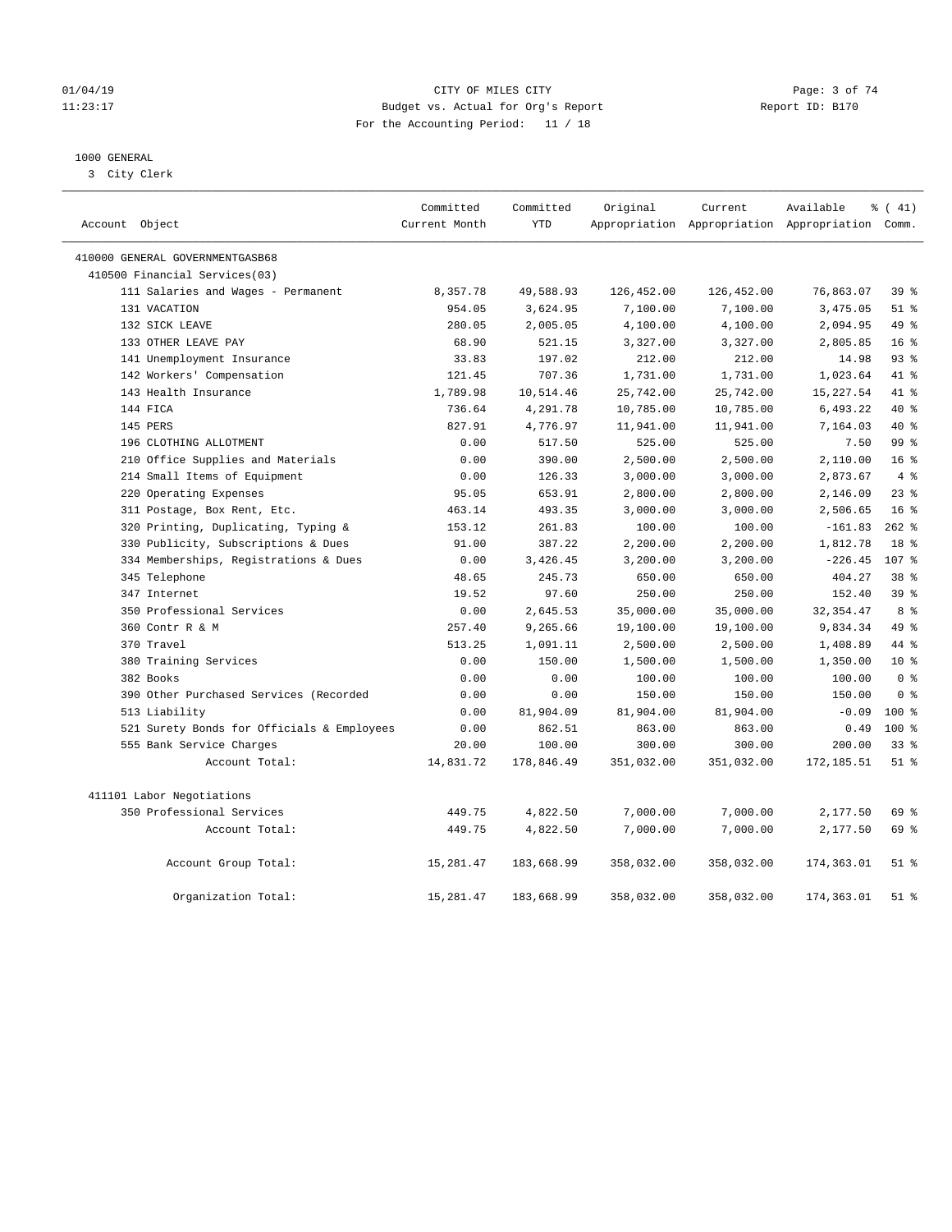#### 01/04/19 CITY OF MILES CITY Page: 3 of 74 11:23:17 Budget vs. Actual for Org's Report Changer Report ID: B170 For the Accounting Period: 11 / 18

### 1000 GENERAL

3 City Clerk

|                                            | Committed     | Committed  | Original   | Current    | Available                                       | % (41)           |
|--------------------------------------------|---------------|------------|------------|------------|-------------------------------------------------|------------------|
| Account Object                             | Current Month | <b>YTD</b> |            |            | Appropriation Appropriation Appropriation Comm. |                  |
| 410000 GENERAL GOVERNMENTGASB68            |               |            |            |            |                                                 |                  |
| 410500 Financial Services(03)              |               |            |            |            |                                                 |                  |
| 111 Salaries and Wages - Permanent         | 8,357.78      | 49,588.93  | 126,452.00 | 126,452.00 | 76,863.07                                       | 39 <sup>8</sup>  |
| 131 VACATION                               | 954.05        | 3,624.95   | 7,100.00   | 7,100.00   | 3,475.05                                        | $51$ %           |
| 132 SICK LEAVE                             | 280.05        | 2,005.05   | 4,100.00   | 4,100.00   | 2,094.95                                        | 49 %             |
| 133 OTHER LEAVE PAY                        | 68.90         | 521.15     | 3,327.00   | 3,327.00   | 2,805.85                                        | 16 <sup>8</sup>  |
| 141 Unemployment Insurance                 | 33.83         | 197.02     | 212.00     | 212.00     | 14.98                                           | 93%              |
| 142 Workers' Compensation                  | 121.45        | 707.36     | 1,731.00   | 1,731.00   | 1,023.64                                        | 41 %             |
| 143 Health Insurance                       | 1,789.98      | 10,514.46  | 25,742.00  | 25,742.00  | 15,227.54                                       | 41.8             |
| 144 FICA                                   | 736.64        | 4,291.78   | 10,785.00  | 10,785.00  | 6,493.22                                        | 40 %             |
| 145 PERS                                   | 827.91        | 4,776.97   | 11,941.00  | 11,941.00  | 7,164.03                                        | 40 %             |
| 196 CLOTHING ALLOTMENT                     | 0.00          | 517.50     | 525.00     | 525.00     | 7.50                                            | 99 <sub>8</sub>  |
| 210 Office Supplies and Materials          | 0.00          | 390.00     | 2,500.00   | 2,500.00   | 2,110.00                                        | 16 <sup>°</sup>  |
| 214 Small Items of Equipment               | 0.00          | 126.33     | 3,000.00   | 3,000.00   | 2,873.67                                        | 4%               |
| 220 Operating Expenses                     | 95.05         | 653.91     | 2,800.00   | 2,800.00   | 2,146.09                                        | 23%              |
| 311 Postage, Box Rent, Etc.                | 463.14        | 493.35     | 3,000.00   | 3,000.00   | 2,506.65                                        | 16 <sup>8</sup>  |
| 320 Printing, Duplicating, Typing &        | 153.12        | 261.83     | 100.00     | 100.00     | $-161.83$                                       | $262$ %          |
| 330 Publicity, Subscriptions & Dues        | 91.00         | 387.22     | 2,200.00   | 2,200.00   | 1,812.78                                        | 18 %             |
| 334 Memberships, Registrations & Dues      | 0.00          | 3,426.45   | 3,200.00   | 3,200.00   | $-226.45$                                       | 107 <sub>8</sub> |
| 345 Telephone                              | 48.65         | 245.73     | 650.00     | 650.00     | 404.27                                          | 38 <sup>8</sup>  |
| 347 Internet                               | 19.52         | 97.60      | 250.00     | 250.00     | 152.40                                          | 39 %             |
| 350 Professional Services                  | 0.00          | 2,645.53   | 35,000.00  | 35,000.00  | 32, 354.47                                      | 8 %              |
| 360 Contr R & M                            | 257.40        | 9,265.66   | 19,100.00  | 19,100.00  | 9,834.34                                        | 49 %             |
| 370 Travel                                 | 513.25        | 1,091.11   | 2,500.00   | 2,500.00   | 1,408.89                                        | 44 %             |
| 380 Training Services                      | 0.00          | 150.00     | 1,500.00   | 1,500.00   | 1,350.00                                        | $10*$            |
| 382 Books                                  | 0.00          | 0.00       | 100.00     | 100.00     | 100.00                                          | 0 <sup>8</sup>   |
| 390 Other Purchased Services (Recorded     | 0.00          | 0.00       | 150.00     | 150.00     | 150.00                                          | 0 <sup>8</sup>   |
| 513 Liability                              | 0.00          | 81,904.09  | 81,904.00  | 81,904.00  | $-0.09$                                         | 100 %            |
| 521 Surety Bonds for Officials & Employees | 0.00          | 862.51     | 863.00     | 863.00     | 0.49                                            | $100*$           |
| 555 Bank Service Charges                   | 20.00         | 100.00     | 300.00     | 300.00     | 200.00                                          | 338              |
| Account Total:                             | 14,831.72     | 178,846.49 | 351,032.00 | 351,032.00 | 172,185.51                                      | $51$ %           |
| 411101 Labor Negotiations                  |               |            |            |            |                                                 |                  |
| 350 Professional Services                  | 449.75        | 4,822.50   | 7,000.00   | 7,000.00   | 2,177.50                                        | 69 %             |
| Account Total:                             | 449.75        | 4,822.50   | 7,000.00   | 7,000.00   | 2,177.50                                        | 69 %             |
| Account Group Total:                       | 15,281.47     | 183,668.99 | 358,032.00 | 358,032.00 | 174,363.01                                      | $51$ $%$         |
| Organization Total:                        | 15,281.47     | 183,668.99 | 358,032.00 | 358,032.00 | 174, 363, 01                                    | $51$ %           |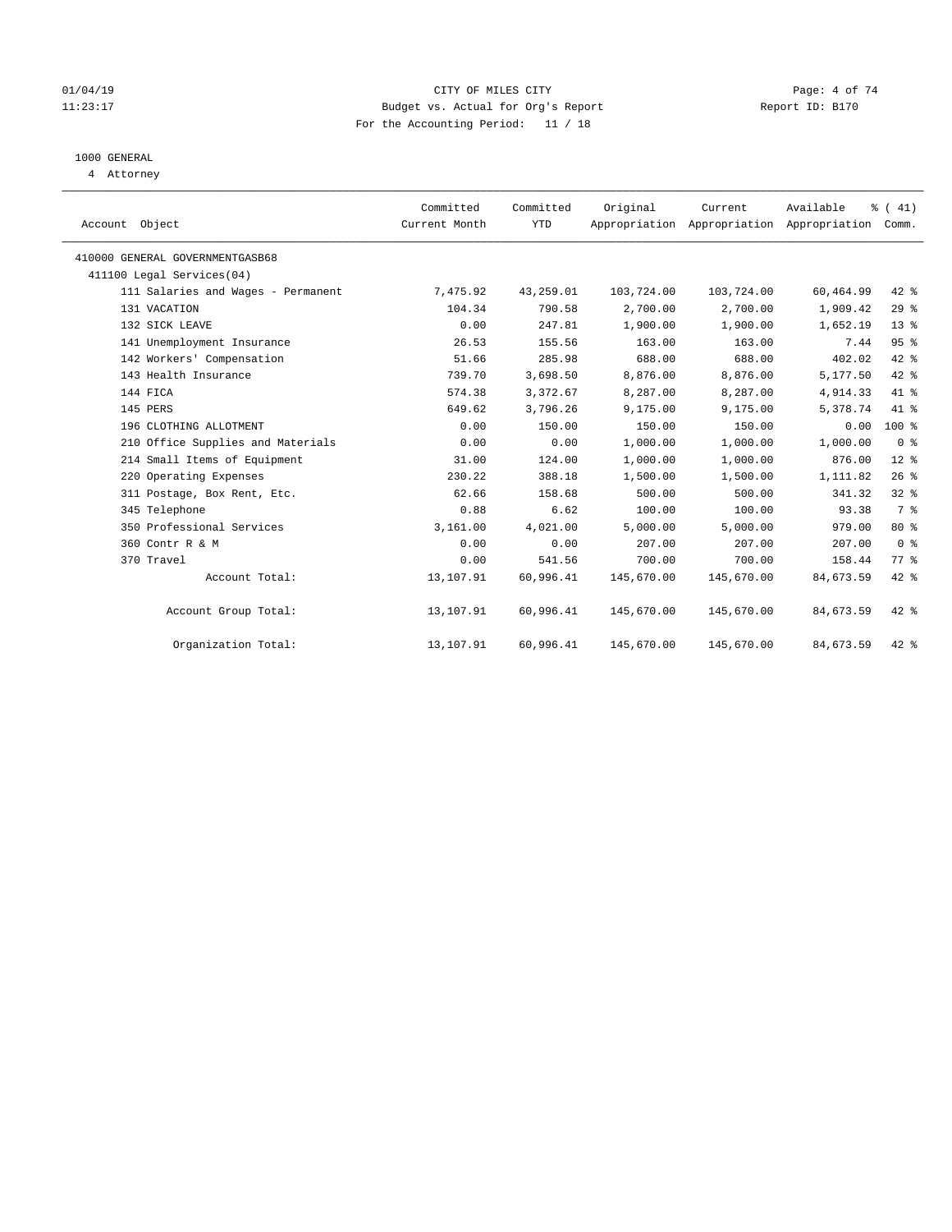#### 01/04/19 CITY OF MILES CITY Page: 4 of 74 11:23:17 Budget vs. Actual for Org's Report Changer Report ID: B170 For the Accounting Period: 11 / 18

## 1000 GENERAL

4 Attorney

| Account Object                  |                                    | Committed<br>Current Month | Committed<br><b>YTD</b> | Original   | Current<br>Appropriation Appropriation Appropriation | Available | % (41)<br>Comm. |  |
|---------------------------------|------------------------------------|----------------------------|-------------------------|------------|------------------------------------------------------|-----------|-----------------|--|
| 410000 GENERAL GOVERNMENTGASB68 |                                    |                            |                         |            |                                                      |           |                 |  |
| 411100 Legal Services(04)       |                                    |                            |                         |            |                                                      |           |                 |  |
|                                 | 111 Salaries and Wages - Permanent | 7,475.92                   | 43,259.01               | 103,724.00 | 103,724.00                                           | 60,464.99 | 42 %            |  |
| 131 VACATION                    |                                    | 104.34                     | 790.58                  | 2,700.00   | 2,700.00                                             | 1,909.42  | 29%             |  |
| 132 SICK LEAVE                  |                                    | 0.00                       | 247.81                  | 1,900.00   | 1,900.00                                             | 1,652.19  | $13*$           |  |
| 141 Unemployment Insurance      |                                    | 26.53                      | 155.56                  | 163.00     | 163.00                                               | 7.44      | 95%             |  |
| 142 Workers' Compensation       |                                    | 51.66                      | 285.98                  | 688.00     | 688.00                                               | 402.02    | $42$ $%$        |  |
| 143 Health Insurance            |                                    | 739.70                     | 3,698.50                | 8,876.00   | 8,876.00                                             | 5,177.50  | 42 %            |  |
| 144 FICA                        |                                    | 574.38                     | 3,372.67                | 8,287.00   | 8,287.00                                             | 4,914.33  | 41.8            |  |
| 145 PERS                        |                                    | 649.62                     | 3,796.26                | 9,175.00   | 9,175.00                                             | 5,378.74  | 41 %            |  |
| 196 CLOTHING ALLOTMENT          |                                    | 0.00                       | 150.00                  | 150.00     | 150.00                                               | 0.00      | $100*$          |  |
|                                 | 210 Office Supplies and Materials  | 0.00                       | 0.00                    | 1,000.00   | 1,000.00                                             | 1,000.00  | 0 <sup>8</sup>  |  |
|                                 | 214 Small Items of Equipment       | 31.00                      | 124.00                  | 1,000.00   | 1,000.00                                             | 876.00    | $12*$           |  |
| 220 Operating Expenses          |                                    | 230.22                     | 388.18                  | 1,500.00   | 1,500.00                                             | 1,111.82  | 26%             |  |
|                                 | 311 Postage, Box Rent, Etc.        | 62.66                      | 158.68                  | 500.00     | 500.00                                               | 341.32    | 328             |  |
| 345 Telephone                   |                                    | 0.88                       | 6.62                    | 100.00     | 100.00                                               | 93.38     | 7 <sup>°</sup>  |  |
| 350 Professional Services       |                                    | 3,161.00                   | 4,021.00                | 5,000.00   | 5,000.00                                             | 979.00    | $80*$           |  |
| 360 Contr R & M                 |                                    | 0.00                       | 0.00                    | 207.00     | 207.00                                               | 207.00    | 0 <sup>8</sup>  |  |
| 370 Travel                      |                                    | 0.00                       | 541.56                  | 700.00     | 700.00                                               | 158.44    | 77.8            |  |
|                                 | Account Total:                     | 13,107.91                  | 60,996.41               | 145,670.00 | 145,670.00                                           | 84,673.59 | $42$ %          |  |
|                                 | Account Group Total:               | 13,107.91                  | 60,996.41               | 145,670.00 | 145,670.00                                           | 84,673.59 | $42$ %          |  |
|                                 | Organization Total:                | 13,107.91                  | 60,996.41               | 145,670.00 | 145,670.00                                           | 84,673.59 | $42$ %          |  |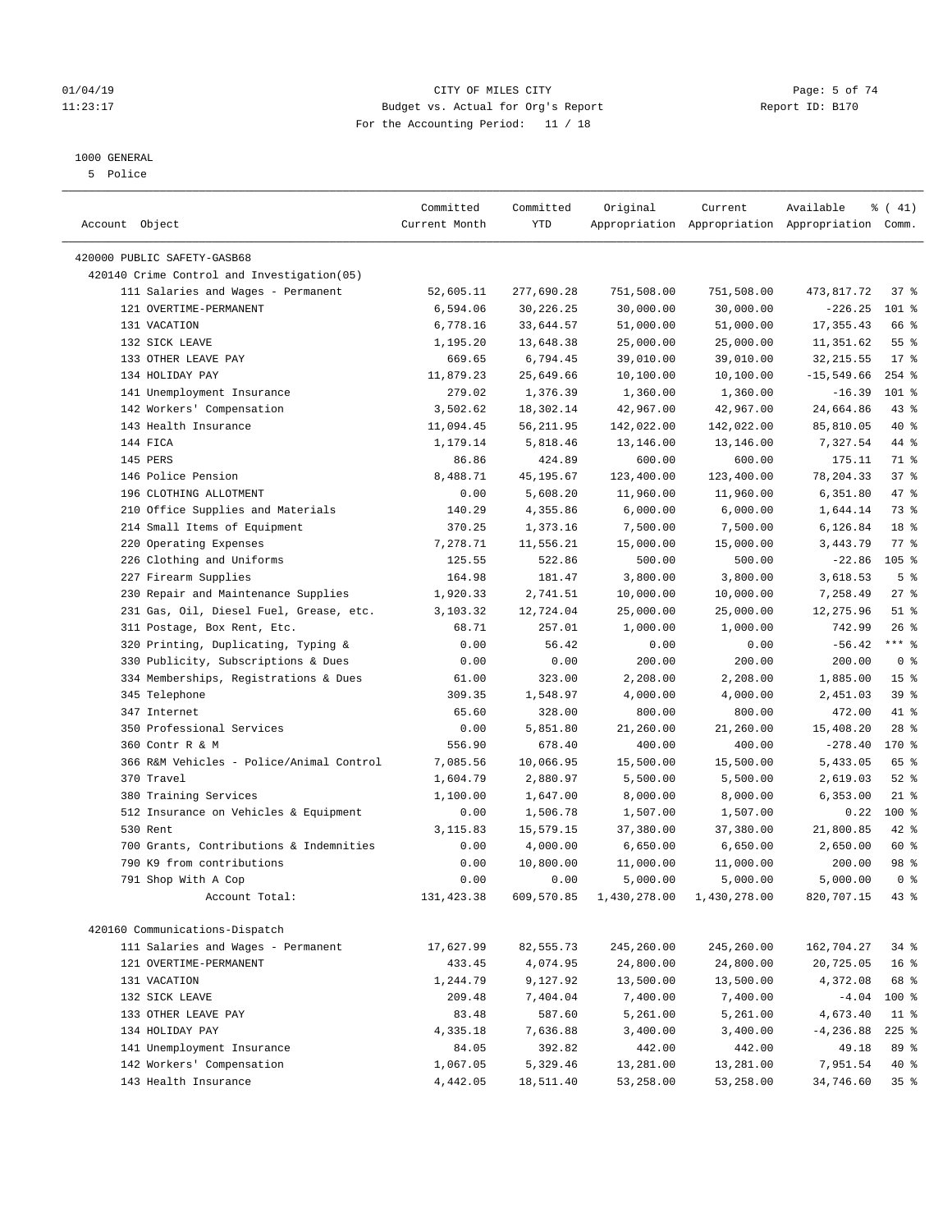#### 01/04/19 CITY OF MILES CITY Page: 5 of 74 11:23:17 Budget vs. Actual for Org's Report Changer Report ID: B170 For the Accounting Period: 11 / 18

————————————————————————————————————————————————————————————————————————————————————————————————————————————————————————————————————

## 1000 GENERAL

5 Police

|                                            | Committed     | Committed  | Original   | Current                   | Available                                       | $\frac{1}{6}$ ( 41) |
|--------------------------------------------|---------------|------------|------------|---------------------------|-------------------------------------------------|---------------------|
| Account Object                             | Current Month | YTD        |            |                           | Appropriation Appropriation Appropriation Comm. |                     |
| 420000 PUBLIC SAFETY-GASB68                |               |            |            |                           |                                                 |                     |
| 420140 Crime Control and Investigation(05) |               |            |            |                           |                                                 |                     |
| 111 Salaries and Wages - Permanent         | 52,605.11     | 277,690.28 | 751,508.00 | 751,508.00                | 473,817.72                                      | 37 <sub>8</sub>     |
| 121 OVERTIME-PERMANENT                     | 6,594.06      | 30,226.25  | 30,000.00  | 30,000.00                 | $-226.25$                                       | $101$ %             |
| 131 VACATION                               | 6,778.16      | 33,644.57  | 51,000.00  | 51,000.00                 | 17, 355.43                                      | 66 %                |
| 132 SICK LEAVE                             | 1,195.20      | 13,648.38  | 25,000.00  | 25,000.00                 | 11,351.62                                       | $55$ $%$            |
| 133 OTHER LEAVE PAY                        | 669.65        | 6,794.45   | 39,010.00  | 39,010.00                 | 32, 215.55                                      | $17*$               |
| 134 HOLIDAY PAY                            | 11,879.23     | 25,649.66  | 10,100.00  | 10,100.00                 | $-15,549.66$                                    | $254$ %             |
| 141 Unemployment Insurance                 | 279.02        | 1,376.39   | 1,360.00   | 1,360.00                  | $-16.39$                                        | 101 %               |
| 142 Workers' Compensation                  | 3,502.62      | 18,302.14  | 42,967.00  | 42,967.00                 | 24,664.86                                       | $43$ %              |
| 143 Health Insurance                       | 11,094.45     | 56,211.95  | 142,022.00 | 142,022.00                | 85,810.05                                       | 40 %                |
| 144 FICA                                   | 1,179.14      | 5,818.46   | 13,146.00  | 13,146.00                 | 7,327.54                                        | 44 %                |
| 145 PERS                                   | 86.86         | 424.89     | 600.00     | 600.00                    | 175.11                                          | 71 %                |
| 146 Police Pension                         | 8,488.71      | 45,195.67  | 123,400.00 | 123,400.00                | 78,204.33                                       | 37%                 |
| 196 CLOTHING ALLOTMENT                     | 0.00          | 5,608.20   | 11,960.00  | 11,960.00                 | 6,351.80                                        | 47 %                |
| 210 Office Supplies and Materials          | 140.29        | 4,355.86   | 6,000.00   | 6,000.00                  | 1,644.14                                        | 73 %                |
| 214 Small Items of Equipment               | 370.25        | 1,373.16   | 7,500.00   | 7,500.00                  | 6,126.84                                        | 18 %                |
| 220 Operating Expenses                     | 7,278.71      | 11,556.21  | 15,000.00  | 15,000.00                 | 3,443.79                                        | $77$ $\frac{6}{9}$  |
| 226 Clothing and Uniforms                  | 125.55        | 522.86     | 500.00     | 500.00                    | $-22.86$                                        | $105$ %             |
| 227 Firearm Supplies                       | 164.98        | 181.47     | 3,800.00   | 3,800.00                  | 3,618.53                                        | 5 <sup>8</sup>      |
| 230 Repair and Maintenance Supplies        | 1,920.33      | 2,741.51   | 10,000.00  | 10,000.00                 | 7,258.49                                        | $27$ %              |
| 231 Gas, Oil, Diesel Fuel, Grease, etc.    | 3,103.32      | 12,724.04  | 25,000.00  | 25,000.00                 | 12,275.96                                       | $51$ %              |
| 311 Postage, Box Rent, Etc.                | 68.71         | 257.01     | 1,000.00   | 1,000.00                  | 742.99                                          | $26$ %              |
| 320 Printing, Duplicating, Typing &        | 0.00          | 56.42      | 0.00       | 0.00                      | $-56.42$                                        | $***$ $_{8}$        |
| 330 Publicity, Subscriptions & Dues        | 0.00          | 0.00       | 200.00     | 200.00                    | 200.00                                          | 0 <sup>8</sup>      |
| 334 Memberships, Registrations & Dues      | 61.00         | 323.00     | 2,208.00   | 2,208.00                  | 1,885.00                                        | 15 <sup>°</sup>     |
| 345 Telephone                              | 309.35        | 1,548.97   | 4,000.00   | 4,000.00                  | 2,451.03                                        | 39%                 |
| 347 Internet                               | 65.60         | 328.00     | 800.00     | 800.00                    | 472.00                                          | 41 %                |
| 350 Professional Services                  | 0.00          | 5,851.80   | 21,260.00  | 21,260.00                 | 15,408.20                                       | $28$ %              |
| 360 Contr R & M                            | 556.90        | 678.40     | 400.00     | 400.00                    | $-278.40$                                       | 170 %               |
| 366 R&M Vehicles - Police/Animal Control   | 7,085.56      | 10,066.95  | 15,500.00  | 15,500.00                 | 5,433.05                                        | 65 %                |
| 370 Travel                                 | 1,604.79      | 2,880.97   | 5,500.00   | 5,500.00                  | 2,619.03                                        | $52$ $%$            |
| 380 Training Services                      | 1,100.00      | 1,647.00   | 8,000.00   | 8,000.00                  | 6,353.00                                        | $21$ %              |
| 512 Insurance on Vehicles & Equipment      | 0.00          | 1,506.78   | 1,507.00   | 1,507.00                  | 0.22                                            | $100*$              |
| 530 Rent                                   | 3,115.83      | 15,579.15  | 37,380.00  | 37,380.00                 | 21,800.85                                       | 42 %                |
| 700 Grants, Contributions & Indemnities    | 0.00          | 4,000.00   | 6,650.00   | 6,650.00                  | 2,650.00                                        | 60 %                |
| 790 K9 from contributions                  | 0.00          | 10,800.00  | 11,000.00  | 11,000.00                 | 200.00                                          | 98 %                |
| 791 Shop With A Cop                        | 0.00          | 0.00       | 5,000.00   | 5,000.00                  | 5,000.00                                        | 0 <sup>8</sup>      |
| Account Total:                             | 131, 423.38   | 609,570.85 |            | 1,430,278.00 1,430,278.00 | 820,707.15                                      | $43*$               |
| 420160 Communications-Dispatch             |               |            |            |                           |                                                 |                     |
| 111 Salaries and Wages - Permanent         | 17,627.99     | 82,555.73  | 245,260.00 | 245,260.00                | 162,704.27                                      | $34$ $%$            |
| 121 OVERTIME-PERMANENT                     | 433.45        | 4,074.95   | 24,800.00  | 24,800.00                 | 20,725.05                                       | 16 <sup>8</sup>     |
| 131 VACATION                               | 1,244.79      | 9,127.92   | 13,500.00  | 13,500.00                 | 4,372.08                                        | 68 %                |
| 132 SICK LEAVE                             | 209.48        | 7,404.04   | 7,400.00   | 7,400.00                  | $-4.04$                                         | $100*$              |
| 133 OTHER LEAVE PAY                        | 83.48         | 587.60     | 5,261.00   | 5,261.00                  | 4,673.40                                        | $11$ %              |
| 134 HOLIDAY PAY                            | 4,335.18      | 7,636.88   | 3,400.00   | 3,400.00                  | $-4, 236.88$                                    | $225$ %             |
| 141 Unemployment Insurance                 | 84.05         | 392.82     | 442.00     | 442.00                    | 49.18                                           | 89 %                |
| 142 Workers' Compensation                  | 1,067.05      | 5,329.46   | 13,281.00  | 13,281.00                 | 7,951.54                                        | 40 %                |
| 143 Health Insurance                       | 4,442.05      | 18,511.40  | 53,258.00  | 53,258.00                 | 34,746.60                                       | 35%                 |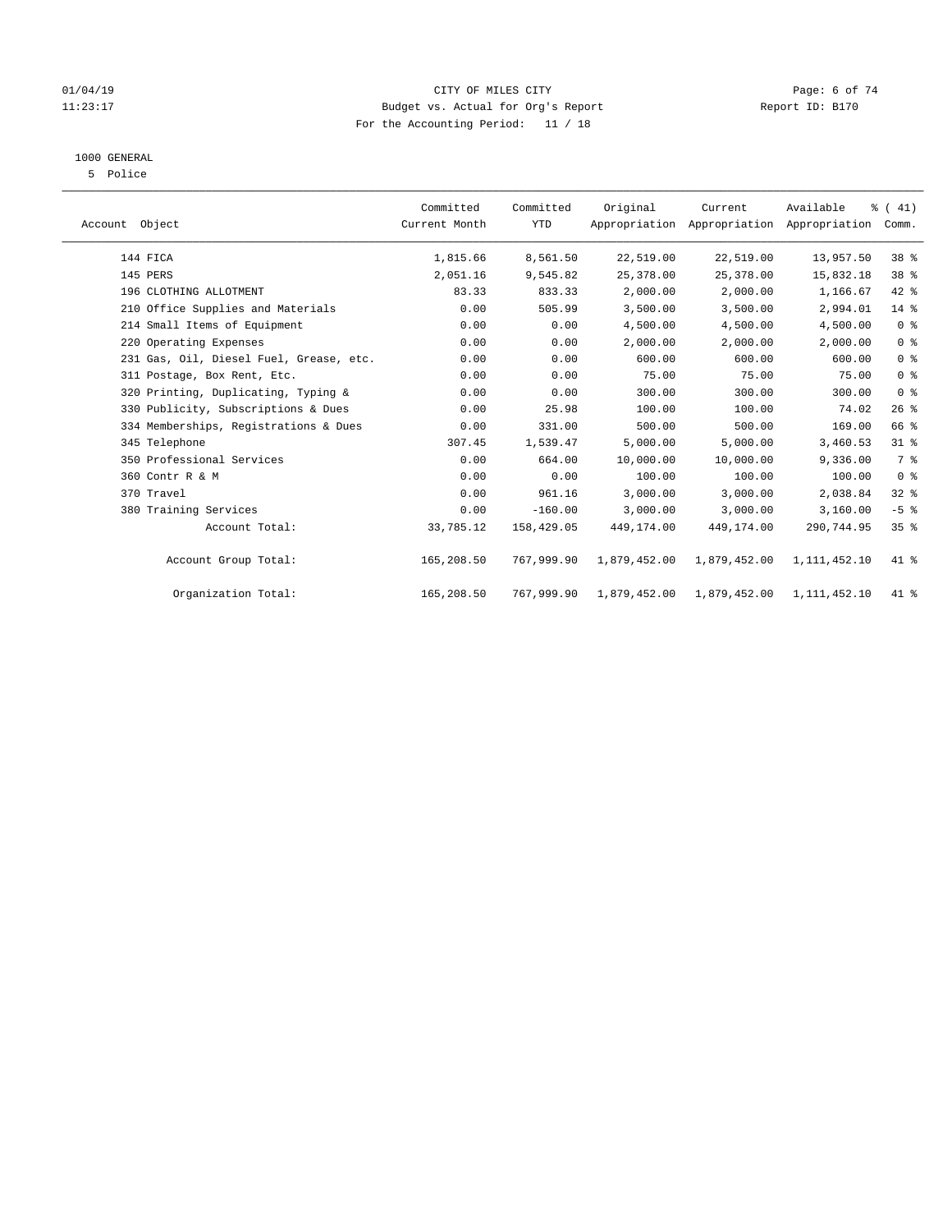#### 01/04/19 CITY OF MILES CITY Page: 6 of 74 11:23:17 Budget vs. Actual for Org's Report Changer Report ID: B170 For the Accounting Period: 11 / 18

## 1000 GENERAL

5 Police

| Account Object                          | Committed<br>Current Month | Committed<br><b>YTD</b> | Original     | Current      | Available<br>Appropriation Appropriation Appropriation | $\frac{1}{6}$ ( 41)<br>Comm. |
|-----------------------------------------|----------------------------|-------------------------|--------------|--------------|--------------------------------------------------------|------------------------------|
| 144 FICA                                | 1,815.66                   | 8,561.50                | 22,519.00    | 22,519.00    | 13,957.50                                              | 38 %                         |
| 145 PERS                                | 2,051.16                   | 9,545.82                | 25, 378.00   | 25,378.00    | 15,832.18                                              | 38 %                         |
| 196 CLOTHING ALLOTMENT                  | 83.33                      | 833.33                  | 2,000.00     | 2,000.00     | 1,166.67                                               | $42$ %                       |
| 210 Office Supplies and Materials       | 0.00                       | 505.99                  | 3,500.00     | 3,500.00     | 2,994.01                                               | 14 %                         |
| 214 Small Items of Equipment            | 0.00                       | 0.00                    | 4,500.00     | 4,500.00     | 4,500.00                                               | 0 <sup>8</sup>               |
| 220 Operating Expenses                  | 0.00                       | 0.00                    | 2,000.00     | 2,000.00     | 2,000.00                                               | 0 <sup>8</sup>               |
| 231 Gas, Oil, Diesel Fuel, Grease, etc. | 0.00                       | 0.00                    | 600.00       | 600.00       | 600.00                                                 | 0 <sup>8</sup>               |
| 311 Postage, Box Rent, Etc.             | 0.00                       | 0.00                    | 75.00        | 75.00        | 75.00                                                  | 0 <sup>8</sup>               |
| 320 Printing, Duplicating, Typing &     | 0.00                       | 0.00                    | 300.00       | 300.00       | 300.00                                                 | 0 <sup>8</sup>               |
| 330 Publicity, Subscriptions & Dues     | 0.00                       | 25.98                   | 100.00       | 100.00       | 74.02                                                  | 26%                          |
| 334 Memberships, Registrations & Dues   | 0.00                       | 331.00                  | 500.00       | 500.00       | 169.00                                                 | 66 %                         |
| 345 Telephone                           | 307.45                     | 1,539.47                | 5.000.00     | 5.000.00     | 3,460.53                                               | 31.8                         |
| 350 Professional Services               | 0.00                       | 664.00                  | 10,000.00    | 10,000.00    | 9,336.00                                               | 7%                           |
| 360 Contr R & M                         | 0.00                       | 0.00                    | 100.00       | 100.00       | 100.00                                                 | 0 <sup>8</sup>               |
| 370 Travel                              | 0.00                       | 961.16                  | 3,000.00     | 3,000.00     | 2,038.84                                               | $32$ $%$                     |
| 380 Training Services                   | 0.00                       | $-160.00$               | 3,000.00     | 3,000.00     | 3,160.00                                               | $-5$ $%$                     |
| Account Total:                          | 33,785.12                  | 158,429.05              | 449,174.00   | 449,174.00   | 290,744.95                                             | 35%                          |
| Account Group Total:                    | 165,208.50                 | 767,999.90              | 1,879,452.00 | 1,879,452.00 | 1,111,452.10                                           | 41 %                         |
| Organization Total:                     | 165,208.50                 | 767,999.90              | 1,879,452.00 | 1,879,452.00 | 1,111,452.10                                           | 41 %                         |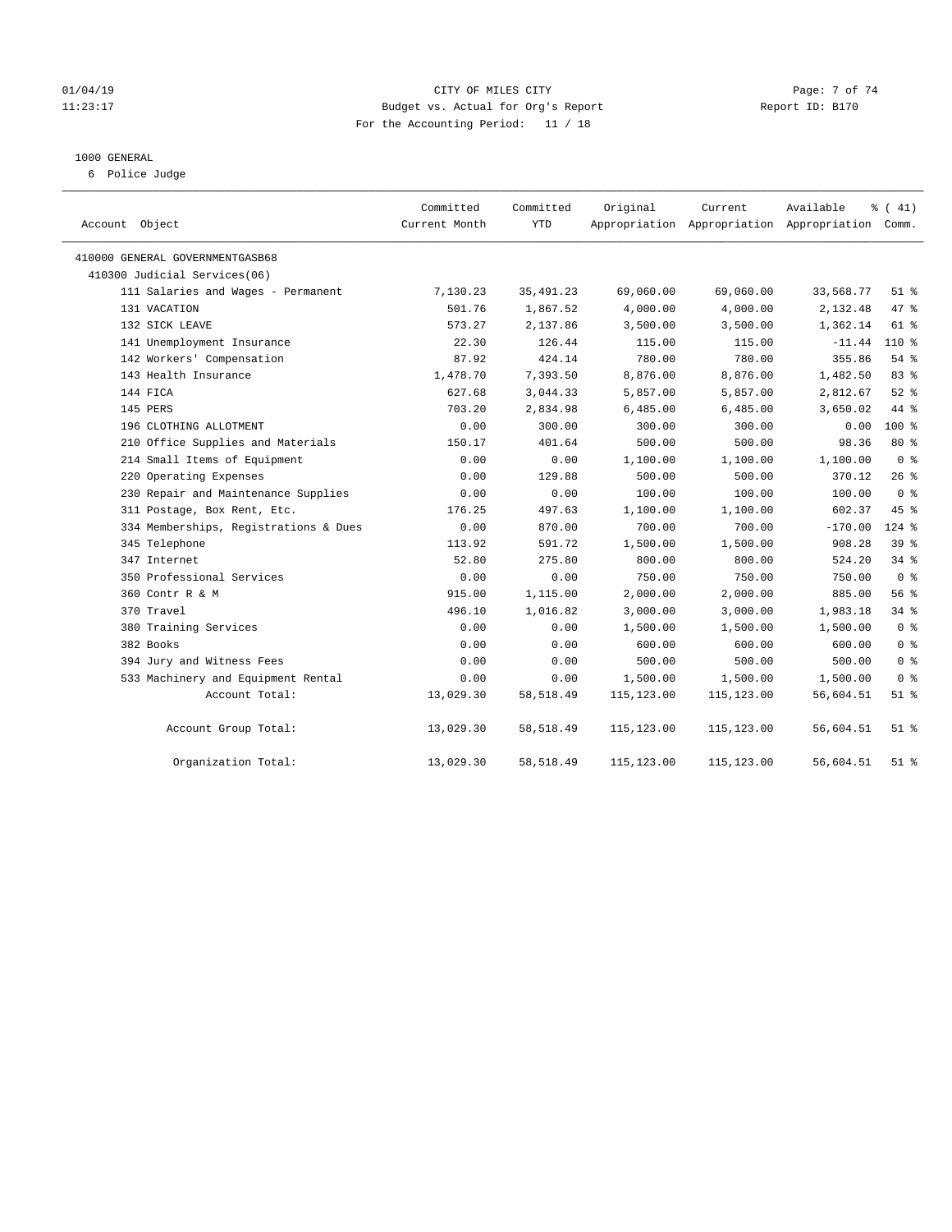#### 01/04/19 CITY OF MILES CITY Page: 7 of 74 11:23:17 Budget vs. Actual for Org's Report Changer Report ID: B170 For the Accounting Period: 11 / 18

#### 1000 GENERAL

6 Police Judge

| Account Object                        | Committed<br>Current Month | Committed<br>YTD | Original    | Current     | Available<br>Appropriation Appropriation Appropriation Comm. | $\frac{1}{6}$ ( 41) |
|---------------------------------------|----------------------------|------------------|-------------|-------------|--------------------------------------------------------------|---------------------|
| 410000 GENERAL GOVERNMENTGASB68       |                            |                  |             |             |                                                              |                     |
| 410300 Judicial Services(06)          |                            |                  |             |             |                                                              |                     |
| 111 Salaries and Wages - Permanent    | 7,130.23                   | 35, 491.23       | 69,060.00   | 69,060.00   | 33,568.77                                                    | $51$ %              |
| 131 VACATION                          | 501.76                     | 1,867.52         | 4,000.00    | 4,000.00    | 2,132.48                                                     | 47 %                |
| 132 SICK LEAVE                        | 573.27                     | 2,137.86         | 3,500.00    | 3,500.00    | 1,362.14                                                     | 61 %                |
| 141 Unemployment Insurance            | 22.30                      | 126.44           | 115.00      | 115.00      | $-11.44$                                                     | 110 %               |
| 142 Workers' Compensation             | 87.92                      | 424.14           | 780.00      | 780.00      | 355.86                                                       | $54$ %              |
| 143 Health Insurance                  | 1,478.70                   | 7,393.50         | 8,876.00    | 8,876.00    | 1,482.50                                                     | 83 %                |
| 144 FICA                              | 627.68                     | 3,044.33         | 5,857.00    | 5,857.00    | 2,812.67                                                     | $52$ %              |
| 145 PERS                              | 703.20                     | 2,834.98         | 6,485.00    | 6,485.00    | 3,650.02                                                     | 44 %                |
| 196 CLOTHING ALLOTMENT                | 0.00                       | 300.00           | 300.00      | 300.00      | 0.00                                                         | $100*$              |
| 210 Office Supplies and Materials     | 150.17                     | 401.64           | 500.00      | 500.00      | 98.36                                                        | 80 %                |
| 214 Small Items of Equipment          | 0.00                       | 0.00             | 1,100.00    | 1,100.00    | 1,100.00                                                     | 0 <sup>8</sup>      |
| 220 Operating Expenses                | 0.00                       | 129.88           | 500.00      | 500.00      | 370.12                                                       | $26$ %              |
| 230 Repair and Maintenance Supplies   | 0.00                       | 0.00             | 100.00      | 100.00      | 100.00                                                       | 0 <sup>8</sup>      |
| 311 Postage, Box Rent, Etc.           | 176.25                     | 497.63           | 1,100.00    | 1,100.00    | 602.37                                                       | 45 %                |
| 334 Memberships, Registrations & Dues | 0.00                       | 870.00           | 700.00      | 700.00      | $-170.00$                                                    | $124$ %             |
| 345 Telephone                         | 113.92                     | 591.72           | 1,500.00    | 1,500.00    | 908.28                                                       | 39%                 |
| 347 Internet                          | 52.80                      | 275.80           | 800.00      | 800.00      | 524.20                                                       | 34%                 |
| 350 Professional Services             | 0.00                       | 0.00             | 750.00      | 750.00      | 750.00                                                       | 0 <sup>8</sup>      |
| 360 Contr R & M                       | 915.00                     | 1,115.00         | 2,000.00    | 2,000.00    | 885.00                                                       | 56%                 |
| 370 Travel                            | 496.10                     | 1,016.82         | 3,000.00    | 3,000.00    | 1,983.18                                                     | 34%                 |
| 380 Training Services                 | 0.00                       | 0.00             | 1,500.00    | 1,500.00    | 1,500.00                                                     | 0 <sup>8</sup>      |
| 382 Books                             | 0.00                       | 0.00             | 600.00      | 600.00      | 600.00                                                       | 0 <sup>8</sup>      |
| 394 Jury and Witness Fees             | 0.00                       | 0.00             | 500.00      | 500.00      | 500.00                                                       | 0 <sup>8</sup>      |
| 533 Machinery and Equipment Rental    | 0.00                       | 0.00             | 1,500.00    | 1,500.00    | 1,500.00                                                     | 0 <sup>8</sup>      |
| Account Total:                        | 13,029.30                  | 58,518.49        | 115, 123.00 | 115,123.00  | 56,604.51                                                    | $51$ %              |
| Account Group Total:                  | 13,029.30                  | 58,518.49        | 115,123.00  | 115,123.00  | 56,604.51                                                    | $51$ %              |
| Organization Total:                   | 13,029.30                  | 58, 518.49       | 115,123.00  | 115, 123.00 | 56,604.51                                                    | $51$ %              |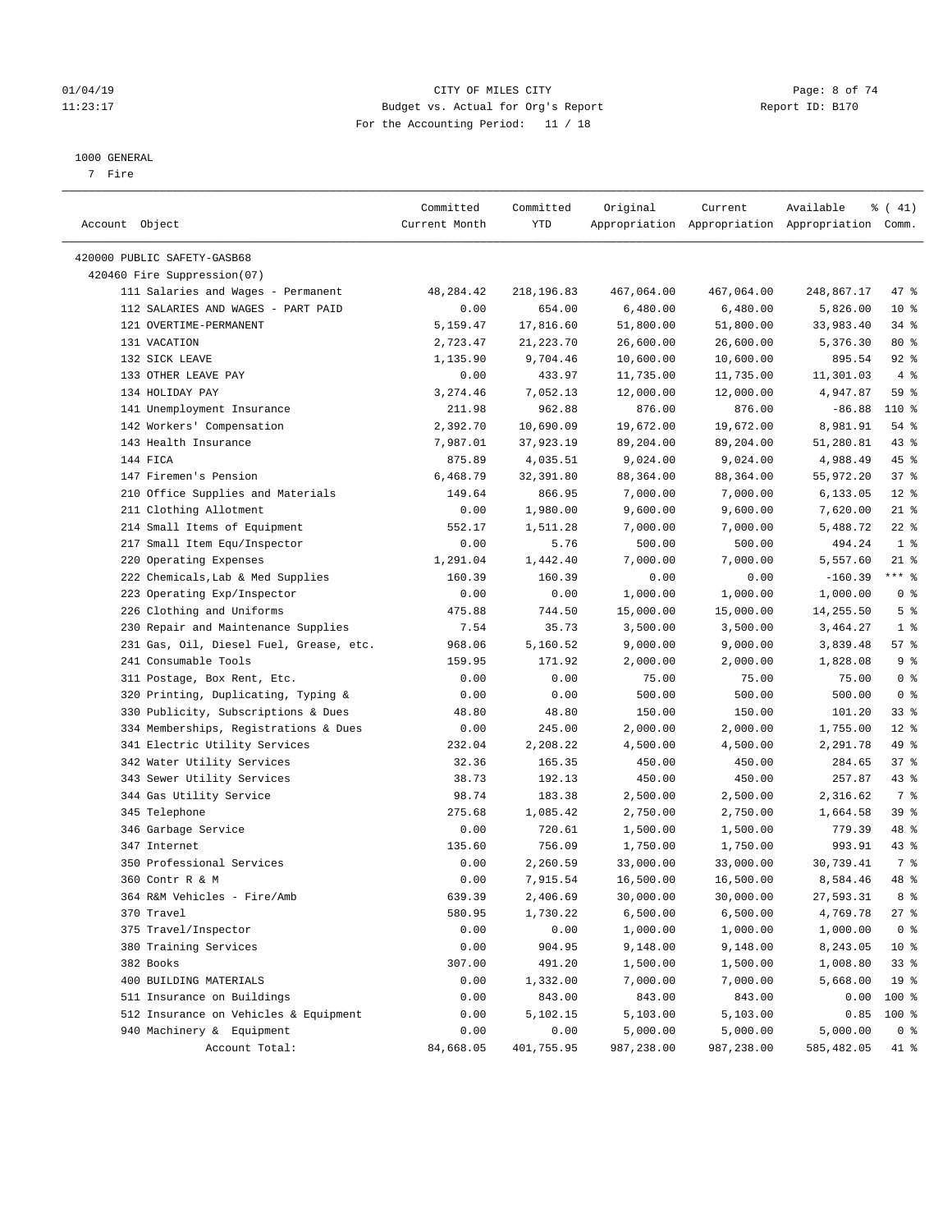#### 01/04/19 CITY OF MILES CITY Page: 8 of 74 11:23:17 Budget vs. Actual for Org's Report Changer Report ID: B170 For the Accounting Period: 11 / 18

#### 1000 GENERAL

7 Fire

| Account Object                          | Committed<br>Current Month | Committed<br>YTD | Original   | Current    | Available<br>Appropriation Appropriation Appropriation Comm. | $\frac{1}{6}$ ( 41) |
|-----------------------------------------|----------------------------|------------------|------------|------------|--------------------------------------------------------------|---------------------|
| 420000 PUBLIC SAFETY-GASB68             |                            |                  |            |            |                                                              |                     |
| 420460 Fire Suppression(07)             |                            |                  |            |            |                                                              |                     |
| 111 Salaries and Wages - Permanent      | 48,284.42                  | 218,196.83       | 467,064.00 | 467,064.00 | 248,867.17                                                   | 47 %                |
| 112 SALARIES AND WAGES - PART PAID      | 0.00                       | 654.00           | 6,480.00   | 6,480.00   | 5,826.00                                                     | $10*$               |
| 121 OVERTIME-PERMANENT                  | 5,159.47                   | 17,816.60        | 51,800.00  | 51,800.00  | 33,983.40                                                    | 34%                 |
| 131 VACATION                            | 2,723.47                   | 21, 223. 70      | 26,600.00  | 26,600.00  | 5,376.30                                                     | $80*$               |
| 132 SICK LEAVE                          | 1,135.90                   | 9,704.46         | 10,600.00  | 10,600.00  | 895.54                                                       | 92%                 |
| 133 OTHER LEAVE PAY                     | 0.00                       | 433.97           | 11,735.00  | 11,735.00  | 11,301.03                                                    | 4%                  |
| 134 HOLIDAY PAY                         | 3,274.46                   | 7,052.13         | 12,000.00  | 12,000.00  | 4,947.87                                                     | 59 %                |
| 141 Unemployment Insurance              | 211.98                     | 962.88           | 876.00     | 876.00     | $-86.88$                                                     | 110 %               |
| 142 Workers' Compensation               | 2,392.70                   | 10,690.09        | 19,672.00  | 19,672.00  | 8,981.91                                                     | $54$ %              |
| 143 Health Insurance                    | 7,987.01                   | 37,923.19        | 89,204.00  | 89,204.00  | 51,280.81                                                    | 43 %                |
| 144 FICA                                | 875.89                     | 4,035.51         | 9,024.00   | 9,024.00   | 4,988.49                                                     | 45 %                |
| 147 Firemen's Pension                   | 6,468.79                   | 32,391.80        | 88,364.00  | 88,364.00  | 55,972.20                                                    | 37%                 |
| 210 Office Supplies and Materials       | 149.64                     | 866.95           | 7,000.00   | 7,000.00   | 6,133.05                                                     | $12*$               |
| 211 Clothing Allotment                  | 0.00                       | 1,980.00         | 9,600.00   | 9,600.00   | 7,620.00                                                     | $21$ %              |
| 214 Small Items of Equipment            | 552.17                     | 1,511.28         | 7,000.00   | 7,000.00   | 5,488.72                                                     | $22$ %              |
| 217 Small Item Equ/Inspector            | 0.00                       | 5.76             | 500.00     | 500.00     | 494.24                                                       | 1 <sup>8</sup>      |
| 220 Operating Expenses                  | 1,291.04                   | 1,442.40         | 7,000.00   | 7,000.00   | 5,557.60                                                     | $21$ %              |
| 222 Chemicals, Lab & Med Supplies       | 160.39                     | 160.39           | 0.00       | 0.00       | $-160.39$                                                    | $***$ $_{8}$        |
| 223 Operating Exp/Inspector             | 0.00                       | 0.00             | 1,000.00   | 1,000.00   | 1,000.00                                                     | 0 <sup>8</sup>      |
| 226 Clothing and Uniforms               | 475.88                     | 744.50           | 15,000.00  | 15,000.00  | 14,255.50                                                    | 5 <sup>°</sup>      |
| 230 Repair and Maintenance Supplies     | 7.54                       | 35.73            | 3,500.00   | 3,500.00   | 3,464.27                                                     | 1 <sup>8</sup>      |
| 231 Gas, Oil, Diesel Fuel, Grease, etc. | 968.06                     | 5,160.52         | 9,000.00   | 9,000.00   | 3,839.48                                                     | 57%                 |
| 241 Consumable Tools                    | 159.95                     | 171.92           | 2,000.00   | 2,000.00   | 1,828.08                                                     | 9%                  |
| 311 Postage, Box Rent, Etc.             | 0.00                       | 0.00             | 75.00      | 75.00      | 75.00                                                        | 0 <sup>8</sup>      |
| 320 Printing, Duplicating, Typing &     | 0.00                       | 0.00             | 500.00     | 500.00     | 500.00                                                       | 0 <sup>8</sup>      |
| 330 Publicity, Subscriptions & Dues     | 48.80                      | 48.80            | 150.00     | 150.00     | 101.20                                                       | 33%                 |
| 334 Memberships, Registrations & Dues   | 0.00                       | 245.00           | 2,000.00   | 2,000.00   | 1,755.00                                                     | $12*$               |
| 341 Electric Utility Services           | 232.04                     | 2,208.22         | 4,500.00   | 4,500.00   | 2,291.78                                                     | 49 %                |
| 342 Water Utility Services              | 32.36                      | 165.35           | 450.00     | 450.00     | 284.65                                                       | 37%                 |
| 343 Sewer Utility Services              | 38.73                      | 192.13           | 450.00     | 450.00     | 257.87                                                       | 43 %                |
| 344 Gas Utility Service                 | 98.74                      | 183.38           | 2,500.00   | 2,500.00   | 2,316.62                                                     | 7 %                 |
| 345 Telephone                           | 275.68                     | 1,085.42         | 2,750.00   | 2,750.00   | 1,664.58                                                     | 39%                 |
| 346 Garbage Service                     | 0.00                       | 720.61           | 1,500.00   | 1,500.00   | 779.39                                                       | 48 %                |
| 347 Internet                            | 135.60                     | 756.09           | 1,750.00   | 1,750.00   | 993.91                                                       | $43$ %              |
| 350 Professional Services               | 0.00                       | 2,260.59         | 33,000.00  | 33,000.00  | 30,739.41                                                    | 7 %                 |
| 360 Contr R & M                         | 0.00                       | 7,915.54         | 16,500.00  | 16,500.00  | 8,584.46                                                     | 48 %                |
| 364 R&M Vehicles - Fire/Amb             | 639.39                     | 2,406.69         | 30,000.00  | 30,000.00  | 27,593.31                                                    | 8 %                 |
| 370 Travel                              | 580.95                     | 1,730.22         | 6,500.00   | 6,500.00   | 4,769.78                                                     | $27$ %              |
| 375 Travel/Inspector                    | 0.00                       | 0.00             | 1,000.00   | 1,000.00   | 1,000.00                                                     | 0 <sup>8</sup>      |
| 380 Training Services                   | 0.00                       | 904.95           | 9,148.00   | 9,148.00   | 8,243.05                                                     | $10*$               |
| 382 Books                               | 307.00                     | 491.20           | 1,500.00   | 1,500.00   | 1,008.80                                                     | 33%                 |
| 400 BUILDING MATERIALS                  | 0.00                       | 1,332.00         | 7,000.00   | 7,000.00   | 5,668.00                                                     | 19 <sup>°</sup>     |
| 511 Insurance on Buildings              | 0.00                       | 843.00           | 843.00     | 843.00     | 0.00                                                         | 100 %               |
| 512 Insurance on Vehicles & Equipment   | 0.00                       | 5,102.15         | 5,103.00   | 5,103.00   | 0.85                                                         | 100 %               |
| 940 Machinery & Equipment               | 0.00                       | 0.00             | 5,000.00   | 5,000.00   | 5,000.00                                                     | 0 <sup>8</sup>      |
| Account Total:                          | 84,668.05                  | 401,755.95       | 987,238.00 | 987,238.00 | 585,482.05                                                   | 41 %                |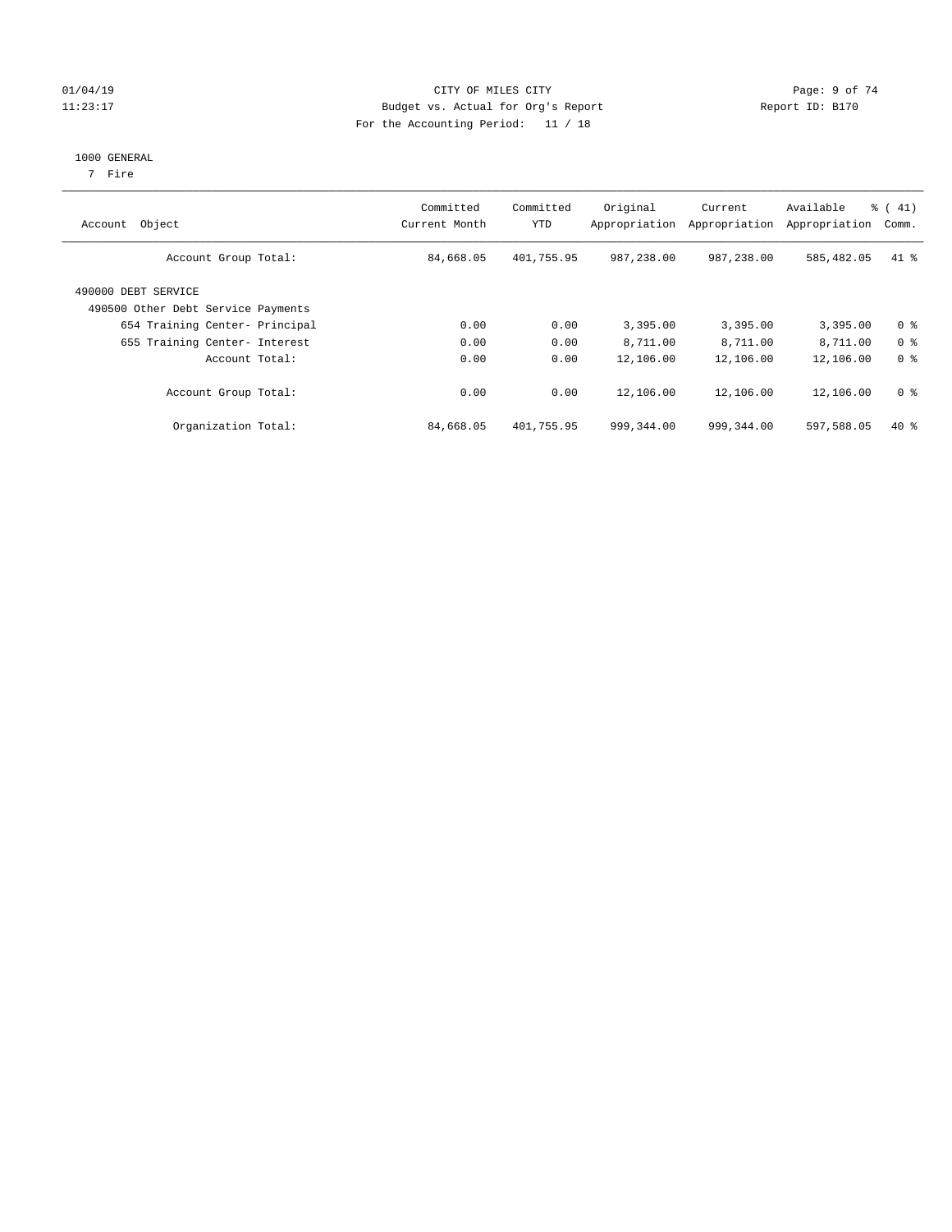#### 01/04/19 CITY OF MILES CITY Page: 9 of 74 11:23:17 Budget vs. Actual for Org's Report Changer Report ID: B170 For the Accounting Period: 11 / 18

#### 1000 GENERAL

7 Fire

| Object<br>Account                                         | Committed<br>Current Month | Committed<br><b>YTD</b> | Original<br>Appropriation | Current<br>Appropriation | Available<br>Appropriation | % (41)<br>Comm. |
|-----------------------------------------------------------|----------------------------|-------------------------|---------------------------|--------------------------|----------------------------|-----------------|
| Account Group Total:                                      | 84,668.05                  | 401,755.95              | 987,238.00                | 987,238.00               | 585,482.05                 | $41$ %          |
| 490000 DEBT SERVICE<br>490500 Other Debt Service Payments |                            |                         |                           |                          |                            |                 |
| 654 Training Center- Principal                            | 0.00                       | 0.00                    | 3,395.00                  | 3,395.00                 | 3,395.00                   | 0 <sup>8</sup>  |
| 655 Training Center- Interest                             | 0.00                       | 0.00                    | 8,711.00                  | 8,711.00                 | 8,711.00                   | 0 <sup>8</sup>  |
| Account Total:                                            | 0.00                       | 0.00                    | 12,106.00                 | 12,106.00                | 12,106.00                  | 0 <sup>8</sup>  |
| Account Group Total:                                      | 0.00                       | 0.00                    | 12,106.00                 | 12,106.00                | 12,106.00                  | 0 <sup>8</sup>  |
| Organization Total:                                       | 84,668.05                  | 401,755.95              | 999,344.00                | 999,344.00               | 597,588.05                 | $40*$           |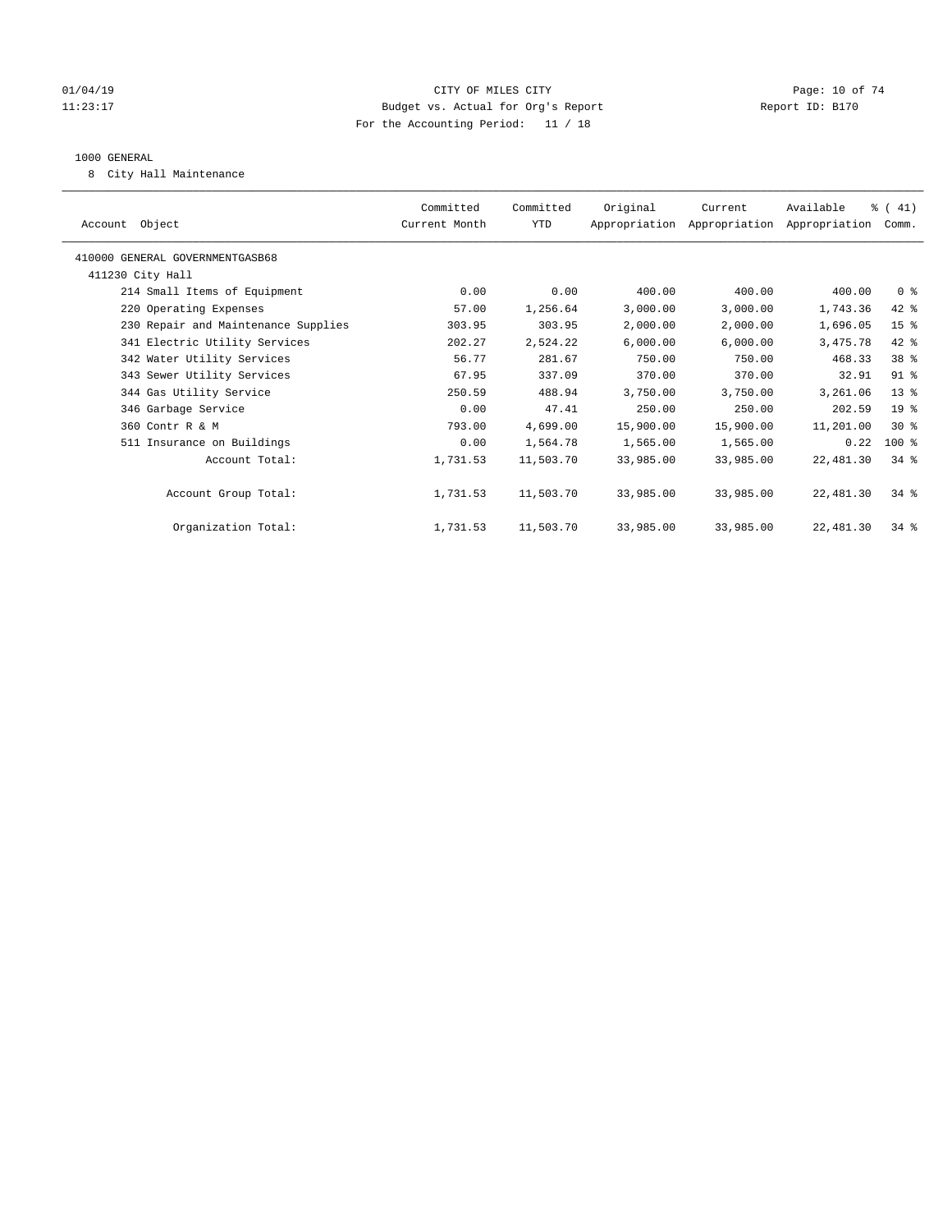#### $O1/04/19$  Page: 10 of 74 11:23:17 Budget vs. Actual for Org's Report Changer Report ID: B170 For the Accounting Period: 11 / 18

#### 1000 GENERAL

8 City Hall Maintenance

|                                     | Committed     | Committed | Original  | Current                                   | Available | % (41)          |  |
|-------------------------------------|---------------|-----------|-----------|-------------------------------------------|-----------|-----------------|--|
| Account Object                      | Current Month | YTD       |           | Appropriation Appropriation Appropriation |           | Comm.           |  |
| 410000 GENERAL GOVERNMENTGASB68     |               |           |           |                                           |           |                 |  |
| 411230 City Hall                    |               |           |           |                                           |           |                 |  |
| 214 Small Items of Equipment        | 0.00          | 0.00      | 400.00    | 400.00                                    | 400.00    | 0 <sup>8</sup>  |  |
| 220 Operating Expenses              | 57.00         | 1,256.64  | 3,000.00  | 3,000.00                                  | 1,743.36  | 42 %            |  |
| 230 Repair and Maintenance Supplies | 303.95        | 303.95    | 2,000.00  | 2,000.00                                  | 1,696.05  | 15 <sup>8</sup> |  |
| 341 Electric Utility Services       | 202.27        | 2,524.22  | 6,000.00  | 6,000.00                                  | 3,475.78  | 42 %            |  |
| 342 Water Utility Services          | 56.77         | 281.67    | 750.00    | 750.00                                    | 468.33    | 38 %            |  |
| 343 Sewer Utility Services          | 67.95         | 337.09    | 370.00    | 370.00                                    | 32.91     | $91$ %          |  |
| 344 Gas Utility Service             | 250.59        | 488.94    | 3,750.00  | 3,750.00                                  | 3,261.06  | 13 <sup>°</sup> |  |
| 346 Garbage Service                 | 0.00          | 47.41     | 250.00    | 250.00                                    | 202.59    | $19*$           |  |
| 360 Contr R & M                     | 793.00        | 4,699.00  | 15,900.00 | 15,900.00                                 | 11,201.00 | $30*$           |  |
| 511 Insurance on Buildings          | 0.00          | 1,564.78  | 1,565.00  | 1,565.00                                  | 0.22      | $100$ %         |  |
| Account Total:                      | 1,731.53      | 11,503.70 | 33,985.00 | 33,985.00                                 | 22,481.30 | $34$ $%$        |  |
|                                     |               |           |           |                                           |           |                 |  |
| Account Group Total:                | 1,731.53      | 11,503.70 | 33,985.00 | 33,985.00                                 | 22,481.30 | $34$ $%$        |  |
|                                     |               |           |           |                                           |           |                 |  |
| Organization Total:                 | 1,731.53      | 11,503.70 | 33,985.00 | 33,985.00                                 | 22,481.30 | $34$ $%$        |  |
|                                     |               |           |           |                                           |           |                 |  |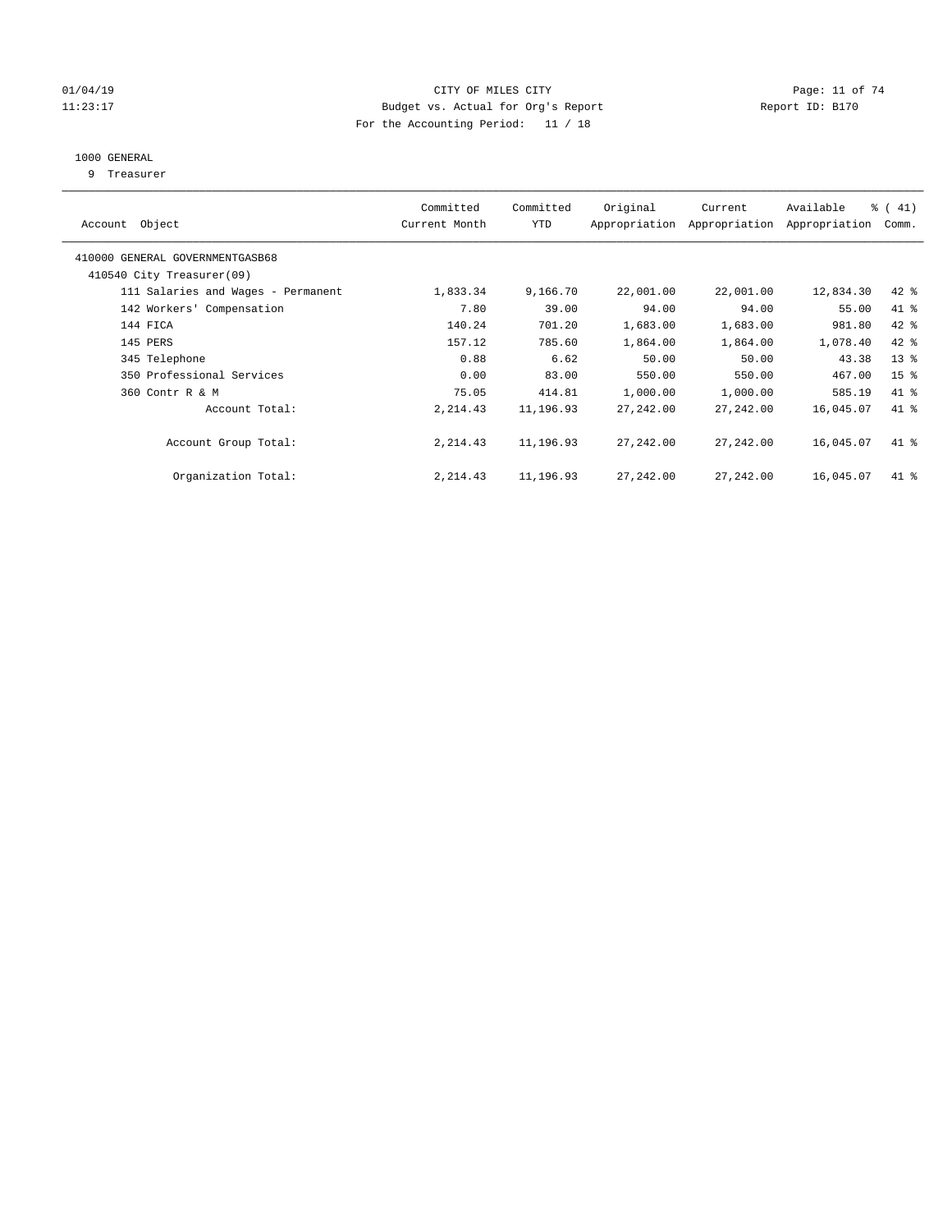#### $O1/04/19$  Page: 11 of 74 11:23:17 Budget vs. Actual for Org's Report Changer Report ID: B170 For the Accounting Period: 11 / 18

## 1000 GENERAL

9 Treasurer

| Account Object                                               | Committed<br>Current Month | Committed<br><b>YTD</b> | Original  | Current<br>Appropriation Appropriation | Available<br>Appropriation | % (41)<br>Comm. |
|--------------------------------------------------------------|----------------------------|-------------------------|-----------|----------------------------------------|----------------------------|-----------------|
| 410000 GENERAL GOVERNMENTGASB68<br>410540 City Treasurer(09) |                            |                         |           |                                        |                            |                 |
|                                                              |                            |                         |           |                                        |                            |                 |
| 111 Salaries and Wages - Permanent                           | 1,833.34                   | 9,166.70                | 22,001.00 | 22,001.00                              | 12,834.30                  | $42$ %          |
| 142 Workers' Compensation                                    | 7.80                       | 39.00                   | 94.00     | 94.00                                  | 55.00                      | 41 %            |
| 144 FICA                                                     | 140.24                     | 701.20                  | 1,683.00  | 1,683.00                               | 981.80                     | $42$ %          |
| 145 PERS                                                     | 157.12                     | 785.60                  | 1,864.00  | 1,864.00                               | 1,078.40                   | 42 %            |
| 345 Telephone                                                | 0.88                       | 6.62                    | 50.00     | 50.00                                  | 43.38                      | 13 <sup>°</sup> |
| 350 Professional Services                                    | 0.00                       | 83.00                   | 550.00    | 550.00                                 | 467.00                     | 15 <sup>°</sup> |
| 360 Contr R & M                                              | 75.05                      | 414.81                  | 1,000.00  | 1,000.00                               | 585.19                     | $41$ %          |
| Account Total:                                               | 2, 214.43                  | 11,196.93               | 27,242.00 | 27,242.00                              | 16,045.07                  | 41 %            |
| Account Group Total:                                         | 2, 214.43                  | 11,196.93               | 27,242.00 | 27,242.00                              | 16,045.07                  | 41 %            |
| Organization Total:                                          | 2, 214.43                  | 11,196.93               | 27,242.00 | 27,242.00                              | 16,045.07                  | $41*$           |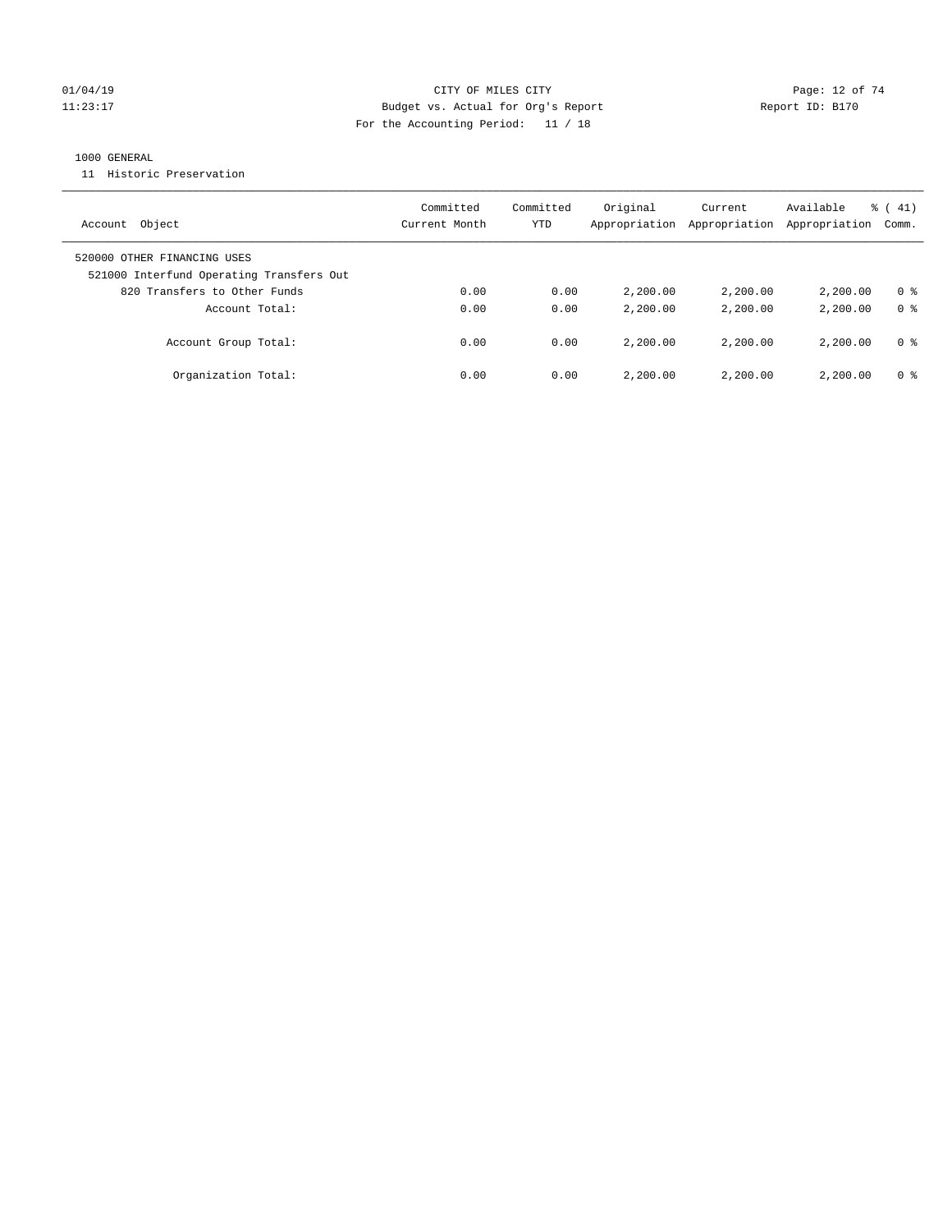#### $O1/04/19$  Page: 12 of 74 11:23:17 Budget vs. Actual for Org's Report Report ID: B170 For the Accounting Period: 11 / 18

#### 1000 GENERAL

11 Historic Preservation

| Account Object                                                          | Committed<br>Current Month | Committed<br>YTD | Original<br>Appropriation | Current<br>Appropriation | Available<br>Appropriation | $\frac{1}{6}$ ( 41)<br>Comm. |
|-------------------------------------------------------------------------|----------------------------|------------------|---------------------------|--------------------------|----------------------------|------------------------------|
| 520000 OTHER FINANCING USES<br>521000 Interfund Operating Transfers Out |                            |                  |                           |                          |                            |                              |
| 820 Transfers to Other Funds                                            | 0.00                       | 0.00             | 2,200.00                  | 2,200,00                 | 2,200.00                   | 0 <sup>8</sup>               |
| Account Total:                                                          | 0.00                       | 0.00             | 2,200.00                  | 2,200,00                 | 2,200.00                   | 0 <sup>8</sup>               |
| Account Group Total:                                                    | 0.00                       | 0.00             | 2,200.00                  | 2,200,00                 | 2,200.00                   | 0 %                          |
| Organization Total:                                                     | 0.00                       | 0.00             | 2,200.00                  | 2,200,00                 | 2,200.00                   | 0 %                          |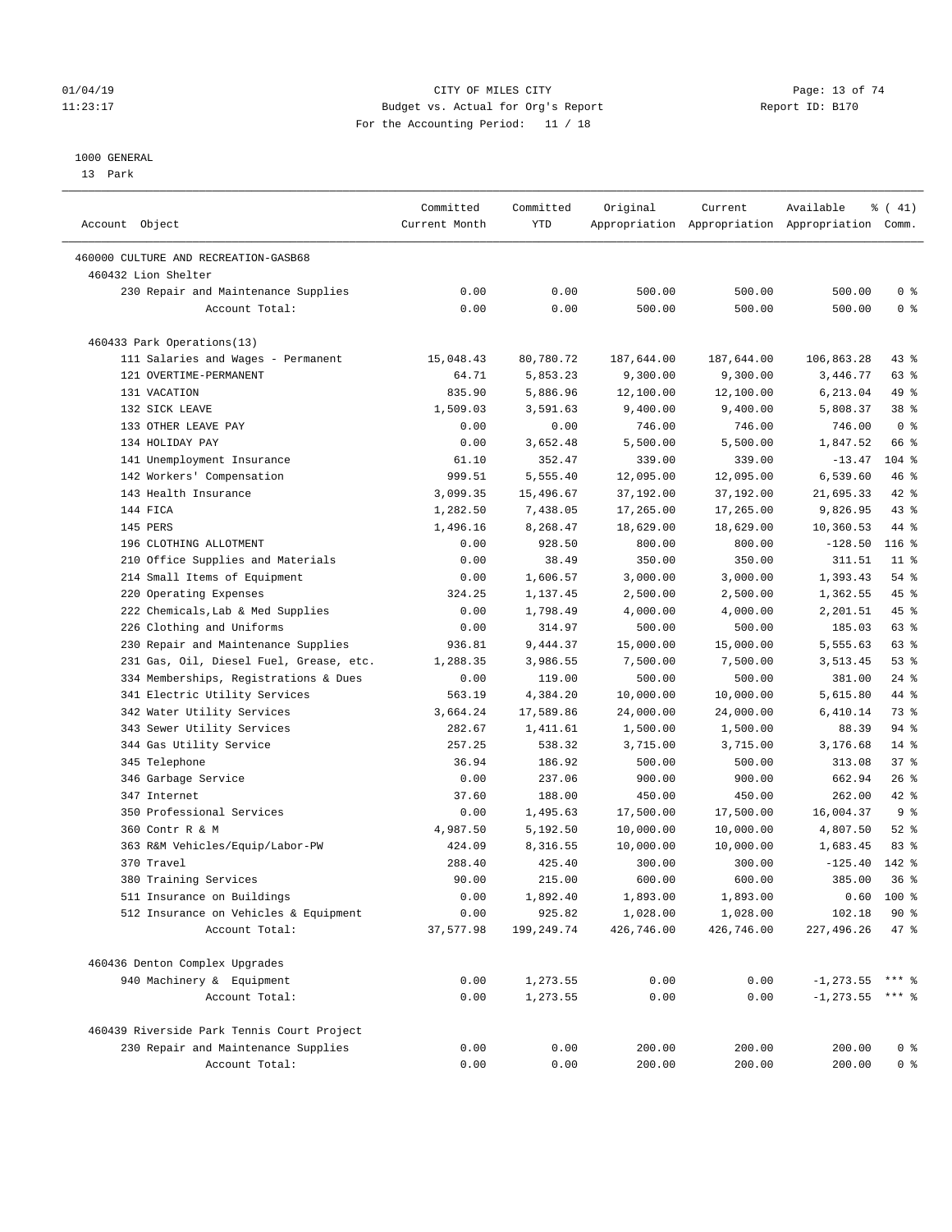#### $O1/04/19$  Page: 13 of 74 11:23:17 Budget vs. Actual for Org's Report Changer Report ID: B170 For the Accounting Period: 11 / 18

————————————————————————————————————————————————————————————————————————————————————————————————————————————————————————————————————

#### 1000 GENERAL

13 Park

|                                            | Committed     | Committed  | Original   | Current    | Available                                       | $\frac{1}{6}$ ( 41) |
|--------------------------------------------|---------------|------------|------------|------------|-------------------------------------------------|---------------------|
| Account Object                             | Current Month | YTD        |            |            | Appropriation Appropriation Appropriation Comm. |                     |
| 460000 CULTURE AND RECREATION-GASB68       |               |            |            |            |                                                 |                     |
| 460432 Lion Shelter                        |               |            |            |            |                                                 |                     |
| 230 Repair and Maintenance Supplies        | 0.00          | 0.00       | 500.00     | 500.00     | 500.00                                          | 0 <sup>8</sup>      |
| Account Total:                             | 0.00          | 0.00       | 500.00     | 500.00     | 500.00                                          | 0 <sup>8</sup>      |
| 460433 Park Operations(13)                 |               |            |            |            |                                                 |                     |
| 111 Salaries and Wages - Permanent         | 15,048.43     | 80,780.72  | 187,644.00 | 187,644.00 | 106,863.28                                      | 43 %                |
| 121 OVERTIME-PERMANENT                     | 64.71         | 5,853.23   | 9,300.00   | 9,300.00   | 3,446.77                                        | 63 %                |
| 131 VACATION                               | 835.90        | 5,886.96   | 12,100.00  | 12,100.00  | 6,213.04                                        | 49 %                |
| 132 SICK LEAVE                             | 1,509.03      | 3,591.63   | 9,400.00   | 9,400.00   | 5,808.37                                        | 38 <sup>8</sup>     |
| 133 OTHER LEAVE PAY                        | 0.00          | 0.00       | 746.00     | 746.00     | 746.00                                          | 0 <sup>8</sup>      |
| 134 HOLIDAY PAY                            | 0.00          | 3,652.48   | 5,500.00   | 5,500.00   | 1,847.52                                        | 66 %                |
| 141 Unemployment Insurance                 | 61.10         | 352.47     | 339.00     | 339.00     | $-13.47$                                        | $104$ %             |
| 142 Workers' Compensation                  | 999.51        | 5,555.40   | 12,095.00  | 12,095.00  | 6,539.60                                        | 46 %                |
| 143 Health Insurance                       | 3,099.35      | 15,496.67  | 37,192.00  | 37,192.00  | 21,695.33                                       | 42 %                |
| 144 FICA                                   | 1,282.50      | 7,438.05   | 17,265.00  | 17,265.00  | 9,826.95                                        | $43$ %              |
| 145 PERS                                   | 1,496.16      | 8,268.47   | 18,629.00  | 18,629.00  | 10,360.53                                       | 44 %                |
| 196 CLOTHING ALLOTMENT                     | 0.00          | 928.50     | 800.00     | 800.00     | $-128.50$                                       | $116$ %             |
| 210 Office Supplies and Materials          | 0.00          | 38.49      | 350.00     | 350.00     | 311.51                                          | $11$ %              |
| 214 Small Items of Equipment               | 0.00          | 1,606.57   | 3,000.00   | 3,000.00   | 1,393.43                                        | $54$ %              |
| 220 Operating Expenses                     | 324.25        | 1,137.45   | 2,500.00   | 2,500.00   | 1,362.55                                        | 45 %                |
| 222 Chemicals, Lab & Med Supplies          | 0.00          | 1,798.49   | 4,000.00   | 4,000.00   | 2,201.51                                        | 45 %                |
| 226 Clothing and Uniforms                  | 0.00          | 314.97     | 500.00     | 500.00     | 185.03                                          | 63 %                |
| 230 Repair and Maintenance Supplies        | 936.81        | 9,444.37   | 15,000.00  | 15,000.00  | 5,555.63                                        | 63 %                |
| 231 Gas, Oil, Diesel Fuel, Grease, etc.    | 1,288.35      | 3,986.55   | 7,500.00   | 7,500.00   | 3,513.45                                        | 53%                 |
| 334 Memberships, Registrations & Dues      | 0.00          | 119.00     | 500.00     | 500.00     | 381.00                                          | $24$ %              |
| 341 Electric Utility Services              | 563.19        | 4,384.20   | 10,000.00  | 10,000.00  | 5,615.80                                        | 44 %                |
| 342 Water Utility Services                 | 3,664.24      | 17,589.86  | 24,000.00  | 24,000.00  | 6,410.14                                        | 73 %                |
| 343 Sewer Utility Services                 | 282.67        | 1,411.61   | 1,500.00   | 1,500.00   | 88.39                                           | 94 %                |
|                                            |               | 538.32     |            |            | 3,176.68                                        | $14$ %              |
| 344 Gas Utility Service                    | 257.25        |            | 3,715.00   | 3,715.00   |                                                 | 37%                 |
| 345 Telephone                              | 36.94         | 186.92     | 500.00     | 500.00     | 313.08                                          |                     |
| 346 Garbage Service                        | 0.00          | 237.06     | 900.00     | 900.00     | 662.94                                          | $26$ %              |
| 347 Internet                               | 37.60         | 188.00     | 450.00     | 450.00     | 262.00                                          | $42$ %              |
| 350 Professional Services                  | 0.00          | 1,495.63   | 17,500.00  | 17,500.00  | 16,004.37                                       | 9 <sub>8</sub>      |
| 360 Contr R & M                            | 4,987.50      | 5,192.50   | 10,000.00  | 10,000.00  | 4,807.50                                        | $52$ $%$            |
| 363 R&M Vehicles/Equip/Labor-PW            | 424.09        | 8,316.55   | 10,000.00  | 10,000.00  | 1,683.45                                        | 83%                 |
| 370 Travel                                 | 288.40        | 425.40     | 300.00     | 300.00     | $-125.40$                                       | 142 %               |
| 380 Training Services                      | 90.00         | 215.00     | 600.00     | 600.00     | 385.00                                          | 36%                 |
| 511 Insurance on Buildings                 | 0.00          | 1,892.40   | 1,893.00   | 1,893.00   |                                                 | $0.60$ 100 %        |
| 512 Insurance on Vehicles & Equipment      | 0.00          | 925.82     | 1,028.00   | 1,028.00   | 102.18                                          | 90%                 |
| Account Total:                             | 37,577.98     | 199,249.74 | 426,746.00 | 426,746.00 | 227,496.26                                      | 47 %                |
| 460436 Denton Complex Upgrades             |               |            |            |            |                                                 |                     |
| 940 Machinery & Equipment                  | 0.00          | 1,273.55   | 0.00       | 0.00       | $-1, 273.55$ *** %                              |                     |
| Account Total:                             | 0.00          | 1,273.55   | 0.00       | 0.00       | $-1, 273.55$ *** %                              |                     |
| 460439 Riverside Park Tennis Court Project |               |            |            |            |                                                 |                     |
| 230 Repair and Maintenance Supplies        | 0.00          | 0.00       | 200.00     | 200.00     | 200.00                                          | 0 <sup>8</sup>      |
| Account Total:                             | 0.00          | 0.00       | 200.00     | 200.00     | 200.00                                          | 0 <sup>8</sup>      |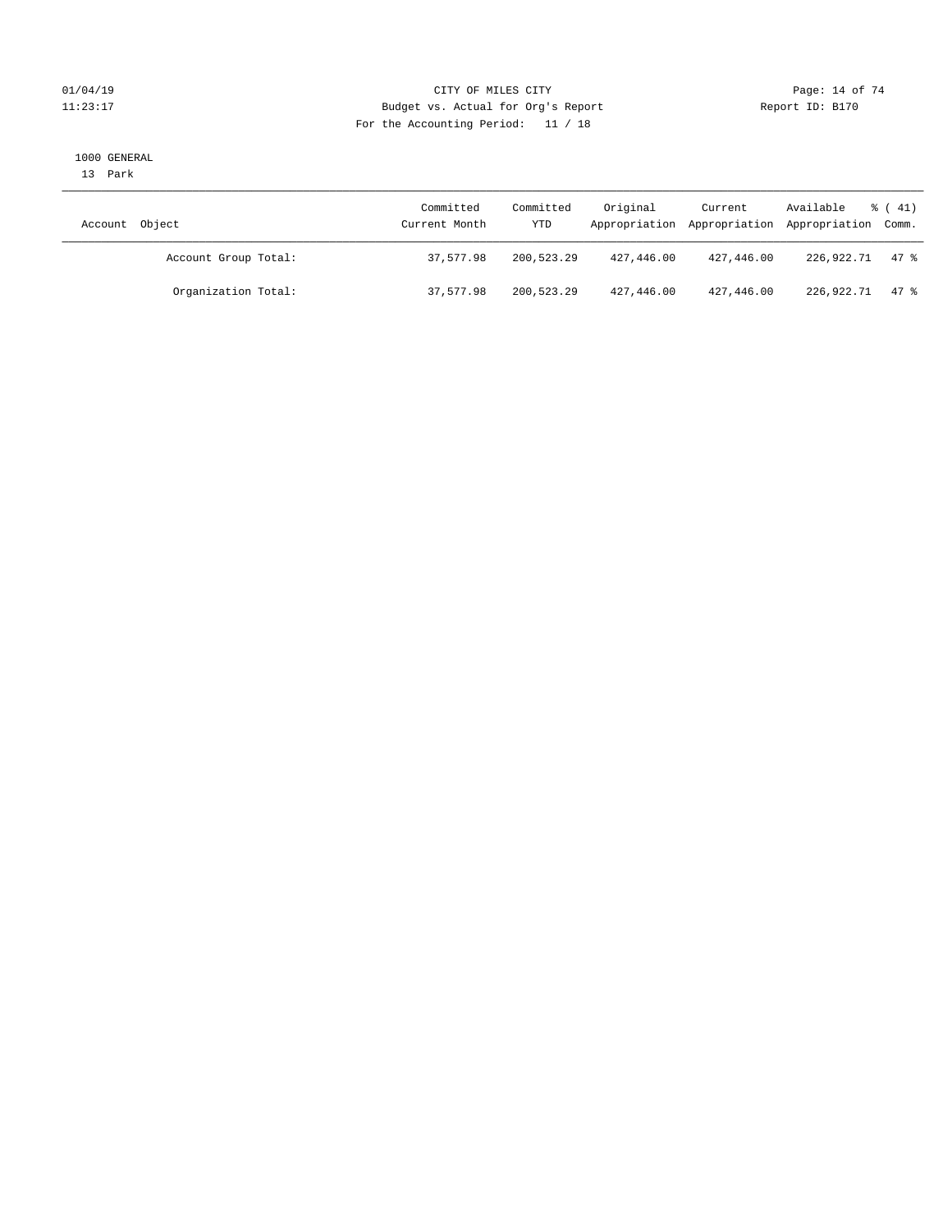#### $O1/04/19$  Page: 14 of 74 11:23:17 Budget vs. Actual for Org's Report Changer Report ID: B170 For the Accounting Period: 11 / 18

#### 1000 GENERAL

13 Park

| Account Object       | Committed<br>Current Month | Committed<br>YTD | Original   | Current    | Available<br>Appropriation Appropriation Appropriation Comm. | $\frac{1}{6}$ ( 41) |
|----------------------|----------------------------|------------------|------------|------------|--------------------------------------------------------------|---------------------|
| Account Group Total: | 37,577.98                  | 200,523.29       | 427,446.00 | 427,446.00 | 226,922.71                                                   | 47 %                |
| Organization Total:  | 37,577.98                  | 200,523.29       | 427,446.00 | 427,446.00 | 226,922.71                                                   | 47.8                |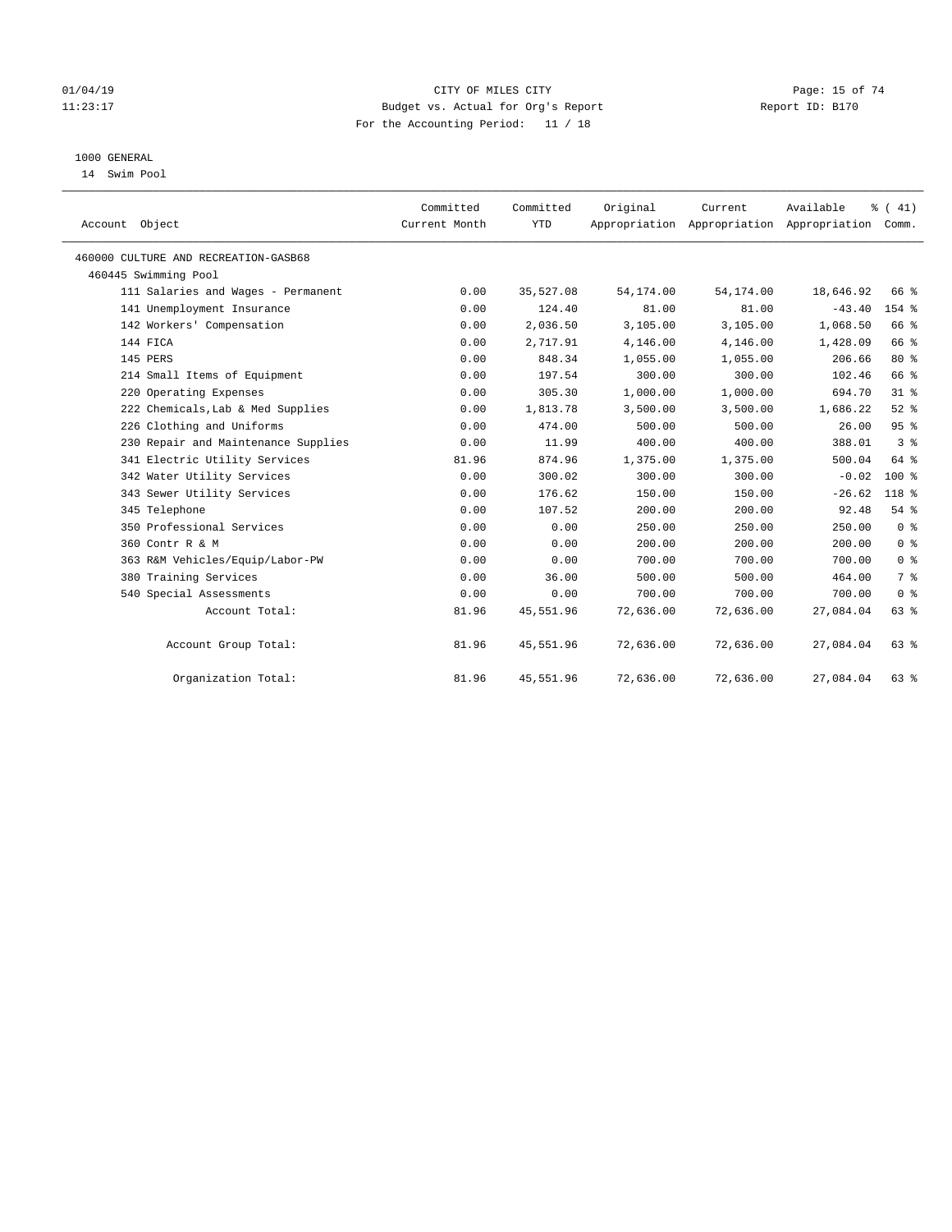#### $O1/04/19$  Page: 15 of 74 11:23:17 Budget vs. Actual for Org's Report Changer Report ID: B170 For the Accounting Period: 11 / 18

## 1000 GENERAL

14 Swim Pool

| Account Object                       | Committed<br>Current Month | Committed<br><b>YTD</b> | Original  | Current<br>Appropriation Appropriation Appropriation Comm. | Available | % (41)         |
|--------------------------------------|----------------------------|-------------------------|-----------|------------------------------------------------------------|-----------|----------------|
| 460000 CULTURE AND RECREATION-GASB68 |                            |                         |           |                                                            |           |                |
| 460445 Swimming Pool                 |                            |                         |           |                                                            |           |                |
| 111 Salaries and Wages - Permanent   | 0.00                       | 35,527.08               | 54,174.00 | 54,174.00                                                  | 18,646.92 | 66 %           |
| 141 Unemployment Insurance           | 0.00                       | 124.40                  | 81.00     | 81.00                                                      | $-43.40$  | $154$ $%$      |
| 142 Workers' Compensation            | 0.00                       | 2,036.50                | 3,105.00  | 3,105.00                                                   | 1,068.50  | 66 %           |
| 144 FICA                             | 0.00                       | 2,717.91                | 4,146.00  | 4,146.00                                                   | 1,428.09  | 66 %           |
| 145 PERS                             | 0.00                       | 848.34                  | 1,055.00  | 1,055.00                                                   | 206.66    | $80*$          |
| 214 Small Items of Equipment         | 0.00                       | 197.54                  | 300.00    | 300.00                                                     | 102.46    | 66 %           |
| 220 Operating Expenses               | 0.00                       | 305.30                  | 1,000.00  | 1,000.00                                                   | 694.70    | $31$ %         |
| 222 Chemicals, Lab & Med Supplies    | 0.00                       | 1,813.78                | 3,500.00  | 3,500.00                                                   | 1,686.22  | $52$ $%$       |
| 226 Clothing and Uniforms            | 0.00                       | 474.00                  | 500.00    | 500.00                                                     | 26.00     | 95%            |
| 230 Repair and Maintenance Supplies  | 0.00                       | 11.99                   | 400.00    | 400.00                                                     | 388.01    | 3 <sup>8</sup> |
| 341 Electric Utility Services        | 81.96                      | 874.96                  | 1,375.00  | 1,375.00                                                   | 500.04    | 64 %           |
| 342 Water Utility Services           | 0.00                       | 300.02                  | 300.00    | 300.00                                                     | $-0.02$   | $100*$         |
| 343 Sewer Utility Services           | 0.00                       | 176.62                  | 150.00    | 150.00                                                     | $-26.62$  | 118 %          |
| 345 Telephone                        | 0.00                       | 107.52                  | 200.00    | 200.00                                                     | 92.48     | 54%            |
| 350 Professional Services            | 0.00                       | 0.00                    | 250.00    | 250.00                                                     | 250.00    | 0 <sup>8</sup> |
| 360 Contr R & M                      | 0.00                       | 0.00                    | 200.00    | 200.00                                                     | 200.00    | 0 <sup>8</sup> |
| 363 R&M Vehicles/Equip/Labor-PW      | 0.00                       | 0.00                    | 700.00    | 700.00                                                     | 700.00    | 0 <sup>8</sup> |
| 380 Training Services                | 0.00                       | 36.00                   | 500.00    | 500.00                                                     | 464.00    | 7 <sup>°</sup> |
| 540 Special Assessments              | 0.00                       | 0.00                    | 700.00    | 700.00                                                     | 700.00    | 0 <sup>8</sup> |
| Account Total:                       | 81.96                      | 45,551.96               | 72,636.00 | 72,636.00                                                  | 27,084.04 | 63 %           |
| Account Group Total:                 | 81.96                      | 45,551.96               | 72,636.00 | 72,636.00                                                  | 27,084.04 | $63$ $%$       |
| Organization Total:                  | 81.96                      | 45,551.96               | 72,636.00 | 72,636.00                                                  | 27,084.04 | $63$ $%$       |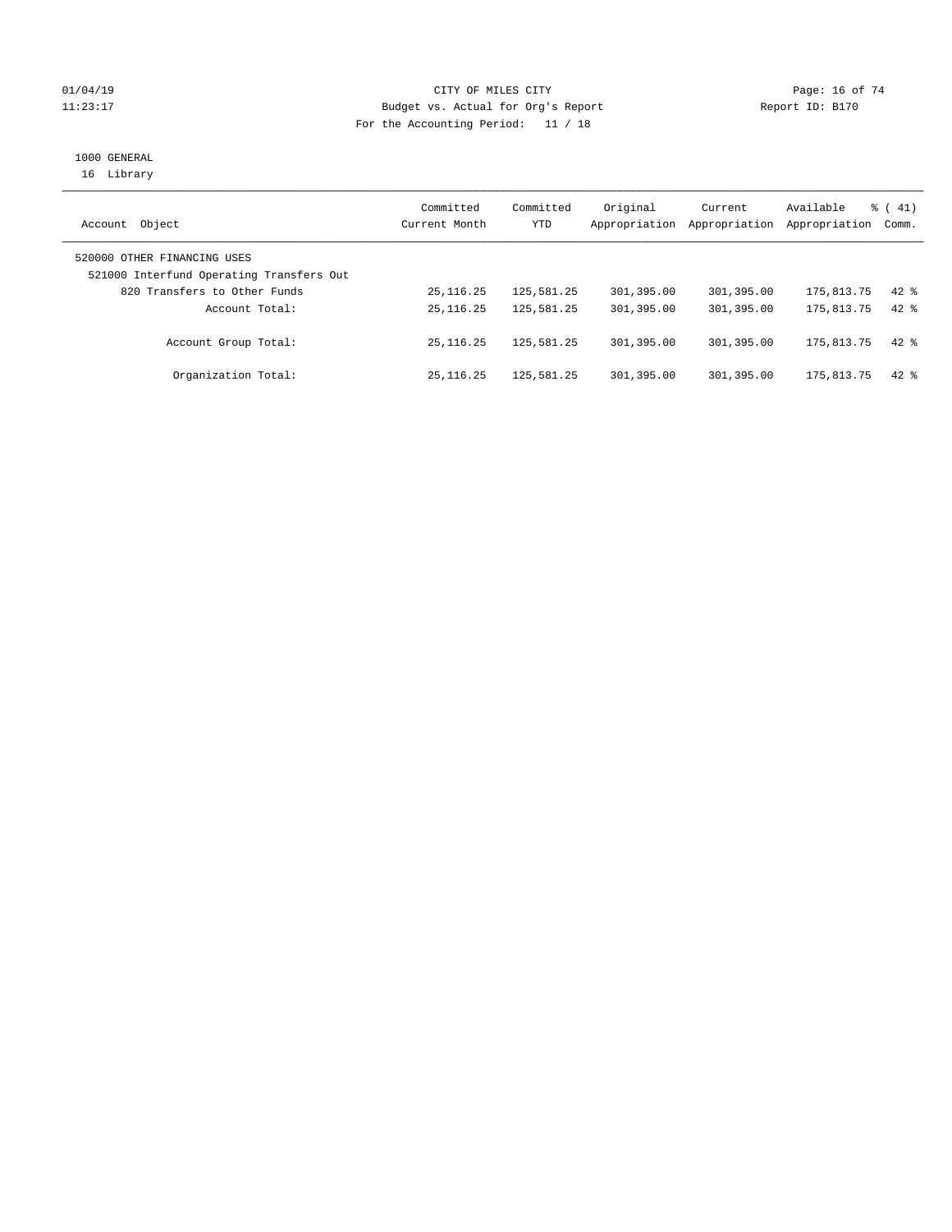#### $CITY$  OF MILES CITY OF MILES CITY CHARGE PAGE: 16 of 74 11:23:17 Budget vs. Actual for Org's Report Changer Report ID: B170 For the Accounting Period: 11 / 18

# 1000 GENERAL

16 Library

| Object<br>Account                                                       | Committed<br>Current Month | Committed<br>YTD | Original<br>Appropriation | Current<br>Appropriation | Available<br>Appropriation | $\frac{1}{6}$ ( 41)<br>Comm. |
|-------------------------------------------------------------------------|----------------------------|------------------|---------------------------|--------------------------|----------------------------|------------------------------|
| 520000 OTHER FINANCING USES<br>521000 Interfund Operating Transfers Out |                            |                  |                           |                          |                            |                              |
| 820 Transfers to Other Funds                                            | 25, 116.25                 | 125,581.25       | 301,395.00                | 301,395.00               | 175,813.75                 | $42$ $%$                     |
| Account Total:                                                          | 25, 116. 25                | 125,581.25       | 301,395.00                | 301,395.00               | 175,813.75                 | $42*$                        |
| Account Group Total:                                                    | 25, 116, 25                | 125,581.25       | 301,395.00                | 301,395.00               | 175,813.75                 | $42$ $%$                     |
| Organization Total:                                                     | 25, 116, 25                | 125,581.25       | 301,395.00                | 301,395.00               | 175,813.75                 | $42*$                        |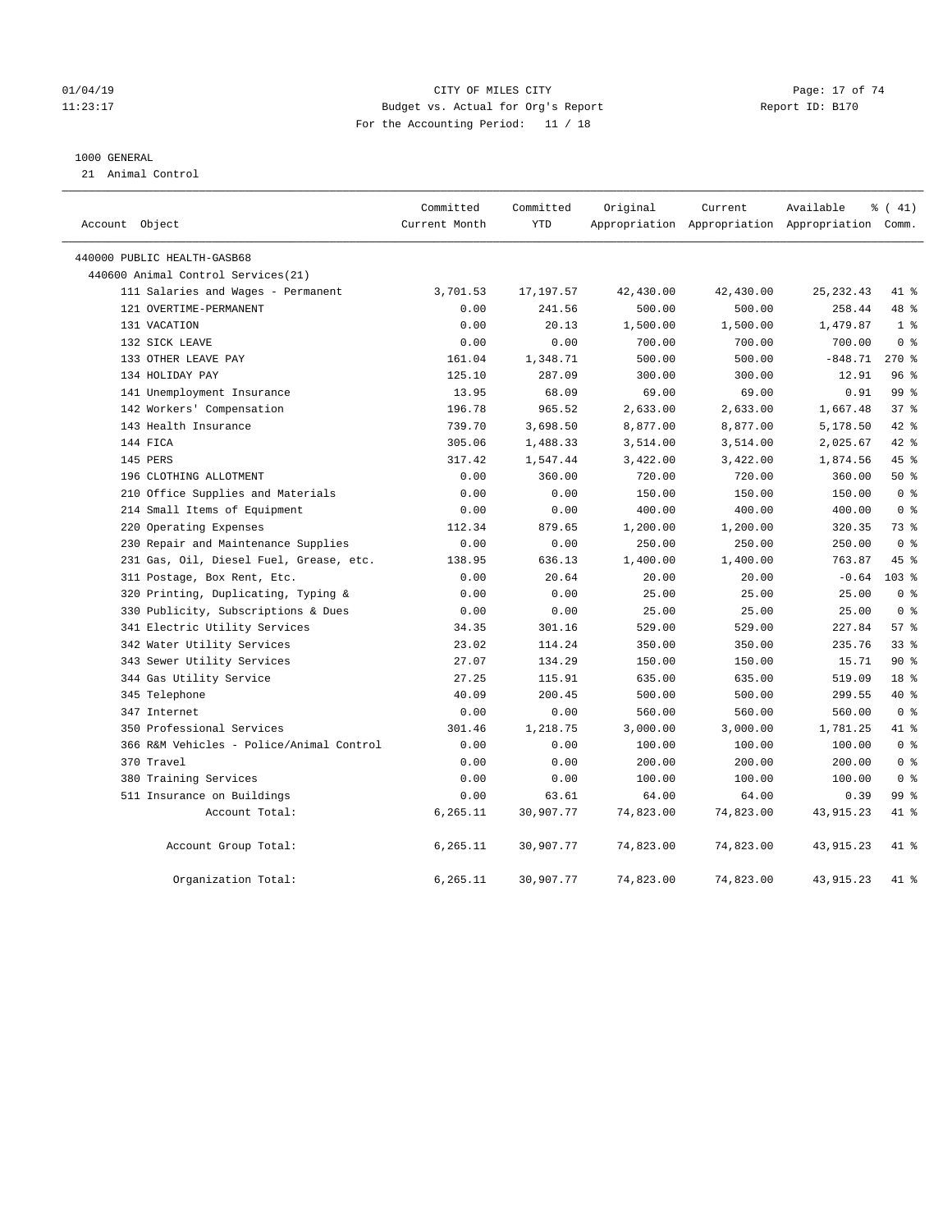#### $O1/04/19$  Page: 17 of 74 11:23:17 Budget vs. Actual for Org's Report Changer Report ID: B170 For the Accounting Period: 11 / 18

#### 1000 GENERAL

21 Animal Control

| Account Object                           | Committed<br>Current Month | Committed<br><b>YTD</b> | Original  | Current<br>Appropriation Appropriation Appropriation Comm. | Available   | $\frac{1}{6}$ ( 41) |  |
|------------------------------------------|----------------------------|-------------------------|-----------|------------------------------------------------------------|-------------|---------------------|--|
| 440000 PUBLIC HEALTH-GASB68              |                            |                         |           |                                                            |             |                     |  |
| 440600 Animal Control Services(21)       |                            |                         |           |                                                            |             |                     |  |
| 111 Salaries and Wages - Permanent       | 3,701.53                   | 17,197.57               | 42,430.00 | 42,430.00                                                  | 25, 232.43  | 41 %                |  |
| 121 OVERTIME-PERMANENT                   | 0.00                       | 241.56                  | 500.00    | 500.00                                                     | 258.44      | 48 %                |  |
| 131 VACATION                             | 0.00                       | 20.13                   | 1,500.00  | 1,500.00                                                   | 1,479.87    | 1 <sup>°</sup>      |  |
| 132 SICK LEAVE                           | 0.00                       | 0.00                    | 700.00    | 700.00                                                     | 700.00      | 0 <sup>8</sup>      |  |
| 133 OTHER LEAVE PAY                      | 161.04                     | 1,348.71                | 500.00    | 500.00                                                     | $-848.71$   | $270*$              |  |
| 134 HOLIDAY PAY                          | 125.10                     | 287.09                  | 300.00    | 300.00                                                     | 12.91       | 96%                 |  |
| 141 Unemployment Insurance               | 13.95                      | 68.09                   | 69.00     | 69.00                                                      | 0.91        | 99 %                |  |
| 142 Workers' Compensation                | 196.78                     | 965.52                  | 2,633.00  | 2,633.00                                                   | 1,667.48    | 37%                 |  |
| 143 Health Insurance                     | 739.70                     | 3,698.50                | 8,877.00  | 8,877.00                                                   | 5,178.50    | 42 %                |  |
| 144 FICA                                 | 305.06                     | 1,488.33                | 3,514.00  | 3,514.00                                                   | 2,025.67    | 42 %                |  |
| 145 PERS                                 | 317.42                     | 1,547.44                | 3,422.00  | 3,422.00                                                   | 1,874.56    | 45 %                |  |
| 196 CLOTHING ALLOTMENT                   | 0.00                       | 360.00                  | 720.00    | 720.00                                                     | 360.00      | 50%                 |  |
| 210 Office Supplies and Materials        | 0.00                       | 0.00                    | 150.00    | 150.00                                                     | 150.00      | 0 <sup>8</sup>      |  |
| 214 Small Items of Equipment             | 0.00                       | 0.00                    | 400.00    | 400.00                                                     | 400.00      | 0 <sup>8</sup>      |  |
| 220 Operating Expenses                   | 112.34                     | 879.65                  | 1,200.00  | 1,200.00                                                   | 320.35      | 73 %                |  |
| 230 Repair and Maintenance Supplies      | 0.00                       | 0.00                    | 250.00    | 250.00                                                     | 250.00      | 0 <sup>8</sup>      |  |
| 231 Gas, Oil, Diesel Fuel, Grease, etc.  | 138.95                     | 636.13                  | 1,400.00  | 1,400.00                                                   | 763.87      | 45 %                |  |
| 311 Postage, Box Rent, Etc.              | 0.00                       | 20.64                   | 20.00     | 20.00                                                      | $-0.64$     | 103 <sub>8</sub>    |  |
| 320 Printing, Duplicating, Typing &      | 0.00                       | 0.00                    | 25.00     | 25.00                                                      | 25.00       | 0 <sup>8</sup>      |  |
| 330 Publicity, Subscriptions & Dues      | 0.00                       | 0.00                    | 25.00     | 25.00                                                      | 25.00       | 0 <sup>8</sup>      |  |
| 341 Electric Utility Services            | 34.35                      | 301.16                  | 529.00    | 529.00                                                     | 227.84      | 57%                 |  |
| 342 Water Utility Services               | 23.02                      | 114.24                  | 350.00    | 350.00                                                     | 235.76      | $33$ $%$            |  |
| 343 Sewer Utility Services               | 27.07                      | 134.29                  | 150.00    | 150.00                                                     | 15.71       | 90%                 |  |
| 344 Gas Utility Service                  | 27.25                      | 115.91                  | 635.00    | 635.00                                                     | 519.09      | 18 %                |  |
| 345 Telephone                            | 40.09                      | 200.45                  | 500.00    | 500.00                                                     | 299.55      | 40 %                |  |
| 347 Internet                             | 0.00                       | 0.00                    | 560.00    | 560.00                                                     | 560.00      | 0 <sup>8</sup>      |  |
| 350 Professional Services                | 301.46                     | 1,218.75                | 3,000.00  | 3,000.00                                                   | 1,781.25    | 41 %                |  |
| 366 R&M Vehicles - Police/Animal Control | 0.00                       | 0.00                    | 100.00    | 100.00                                                     | 100.00      | 0 <sup>8</sup>      |  |
| 370 Travel                               | 0.00                       | 0.00                    | 200.00    | 200.00                                                     | 200.00      | 0 <sup>8</sup>      |  |
| 380 Training Services                    | 0.00                       | 0.00                    | 100.00    | 100.00                                                     | 100.00      | 0 <sup>8</sup>      |  |
| 511 Insurance on Buildings               | 0.00                       | 63.61                   | 64.00     | 64.00                                                      | 0.39        | 99 %                |  |
| Account Total:                           | 6,265.11                   | 30,907.77               | 74,823.00 | 74,823.00                                                  | 43, 915. 23 | 41 %                |  |
| Account Group Total:                     | 6,265.11                   | 30,907.77               | 74,823.00 | 74,823.00                                                  | 43, 915. 23 | 41 %                |  |
| Organization Total:                      | 6.265.11                   | 30,907.77               | 74,823.00 | 74,823.00                                                  | 43, 915. 23 | 41 %                |  |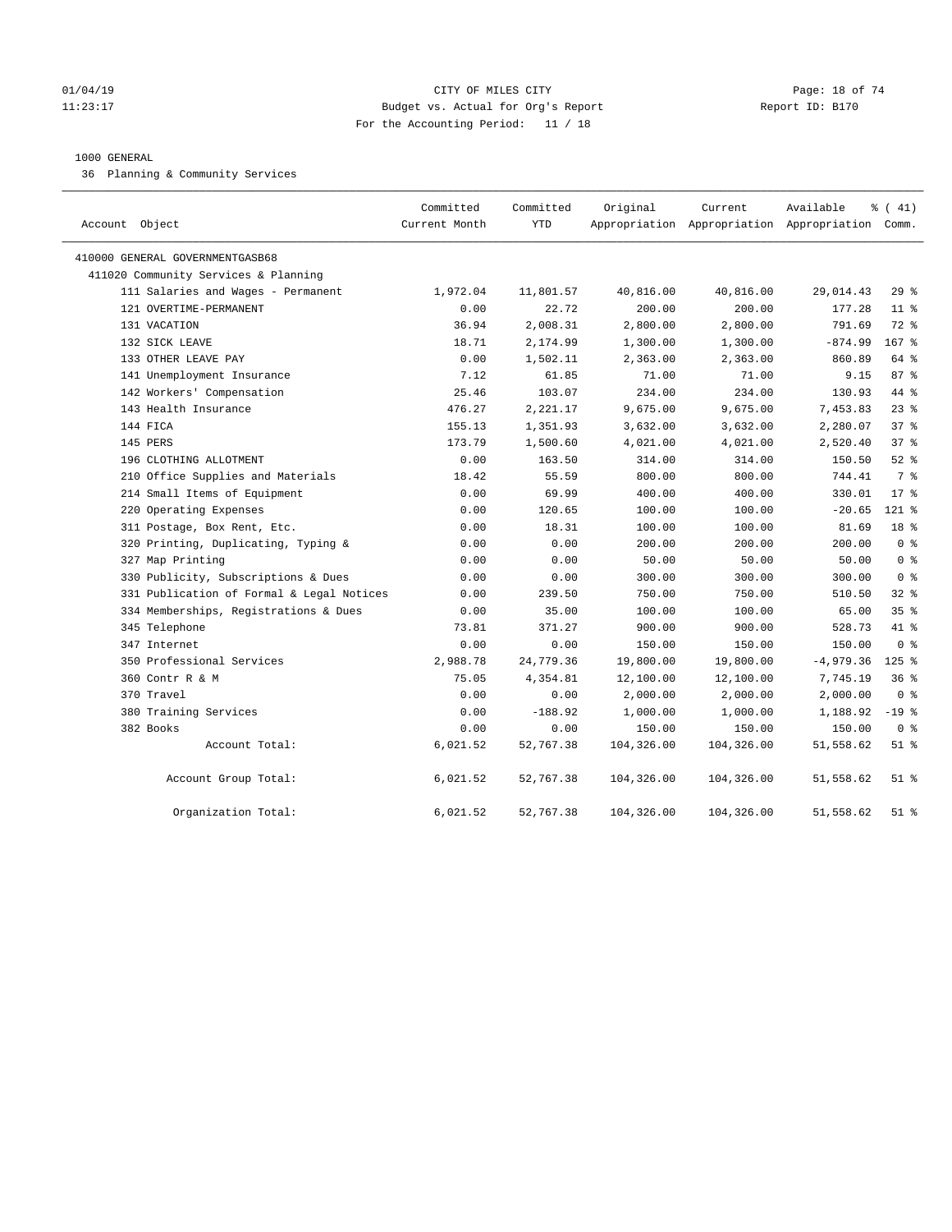#### $O1/04/19$  Page: 18 of 74 11:23:17 Budget vs. Actual for Org's Report Changer Report ID: B170 For the Accounting Period: 11 / 18

#### 1000 GENERAL

36 Planning & Community Services

| Account Object                            | Committed<br>Current Month | Committed<br><b>YTD</b> | Original   | Current    | Available<br>Appropriation Appropriation Appropriation Comm. | % (41)           |
|-------------------------------------------|----------------------------|-------------------------|------------|------------|--------------------------------------------------------------|------------------|
| 410000 GENERAL GOVERNMENTGASB68           |                            |                         |            |            |                                                              |                  |
| 411020 Community Services & Planning      |                            |                         |            |            |                                                              |                  |
| 111 Salaries and Wages - Permanent        | 1,972.04                   | 11,801.57               | 40,816.00  | 40,816.00  | 29,014.43                                                    | 29%              |
| 121 OVERTIME-PERMANENT                    | 0.00                       | 22.72                   | 200.00     | 200.00     | 177.28                                                       | $11*$            |
| 131 VACATION                              | 36.94                      | 2,008.31                | 2,800.00   | 2,800.00   | 791.69                                                       | $72$ $%$         |
| 132 SICK LEAVE                            | 18.71                      | 2,174.99                | 1,300.00   | 1,300.00   | $-874.99$                                                    | 167 <sup>8</sup> |
| 133 OTHER LEAVE PAY                       | 0.00                       | 1,502.11                | 2,363.00   | 2,363.00   | 860.89                                                       | 64 %             |
| 141 Unemployment Insurance                | 7.12                       | 61.85                   | 71.00      | 71.00      | 9.15                                                         | 87%              |
| 142 Workers' Compensation                 | 25.46                      | 103.07                  | 234.00     | 234.00     | 130.93                                                       | 44 %             |
| 143 Health Insurance                      | 476.27                     | 2,221.17                | 9,675.00   | 9,675.00   | 7,453.83                                                     | $23$ $%$         |
| 144 FICA                                  | 155.13                     | 1,351.93                | 3,632.00   | 3,632.00   | 2,280.07                                                     | 37 <sup>8</sup>  |
| 145 PERS                                  | 173.79                     | 1,500.60                | 4,021.00   | 4,021.00   | 2,520.40                                                     | 37 <sup>8</sup>  |
| 196 CLOTHING ALLOTMENT                    | 0.00                       | 163.50                  | 314.00     | 314.00     | 150.50                                                       | $52$ $%$         |
| 210 Office Supplies and Materials         | 18.42                      | 55.59                   | 800.00     | 800.00     | 744.41                                                       | 7 %              |
| 214 Small Items of Equipment              | 0.00                       | 69.99                   | 400.00     | 400.00     | 330.01                                                       | $17*$            |
| 220 Operating Expenses                    | 0.00                       | 120.65                  | 100.00     | 100.00     | $-20.65$                                                     | 121 %            |
| 311 Postage, Box Rent, Etc.               | 0.00                       | 18.31                   | 100.00     | 100.00     | 81.69                                                        | 18 %             |
| 320 Printing, Duplicating, Typing &       | 0.00                       | 0.00                    | 200.00     | 200.00     | 200.00                                                       | 0 <sup>8</sup>   |
| 327 Map Printing                          | 0.00                       | 0.00                    | 50.00      | 50.00      | 50.00                                                        | 0 <sup>8</sup>   |
| 330 Publicity, Subscriptions & Dues       | 0.00                       | 0.00                    | 300.00     | 300.00     | 300.00                                                       | 0 <sup>8</sup>   |
| 331 Publication of Formal & Legal Notices | 0.00                       | 239.50                  | 750.00     | 750.00     | 510.50                                                       | 328              |
| 334 Memberships, Registrations & Dues     | 0.00                       | 35.00                   | 100.00     | 100.00     | 65.00                                                        | 35%              |
| 345 Telephone                             | 73.81                      | 371.27                  | 900.00     | 900.00     | 528.73                                                       | 41 %             |
| 347 Internet                              | 0.00                       | 0.00                    | 150.00     | 150.00     | 150.00                                                       | 0 %              |
| 350 Professional Services                 | 2,988.78                   | 24,779.36               | 19,800.00  | 19,800.00  | $-4,979.36$                                                  | $125$ %          |
| 360 Contr R & M                           | 75.05                      | 4,354.81                | 12,100.00  | 12,100.00  | 7,745.19                                                     | 36%              |
| 370 Travel                                | 0.00                       | 0.00                    | 2,000.00   | 2,000.00   | 2,000.00                                                     | 0 <sup>8</sup>   |
| 380 Training Services                     | 0.00                       | $-188.92$               | 1,000.00   | 1,000.00   | 1,188.92                                                     | $-19$ %          |
| 382 Books                                 | 0.00                       | 0.00                    | 150.00     | 150.00     | 150.00                                                       | 0 <sup>8</sup>   |
| Account Total:                            | 6,021.52                   | 52,767.38               | 104,326.00 | 104,326.00 | 51,558.62                                                    | $51$ %           |
| Account Group Total:                      | 6,021.52                   | 52,767.38               | 104,326.00 | 104,326.00 | 51,558.62                                                    | $51$ %           |
| Organization Total:                       | 6,021.52                   | 52,767.38               | 104,326.00 | 104,326.00 | 51,558.62                                                    | $51$ %           |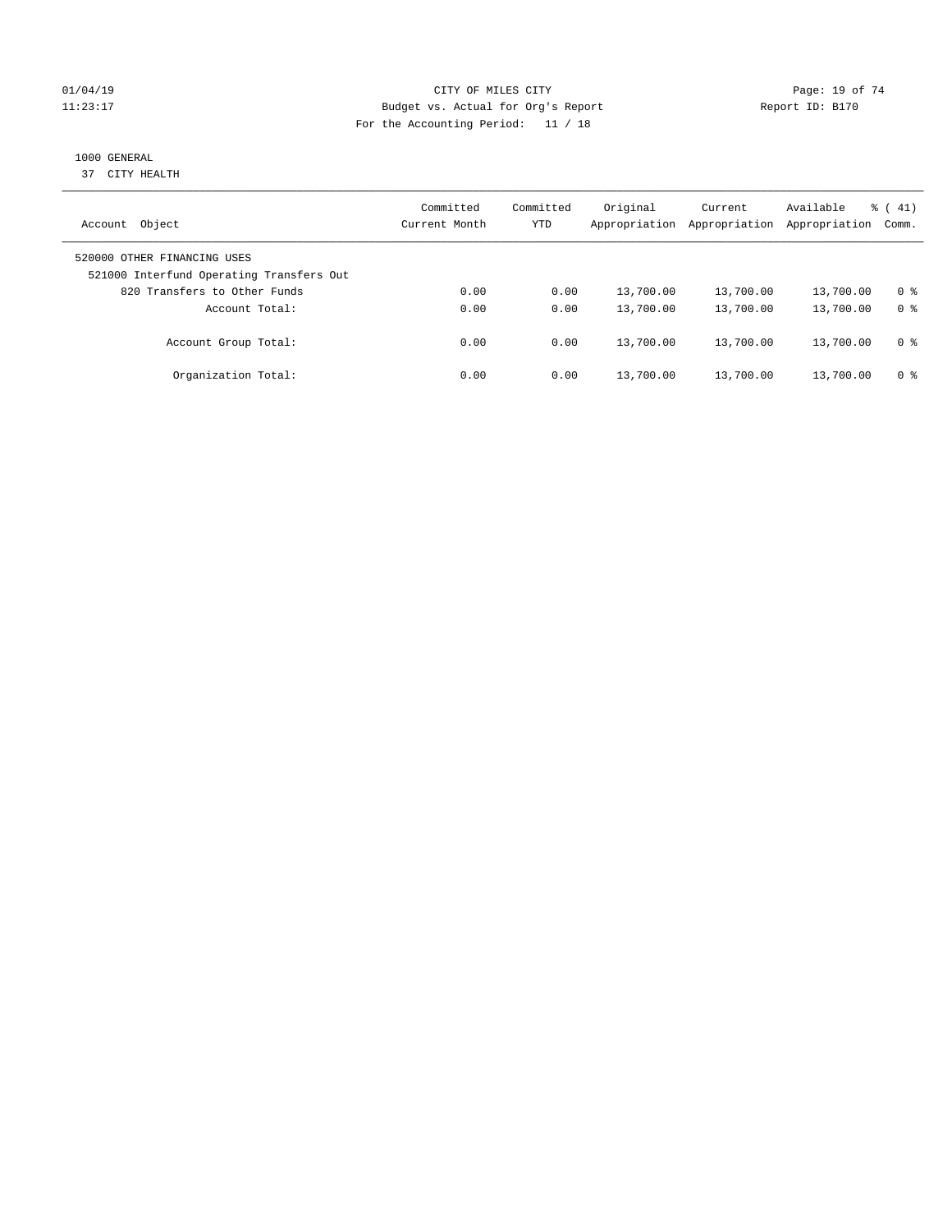#### $O1/04/19$  Page: 19 of 74 11:23:17 Budget vs. Actual for Org's Report Changer Report ID: B170 For the Accounting Period: 11 / 18

## 1000 GENERAL

37 CITY HEALTH

| Object<br>Account                                                       | Committed<br>Current Month | Committed<br>YTD | Original<br>Appropriation | Current<br>Appropriation | Available<br>Appropriation | $\frac{1}{6}$ ( 41)<br>Comm. |
|-------------------------------------------------------------------------|----------------------------|------------------|---------------------------|--------------------------|----------------------------|------------------------------|
| 520000 OTHER FINANCING USES<br>521000 Interfund Operating Transfers Out |                            |                  |                           |                          |                            |                              |
| 820 Transfers to Other Funds                                            | 0.00                       | 0.00             | 13,700.00                 | 13,700.00                | 13,700.00                  | 0 %                          |
| Account Total:                                                          | 0.00                       | 0.00             | 13,700.00                 | 13,700.00                | 13,700.00                  | 0 <sup>8</sup>               |
| Account Group Total:                                                    | 0.00                       | 0.00             | 13,700.00                 | 13,700.00                | 13,700.00                  | 0 %                          |
| Organization Total:                                                     | 0.00                       | 0.00             | 13,700.00                 | 13,700.00                | 13,700.00                  | 0 %                          |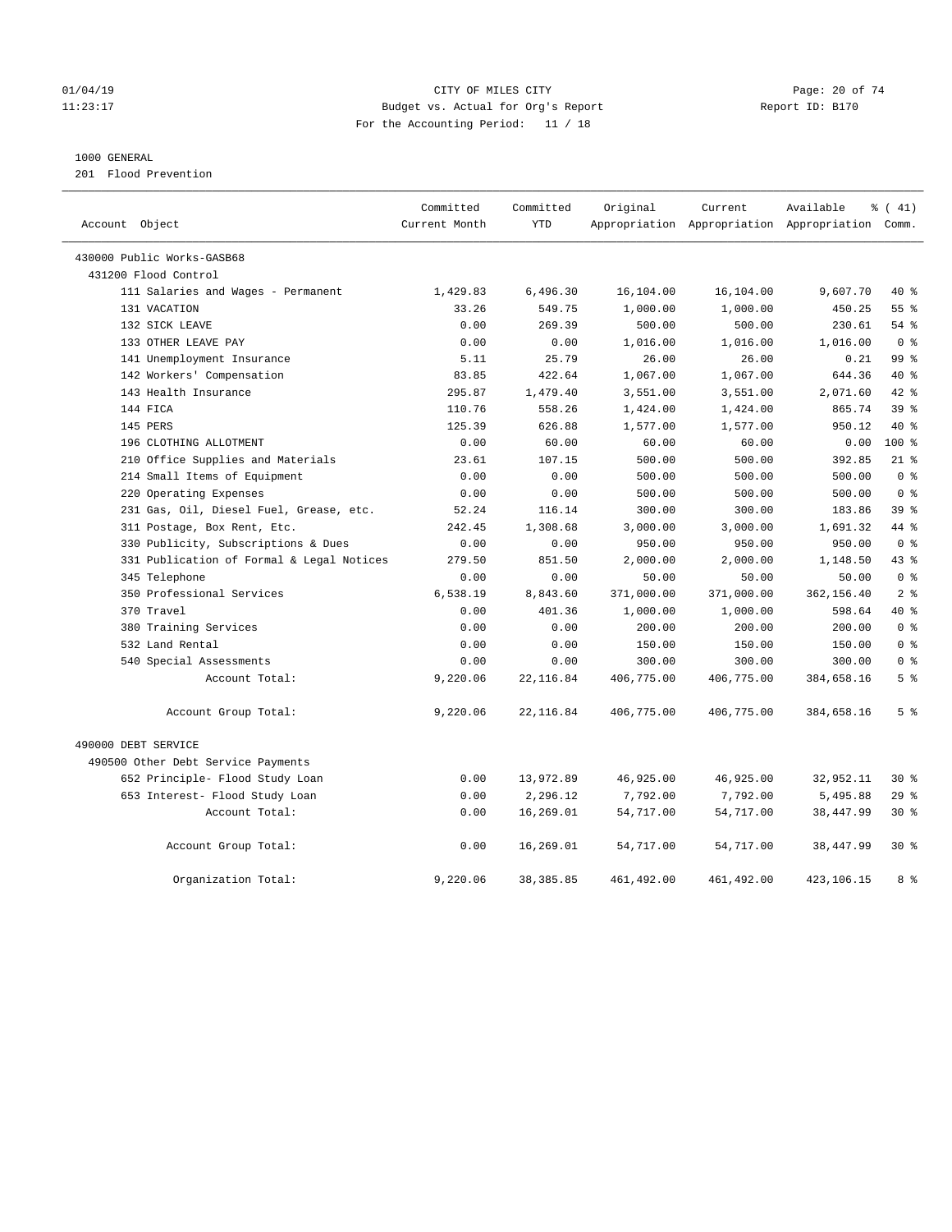#### $O1/04/19$  Page: 20 of 74 11:23:17 Budget vs. Actual for Org's Report Changer Report ID: B170 For the Accounting Period: 11 / 18

#### 1000 GENERAL

201 Flood Prevention

| Account Object                            | Committed<br>Current Month | Committed<br><b>YTD</b> | Original   | Current    | Available<br>Appropriation Appropriation Appropriation Comm. | % (41)         |
|-------------------------------------------|----------------------------|-------------------------|------------|------------|--------------------------------------------------------------|----------------|
| 430000 Public Works-GASB68                |                            |                         |            |            |                                                              |                |
| 431200 Flood Control                      |                            |                         |            |            |                                                              |                |
| 111 Salaries and Wages - Permanent        | 1,429.83                   | 6,496.30                | 16,104.00  | 16,104.00  | 9,607.70                                                     | 40 %           |
| 131 VACATION                              | 33.26                      | 549.75                  | 1,000.00   | 1,000.00   | 450.25                                                       | $55$ $%$       |
| 132 SICK LEAVE                            | 0.00                       | 269.39                  | 500.00     | 500.00     | 230.61                                                       | $54$ %         |
| 133 OTHER LEAVE PAY                       | 0.00                       | 0.00                    | 1,016.00   | 1,016.00   | 1,016.00                                                     | 0 <sup>8</sup> |
| 141 Unemployment Insurance                | 5.11                       | 25.79                   | 26.00      | 26.00      | 0.21                                                         | 99 %           |
| 142 Workers' Compensation                 | 83.85                      | 422.64                  | 1,067.00   | 1,067.00   | 644.36                                                       | 40 %           |
| 143 Health Insurance                      | 295.87                     | 1,479.40                | 3,551.00   | 3,551.00   | 2,071.60                                                     | 42 %           |
| 144 FICA                                  | 110.76                     | 558.26                  | 1,424.00   | 1,424.00   | 865.74                                                       | 39 %           |
| 145 PERS                                  | 125.39                     | 626.88                  | 1,577.00   | 1,577.00   | 950.12                                                       | $40*$          |
| 196 CLOTHING ALLOTMENT                    | 0.00                       | 60.00                   | 60.00      | 60.00      | 0.00                                                         | 100 %          |
| 210 Office Supplies and Materials         | 23.61                      | 107.15                  | 500.00     | 500.00     | 392.85                                                       | $21$ %         |
| 214 Small Items of Equipment              | 0.00                       | 0.00                    | 500.00     | 500.00     | 500.00                                                       | 0 <sup>8</sup> |
| 220 Operating Expenses                    | 0.00                       | 0.00                    | 500.00     | 500.00     | 500.00                                                       | 0 <sup>8</sup> |
| 231 Gas, Oil, Diesel Fuel, Grease, etc.   | 52.24                      | 116.14                  | 300.00     | 300.00     | 183.86                                                       | 39%            |
| 311 Postage, Box Rent, Etc.               | 242.45                     | 1,308.68                | 3,000.00   | 3,000.00   | 1,691.32                                                     | 44 %           |
| 330 Publicity, Subscriptions & Dues       | 0.00                       | 0.00                    | 950.00     | 950.00     | 950.00                                                       | 0 <sup>8</sup> |
| 331 Publication of Formal & Legal Notices | 279.50                     | 851.50                  | 2,000.00   | 2,000.00   | 1,148.50                                                     | 43 %           |
| 345 Telephone                             | 0.00                       | 0.00                    | 50.00      | 50.00      | 50.00                                                        | 0 <sup>8</sup> |
| 350 Professional Services                 | 6,538.19                   | 8,843.60                | 371,000.00 | 371,000.00 | 362,156.40                                                   | 2 <sup>8</sup> |
| 370 Travel                                | 0.00                       | 401.36                  | 1,000.00   | 1,000.00   | 598.64                                                       | 40 %           |
| 380 Training Services                     | 0.00                       | 0.00                    | 200.00     | 200.00     | 200.00                                                       | 0 <sup>8</sup> |
| 532 Land Rental                           | 0.00                       | 0.00                    | 150.00     | 150.00     | 150.00                                                       | 0 <sup>8</sup> |
| 540 Special Assessments                   | 0.00                       | 0.00                    | 300.00     | 300.00     | 300.00                                                       | 0 <sup>8</sup> |
| Account Total:                            | 9,220.06                   | 22, 116.84              | 406,775.00 | 406,775.00 | 384,658.16                                                   | 5 <sup>8</sup> |
| Account Group Total:                      | 9,220.06                   | 22, 116.84              | 406,775.00 | 406,775.00 | 384,658.16                                                   | 5 <sup>°</sup> |
| 490000 DEBT SERVICE                       |                            |                         |            |            |                                                              |                |
| 490500 Other Debt Service Payments        |                            |                         |            |            |                                                              |                |
| 652 Principle- Flood Study Loan           | 0.00                       | 13,972.89               | 46,925.00  | 46,925.00  | 32,952.11                                                    | $30*$          |
| 653 Interest- Flood Study Loan            | 0.00                       | 2,296.12                | 7,792.00   | 7,792.00   | 5,495.88                                                     | 29%            |
| Account Total:                            | 0.00                       | 16,269.01               | 54,717.00  | 54,717.00  | 38,447.99                                                    | $30*$          |
| Account Group Total:                      | 0.00                       | 16,269.01               | 54,717.00  | 54,717.00  | 38,447.99                                                    | $30*$          |
| Organization Total:                       | 9,220.06                   | 38, 385.85              | 461,492.00 | 461,492.00 | 423,106.15                                                   | 8 %            |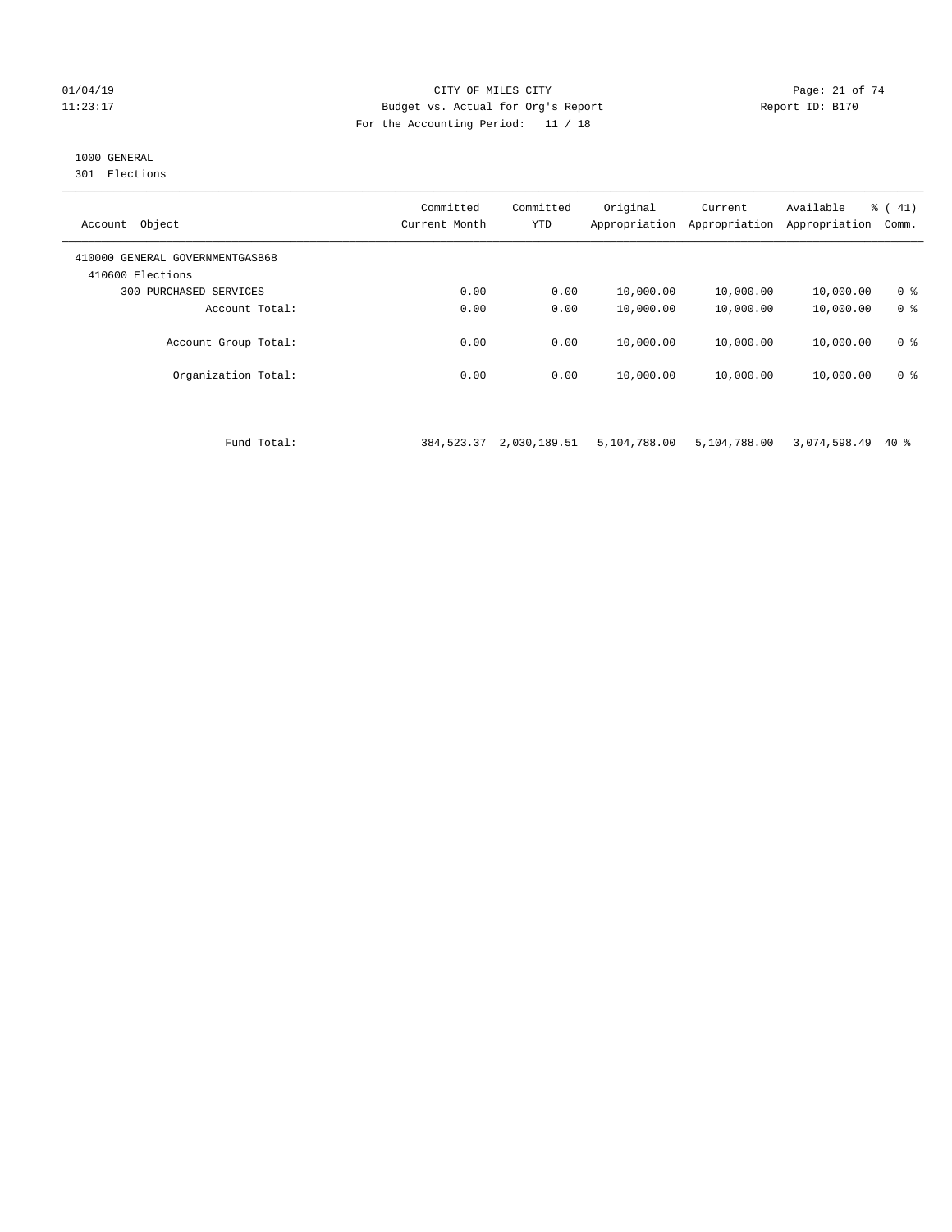#### 01/04/19 Page: 21 of 74 11:23:17 Budget vs. Actual for Org's Report Report ID: B170 For the Accounting Period: 11 / 18

## 1000 GENERAL

301 Elections

| Object<br>Account                                   | Committed<br>Current Month | Committed<br><b>YTD</b> | Original<br>Appropriation | Current<br>Appropriation | Available<br>Appropriation | % (41)<br>Comm. |
|-----------------------------------------------------|----------------------------|-------------------------|---------------------------|--------------------------|----------------------------|-----------------|
| 410000 GENERAL GOVERNMENTGASB68<br>410600 Elections |                            |                         |                           |                          |                            |                 |
| PURCHASED SERVICES<br>300                           | 0.00                       | 0.00                    | 10,000.00                 | 10,000.00                | 10,000.00                  | 0 <sup>8</sup>  |
| Account Total:                                      | 0.00                       | 0.00                    | 10,000.00                 | 10,000.00                | 10,000.00                  | 0 <sup>8</sup>  |
| Account Group Total:                                | 0.00                       | 0.00                    | 10,000.00                 | 10,000.00                | 10,000.00                  | 0 <sup>8</sup>  |
| Organization Total:                                 | 0.00                       | 0.00                    | 10,000.00                 | 10,000.00                | 10,000.00                  | 0 <sup>8</sup>  |

Fund Total: 384,523.37 2,030,189.51 5,104,788.00 5,104,788.00 3,074,598.49 40 %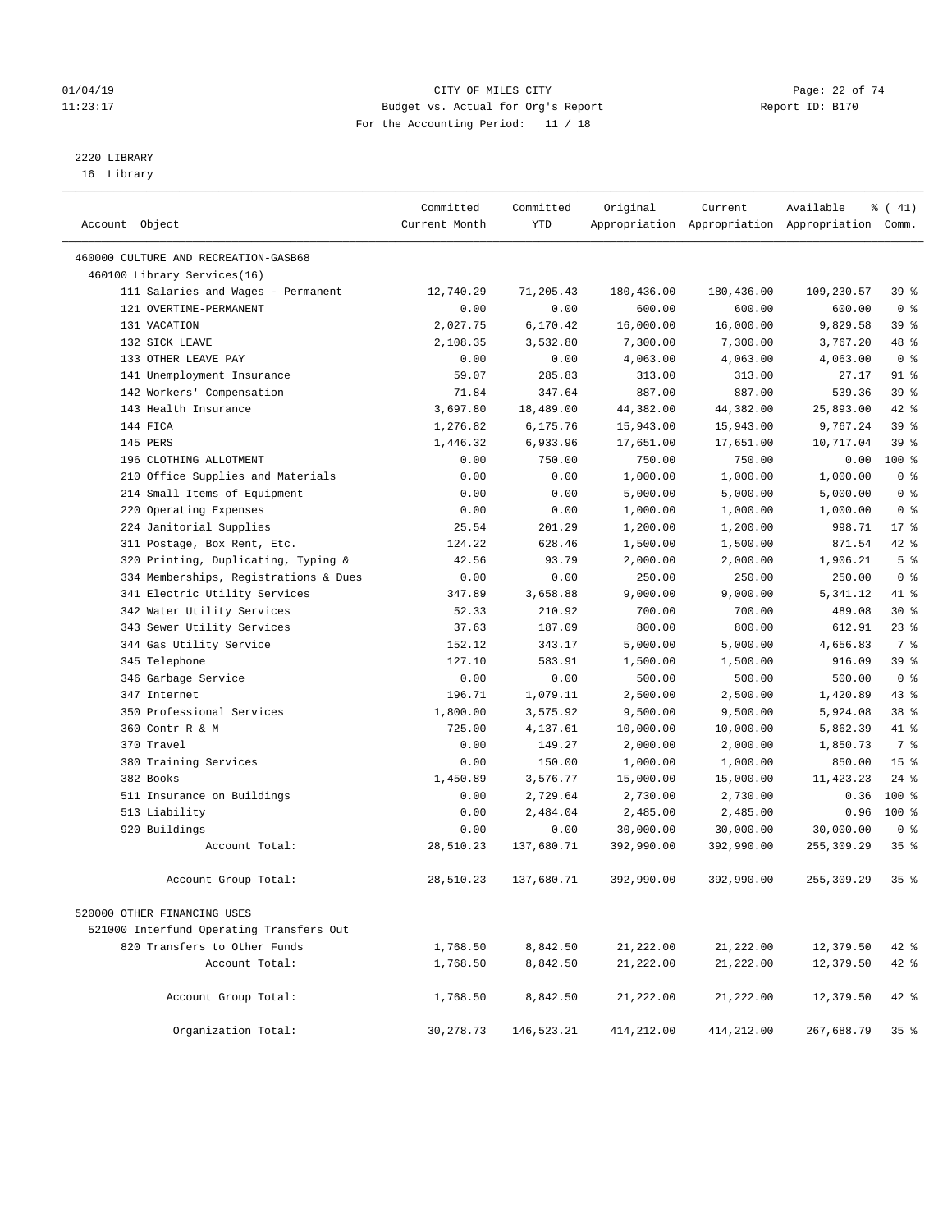#### $O1/04/19$  Page: 22 of 74 11:23:17 Budget vs. Actual for Org's Report Changer Report ID: B170 For the Accounting Period: 11 / 18

————————————————————————————————————————————————————————————————————————————————————————————————————————————————————————————————————

# 2220 LIBRARY

16 Library

|                |                                          | Committed     | Committed  | Original   | Current    | Available                                       | $\frac{1}{6}$ ( 41) |
|----------------|------------------------------------------|---------------|------------|------------|------------|-------------------------------------------------|---------------------|
| Account Object |                                          | Current Month | <b>YTD</b> |            |            | Appropriation Appropriation Appropriation Comm. |                     |
|                | 460000 CULTURE AND RECREATION-GASB68     |               |            |            |            |                                                 |                     |
|                | 460100 Library Services(16)              |               |            |            |            |                                                 |                     |
|                | 111 Salaries and Wages - Permanent       | 12,740.29     | 71,205.43  | 180,436.00 | 180,436.00 | 109,230.57                                      | 39%                 |
|                | 121 OVERTIME-PERMANENT                   | 0.00          | 0.00       | 600.00     | 600.00     | 600.00                                          | 0 <sup>8</sup>      |
|                | 131 VACATION                             | 2,027.75      | 6,170.42   | 16,000.00  | 16,000.00  | 9,829.58                                        | 39%                 |
|                | 132 SICK LEAVE                           | 2,108.35      | 3,532.80   | 7,300.00   | 7,300.00   | 3,767.20                                        | 48 %                |
|                | 133 OTHER LEAVE PAY                      | 0.00          | 0.00       | 4,063.00   | 4,063.00   | 4,063.00                                        | 0 <sup>8</sup>      |
|                | 141 Unemployment Insurance               | 59.07         | 285.83     | 313.00     | 313.00     | 27.17                                           | 91 %                |
|                | 142 Workers' Compensation                | 71.84         | 347.64     | 887.00     | 887.00     | 539.36                                          | 39 %                |
|                | 143 Health Insurance                     | 3,697.80      | 18,489.00  | 44,382.00  | 44,382.00  | 25,893.00                                       | 42 %                |
|                | 144 FICA                                 | 1,276.82      | 6,175.76   | 15,943.00  | 15,943.00  | 9,767.24                                        | 39 %                |
|                | 145 PERS                                 | 1,446.32      | 6,933.96   | 17,651.00  | 17,651.00  | 10,717.04                                       | 39 <sup>°</sup>     |
|                | 196 CLOTHING ALLOTMENT                   | 0.00          | 750.00     | 750.00     | 750.00     | 0.00                                            | 100 %               |
|                | 210 Office Supplies and Materials        | 0.00          | 0.00       | 1,000.00   | 1,000.00   | 1,000.00                                        | 0 <sup>8</sup>      |
|                | 214 Small Items of Equipment             | 0.00          | 0.00       | 5,000.00   | 5,000.00   | 5,000.00                                        | 0 <sup>8</sup>      |
|                | 220 Operating Expenses                   | 0.00          | 0.00       | 1,000.00   | 1,000.00   | 1,000.00                                        | 0 <sup>8</sup>      |
|                | 224 Janitorial Supplies                  | 25.54         | 201.29     | 1,200.00   | 1,200.00   | 998.71                                          | $17*$               |
|                | 311 Postage, Box Rent, Etc.              | 124.22        | 628.46     | 1,500.00   | 1,500.00   | 871.54                                          | 42 %                |
|                | 320 Printing, Duplicating, Typing &      | 42.56         | 93.79      | 2,000.00   | 2,000.00   | 1,906.21                                        | 5 <sup>°</sup>      |
|                | 334 Memberships, Registrations & Dues    | 0.00          | 0.00       | 250.00     | 250.00     | 250.00                                          | 0 <sup>8</sup>      |
|                | 341 Electric Utility Services            | 347.89        | 3,658.88   | 9,000.00   | 9,000.00   | 5,341.12                                        | 41 %                |
|                | 342 Water Utility Services               | 52.33         | 210.92     | 700.00     | 700.00     | 489.08                                          | $30*$               |
|                | 343 Sewer Utility Services               | 37.63         | 187.09     | 800.00     | 800.00     | 612.91                                          | $23$ %              |
|                | 344 Gas Utility Service                  | 152.12        | 343.17     | 5,000.00   | 5,000.00   | 4,656.83                                        | 7 %                 |
|                | 345 Telephone                            | 127.10        | 583.91     | 1,500.00   | 1,500.00   | 916.09                                          | 39 %                |
|                | 346 Garbage Service                      | 0.00          | 0.00       | 500.00     | 500.00     | 500.00                                          | 0 <sup>8</sup>      |
|                | 347 Internet                             | 196.71        | 1,079.11   | 2,500.00   | 2,500.00   | 1,420.89                                        | 43 %                |
|                | 350 Professional Services                | 1,800.00      | 3,575.92   | 9,500.00   | 9,500.00   | 5,924.08                                        | 38 <sup>8</sup>     |
|                | 360 Contr R & M                          | 725.00        | 4,137.61   | 10,000.00  | 10,000.00  | 5,862.39                                        | 41 %                |
|                | 370 Travel                               | 0.00          | 149.27     | 2,000.00   | 2,000.00   | 1,850.73                                        | 7 %                 |
|                | 380 Training Services                    | 0.00          | 150.00     | 1,000.00   | 1,000.00   | 850.00                                          | 15 <sup>°</sup>     |
|                | 382 Books                                | 1,450.89      | 3,576.77   | 15,000.00  | 15,000.00  | 11, 423.23                                      | $24$ %              |
|                | 511 Insurance on Buildings               | 0.00          | 2,729.64   | 2,730.00   | 2,730.00   | 0.36                                            | $100*$              |
|                | 513 Liability                            | 0.00          | 2,484.04   | 2,485.00   | 2,485.00   | 0.96                                            | $100*$              |
|                | 920 Buildings                            | 0.00          | 0.00       | 30,000.00  | 30,000.00  | 30,000.00                                       | 0 <sup>8</sup>      |
|                | Account Total:                           | 28,510.23     | 137,680.71 | 392,990.00 | 392,990.00 | 255,309.29                                      | 35%                 |
|                | Account Group Total:                     | 28,510.23     | 137,680.71 | 392,990.00 | 392,990.00 | 255,309.29                                      | 35 <sup>8</sup>     |
|                | 520000 OTHER FINANCING USES              |               |            |            |            |                                                 |                     |
|                | 521000 Interfund Operating Transfers Out |               |            |            |            |                                                 |                     |
|                | 820 Transfers to Other Funds             | 1,768.50      | 8,842.50   | 21,222.00  | 21,222.00  | 12,379.50                                       | $42$ %              |
|                | Account Total:                           | 1,768.50      | 8,842.50   | 21,222.00  | 21,222.00  | 12,379.50                                       | 42 %                |
|                |                                          |               |            |            |            |                                                 |                     |
|                | Account Group Total:                     | 1,768.50      | 8,842.50   | 21,222.00  | 21,222.00  | 12,379.50                                       | $42$ %              |
|                | Organization Total:                      | 30,278.73     | 146,523.21 | 414,212.00 | 414,212.00 | 267,688.79                                      | 35 <sup>8</sup>     |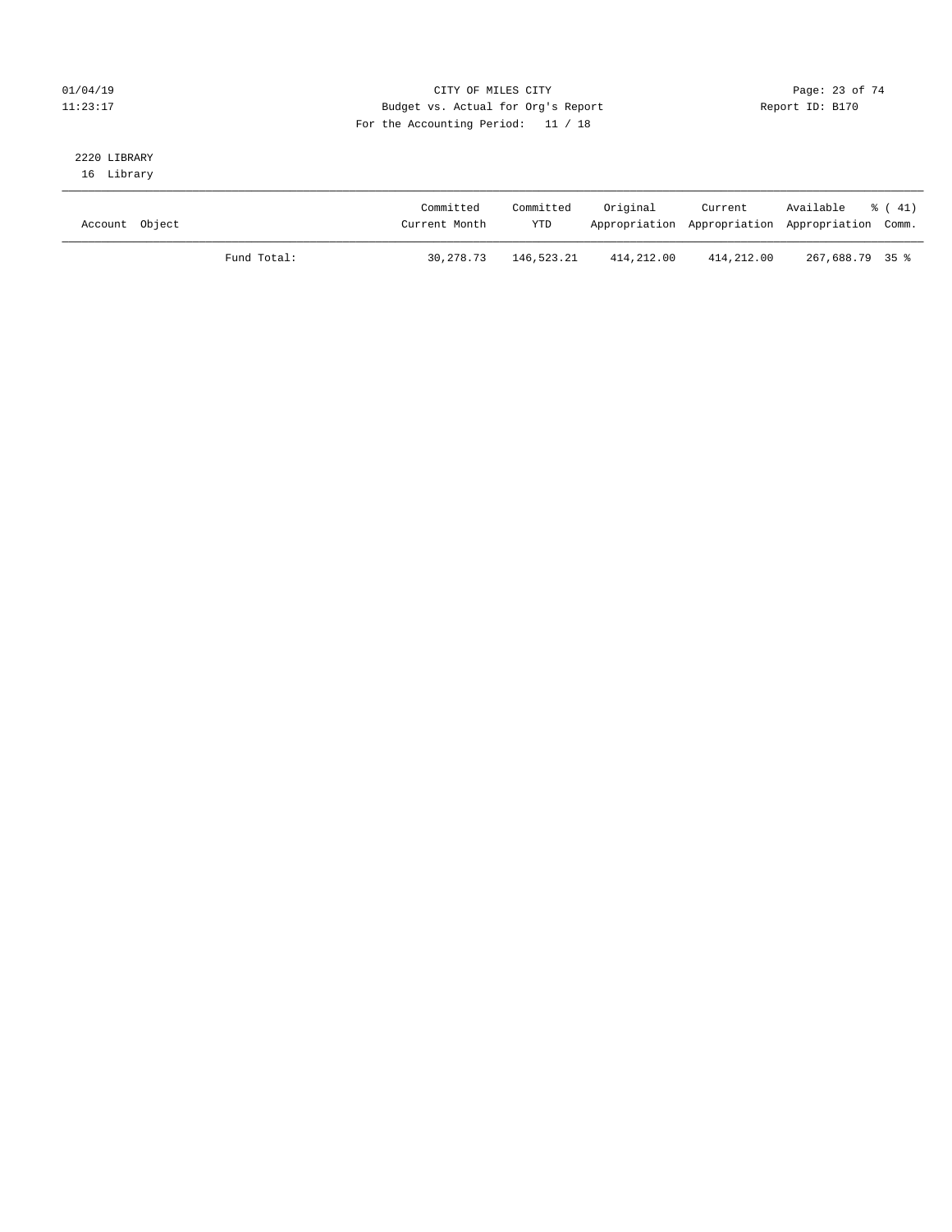#### $O1/04/19$  Page: 23 of 74 11:23:17 Budget vs. Actual for Org's Report Changer Report ID: B170 For the Accounting Period: 11 / 18

# 2220 LIBRARY

16 Library

| Account Object |             | Committed<br>Current Month | Committed<br>YTD | Original   | Current    | Available % (41)<br>Appropriation Appropriation Appropriation Comm. |  |
|----------------|-------------|----------------------------|------------------|------------|------------|---------------------------------------------------------------------|--|
|                | Fund Total: | 30,278.73                  | 146,523.21       | 414,212.00 | 414,212.00 | 267,688.79 35 %                                                     |  |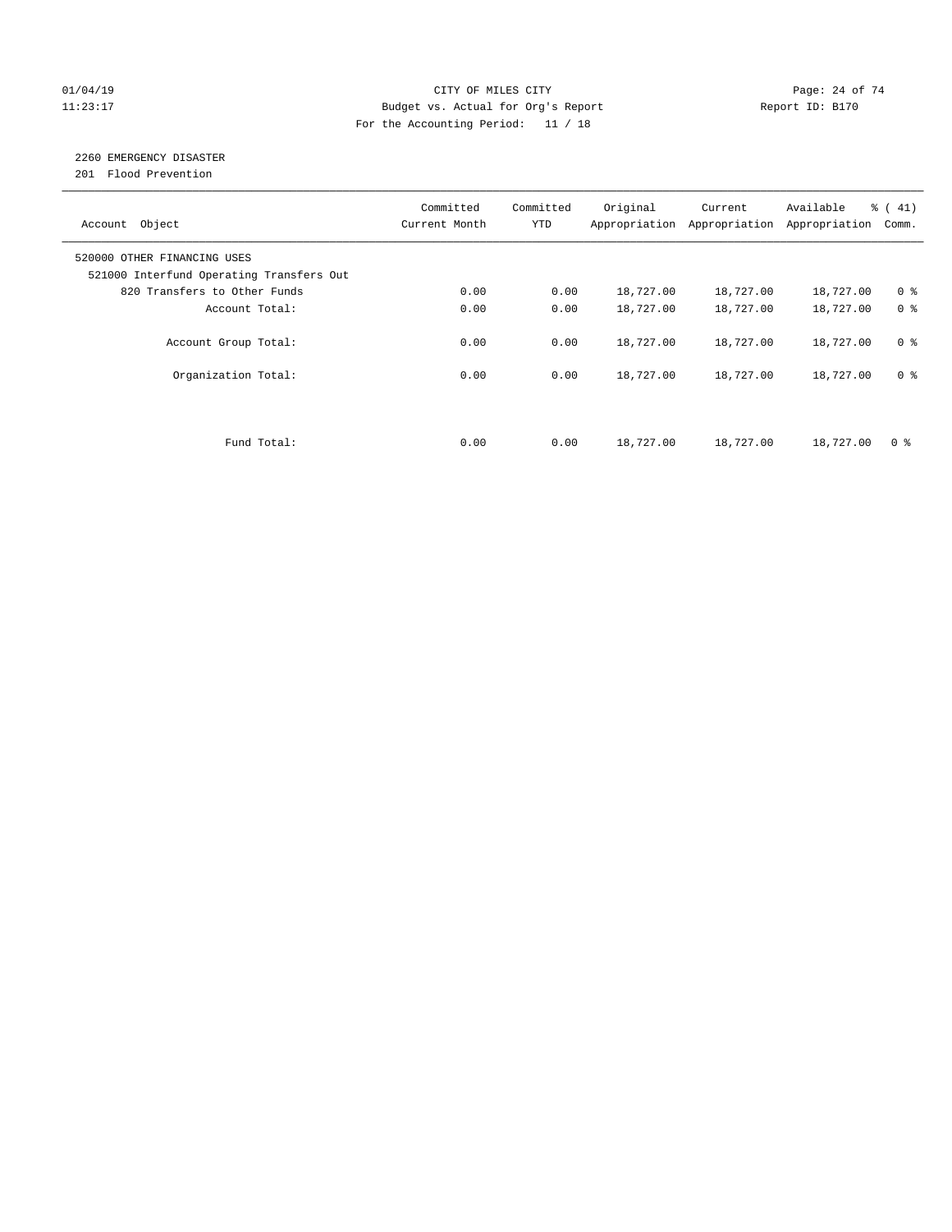#### $O1/04/19$  Page: 24 of 74 11:23:17 Budget vs. Actual for Org's Report Changer Report ID: B170 For the Accounting Period: 11 / 18

# 2260 EMERGENCY DISASTER

201 Flood Prevention

| Account Object                                                          | Committed<br>Current Month | Committed<br><b>YTD</b> | Original  | Current<br>Appropriation Appropriation | Available<br>Appropriation | $\frac{1}{6}$ ( 41)<br>Comm. |
|-------------------------------------------------------------------------|----------------------------|-------------------------|-----------|----------------------------------------|----------------------------|------------------------------|
| 520000 OTHER FINANCING USES<br>521000 Interfund Operating Transfers Out |                            |                         |           |                                        |                            |                              |
| 820 Transfers to Other Funds                                            | 0.00                       | 0.00                    | 18,727.00 | 18,727.00                              | 18,727.00                  | 0 <sup>8</sup>               |
| Account Total:                                                          | 0.00                       | 0.00                    | 18,727.00 | 18,727.00                              | 18,727.00                  | 0 <sup>8</sup>               |
| Account Group Total:                                                    | 0.00                       | 0.00                    | 18,727.00 | 18,727.00                              | 18,727.00                  | 0 <sup>8</sup>               |
| Organization Total:                                                     | 0.00                       | 0.00                    | 18,727.00 | 18,727.00                              | 18,727.00                  | 0 <sup>8</sup>               |
|                                                                         |                            |                         |           |                                        |                            |                              |
| Fund Total:                                                             | 0.00                       | 0.00                    | 18,727.00 | 18,727.00                              | 18,727.00                  | 0 %                          |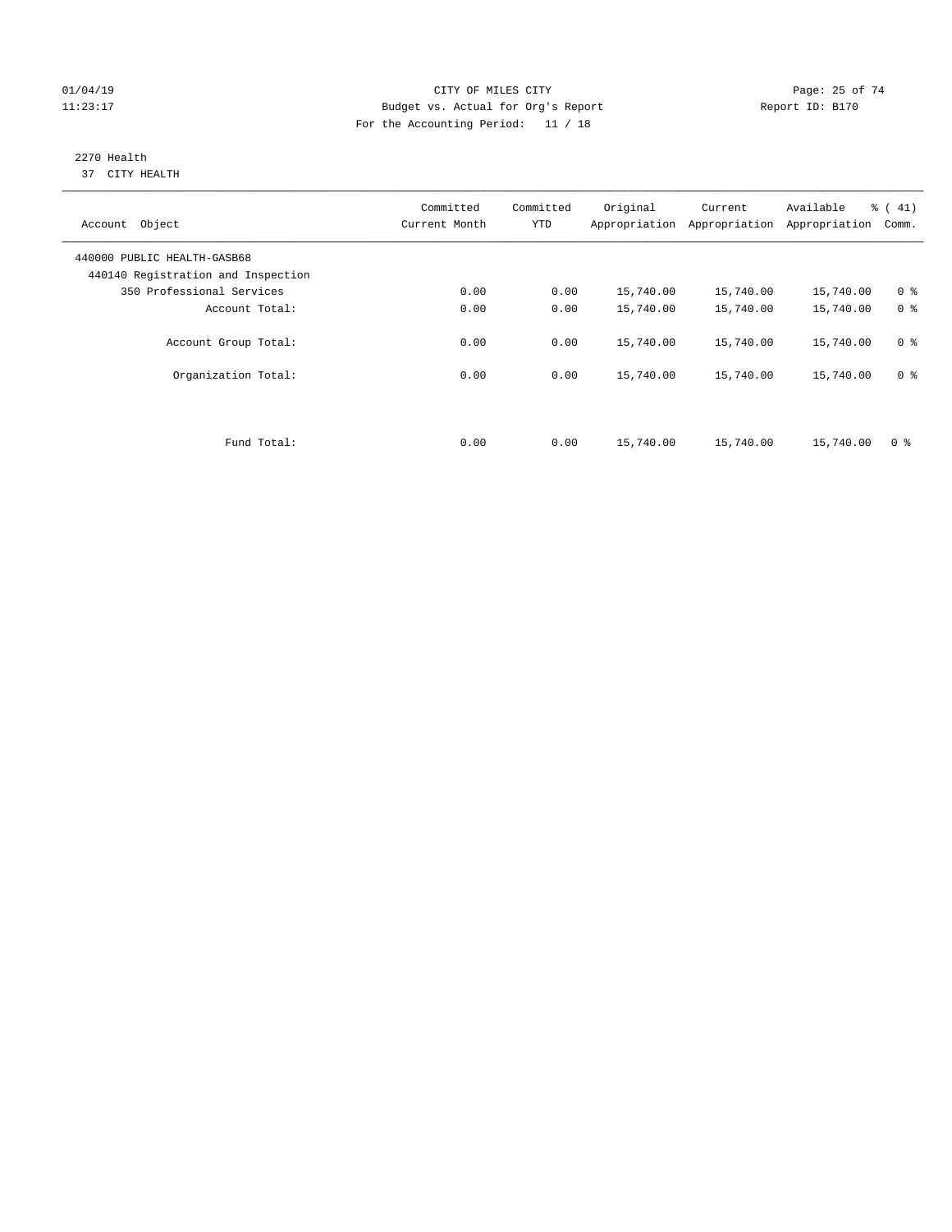#### $O1/04/19$  Page: 25 of 74 11:23:17 Budget vs. Actual for Org's Report Changer Report ID: B170 For the Accounting Period: 11 / 18

#### 2270 Health 37 CITY HEALTH

| Account Object                                                    | Committed<br>Current Month | Committed<br><b>YTD</b> | Original  | Current<br>Appropriation Appropriation | Available<br>Appropriation | % (41)<br>Comm. |
|-------------------------------------------------------------------|----------------------------|-------------------------|-----------|----------------------------------------|----------------------------|-----------------|
| 440000 PUBLIC HEALTH-GASB68<br>440140 Registration and Inspection |                            |                         |           |                                        |                            |                 |
| 350 Professional Services                                         | 0.00                       | 0.00                    | 15,740.00 | 15,740.00                              | 15,740.00                  | 0 <sup>8</sup>  |
| Account Total:                                                    | 0.00                       | 0.00                    | 15,740.00 | 15,740.00                              | 15,740.00                  | 0 <sup>8</sup>  |
| Account Group Total:                                              | 0.00                       | 0.00                    | 15,740.00 | 15,740.00                              | 15,740.00                  | 0 <sup>8</sup>  |
| Organization Total:                                               | 0.00                       | 0.00                    | 15,740.00 | 15,740.00                              | 15,740.00                  | 0 <sup>8</sup>  |
|                                                                   |                            |                         |           |                                        |                            |                 |
| Fund Total:                                                       | 0.00                       | 0.00                    | 15,740.00 | 15,740.00                              | 15,740.00                  | 0 %             |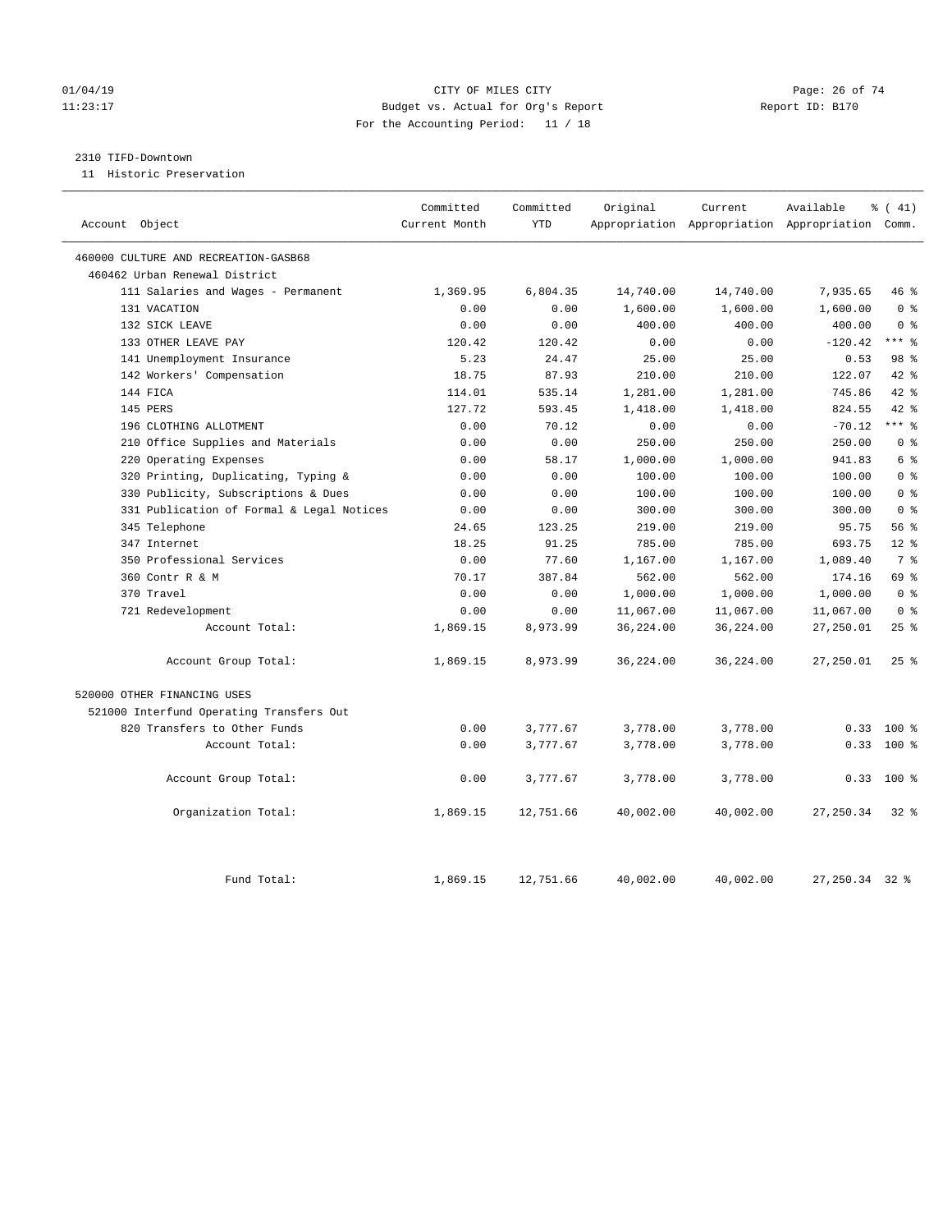#### $O1/04/19$  Page: 26 of 74 11:23:17 Budget vs. Actual for Org's Report Changer Report ID: B170 For the Accounting Period: 11 / 18

#### 2310 TIFD-Downtown

11 Historic Preservation

| Account Object                            | Committed<br>Current Month | Committed<br><b>YTD</b> | Original  | Current   | Available<br>Appropriation Appropriation Appropriation Comm. | $\frac{1}{6}$ ( 41) |
|-------------------------------------------|----------------------------|-------------------------|-----------|-----------|--------------------------------------------------------------|---------------------|
| 460000 CULTURE AND RECREATION-GASB68      |                            |                         |           |           |                                                              |                     |
| 460462 Urban Renewal District             |                            |                         |           |           |                                                              |                     |
| 111 Salaries and Wages - Permanent        | 1,369.95                   | 6,804.35                | 14,740.00 | 14,740.00 | 7,935.65                                                     | 46 %                |
| 131 VACATION                              | 0.00                       | 0.00                    | 1,600.00  | 1,600.00  | 1,600.00                                                     | 0 <sup>8</sup>      |
| 132 SICK LEAVE                            | 0.00                       | 0.00                    | 400.00    | 400.00    | 400.00                                                       | 0 <sup>8</sup>      |
| 133 OTHER LEAVE PAY                       | 120.42                     | 120.42                  | 0.00      | 0.00      | $-120.42$                                                    | $***$ $-$           |
| 141 Unemployment Insurance                | 5.23                       | 24.47                   | 25.00     | 25.00     | 0.53                                                         | 98 %                |
| 142 Workers' Compensation                 | 18.75                      | 87.93                   | 210.00    | 210.00    | 122.07                                                       | 42 %                |
| 144 FICA                                  | 114.01                     | 535.14                  | 1,281.00  | 1,281.00  | 745.86                                                       | 42 %                |
| 145 PERS                                  | 127.72                     | 593.45                  | 1,418.00  | 1,418.00  | 824.55                                                       | 42 %                |
| 196 CLOTHING ALLOTMENT                    | 0.00                       | 70.12                   | 0.00      | 0.00      | $-70.12$                                                     | $***$ $_{8}$        |
| 210 Office Supplies and Materials         | 0.00                       | 0.00                    | 250.00    | 250.00    | 250.00                                                       | 0 <sup>8</sup>      |
| 220 Operating Expenses                    | 0.00                       | 58.17                   | 1,000.00  | 1,000.00  | 941.83                                                       | 6 %                 |
| 320 Printing, Duplicating, Typing &       | 0.00                       | 0.00                    | 100.00    | 100.00    | 100.00                                                       | 0 <sup>8</sup>      |
| 330 Publicity, Subscriptions & Dues       | 0.00                       | 0.00                    | 100.00    | 100.00    | 100.00                                                       | 0 <sup>8</sup>      |
| 331 Publication of Formal & Legal Notices | 0.00                       | 0.00                    | 300.00    | 300.00    | 300.00                                                       | 0 <sup>8</sup>      |
| 345 Telephone                             | 24.65                      | 123.25                  | 219.00    | 219.00    | 95.75                                                        | 56%                 |
| 347 Internet                              | 18.25                      | 91.25                   | 785.00    | 785.00    | 693.75                                                       | $12*$               |
| 350 Professional Services                 | 0.00                       | 77.60                   | 1,167.00  | 1,167.00  | 1,089.40                                                     | 7 %                 |
| 360 Contr R & M                           | 70.17                      | 387.84                  | 562.00    | 562.00    | 174.16                                                       | 69 %                |
| 370 Travel                                | 0.00                       | 0.00                    | 1,000.00  | 1,000.00  | 1,000.00                                                     | 0 <sup>8</sup>      |
| 721 Redevelopment                         | 0.00                       | 0.00                    | 11,067.00 | 11,067.00 | 11,067.00                                                    | 0 <sup>8</sup>      |
| Account Total:                            | 1,869.15                   | 8,973.99                | 36,224.00 | 36,224.00 | 27,250.01                                                    | $25$ %              |
| Account Group Total:                      | 1,869.15                   | 8,973.99                | 36,224.00 | 36,224.00 | 27,250.01                                                    | $25$ $%$            |
| 520000 OTHER FINANCING USES               |                            |                         |           |           |                                                              |                     |
| 521000 Interfund Operating Transfers Out  |                            |                         |           |           |                                                              |                     |
| 820 Transfers to Other Funds              | 0.00                       | 3,777.67                | 3,778.00  | 3,778.00  | 0.33                                                         | $100*$              |
| Account Total:                            | 0.00                       | 3,777.67                | 3,778.00  | 3,778.00  | 0.33                                                         | $100*$              |
| Account Group Total:                      | 0.00                       | 3,777.67                | 3,778.00  | 3,778.00  |                                                              | $0.33$ 100 %        |
| Organization Total:                       | 1,869.15                   | 12,751.66               | 40,002.00 | 40,002.00 | 27, 250.34                                                   | 328                 |
| Fund Total:                               | 1,869.15                   | 12,751.66               | 40,002.00 | 40,002.00 | 27, 250. 34 32 %                                             |                     |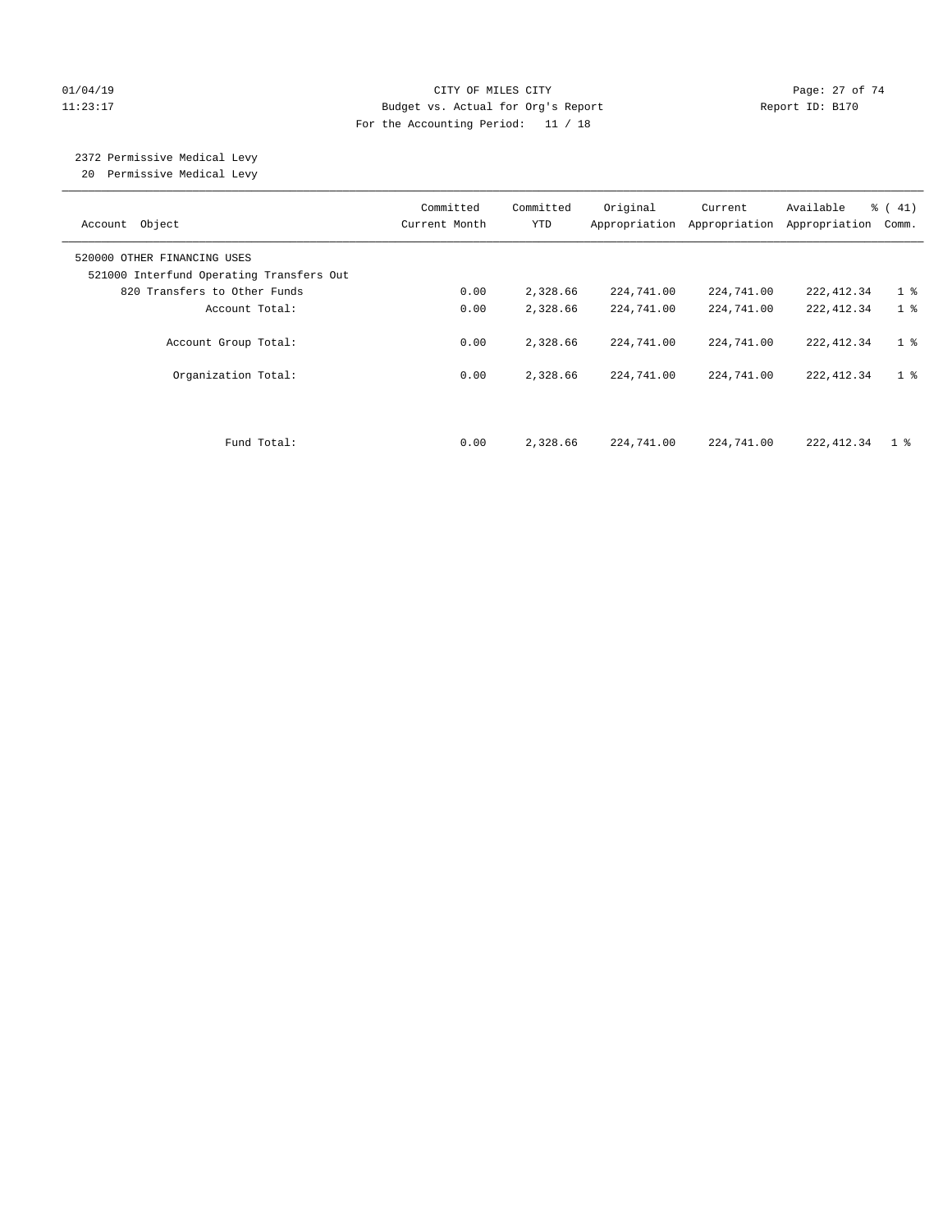#### $O1/04/19$  Page: 27 of 74 11:23:17 Budget vs. Actual for Org's Report Changer Report ID: B170 For the Accounting Period: 11 / 18

# 2372 Permissive Medical Levy

20 Permissive Medical Levy

| Account Object                                                          | Committed<br>Current Month | Committed<br><b>YTD</b> | Original<br>Appropriation | Current<br>Appropriation | Available<br>Appropriation | % (41)<br>Comm. |
|-------------------------------------------------------------------------|----------------------------|-------------------------|---------------------------|--------------------------|----------------------------|-----------------|
| 520000 OTHER FINANCING USES<br>521000 Interfund Operating Transfers Out |                            |                         |                           |                          |                            |                 |
| 820 Transfers to Other Funds                                            | 0.00                       | 2,328.66                | 224,741.00                | 224,741.00               | 222, 412.34                | 1 <sup>°</sup>  |
| Account Total:                                                          | 0.00                       | 2,328.66                | 224,741.00                | 224,741.00               | 222, 412.34                | 1 <sup>8</sup>  |
| Account Group Total:                                                    | 0.00                       | 2,328.66                | 224,741.00                | 224,741.00               | 222, 412.34                | 1 <sup>8</sup>  |
| Organization Total:                                                     | 0.00                       | 2,328.66                | 224,741.00                | 224,741.00               | 222, 412.34                | 1 <sup>8</sup>  |
| Fund Total:                                                             | 0.00                       | 2,328.66                | 224,741.00                | 224,741.00               | 222, 412.34                | $1 \cdot$       |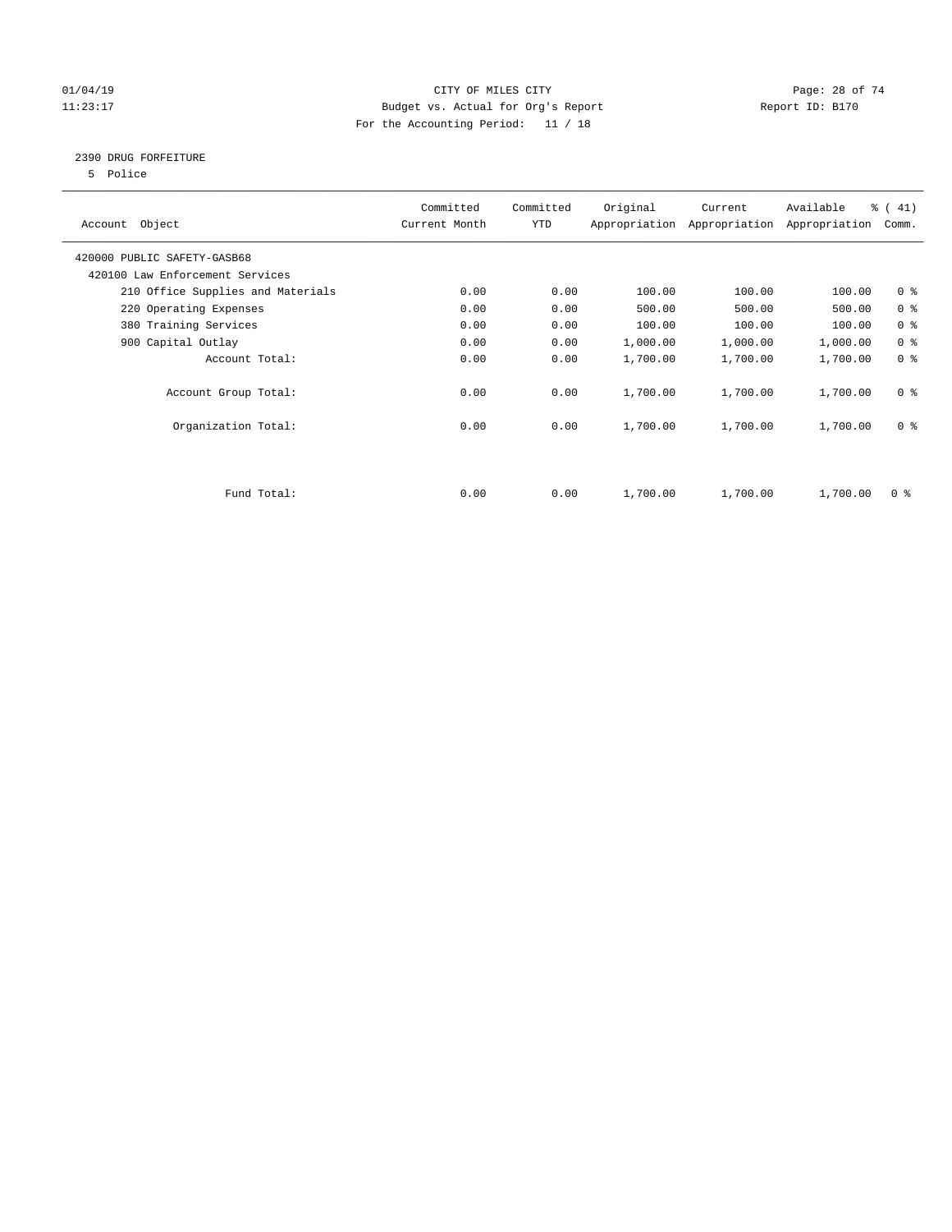#### $CITY$  OF MILES CITY OF MILES CITY CHARGE PAGE: 28 of 74 11:23:17 Budget vs. Actual for Org's Report Changer Report ID: B170 For the Accounting Period: 11 / 18

#### 2390 DRUG FORFEITURE

5 Police

| Account Object                    | Committed<br>Current Month | Committed<br>YTD | Original | Current<br>Appropriation Appropriation | Available<br>Appropriation | % (41)<br>Comm. |
|-----------------------------------|----------------------------|------------------|----------|----------------------------------------|----------------------------|-----------------|
| 420000 PUBLIC SAFETY-GASB68       |                            |                  |          |                                        |                            |                 |
| 420100 Law Enforcement Services   |                            |                  |          |                                        |                            |                 |
| 210 Office Supplies and Materials | 0.00                       | 0.00             | 100.00   | 100.00                                 | 100.00                     | 0 <sup>8</sup>  |
| 220 Operating Expenses            | 0.00                       | 0.00             | 500.00   | 500.00                                 | 500.00                     | 0 <sup>8</sup>  |
| 380 Training Services             | 0.00                       | 0.00             | 100.00   | 100.00                                 | 100.00                     | 0 <sup>8</sup>  |
| 900 Capital Outlay                | 0.00                       | 0.00             | 1,000.00 | 1,000.00                               | 1,000.00                   | 0 <sup>8</sup>  |
| Account Total:                    | 0.00                       | 0.00             | 1,700.00 | 1,700.00                               | 1,700.00                   | 0 <sup>8</sup>  |
| Account Group Total:              | 0.00                       | 0.00             | 1,700.00 | 1,700.00                               | 1,700.00                   | 0 <sup>8</sup>  |
| Organization Total:               | 0.00                       | 0.00             | 1,700.00 | 1,700.00                               | 1,700.00                   | 0 <sup>8</sup>  |
|                                   |                            |                  |          |                                        |                            |                 |
| Fund Total:                       | 0.00                       | 0.00             | 1,700.00 | 1,700.00                               | 1,700.00                   | 0 %             |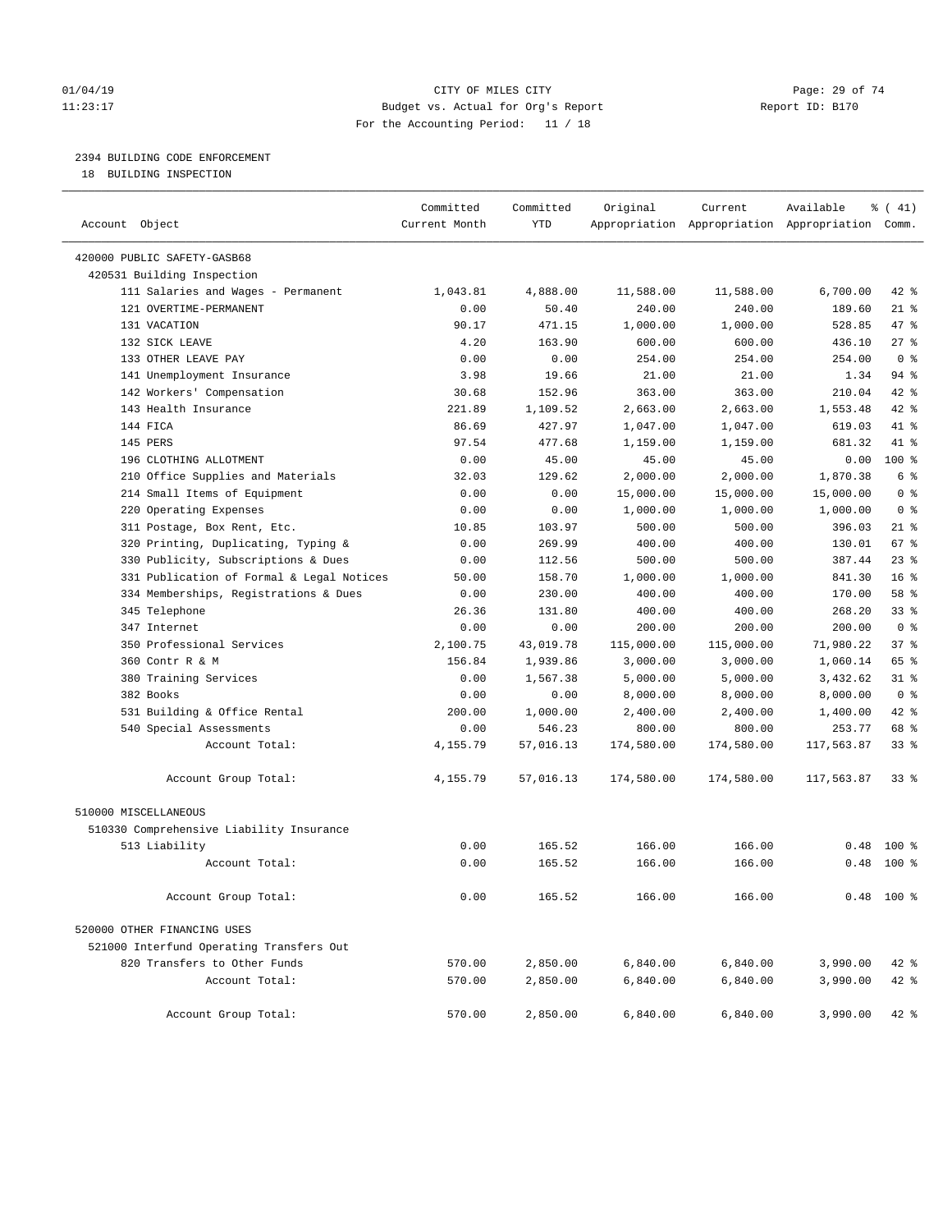#### $O1/04/19$  Page: 29 of 74 11:23:17 Budget vs. Actual for Org's Report Changer Report ID: B170 For the Accounting Period: 11 / 18

### 2394 BUILDING CODE ENFORCEMENT

18 BUILDING INSPECTION

|                                           | Committed     | Committed  | Original   | Current                                         | Available  | % (41)                 |
|-------------------------------------------|---------------|------------|------------|-------------------------------------------------|------------|------------------------|
| Account Object                            | Current Month | <b>YTD</b> |            | Appropriation Appropriation Appropriation Comm. |            |                        |
| 420000 PUBLIC SAFETY-GASB68               |               |            |            |                                                 |            |                        |
| 420531 Building Inspection                |               |            |            |                                                 |            |                        |
| 111 Salaries and Wages - Permanent        | 1,043.81      | 4,888.00   | 11,588.00  | 11,588.00                                       | 6,700.00   | 42 %                   |
| 121 OVERTIME-PERMANENT                    | 0.00          | 50.40      | 240.00     | 240.00                                          | 189.60     | $21$ %                 |
| 131 VACATION                              | 90.17         | 471.15     | 1,000.00   | 1,000.00                                        | 528.85     | 47.8                   |
| 132 SICK LEAVE                            | 4.20          | 163.90     | 600.00     | 600.00                                          | 436.10     | $27$ %                 |
| 133 OTHER LEAVE PAY                       | 0.00          | 0.00       | 254.00     | 254.00                                          | 254.00     | 0 <sup>8</sup>         |
| 141 Unemployment Insurance                | 3.98          | 19.66      | 21.00      | 21.00                                           | 1.34       | $94$ %                 |
| 142 Workers' Compensation                 | 30.68         | 152.96     | 363.00     | 363.00                                          | 210.04     | 42 %                   |
| 143 Health Insurance                      | 221.89        | 1,109.52   | 2,663.00   | 2,663.00                                        | 1,553.48   | 42 %                   |
| 144 FICA                                  | 86.69         | 427.97     | 1,047.00   | 1,047.00                                        | 619.03     | 41 %                   |
| 145 PERS                                  | 97.54         | 477.68     | 1,159.00   | 1,159.00                                        | 681.32     | 41.8                   |
| 196 CLOTHING ALLOTMENT                    | 0.00          | 45.00      | 45.00      | 45.00                                           | 0.00       | $100*$                 |
| 210 Office Supplies and Materials         | 32.03         | 129.62     | 2,000.00   | 2,000.00                                        | 1,870.38   | 6 %                    |
| 214 Small Items of Equipment              | 0.00          | 0.00       | 15,000.00  | 15,000.00                                       | 15,000.00  | 0 <sup>8</sup>         |
| 220 Operating Expenses                    | 0.00          | 0.00       | 1,000.00   | 1,000.00                                        | 1,000.00   | 0 <sup>8</sup>         |
| 311 Postage, Box Rent, Etc.               | 10.85         | 103.97     | 500.00     | 500.00                                          | 396.03     | $21$ %                 |
| 320 Printing, Duplicating, Typing &       | 0.00          | 269.99     | 400.00     | 400.00                                          | 130.01     | 67 %                   |
| 330 Publicity, Subscriptions & Dues       | 0.00          | 112.56     | 500.00     | 500.00                                          | 387.44     | 23%                    |
| 331 Publication of Formal & Legal Notices | 50.00         | 158.70     | 1,000.00   | 1,000.00                                        | 841.30     | 16 <sup>8</sup>        |
| 334 Memberships, Registrations & Dues     | 0.00          | 230.00     | 400.00     | 400.00                                          | 170.00     | 58 %                   |
| 345 Telephone                             | 26.36         | 131.80     | 400.00     | 400.00                                          | 268.20     | 33 <sup>8</sup>        |
| 347 Internet                              | 0.00          | 0.00       | 200.00     | 200.00                                          | 200.00     | 0 <sup>8</sup>         |
| 350 Professional Services                 |               |            |            |                                                 |            | 37%                    |
|                                           | 2,100.75      | 43,019.78  | 115,000.00 | 115,000.00                                      | 71,980.22  |                        |
| 360 Contr R & M                           | 156.84        | 1,939.86   | 3,000.00   | 3,000.00                                        | 1,060.14   | 65 %                   |
| 380 Training Services                     | 0.00          | 1,567.38   | 5,000.00   | 5,000.00                                        | 3,432.62   | $31$ $%$               |
| 382 Books                                 | 0.00          | 0.00       | 8,000.00   | 8,000.00                                        | 8,000.00   | 0 <sup>8</sup><br>42 % |
| 531 Building & Office Rental              | 200.00        | 1,000.00   | 2,400.00   | 2,400.00                                        | 1,400.00   |                        |
| 540 Special Assessments                   | 0.00          | 546.23     | 800.00     | 800.00                                          | 253.77     | 68 %                   |
| Account Total:                            | 4,155.79      | 57,016.13  | 174,580.00 | 174,580.00                                      | 117,563.87 | $33$ $%$               |
| Account Group Total:                      | 4,155.79      | 57,016.13  | 174,580.00 | 174,580.00                                      | 117,563.87 | $33$ $%$               |
| 510000 MISCELLANEOUS                      |               |            |            |                                                 |            |                        |
| 510330 Comprehensive Liability Insurance  |               |            |            |                                                 |            |                        |
| 513 Liability                             | 0.00          | 165.52     | 166.00     | 166.00                                          | 0.48       | $100*$                 |
| Account Total:                            | 0.00          | 165.52     | 166.00     | 166.00                                          | 0.48       | $100$ %                |
|                                           |               |            |            |                                                 |            |                        |
| Account Group Total:                      | 0.00          | 165.52     | 166.00     | 166.00                                          |            | $0.48$ 100 %           |
| 520000 OTHER FINANCING USES               |               |            |            |                                                 |            |                        |
| 521000 Interfund Operating Transfers Out  |               |            |            |                                                 |            |                        |
| 820 Transfers to Other Funds              | 570.00        | 2,850.00   | 6,840.00   | 6,840.00                                        | 3,990.00   | 42 %                   |
| Account Total:                            | 570.00        | 2,850.00   | 6,840.00   | 6,840.00                                        | 3,990.00   | 42 %                   |
|                                           |               |            |            |                                                 |            |                        |
| Account Group Total:                      | 570.00        | 2,850.00   | 6,840.00   | 6,840.00                                        | 3,990.00   | $42$ %                 |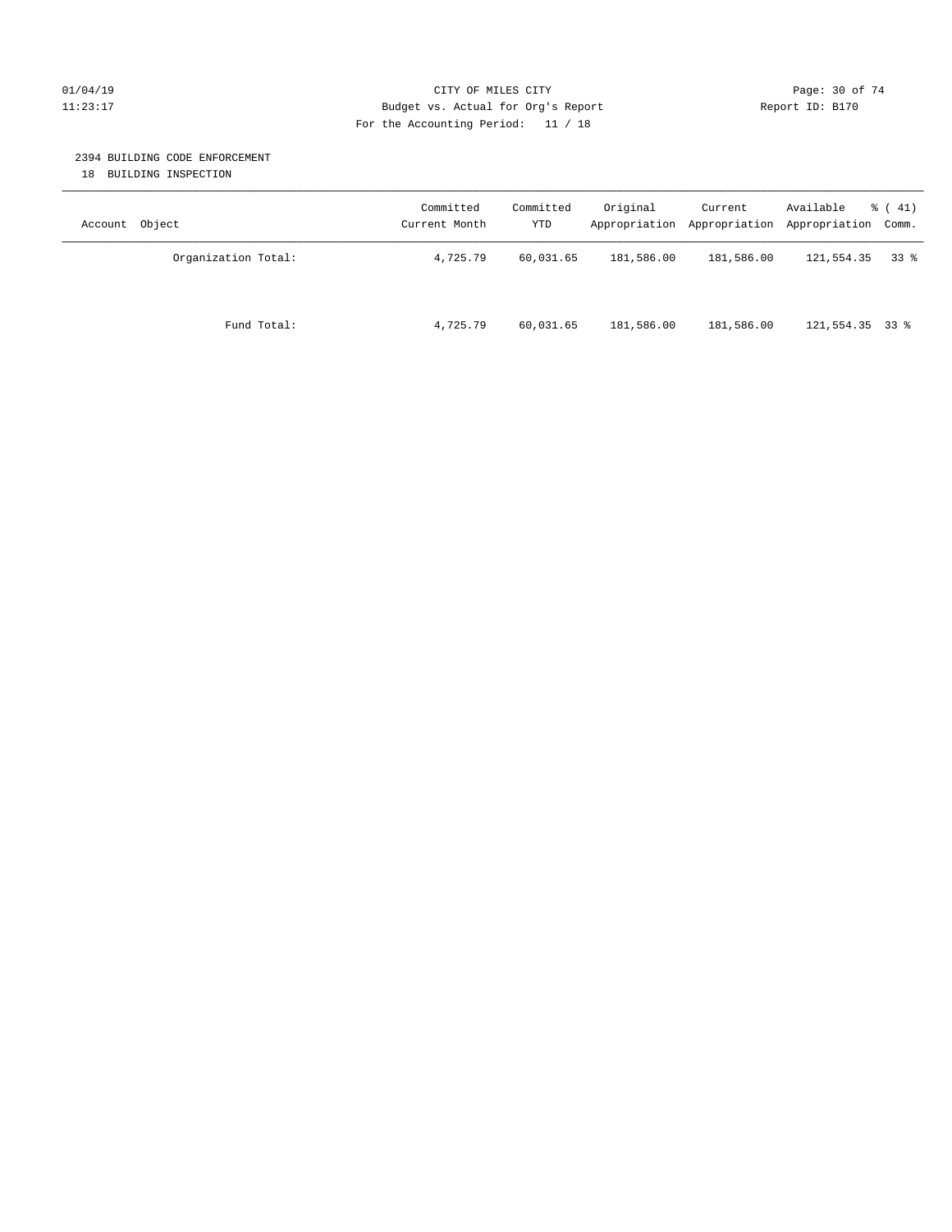#### $O1/04/19$  Page: 30 of 74 11:23:17 Budget vs. Actual for Org's Report Changer Report ID: B170 For the Accounting Period: 11 / 18

#### 2394 BUILDING CODE ENFORCEMENT

18 BUILDING INSPECTION

| Account Object      | Committed<br>Current Month | Committed<br>YTD | Original   | Current    | Available<br>Appropriation Appropriation Appropriation Comm. | $\frac{1}{6}$ ( 41) |
|---------------------|----------------------------|------------------|------------|------------|--------------------------------------------------------------|---------------------|
| Organization Total: | 4,725.79                   | 60,031.65        | 181,586.00 | 181,586.00 | 121,554.35                                                   | 338                 |
| Fund Total:         | 4,725.79                   | 60,031.65        | 181,586.00 | 181,586.00 | $121,554.35$ 33 %                                            |                     |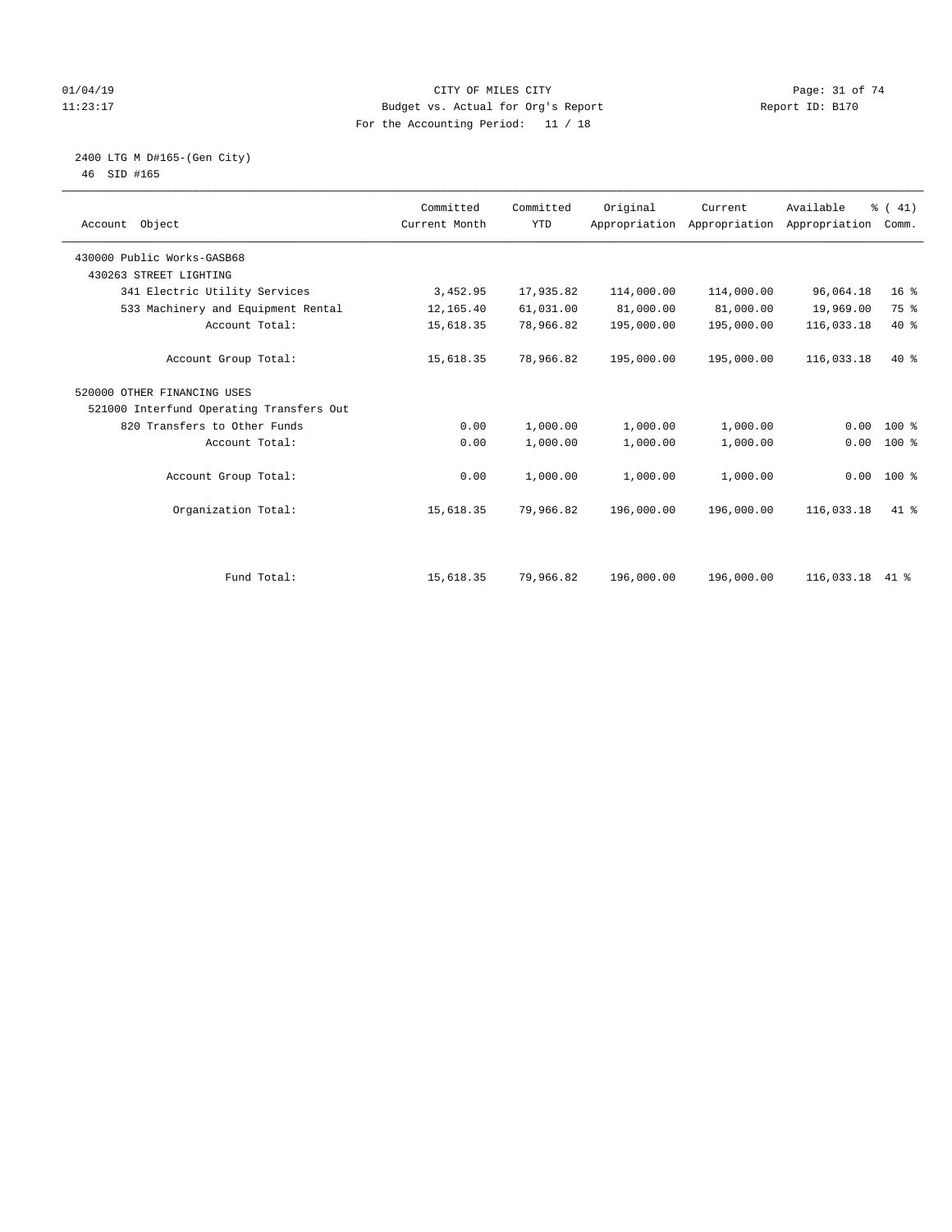#### $O1/04/19$  Page: 31 of 74 11:23:17 Budget vs. Actual for Org's Report Changer Report ID: B170 For the Accounting Period: 11 / 18

#### 2400 LTG M D#165-(Gen City) 46 SID #165

| Account Object                           | Committed<br>Current Month | Committed<br><b>YTD</b> | Original   | Current<br>Appropriation Appropriation Appropriation | Available  | % (41)<br>Comm. |  |
|------------------------------------------|----------------------------|-------------------------|------------|------------------------------------------------------|------------|-----------------|--|
| 430000 Public Works-GASB68               |                            |                         |            |                                                      |            |                 |  |
| 430263 STREET LIGHTING                   |                            |                         |            |                                                      |            |                 |  |
| 341 Electric Utility Services            | 3,452.95                   | 17,935.82               | 114,000.00 | 114,000.00                                           | 96,064.18  | 16 <sup>°</sup> |  |
| 533 Machinery and Equipment Rental       | 12,165.40                  | 61,031.00               | 81,000.00  | 81,000.00                                            | 19,969.00  | 75 %            |  |
| Account Total:                           | 15,618.35                  | 78,966.82               | 195,000.00 | 195,000.00                                           | 116,033.18 | $40*$           |  |
| Account Group Total:                     | 15,618.35                  | 78,966.82               | 195,000.00 | 195,000.00                                           | 116,033.18 | $40*$           |  |
| 520000 OTHER FINANCING USES              |                            |                         |            |                                                      |            |                 |  |
| 521000 Interfund Operating Transfers Out |                            |                         |            |                                                      |            |                 |  |
| 820 Transfers to Other Funds             | 0.00                       | 1,000.00                | 1,000.00   | 1,000.00                                             | 0.00       | 100 %           |  |
| Account Total:                           | 0.00                       | 1,000.00                | 1,000.00   | 1,000.00                                             | 0.00       | 100 %           |  |
| Account Group Total:                     | 0.00                       | 1,000.00                | 1,000.00   | 1,000.00                                             |            | $0.00 100$ %    |  |
| Organization Total:                      | 15,618.35                  | 79,966.82               | 196,000.00 | 196,000.00                                           | 116,033.18 | 41 %            |  |
|                                          |                            |                         |            |                                                      |            |                 |  |
| Fund Total:                              | 15,618.35                  | 79,966.82               | 196,000.00 | 196,000.00                                           | 116,033.18 | 41 %            |  |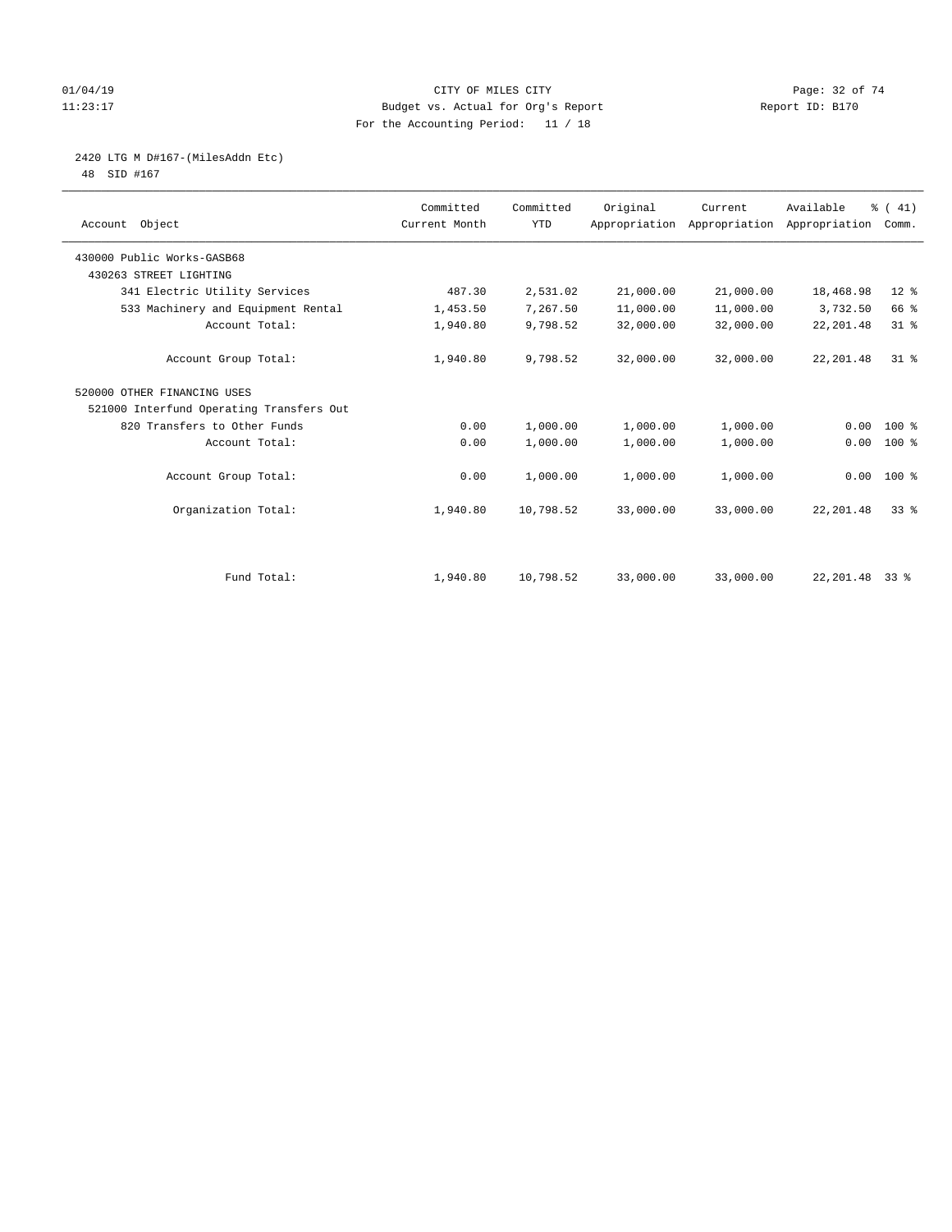#### $O1/04/19$  Page: 32 of 74 11:23:17 Budget vs. Actual for Org's Report Report ID: B170 For the Accounting Period: 11 / 18

# 2420 LTG M D#167-(MilesAddn Etc)

48 SID #167

| Account Object                           | Committed<br>Current Month | Committed<br><b>YTD</b> | Original  | Current<br>Appropriation Appropriation Appropriation | Available  | % (41)<br>Comm. |  |
|------------------------------------------|----------------------------|-------------------------|-----------|------------------------------------------------------|------------|-----------------|--|
| 430000 Public Works-GASB68               |                            |                         |           |                                                      |            |                 |  |
| 430263 STREET LIGHTING                   |                            |                         |           |                                                      |            |                 |  |
| 341 Electric Utility Services            | 487.30                     | 2,531.02                | 21,000.00 | 21,000.00                                            | 18,468.98  | $12*$           |  |
| 533 Machinery and Equipment Rental       | 1,453.50                   | 7,267.50                | 11,000.00 | 11,000.00                                            | 3,732.50   | 66 %            |  |
| Account Total:                           | 1,940.80                   | 9,798.52                | 32,000.00 | 32,000.00                                            | 22, 201.48 | $31$ %          |  |
| Account Group Total:                     | 1,940.80                   | 9,798.52                | 32,000.00 | 32,000.00                                            | 22, 201.48 | $31*$           |  |
| 520000 OTHER FINANCING USES              |                            |                         |           |                                                      |            |                 |  |
| 521000 Interfund Operating Transfers Out |                            |                         |           |                                                      |            |                 |  |
| 820 Transfers to Other Funds             | 0.00                       | 1,000.00                | 1,000.00  | 1,000.00                                             | 0.00       | $100*$          |  |
| Account Total:                           | 0.00                       | 1,000.00                | 1,000.00  | 1,000.00                                             | 0.00       | 100 %           |  |
| Account Group Total:                     | 0.00                       | 1,000.00                | 1,000.00  | 1,000.00                                             |            | $0.00 100$ %    |  |
| Organization Total:                      | 1,940.80                   | 10,798.52               | 33,000.00 | 33,000.00                                            | 22, 201.48 | 338             |  |
|                                          |                            |                         |           |                                                      |            |                 |  |
| Fund Total:                              | 1,940.80                   | 10,798.52               | 33,000.00 | 33,000.00                                            | 22,201.48  | 338             |  |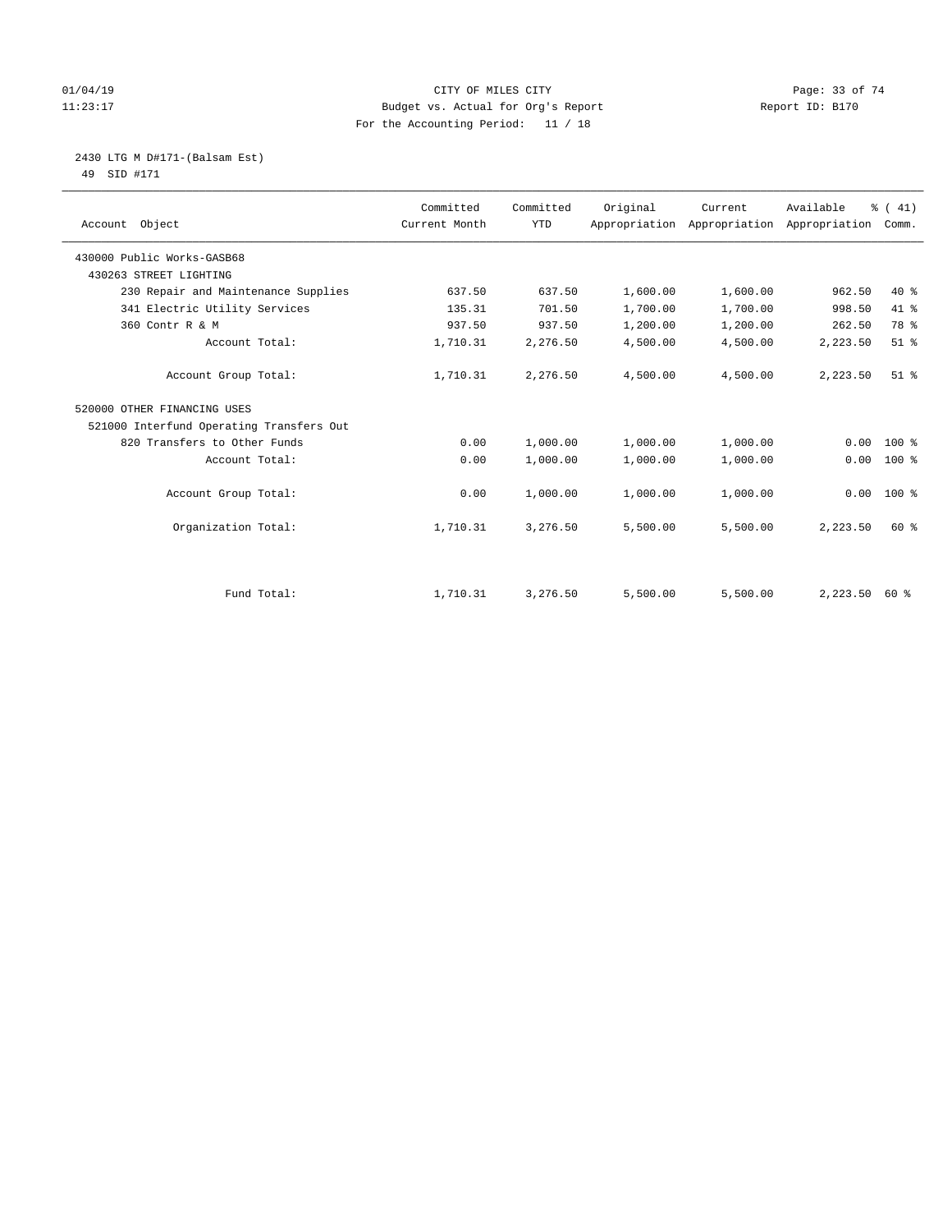#### $O1/04/19$  Page: 33 of 74 11:23:17 Budget vs. Actual for Org's Report Changer Report ID: B170 For the Accounting Period: 11 / 18

#### 2430 LTG M D#171-(Balsam Est) 49 SID #171

| Account Object                           | Committed<br>Current Month | Committed<br><b>YTD</b> | Original | Current<br>Appropriation Appropriation | Available<br>Appropriation | % (41)<br>Comm. |
|------------------------------------------|----------------------------|-------------------------|----------|----------------------------------------|----------------------------|-----------------|
|                                          |                            |                         |          |                                        |                            |                 |
| 430000 Public Works-GASB68               |                            |                         |          |                                        |                            |                 |
| 430263 STREET LIGHTING                   |                            |                         |          |                                        |                            |                 |
| 230 Repair and Maintenance Supplies      | 637.50                     | 637.50                  | 1,600.00 | 1,600.00                               | 962.50                     | $40*$           |
| 341 Electric Utility Services            | 135.31                     | 701.50                  | 1,700.00 | 1,700.00                               | 998.50                     | 41 %            |
| 360 Contr R & M                          | 937.50                     | 937.50                  | 1,200.00 | 1,200.00                               | 262.50                     | 78 %            |
| Account Total:                           | 1,710.31                   | 2,276.50                | 4,500.00 | 4,500.00                               | 2,223.50                   | $51$ %          |
| Account Group Total:                     | 1,710.31                   | 2,276.50                | 4,500.00 | 4,500.00                               | 2,223.50                   | $51$ $%$        |
| 520000 OTHER FINANCING USES              |                            |                         |          |                                        |                            |                 |
| 521000 Interfund Operating Transfers Out |                            |                         |          |                                        |                            |                 |
| 820 Transfers to Other Funds             | 0.00                       | 1,000.00                | 1,000.00 | 1,000.00                               | 0.00                       | 100 %           |
| Account Total:                           | 0.00                       | 1,000.00                | 1,000.00 | 1,000.00                               | 0.00                       | $100$ %         |
| Account Group Total:                     | 0.00                       | 1,000.00                | 1,000.00 | 1,000.00                               | 0.00                       | $100*$          |
| Organization Total:                      | 1,710.31                   | 3,276.50                | 5,500.00 | 5,500.00                               | 2,223.50                   | 60 %            |
|                                          |                            |                         |          |                                        |                            |                 |
| Fund Total:                              | 1,710.31                   | 3,276.50                | 5,500.00 | 5,500.00                               | $2,223.50$ 60 %            |                 |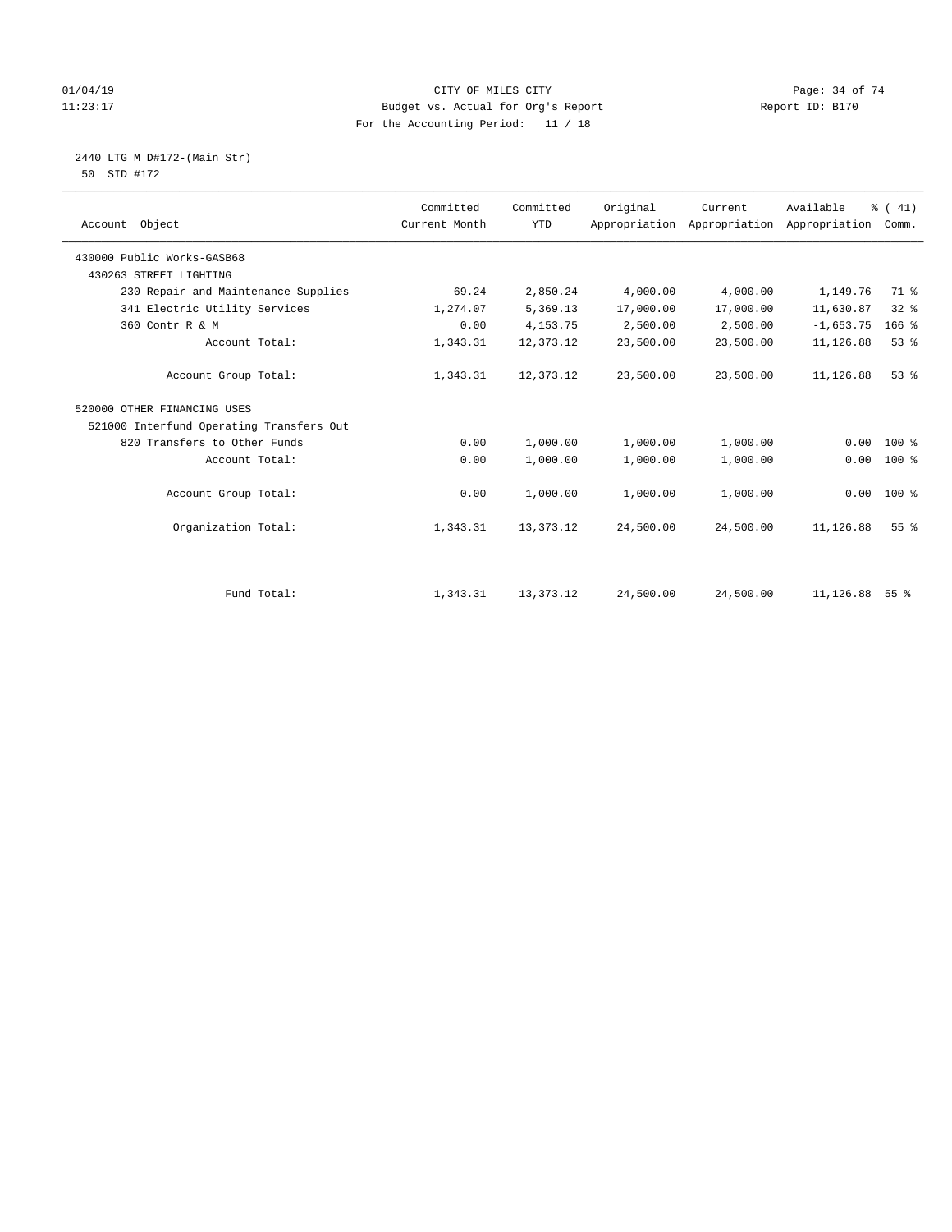#### $O1/04/19$  Page: 34 of 74 11:23:17 Budget vs. Actual for Org's Report Changer Report ID: B170 For the Accounting Period: 11 / 18

2440 LTG M D#172-(Main Str)

|  | 50 SID #172 |  |
|--|-------------|--|
|  |             |  |

| Account Object                           | Committed<br>Current Month | Committed<br><b>YTD</b> | Original  | Current<br>Appropriation Appropriation | Available<br>Appropriation | % (41)<br>Comm. |
|------------------------------------------|----------------------------|-------------------------|-----------|----------------------------------------|----------------------------|-----------------|
| 430000 Public Works-GASB68               |                            |                         |           |                                        |                            |                 |
| 430263 STREET LIGHTING                   |                            |                         |           |                                        |                            |                 |
| 230 Repair and Maintenance Supplies      | 69.24                      | 2,850.24                | 4,000.00  | 4,000.00                               | 1,149.76                   | 71.8            |
| 341 Electric Utility Services            | 1,274.07                   | 5,369.13                | 17,000.00 | 17,000.00                              | 11,630.87                  | $32$ $%$        |
| 360 Contr R & M                          | 0.00                       | 4, 153. 75              | 2,500.00  | 2,500.00                               | $-1,653.75$                | $166$ %         |
| Account Total:                           | 1,343.31                   | 12,373.12               | 23,500.00 | 23,500.00                              | 11,126.88                  | 53%             |
| Account Group Total:                     | 1,343.31                   | 12,373.12               | 23,500.00 | 23,500.00                              | 11,126.88                  | $53$ $%$        |
| 520000 OTHER FINANCING USES              |                            |                         |           |                                        |                            |                 |
| 521000 Interfund Operating Transfers Out |                            |                         |           |                                        |                            |                 |
| 820 Transfers to Other Funds             | 0.00                       | 1,000.00                | 1,000.00  | 1,000.00                               | 0.00                       | $100*$          |
| Account Total:                           | 0.00                       | 1,000.00                | 1,000.00  | 1,000.00                               | 0.00                       | $100*$          |
| Account Group Total:                     | 0.00                       | 1,000.00                | 1,000.00  | 1,000.00                               | 0.00                       | $100*$          |
| Organization Total:                      | 1,343.31                   | 13, 373. 12             | 24,500.00 | 24,500.00                              | 11,126.88                  | 55 <sup>8</sup> |
|                                          |                            |                         |           |                                        |                            |                 |
| Fund Total:                              | 1,343.31                   | 13, 373. 12             | 24,500.00 | 24,500.00                              | 11, 126.88 55 %            |                 |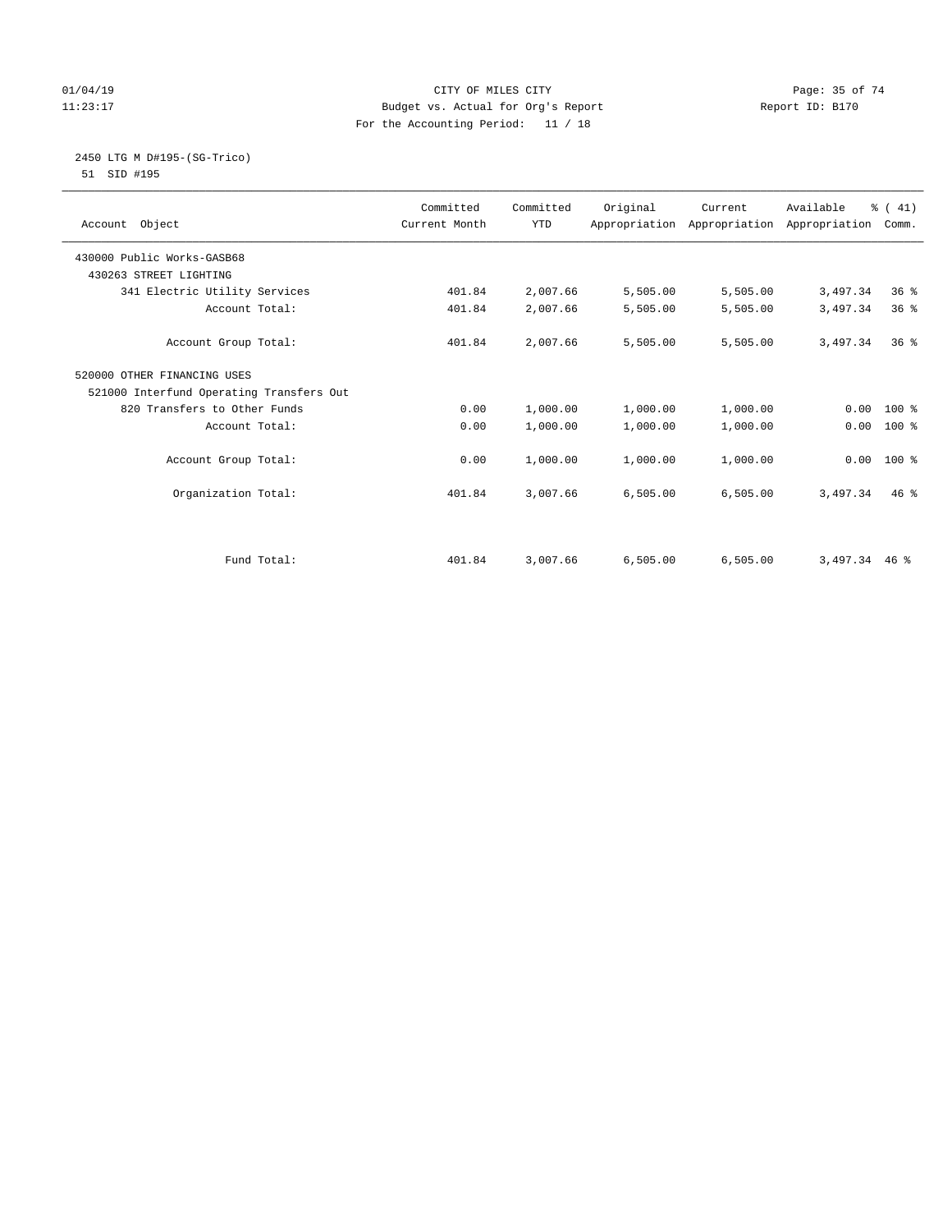#### $O1/04/19$  Page: 35 of 74 11:23:17 Budget vs. Actual for Org's Report Changer Report ID: B170 For the Accounting Period: 11 / 18

#### 2450 LTG M D#195-(SG-Trico) 51 SID #195

| Account Object                           | Committed<br>Current Month | Committed<br><b>YTD</b> | Original | Current  | Available<br>Appropriation Appropriation Appropriation | % (41)<br>Comm. |  |
|------------------------------------------|----------------------------|-------------------------|----------|----------|--------------------------------------------------------|-----------------|--|
| 430000 Public Works-GASB68               |                            |                         |          |          |                                                        |                 |  |
| 430263 STREET LIGHTING                   |                            |                         |          |          |                                                        |                 |  |
| 341 Electric Utility Services            | 401.84                     | 2,007.66                | 5,505.00 | 5,505.00 | 3,497.34                                               | 36 <sup>8</sup> |  |
| Account Total:                           | 401.84                     | 2,007.66                | 5,505.00 | 5,505.00 | 3,497.34                                               | 36 <sup>8</sup> |  |
| Account Group Total:                     | 401.84                     | 2,007.66                | 5,505.00 | 5,505.00 | 3,497.34                                               | $36*$           |  |
| 520000 OTHER FINANCING USES              |                            |                         |          |          |                                                        |                 |  |
| 521000 Interfund Operating Transfers Out |                            |                         |          |          |                                                        |                 |  |
| 820 Transfers to Other Funds             | 0.00                       | 1,000.00                | 1,000.00 | 1,000.00 | 0.00                                                   | $100*$          |  |
| Account Total:                           | 0.00                       | 1,000.00                | 1,000.00 | 1,000.00 | 0.00                                                   | 100 %           |  |
| Account Group Total:                     | 0.00                       | 1,000.00                | 1,000.00 | 1,000.00 | 0.00                                                   | $100*$          |  |
| Organization Total:                      | 401.84                     | 3,007.66                | 6,505.00 | 6,505.00 | 3,497.34                                               | 46%             |  |
| Fund Total:                              | 401.84                     | 3,007.66                | 6.505.00 | 6.505.00 | 3,497.34                                               | $46*$           |  |
|                                          |                            |                         |          |          |                                                        |                 |  |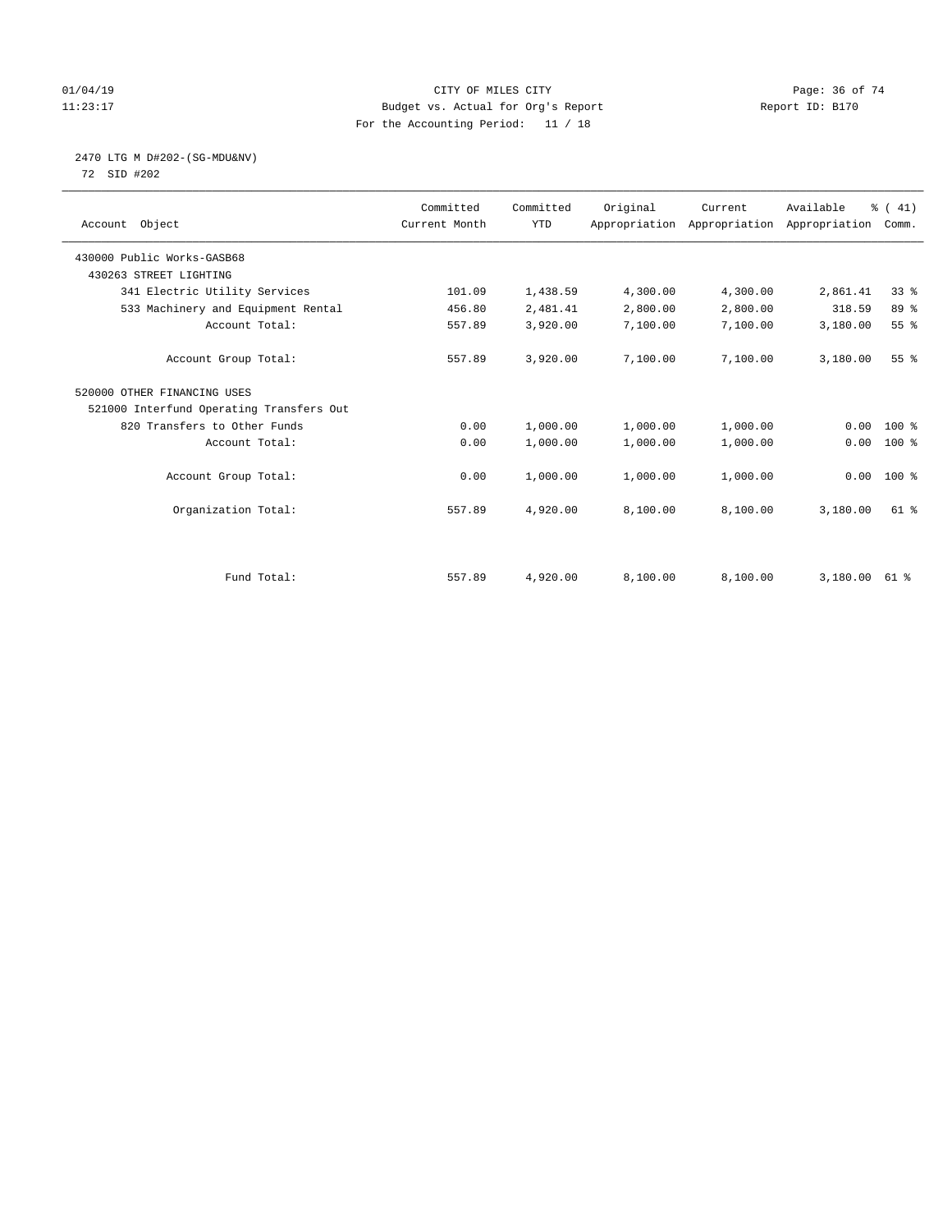#### $O1/04/19$  Page: 36 of 74 11:23:17 Budget vs. Actual for Org's Report Changer Report ID: B170 For the Accounting Period: 11 / 18

# 2470 LTG M D#202-(SG-MDU&NV)

72 SID #202

| Account Object                           | Committed<br>Current Month | Committed<br><b>YTD</b> | Original | Current<br>Appropriation Appropriation Appropriation | Available | % (41)<br>Comm. |
|------------------------------------------|----------------------------|-------------------------|----------|------------------------------------------------------|-----------|-----------------|
| 430000 Public Works-GASB68               |                            |                         |          |                                                      |           |                 |
| 430263 STREET LIGHTING                   |                            |                         |          |                                                      |           |                 |
| 341 Electric Utility Services            | 101.09                     | 1,438.59                | 4,300.00 | 4,300.00                                             | 2,861.41  | 33 <sup>8</sup> |
| 533 Machinery and Equipment Rental       | 456.80                     | 2,481.41                | 2,800.00 | 2,800.00                                             | 318.59    | 89 %            |
| Account Total:                           | 557.89                     | 3,920.00                | 7,100.00 | 7,100.00                                             | 3,180.00  | 55%             |
| Account Group Total:                     | 557.89                     | 3,920.00                | 7,100.00 | 7,100.00                                             | 3,180.00  | 55 <sup>8</sup> |
| 520000 OTHER FINANCING USES              |                            |                         |          |                                                      |           |                 |
| 521000 Interfund Operating Transfers Out |                            |                         |          |                                                      |           |                 |
| 820 Transfers to Other Funds             | 0.00                       | 1,000.00                | 1,000.00 | 1,000.00                                             | 0.00      | $100*$          |
| Account Total:                           | 0.00                       | 1,000.00                | 1,000.00 | 1,000.00                                             | 0.00      | $100$ %         |
| Account Group Total:                     | 0.00                       | 1,000.00                | 1,000.00 | 1,000.00                                             | 0.00      | $100*$          |
| Organization Total:                      | 557.89                     | 4,920.00                | 8,100.00 | 8,100.00                                             | 3,180.00  | $61$ $%$        |
|                                          |                            |                         |          |                                                      |           |                 |
| Fund Total:                              | 557.89                     | 4,920.00                | 8,100.00 | 8,100.00                                             | 3,180.00  | 61 %            |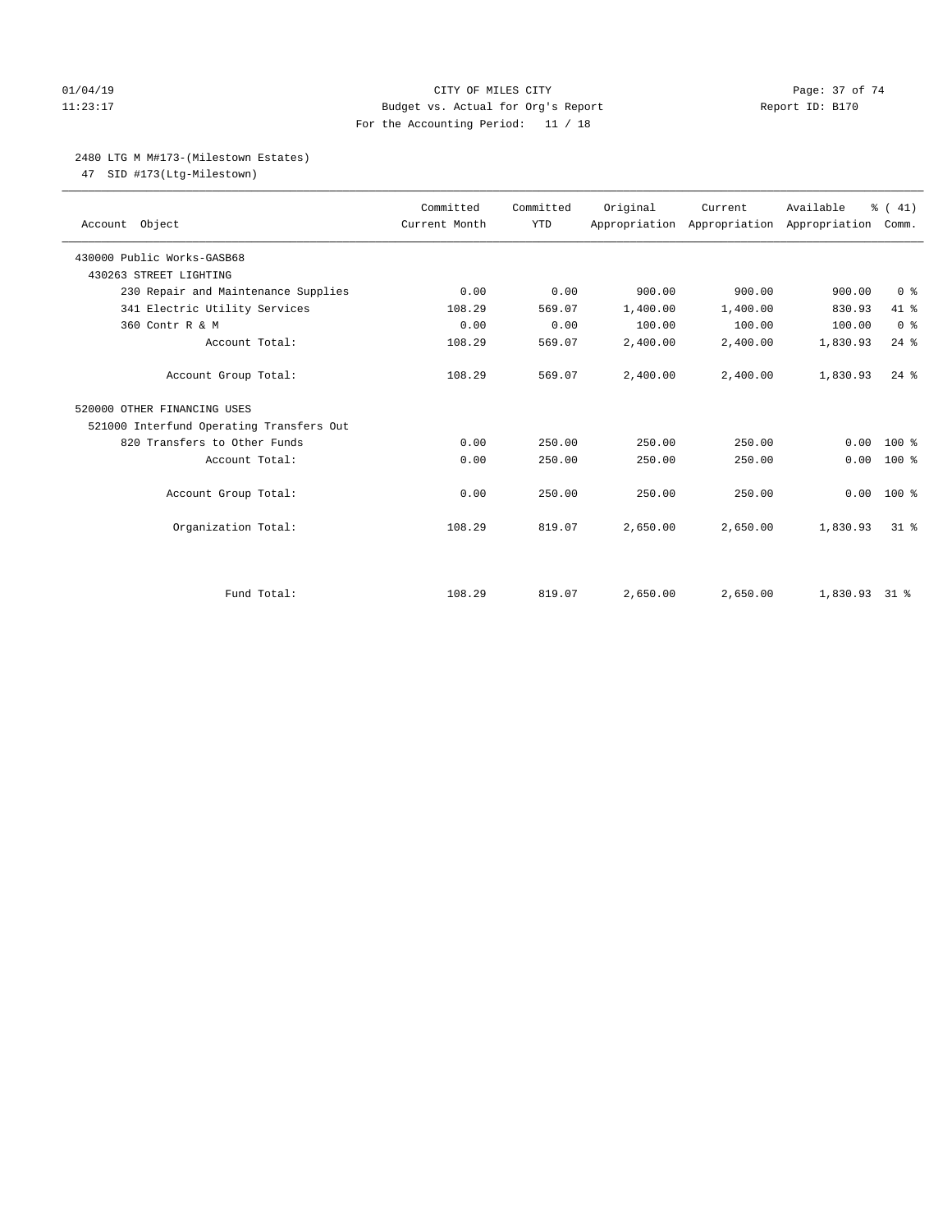# 01/04/19 Page: 37 of 74 11:23:17 Budget vs. Actual for Org's Report Changer Report ID: B170 For the Accounting Period: 11 / 18

# 2480 LTG M M#173-(Milestown Estates)

47 SID #173(Ltg-Milestown)

| Account Object                           | Committed<br>Current Month | Committed<br><b>YTD</b> | Original | Current<br>Appropriation Appropriation Appropriation | Available     | % (41)<br>Comm. |
|------------------------------------------|----------------------------|-------------------------|----------|------------------------------------------------------|---------------|-----------------|
| 430000 Public Works-GASB68               |                            |                         |          |                                                      |               |                 |
| 430263 STREET LIGHTING                   |                            |                         |          |                                                      |               |                 |
| 230 Repair and Maintenance Supplies      | 0.00                       | 0.00                    | 900.00   | 900.00                                               | 900.00        | 0 <sup>8</sup>  |
| 341 Electric Utility Services            | 108.29                     | 569.07                  | 1,400.00 | 1,400.00                                             | 830.93        | 41 %            |
| 360 Contr R & M                          | 0.00                       | 0.00                    | 100.00   | 100.00                                               | 100.00        | 0 <sup>8</sup>  |
| Account Total:                           | 108.29                     | 569.07                  | 2,400.00 | 2,400.00                                             | 1,830.93      | $24$ $%$        |
| Account Group Total:                     | 108.29                     | 569.07                  | 2,400.00 | 2,400.00                                             | 1,830.93      | $24$ $%$        |
| 520000 OTHER FINANCING USES              |                            |                         |          |                                                      |               |                 |
| 521000 Interfund Operating Transfers Out |                            |                         |          |                                                      |               |                 |
| 820 Transfers to Other Funds             | 0.00                       | 250.00                  | 250.00   | 250.00                                               | 0.00          | $100*$          |
| Account Total:                           | 0.00                       | 250.00                  | 250.00   | 250.00                                               | 0.00          | $100*$          |
| Account Group Total:                     | 0.00                       | 250.00                  | 250.00   | 250.00                                               | 0.00          | 100 %           |
| Organization Total:                      | 108.29                     | 819.07                  | 2,650.00 | 2,650.00                                             | 1,830.93      | $31*$           |
|                                          |                            |                         |          |                                                      |               |                 |
| Fund Total:                              | 108.29                     | 819.07                  | 2,650.00 | 2,650.00                                             | 1,830.93 31 % |                 |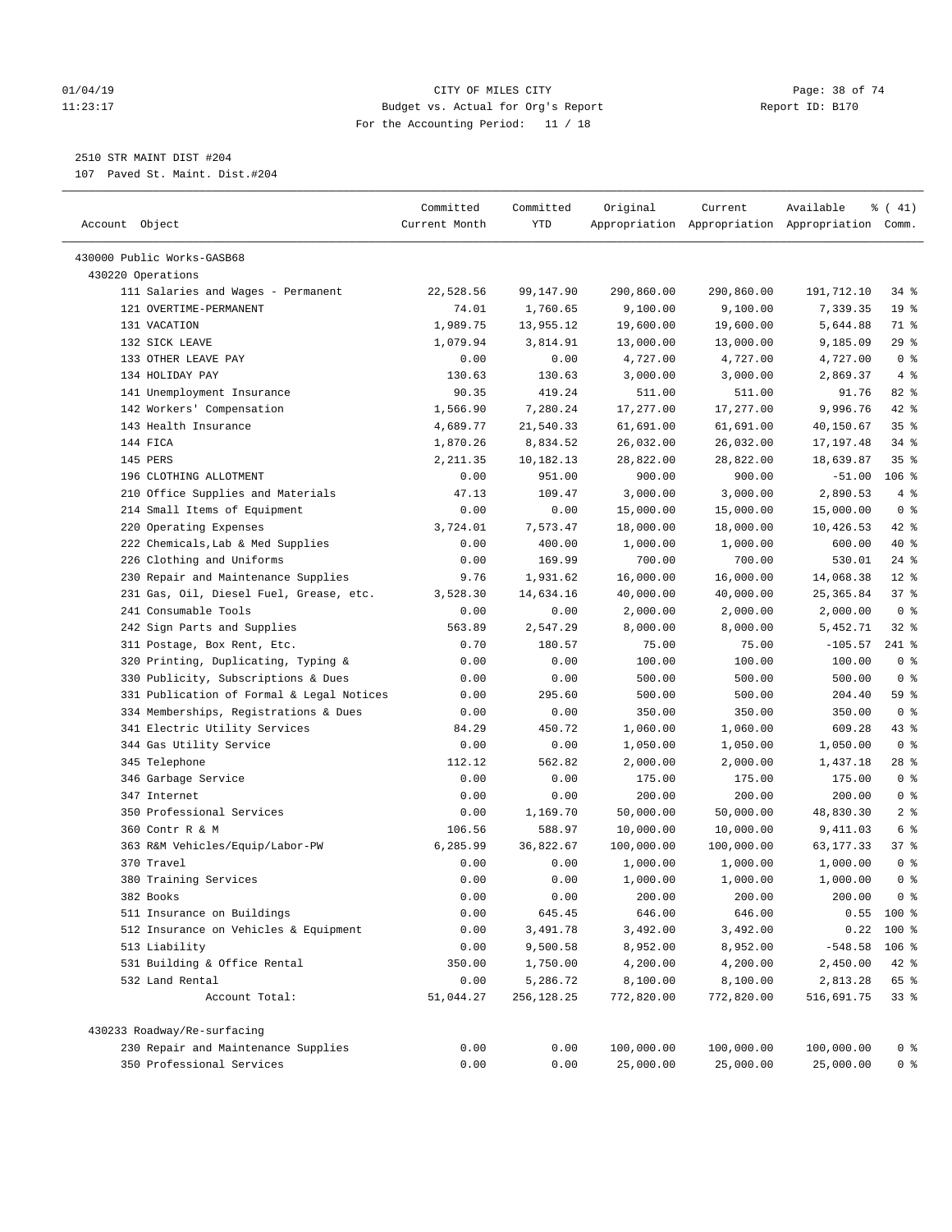### 01/04/19 CITY OF MILES CITY Page: 38 of 74 11:23:17 Budget vs. Actual for Org's Report Report ID: B170 For the Accounting Period: 11 / 18

————————————————————————————————————————————————————————————————————————————————————————————————————————————————————————————————————

# 2510 STR MAINT DIST #204

107 Paved St. Maint. Dist.#204

|                                           | Committed     | Committed  | Original   | Current    | Available                                       | $\frac{1}{6}$ ( 41)                |
|-------------------------------------------|---------------|------------|------------|------------|-------------------------------------------------|------------------------------------|
| Account Object                            | Current Month | YTD        |            |            | Appropriation Appropriation Appropriation Comm. |                                    |
| 430000 Public Works-GASB68                |               |            |            |            |                                                 |                                    |
| 430220 Operations                         |               |            |            |            |                                                 |                                    |
| 111 Salaries and Wages - Permanent        | 22,528.56     | 99,147.90  | 290,860.00 | 290,860.00 | 191,712.10                                      | 34 %                               |
| 121 OVERTIME-PERMANENT                    | 74.01         | 1,760.65   | 9,100.00   | 9,100.00   | 7,339.35                                        | 19 <sup>°</sup>                    |
| 131 VACATION                              | 1,989.75      | 13,955.12  | 19,600.00  | 19,600.00  | 5,644.88                                        | 71 %                               |
| 132 SICK LEAVE                            | 1,079.94      | 3,814.91   | 13,000.00  | 13,000.00  | 9,185.09                                        | 29%                                |
| 133 OTHER LEAVE PAY                       | 0.00          | 0.00       | 4,727.00   | 4,727.00   | 4,727.00                                        | 0 <sup>8</sup>                     |
| 134 HOLIDAY PAY                           | 130.63        | 130.63     | 3,000.00   | 3,000.00   | 2,869.37                                        | $4\degree$                         |
| 141 Unemployment Insurance                | 90.35         | 419.24     | 511.00     | 511.00     | 91.76                                           | $82$ $%$                           |
| 142 Workers' Compensation                 | 1,566.90      | 7,280.24   | 17,277.00  | 17,277.00  | 9,996.76                                        | 42 %                               |
| 143 Health Insurance                      | 4,689.77      | 21,540.33  | 61,691.00  | 61,691.00  | 40,150.67                                       | 35%                                |
| 144 FICA                                  | 1,870.26      | 8,834.52   | 26,032.00  | 26,032.00  | 17,197.48                                       | $34$ $%$                           |
| 145 PERS                                  | 2,211.35      | 10,182.13  | 28,822.00  | 28,822.00  | 18,639.87                                       | 35%                                |
| 196 CLOTHING ALLOTMENT                    | 0.00          | 951.00     | 900.00     | 900.00     | $-51.00$                                        | $106$ %                            |
| 210 Office Supplies and Materials         | 47.13         | 109.47     | 3,000.00   | 3,000.00   | 2,890.53                                        | 4%                                 |
| 214 Small Items of Equipment              | 0.00          | 0.00       | 15,000.00  | 15,000.00  | 15,000.00                                       | 0 <sup>8</sup>                     |
| 220 Operating Expenses                    | 3,724.01      | 7,573.47   | 18,000.00  | 18,000.00  | 10,426.53                                       | $42$ %                             |
| 222 Chemicals, Lab & Med Supplies         | 0.00          | 400.00     | 1,000.00   | 1,000.00   | 600.00                                          | 40 %                               |
| 226 Clothing and Uniforms                 | 0.00          | 169.99     | 700.00     | 700.00     | 530.01                                          | $24$ %                             |
| 230 Repair and Maintenance Supplies       | 9.76          | 1,931.62   | 16,000.00  | 16,000.00  | 14,068.38                                       | $12*$                              |
| 231 Gas, Oil, Diesel Fuel, Grease, etc.   | 3,528.30      | 14,634.16  | 40,000.00  | 40,000.00  | 25, 365.84                                      | 37%                                |
| 241 Consumable Tools                      | 0.00          | 0.00       | 2,000.00   | 2,000.00   | 2,000.00                                        | 0 <sup>8</sup>                     |
| 242 Sign Parts and Supplies               | 563.89        | 2,547.29   | 8,000.00   | 8,000.00   | 5,452.71                                        | $32$ $%$                           |
| 311 Postage, Box Rent, Etc.               | 0.70          | 180.57     | 75.00      | 75.00      | $-105.57$                                       | $241$ %                            |
| 320 Printing, Duplicating, Typing &       | 0.00          | 0.00       | 100.00     | 100.00     | 100.00                                          | 0 <sup>8</sup>                     |
| 330 Publicity, Subscriptions & Dues       | 0.00          | 0.00       | 500.00     | 500.00     | 500.00                                          | 0 <sup>8</sup>                     |
| 331 Publication of Formal & Legal Notices | 0.00          | 295.60     | 500.00     | 500.00     | 204.40                                          | 59 %                               |
| 334 Memberships, Registrations & Dues     | 0.00          | 0.00       | 350.00     | 350.00     | 350.00                                          | 0 <sup>8</sup>                     |
| 341 Electric Utility Services             | 84.29         | 450.72     | 1,060.00   | 1,060.00   | 609.28                                          | 43 %                               |
| 344 Gas Utility Service                   | 0.00          | 0.00       | 1,050.00   | 1,050.00   | 1,050.00                                        | 0 <sup>8</sup>                     |
| 345 Telephone                             | 112.12        | 562.82     | 2,000.00   | 2,000.00   | 1,437.18                                        | $28$ %                             |
| 346 Garbage Service                       | 0.00          | 0.00       | 175.00     | 175.00     | 175.00                                          | 0 <sup>8</sup>                     |
| 347 Internet                              | 0.00          | 0.00       | 200.00     | 200.00     | 200.00                                          | 0 <sup>°</sup>                     |
| 350 Professional Services                 | 0.00          | 1,169.70   | 50,000.00  | 50,000.00  | 48,830.30                                       | 2 <sup>8</sup>                     |
| 360 Contr R & M                           | 106.56        | 588.97     | 10,000.00  | 10,000.00  | 9,411.03                                        | 6 %                                |
| 363 R&M Vehicles/Equip/Labor-PW           | 6,285.99      | 36,822.67  | 100,000.00 | 100,000.00 | 63,177.33                                       | 37%                                |
| 370 Travel                                | 0.00          | 0.00       | 1,000.00   | 1,000.00   | 1,000.00                                        | 0 <sup>8</sup>                     |
| 380 Training Services                     | 0.00          | 0.00       | 1,000.00   | 1,000.00   | 1,000.00                                        | 0 <sup>8</sup>                     |
| 382 Books                                 | 0.00          | 0.00       | 200.00     | 200.00     | 200.00                                          | $0 \text{ }$ $\text{ }$ $\text{ }$ |
| 511 Insurance on Buildings                | 0.00          | 645.45     | 646.00     | 646.00     |                                                 | $0.55$ 100 %                       |
| 512 Insurance on Vehicles & Equipment     | 0.00          | 3,491.78   | 3,492.00   | 3,492.00   |                                                 | $0.22$ 100 %                       |
| 513 Liability                             | 0.00          | 9,500.58   | 8,952.00   | 8,952.00   | $-548.58$                                       | $106$ %                            |
| 531 Building & Office Rental              | 350.00        | 1,750.00   | 4,200.00   | 4,200.00   | 2,450.00                                        | 42 %                               |
| 532 Land Rental                           | 0.00          | 5,286.72   | 8,100.00   | 8,100.00   | 2,813.28                                        | 65 %                               |
| Account Total:                            | 51,044.27     | 256,128.25 | 772,820.00 | 772,820.00 | 516,691.75                                      | 33%                                |
| 430233 Roadway/Re-surfacing               |               |            |            |            |                                                 |                                    |
| 230 Repair and Maintenance Supplies       | 0.00          | 0.00       | 100,000.00 | 100,000.00 | 100,000.00                                      | 0 <sup>8</sup>                     |
| 350 Professional Services                 | 0.00          | 0.00       | 25,000.00  | 25,000.00  | 25,000.00                                       | 0 <sup>8</sup>                     |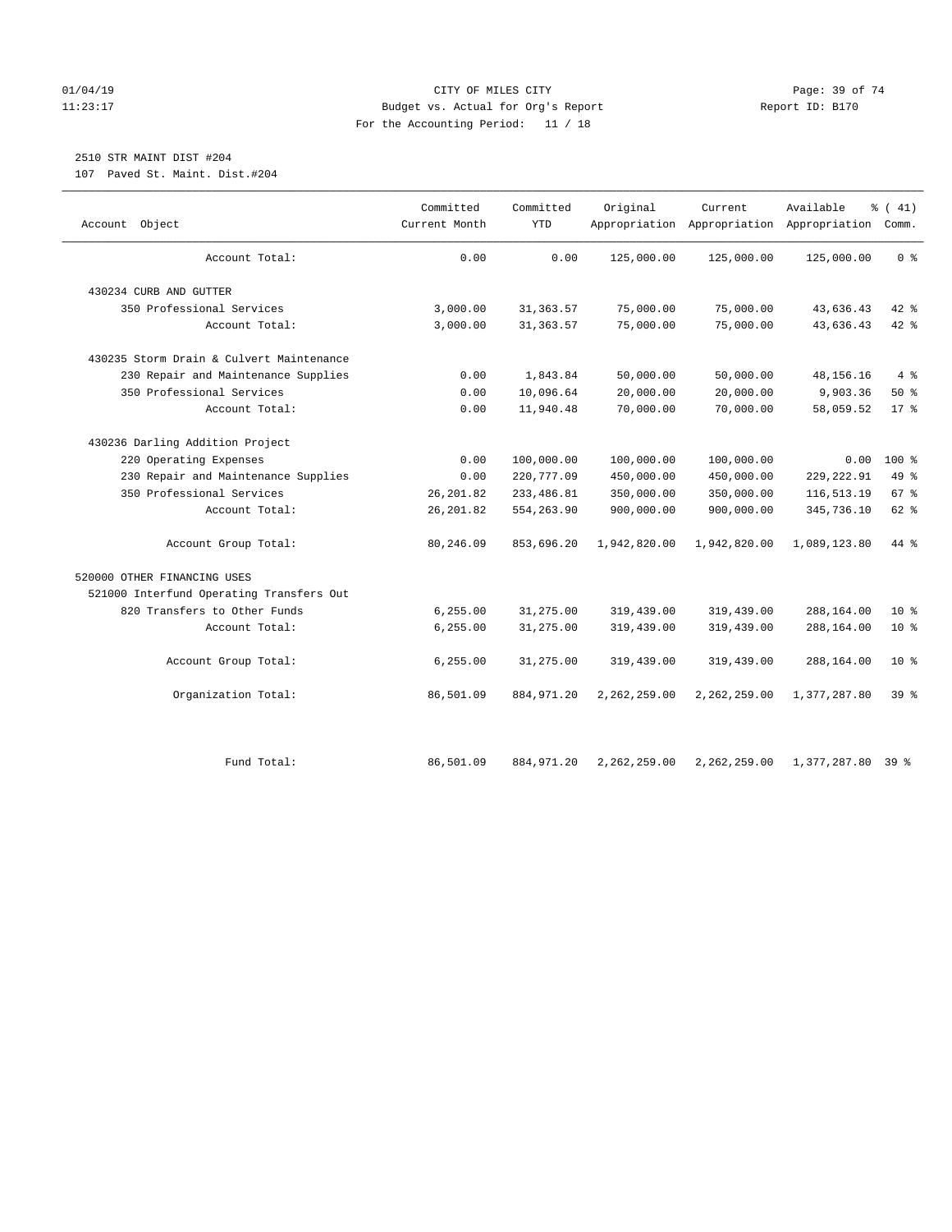# 01/04/19 Page: 39 of 74 11:23:17 Budget vs. Actual for Org's Report Report ID: B170 For the Accounting Period: 11 / 18

# 2510 STR MAINT DIST #204

107 Paved St. Maint. Dist.#204

| Object<br>Account                        | Committed<br>Current Month | Committed<br>YTD | Original     | Current      | Available<br>Appropriation Appropriation Appropriation | % (41)<br>Comm. |
|------------------------------------------|----------------------------|------------------|--------------|--------------|--------------------------------------------------------|-----------------|
|                                          |                            |                  |              |              |                                                        |                 |
| Account Total:                           | 0.00                       | 0.00             | 125,000.00   | 125,000.00   | 125,000.00                                             | 0 <sup>8</sup>  |
| 430234 CURB AND GUTTER                   |                            |                  |              |              |                                                        |                 |
| 350 Professional Services                | 3,000.00                   | 31, 363.57       | 75,000.00    | 75,000.00    | 43,636.43                                              | 42 %            |
| Account Total:                           | 3,000.00                   | 31, 363.57       | 75,000.00    | 75,000.00    | 43,636.43                                              | $42$ %          |
| 430235 Storm Drain & Culvert Maintenance |                            |                  |              |              |                                                        |                 |
| 230 Repair and Maintenance Supplies      | 0.00                       | 1,843.84         | 50,000.00    | 50,000.00    | 48, 156. 16                                            | $4\degree$      |
| 350 Professional Services                | 0.00                       | 10,096.64        | 20,000.00    | 20,000.00    | 9,903.36                                               | 50%             |
| Account Total:                           | 0.00                       | 11,940.48        | 70,000.00    | 70,000.00    | 58,059.52                                              | 17.8            |
| 430236 Darling Addition Project          |                            |                  |              |              |                                                        |                 |
| 220 Operating Expenses                   | 0.00                       | 100,000.00       | 100,000.00   | 100,000.00   | 0.00                                                   | $100*$          |
| 230 Repair and Maintenance Supplies      | 0.00                       | 220,777.09       | 450,000.00   | 450,000.00   | 229, 222.91                                            | 49 %            |
| 350 Professional Services                | 26, 201.82                 | 233, 486.81      | 350,000.00   | 350,000.00   | 116,513.19                                             | 67 %            |
| Account Total:                           | 26, 201.82                 | 554,263.90       | 900,000.00   | 900,000.00   | 345,736.10                                             | 62 %            |
| Account Group Total:                     | 80,246.09                  | 853,696.20       | 1,942,820.00 | 1,942,820.00 | 1,089,123.80                                           | 44 %            |
| 520000 OTHER FINANCING USES              |                            |                  |              |              |                                                        |                 |
| 521000 Interfund Operating Transfers Out |                            |                  |              |              |                                                        |                 |
| 820 Transfers to Other Funds             | 6, 255.00                  | 31,275.00        | 319,439.00   | 319,439.00   | 288,164.00                                             | $10*$           |
| Account Total:                           | 6, 255.00                  | 31,275.00        | 319,439.00   | 319,439.00   | 288,164.00                                             | 10 <sup>8</sup> |
| Account Group Total:                     | 6, 255.00                  | 31,275.00        | 319,439.00   | 319,439.00   | 288,164.00                                             | $10*$           |
| Organization Total:                      | 86,501.09                  | 884,971.20       | 2,262,259.00 | 2,262,259.00 | 1,377,287.80                                           | 39 %            |
| Fund Total:                              | 86,501.09                  | 884,971.20       | 2,262,259.00 | 2,262,259.00 | 1,377,287.80                                           | 398             |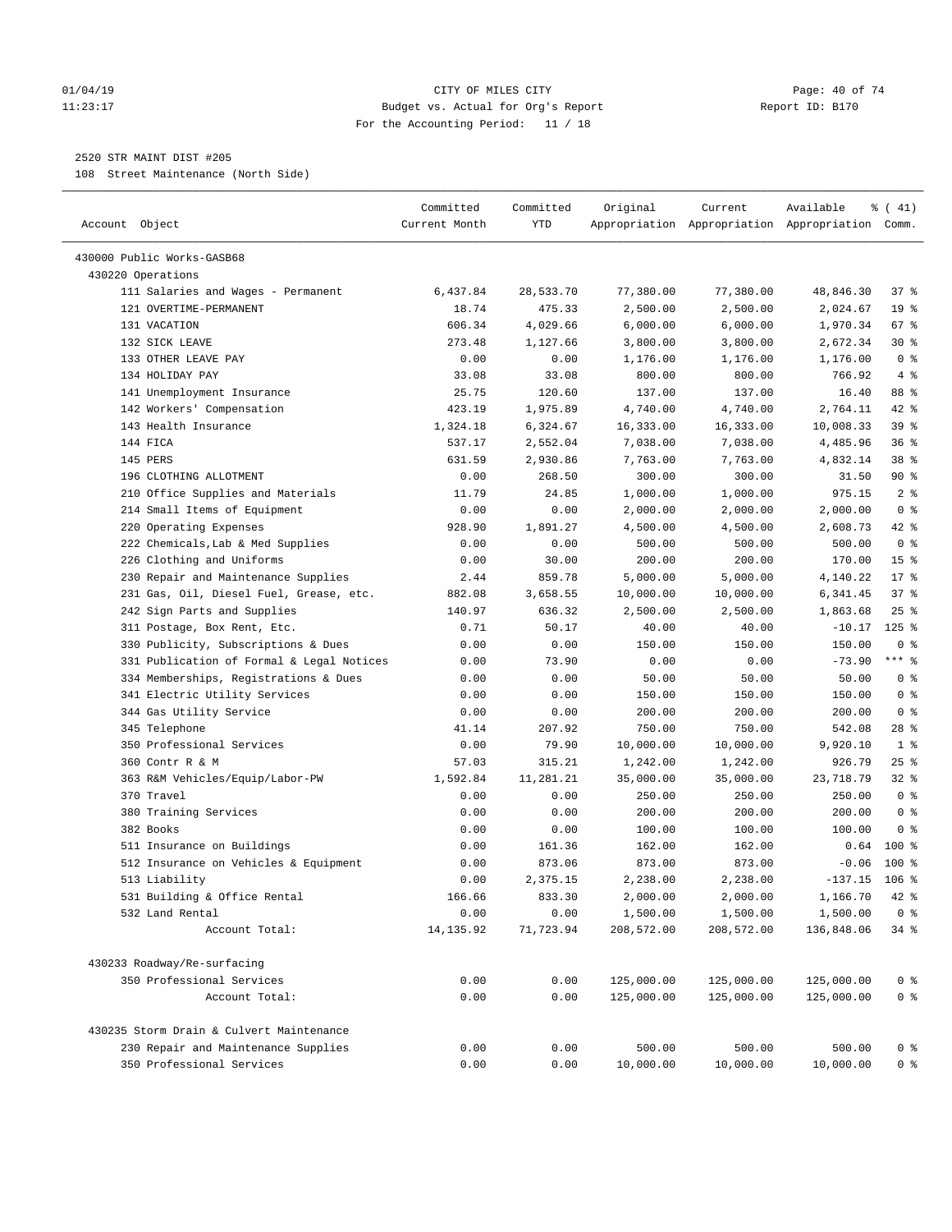### 01/04/19 Page: 40 of 74 11:23:17 Budget vs. Actual for Org's Report Report ID: B170 For the Accounting Period: 11 / 18

————————————————————————————————————————————————————————————————————————————————————————————————————————————————————————————————————

# 2520 STR MAINT DIST #205

108 Street Maintenance (North Side)

|                                           | Committed     | Committed | Original   | Current    | Available                                       | % (41)          |  |
|-------------------------------------------|---------------|-----------|------------|------------|-------------------------------------------------|-----------------|--|
| Account Object                            | Current Month | YTD       |            |            | Appropriation Appropriation Appropriation Comm. |                 |  |
| 430000 Public Works-GASB68                |               |           |            |            |                                                 |                 |  |
| 430220 Operations                         |               |           |            |            |                                                 |                 |  |
| 111 Salaries and Wages - Permanent        | 6,437.84      | 28,533.70 | 77,380.00  | 77,380.00  | 48,846.30                                       | 37 %            |  |
| 121 OVERTIME-PERMANENT                    | 18.74         | 475.33    | 2,500.00   | 2,500.00   | 2,024.67                                        | 19 <sup>°</sup> |  |
| 131 VACATION                              | 606.34        | 4,029.66  | 6,000.00   | 6,000.00   | 1,970.34                                        | 67%             |  |
| 132 SICK LEAVE                            | 273.48        | 1,127.66  | 3,800.00   | 3,800.00   | 2,672.34                                        | $30*$           |  |
| 133 OTHER LEAVE PAY                       | 0.00          | 0.00      | 1,176.00   | 1,176.00   | 1,176.00                                        | 0 <sup>8</sup>  |  |
| 134 HOLIDAY PAY                           | 33.08         | 33.08     | 800.00     | 800.00     | 766.92                                          | $4\degree$      |  |
| 141 Unemployment Insurance                | 25.75         | 120.60    | 137.00     | 137.00     | 16.40                                           | 88 %            |  |
| 142 Workers' Compensation                 | 423.19        | 1,975.89  | 4,740.00   | 4,740.00   | 2,764.11                                        | $42$ %          |  |
| 143 Health Insurance                      | 1,324.18      | 6,324.67  | 16,333.00  | 16,333.00  | 10,008.33                                       | 39 %            |  |
| 144 FICA                                  | 537.17        | 2,552.04  | 7,038.00   | 7,038.00   | 4,485.96                                        | 36%             |  |
| 145 PERS                                  | 631.59        | 2,930.86  | 7,763.00   | 7,763.00   | 4,832.14                                        | 38 <sup>8</sup> |  |
| 196 CLOTHING ALLOTMENT                    | 0.00          | 268.50    | 300.00     | 300.00     | 31.50                                           | 90%             |  |
| 210 Office Supplies and Materials         | 11.79         | 24.85     | 1,000.00   | 1,000.00   | 975.15                                          | 2 <sub>8</sub>  |  |
| 214 Small Items of Equipment              | 0.00          | 0.00      | 2,000.00   | 2,000.00   | 2,000.00                                        | 0 <sup>8</sup>  |  |
| 220 Operating Expenses                    | 928.90        | 1,891.27  | 4,500.00   | 4,500.00   | 2,608.73                                        | $42$ %          |  |
| 222 Chemicals, Lab & Med Supplies         | 0.00          | 0.00      | 500.00     | 500.00     | 500.00                                          | 0 <sup>8</sup>  |  |
| 226 Clothing and Uniforms                 | 0.00          | 30.00     | 200.00     | 200.00     | 170.00                                          | 15 <sup>°</sup> |  |
| 230 Repair and Maintenance Supplies       | 2.44          | 859.78    | 5,000.00   | 5,000.00   | 4,140.22                                        | $17*$           |  |
| 231 Gas, Oil, Diesel Fuel, Grease, etc.   | 882.08        | 3,658.55  | 10,000.00  | 10,000.00  | 6,341.45                                        | 37%             |  |
| 242 Sign Parts and Supplies               | 140.97        | 636.32    | 2,500.00   | 2,500.00   | 1,863.68                                        | $25$ %          |  |
| 311 Postage, Box Rent, Etc.               | 0.71          | 50.17     | 40.00      | 40.00      | $-10.17$                                        | $125$ %         |  |
| 330 Publicity, Subscriptions & Dues       | 0.00          | 0.00      | 150.00     | 150.00     | 150.00                                          | 0 <sup>8</sup>  |  |
| 331 Publication of Formal & Legal Notices | 0.00          | 73.90     | 0.00       | 0.00       | $-73.90$                                        | $***$ $%$       |  |
| 334 Memberships, Registrations & Dues     | 0.00          | 0.00      | 50.00      | 50.00      | 50.00                                           | 0 <sup>8</sup>  |  |
| 341 Electric Utility Services             | 0.00          | 0.00      | 150.00     | 150.00     | 150.00                                          | 0 <sup>8</sup>  |  |
| 344 Gas Utility Service                   | 0.00          | 0.00      | 200.00     | 200.00     | 200.00                                          | 0 <sup>8</sup>  |  |
| 345 Telephone                             | 41.14         | 207.92    | 750.00     | 750.00     | 542.08                                          | 28 %            |  |
| 350 Professional Services                 | 0.00          | 79.90     | 10,000.00  | 10,000.00  | 9,920.10                                        | 1 <sup>8</sup>  |  |
| 360 Contr R & M                           | 57.03         | 315.21    | 1,242.00   | 1,242.00   | 926.79                                          | $25$ %          |  |
| 363 R&M Vehicles/Equip/Labor-PW           | 1,592.84      | 11,281.21 | 35,000.00  | 35,000.00  | 23,718.79                                       | $32$ $%$        |  |
| 370 Travel                                | 0.00          | 0.00      | 250.00     | 250.00     | 250.00                                          | 0 <sup>8</sup>  |  |
| 380 Training Services                     | 0.00          | 0.00      | 200.00     | 200.00     | 200.00                                          | 0 <sup>8</sup>  |  |
| 382 Books                                 | 0.00          | 0.00      | 100.00     | 100.00     | 100.00                                          | 0 <sup>8</sup>  |  |
| 511 Insurance on Buildings                | 0.00          | 161.36    | 162.00     | 162.00     | 0.64                                            | $100$ %         |  |
| 512 Insurance on Vehicles & Equipment     | 0.00          | 873.06    | 873.00     | 873.00     | $-0.06$                                         | $100*$          |  |
| 513 Liability                             | 0.00          | 2,375.15  | 2,238.00   | 2,238.00   | $-137.15$ 106 %                                 |                 |  |
| 531 Building & Office Rental              | 166.66        | 833.30    | 2,000.00   | 2,000.00   | 1,166.70                                        | 42 %            |  |
| 532 Land Rental                           | 0.00          | 0.00      | 1,500.00   | 1,500.00   | 1,500.00                                        | 0 <sup>8</sup>  |  |
| Account Total:                            | 14, 135.92    | 71,723.94 | 208,572.00 | 208,572.00 | 136,848.06                                      | 34 %            |  |
| 430233 Roadway/Re-surfacing               |               |           |            |            |                                                 |                 |  |
| 350 Professional Services                 | 0.00          | 0.00      | 125,000.00 | 125,000.00 | 125,000.00                                      | 0 <sup>8</sup>  |  |
| Account Total:                            | 0.00          | 0.00      | 125,000.00 | 125,000.00 | 125,000.00                                      | 0 <sup>8</sup>  |  |
|                                           |               |           |            |            |                                                 |                 |  |
| 430235 Storm Drain & Culvert Maintenance  |               |           |            |            |                                                 |                 |  |
| 230 Repair and Maintenance Supplies       | 0.00          | 0.00      | 500.00     | 500.00     | 500.00                                          | 0 <sup>8</sup>  |  |
| 350 Professional Services                 | 0.00          | 0.00      | 10,000.00  | 10,000.00  | 10,000.00                                       | 0 <sup>°</sup>  |  |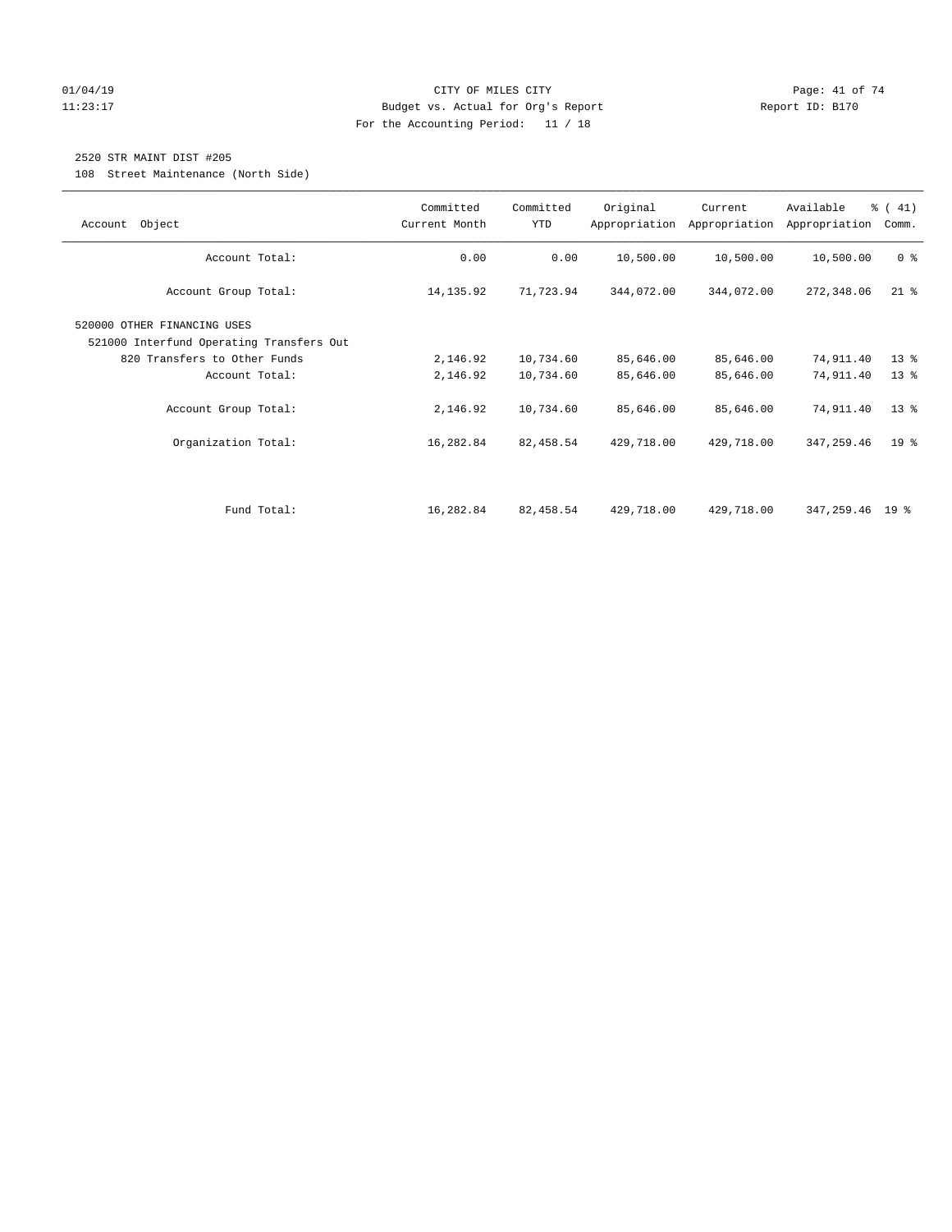# $O1/04/19$  Page: 41 of 74 11:23:17 Budget vs. Actual for Org's Report Changer Report ID: B170 For the Accounting Period: 11 / 18

# 2520 STR MAINT DIST #205

108 Street Maintenance (North Side)

| Object<br>Account                                                                                                         | Committed<br>Current Month | Committed<br><b>YTD</b> | Original               | Current<br>Appropriation Appropriation | Available<br>Appropriation | $\frac{1}{6}$ ( 41)<br>Comm. |
|---------------------------------------------------------------------------------------------------------------------------|----------------------------|-------------------------|------------------------|----------------------------------------|----------------------------|------------------------------|
| Account Total:                                                                                                            | 0.00                       | 0.00                    | 10,500.00              | 10,500.00                              | 10,500.00                  | 0 <sup>8</sup>               |
| Account Group Total:                                                                                                      | 14, 135.92                 | 71,723.94               | 344,072.00             | 344,072.00                             | 272,348.06                 | $21$ %                       |
| 520000 OTHER FINANCING USES<br>521000 Interfund Operating Transfers Out<br>820 Transfers to Other Funds<br>Account Total: | 2,146.92<br>2,146.92       | 10,734.60<br>10,734.60  | 85,646.00<br>85,646.00 | 85,646.00<br>85,646.00                 | 74,911.40<br>74,911.40     | $13*$<br>$13*$               |
| Account Group Total:                                                                                                      | 2,146.92                   | 10,734.60               | 85,646.00              | 85,646.00                              | 74,911.40                  | $13*$                        |
| Organization Total:                                                                                                       | 16,282.84                  | 82,458.54               | 429,718.00             | 429,718.00                             | 347,259.46                 | 19 <sup>°</sup>              |
|                                                                                                                           |                            |                         |                        |                                        |                            |                              |
| Fund Total:                                                                                                               | 16,282.84                  | 82,458.54               | 429,718.00             | 429,718.00                             | 347,259.46 19 %            |                              |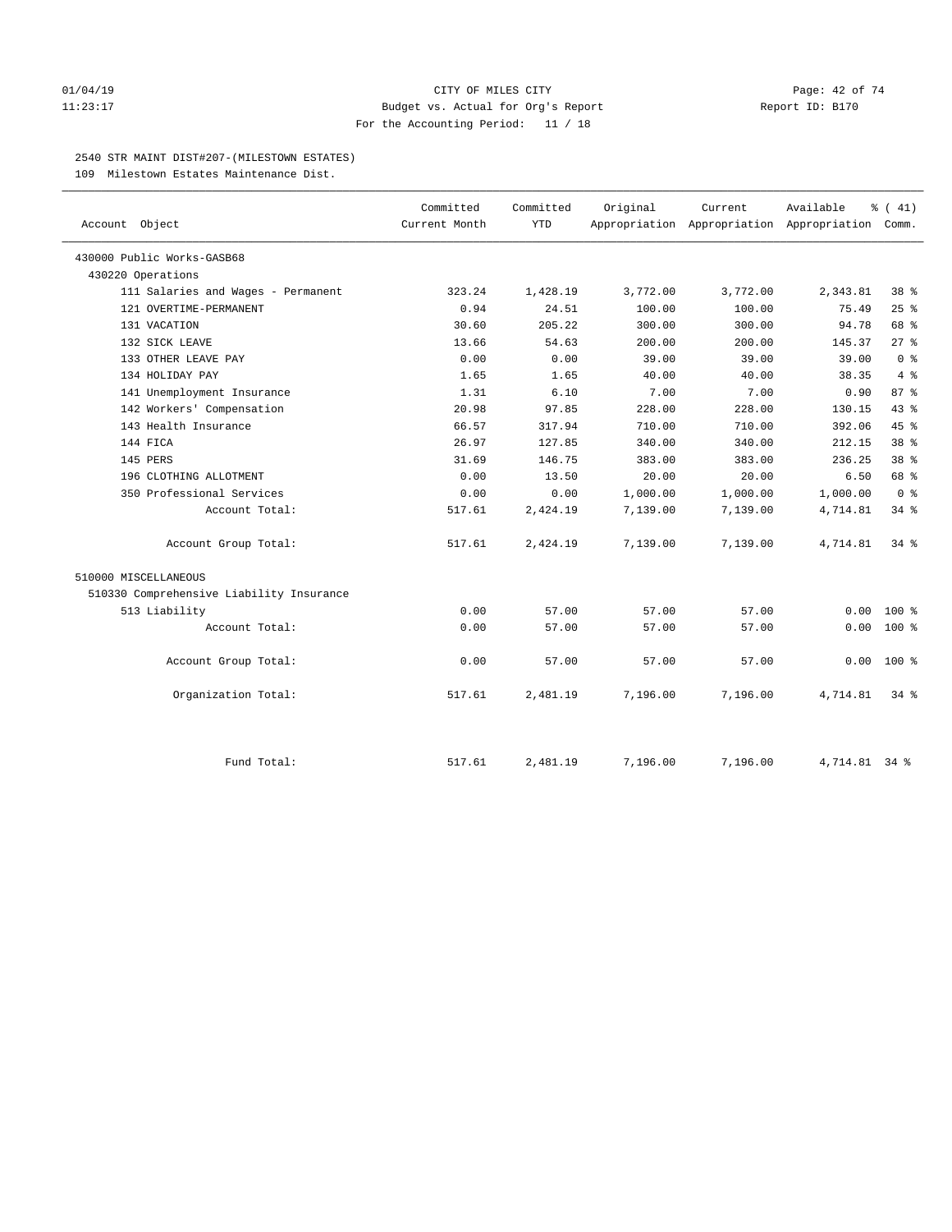# $O1/04/19$  Page: 42 of 74 11:23:17 Budget vs. Actual for Org's Report Report ID: B170 For the Accounting Period: 11 / 18

# 2540 STR MAINT DIST#207-(MILESTOWN ESTATES)

109 Milestown Estates Maintenance Dist.

|                                          | Committed<br>Current Month | Committed<br><b>YTD</b> | Original | Current                                         | Available     | $\frac{1}{6}$ ( 41) |
|------------------------------------------|----------------------------|-------------------------|----------|-------------------------------------------------|---------------|---------------------|
| Account Object                           |                            |                         |          | Appropriation Appropriation Appropriation Comm. |               |                     |
| 430000 Public Works-GASB68               |                            |                         |          |                                                 |               |                     |
| 430220 Operations                        |                            |                         |          |                                                 |               |                     |
| 111 Salaries and Wages - Permanent       | 323.24                     | 1,428.19                | 3,772.00 | 3,772.00                                        | 2,343.81      | 38 %                |
| 121 OVERTIME-PERMANENT                   | 0.94                       | 24.51                   | 100.00   | 100.00                                          | 75.49         | 25%                 |
| 131 VACATION                             | 30.60                      | 205.22                  | 300.00   | 300.00                                          | 94.78         | 68 %                |
| 132 SICK LEAVE                           | 13.66                      | 54.63                   | 200.00   | 200.00                                          | 145.37        | $27$ %              |
| 133 OTHER LEAVE PAY                      | 0.00                       | 0.00                    | 39.00    | 39.00                                           | 39.00         | 0 <sup>8</sup>      |
| 134 HOLIDAY PAY                          | 1.65                       | 1.65                    | 40.00    | 40.00                                           | 38.35         | 4%                  |
| 141 Unemployment Insurance               | 1.31                       | 6.10                    | 7.00     | 7.00                                            | 0.90          | 87 %                |
| 142 Workers' Compensation                | 20.98                      | 97.85                   | 228.00   | 228.00                                          | 130.15        | 43.8                |
| 143 Health Insurance                     | 66.57                      | 317.94                  | 710.00   | 710.00                                          | 392.06        | 45%                 |
| 144 FICA                                 | 26.97                      | 127.85                  | 340.00   | 340.00                                          | 212.15        | 38 <sup>8</sup>     |
| 145 PERS                                 | 31.69                      | 146.75                  | 383.00   | 383.00                                          | 236.25        | $38*$               |
| 196 CLOTHING ALLOTMENT                   | 0.00                       | 13.50                   | 20.00    | 20.00                                           | 6.50          | 68 %                |
| 350 Professional Services                | 0.00                       | 0.00                    | 1,000.00 | 1,000.00                                        | 1,000.00      | 0 <sup>8</sup>      |
| Account Total:                           | 517.61                     | 2,424.19                | 7,139.00 | 7,139.00                                        | 4,714.81      | 34%                 |
| Account Group Total:                     | 517.61                     | 2,424.19                | 7,139.00 | 7,139.00                                        | 4,714.81      | $34$ $%$            |
| 510000 MISCELLANEOUS                     |                            |                         |          |                                                 |               |                     |
| 510330 Comprehensive Liability Insurance |                            |                         |          |                                                 |               |                     |
| 513 Liability                            | 0.00                       | 57.00                   | 57.00    | 57.00                                           | 0.00          | $100*$              |
| Account Total:                           | 0.00                       | 57.00                   | 57.00    | 57.00                                           | 0.00          | $100*$              |
| Account Group Total:                     | 0.00                       | 57.00                   | 57.00    | 57.00                                           | 0.00          | $100*$              |
| Organization Total:                      | 517.61                     | 2,481.19                | 7,196.00 | 7,196.00                                        | 4,714.81      | $34$ $%$            |
| Fund Total:                              | 517.61                     | 2,481.19                | 7,196.00 | 7,196.00                                        | 4,714.81 34 % |                     |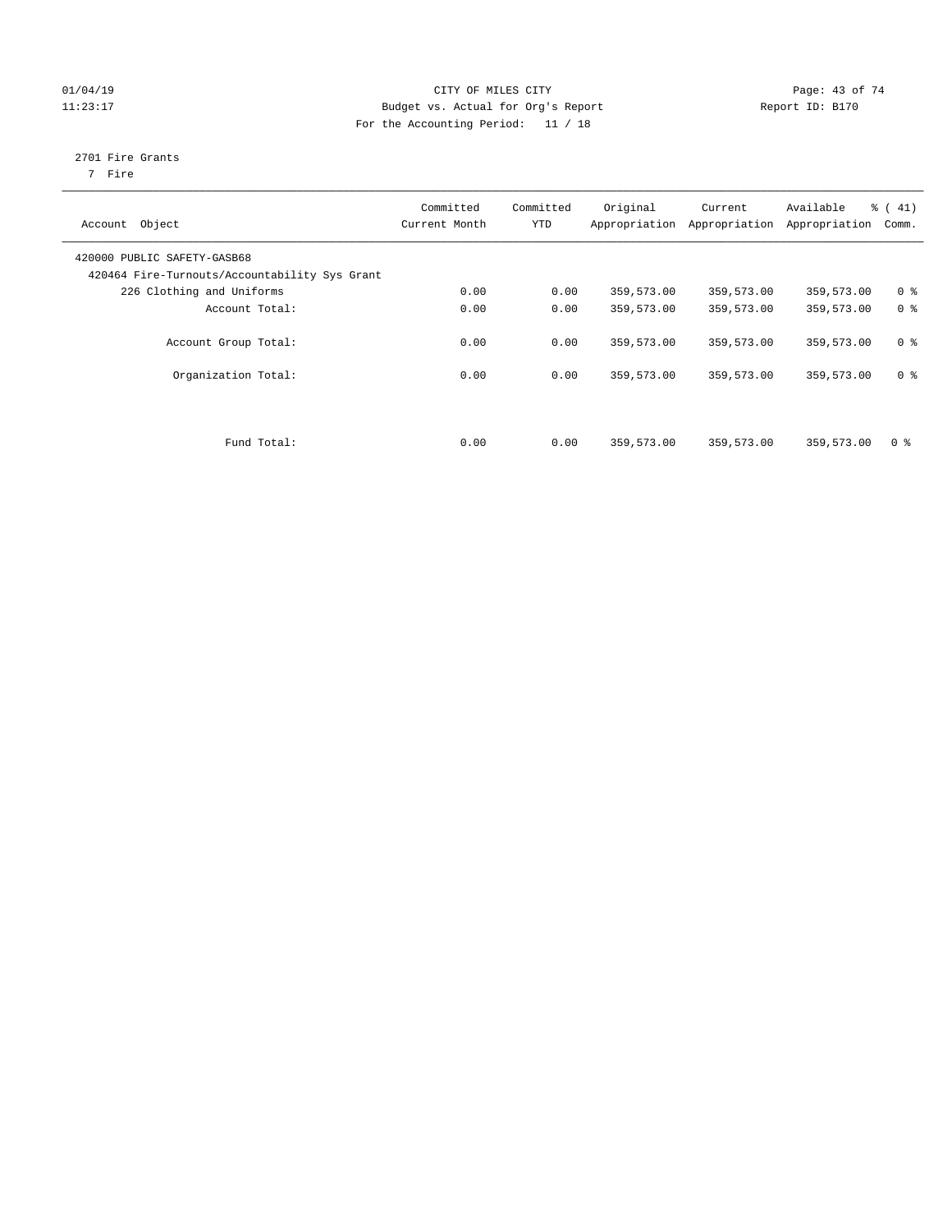# 01/04/19 CITY OF MILES CITY CHECK CITY CHECK CONTROLLER PAGE: 43 of 74 11:23:17 Budget vs. Actual for Org's Report Changer Report ID: B170 For the Accounting Period: 11 / 18

# 2701 Fire Grants

7 Fire

| Object<br>Account                                                            | Committed<br>Current Month | Committed<br><b>YTD</b> | Original   | Current<br>Appropriation Appropriation | Available<br>Appropriation | % (41)<br>Comm. |
|------------------------------------------------------------------------------|----------------------------|-------------------------|------------|----------------------------------------|----------------------------|-----------------|
| 420000 PUBLIC SAFETY-GASB68<br>420464 Fire-Turnouts/Accountability Sys Grant |                            |                         |            |                                        |                            |                 |
| 226 Clothing and Uniforms                                                    | 0.00                       | 0.00                    | 359,573.00 | 359,573.00                             | 359,573.00                 | 0 <sup>8</sup>  |
| Account Total:                                                               | 0.00                       | 0.00                    | 359,573.00 | 359,573.00                             | 359,573.00                 | 0 <sup>8</sup>  |
| Account Group Total:                                                         | 0.00                       | 0.00                    | 359,573.00 | 359,573.00                             | 359,573.00                 | 0 <sup>8</sup>  |
| Organization Total:                                                          | 0.00                       | 0.00                    | 359,573.00 | 359,573.00                             | 359,573.00                 | 0 <sup>8</sup>  |
|                                                                              |                            |                         |            |                                        |                            |                 |
| Fund Total:                                                                  | 0.00                       | 0.00                    | 359,573.00 | 359,573.00                             | 359,573.00                 | 0 %             |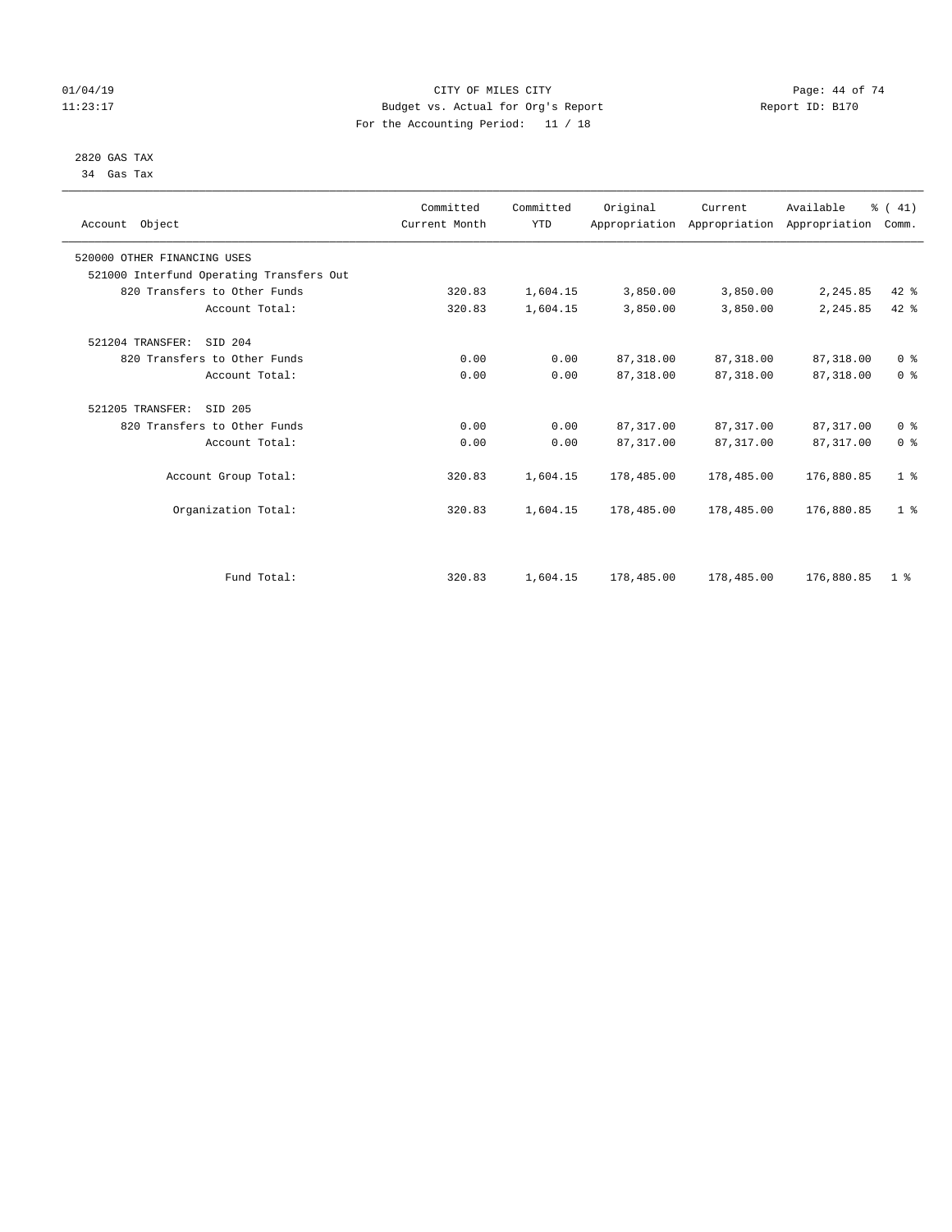# $O1/04/19$  Page: 44 of 74 11:23:17 Budget vs. Actual for Org's Report Changer Report ID: B170 For the Accounting Period: 11 / 18

### 2820 GAS TAX 34 Gas Tax

| Account Object                           | Committed<br>Current Month | Committed<br><b>YTD</b> | Original   | Current     | Available<br>Appropriation Appropriation Appropriation | % (41)<br>Comm. |
|------------------------------------------|----------------------------|-------------------------|------------|-------------|--------------------------------------------------------|-----------------|
| 520000 OTHER FINANCING USES              |                            |                         |            |             |                                                        |                 |
| 521000 Interfund Operating Transfers Out |                            |                         |            |             |                                                        |                 |
| 820 Transfers to Other Funds             | 320.83                     | 1,604.15                | 3,850.00   | 3,850.00    | 2,245.85                                               | 42 %            |
| Account Total:                           | 320.83                     | 1,604.15                | 3,850.00   | 3,850.00    | 2,245.85                                               | $42$ $%$        |
| 521204 TRANSFER:<br>SID 204              |                            |                         |            |             |                                                        |                 |
| 820 Transfers to Other Funds             | 0.00                       | 0.00                    | 87, 318.00 | 87,318.00   | 87,318.00                                              | 0 <sup>8</sup>  |
| Account Total:                           | 0.00                       | 0.00                    | 87, 318.00 | 87, 318, 00 | 87, 318.00                                             | 0 <sup>8</sup>  |
| 521205 TRANSFER:<br>SID 205              |                            |                         |            |             |                                                        |                 |
| 820 Transfers to Other Funds             | 0.00                       | 0.00                    | 87, 317.00 | 87, 317.00  | 87, 317.00                                             | 0 <sup>8</sup>  |
| Account Total:                           | 0.00                       | 0.00                    | 87, 317.00 | 87,317.00   | 87, 317.00                                             | 0 <sup>8</sup>  |
| Account Group Total:                     | 320.83                     | 1,604.15                | 178,485.00 | 178,485.00  | 176,880.85                                             | 1 <sup>8</sup>  |
| Organization Total:                      | 320.83                     | 1,604.15                | 178,485.00 | 178,485.00  | 176,880.85                                             | 1 <sup>8</sup>  |
|                                          |                            |                         |            |             |                                                        |                 |
| Fund Total:                              | 320.83                     | 1,604.15                | 178,485.00 | 178,485.00  | 176,880.85                                             | 1 <sup>8</sup>  |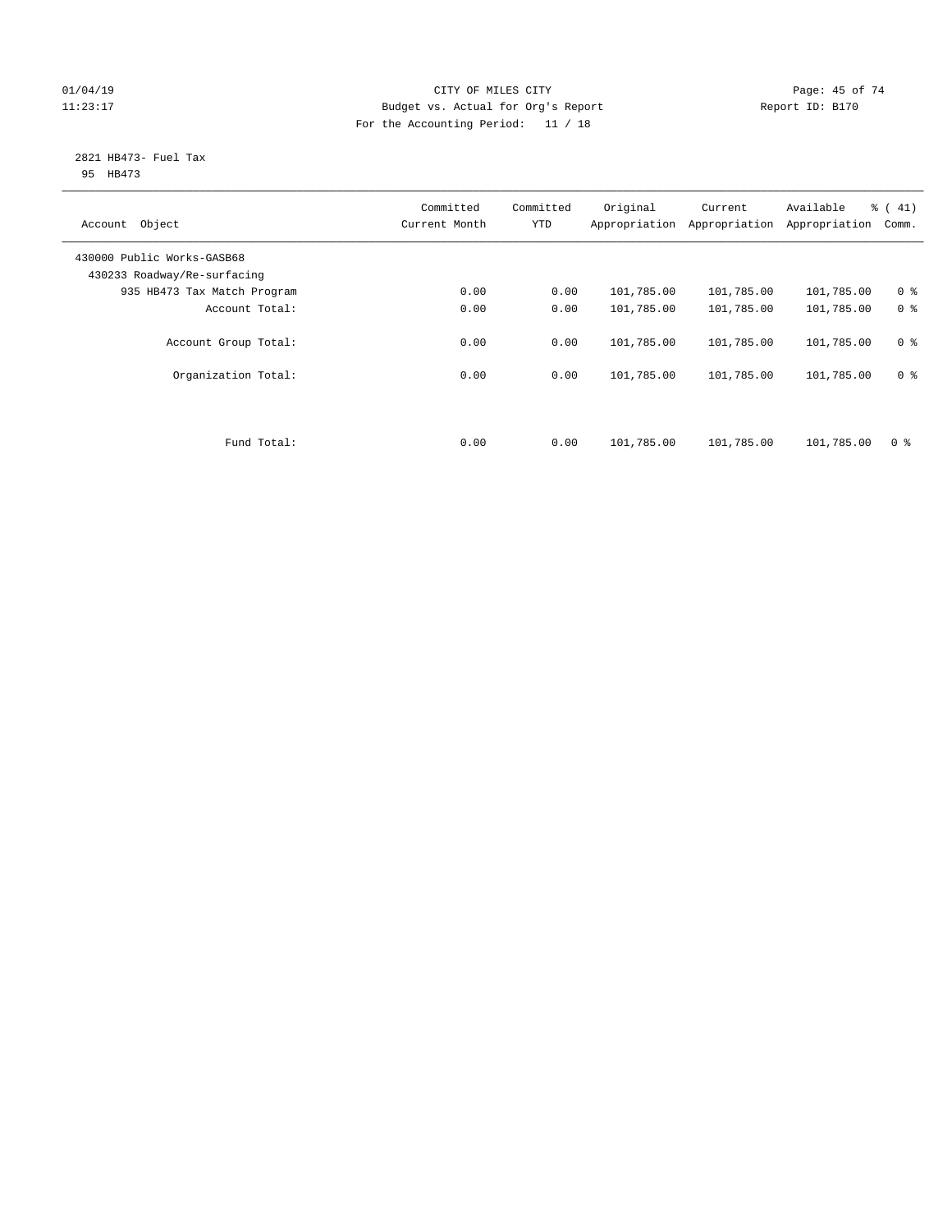# $O1/04/19$  Page: 45 of 74 11:23:17 Budget vs. Actual for Org's Report Changer Report ID: B170 For the Accounting Period: 11 / 18

### 2821 HB473- Fuel Tax 95 HB473

| Object<br>Account                                         | Committed<br>Current Month | Committed<br><b>YTD</b> | Original<br>Appropriation | Current<br>Appropriation | Available<br>Appropriation | % (41)<br>Comm. |
|-----------------------------------------------------------|----------------------------|-------------------------|---------------------------|--------------------------|----------------------------|-----------------|
| 430000 Public Works-GASB68<br>430233 Roadway/Re-surfacing |                            |                         |                           |                          |                            |                 |
| 935 HB473 Tax Match Program                               | 0.00                       | 0.00                    | 101,785.00                | 101,785.00               | 101,785.00                 | 0 <sup>8</sup>  |
| Account Total:                                            | 0.00                       | 0.00                    | 101,785.00                | 101,785.00               | 101,785.00                 | 0 <sup>8</sup>  |
| Account Group Total:                                      | 0.00                       | 0.00                    | 101,785.00                | 101,785.00               | 101,785.00                 | 0 <sup>8</sup>  |
| Organization Total:                                       | 0.00                       | 0.00                    | 101,785.00                | 101,785.00               | 101,785.00                 | 0 <sup>8</sup>  |
|                                                           |                            |                         |                           |                          |                            |                 |
| Fund Total:                                               | 0.00                       | 0.00                    | 101,785.00                | 101,785.00               | 101,785.00                 | 0 %             |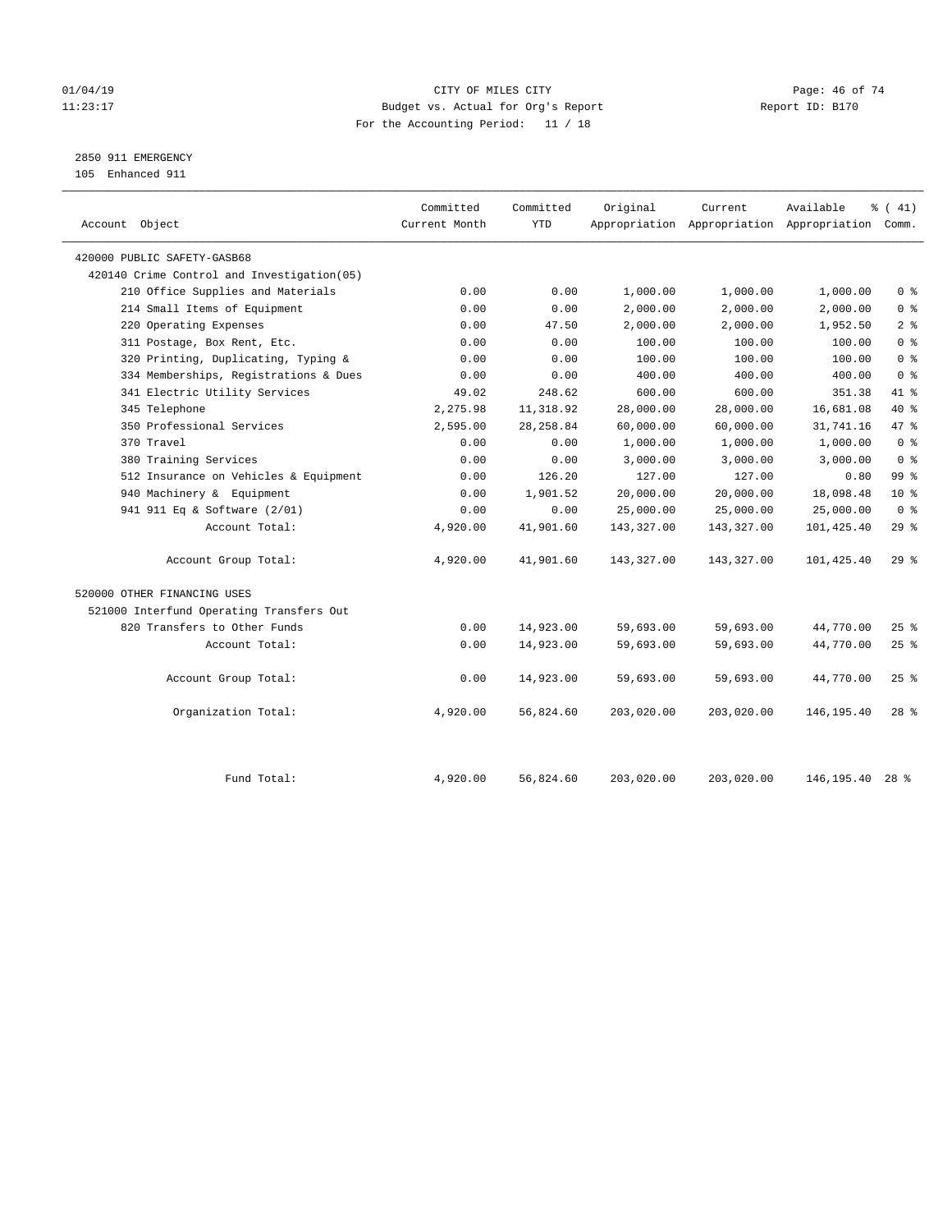# $O1/04/19$  Page: 46 of 74 11:23:17 Budget vs. Actual for Org's Report Changer Report ID: B170 For the Accounting Period: 11 / 18

2850 911 EMERGENCY

105 Enhanced 911

| Account Object                              | Committed<br>Current Month | Committed<br><b>YTD</b> | Original   | Current    | Available<br>Appropriation Appropriation Appropriation Comm. | $\frac{1}{6}$ ( 41) |
|---------------------------------------------|----------------------------|-------------------------|------------|------------|--------------------------------------------------------------|---------------------|
| 420000 PUBLIC SAFETY-GASB68                 |                            |                         |            |            |                                                              |                     |
| 420140 Crime Control and Investigation (05) |                            |                         |            |            |                                                              |                     |
| 210 Office Supplies and Materials           | 0.00                       | 0.00                    | 1,000.00   | 1,000.00   | 1,000.00                                                     | 0 <sup>8</sup>      |
| 214 Small Items of Equipment                | 0.00                       | 0.00                    | 2,000.00   | 2,000.00   | 2,000.00                                                     | 0 <sup>8</sup>      |
| 220 Operating Expenses                      | 0.00                       | 47.50                   | 2,000.00   | 2,000.00   | 1,952.50                                                     | 2 <sup>°</sup>      |
| 311 Postage, Box Rent, Etc.                 | 0.00                       | 0.00                    | 100.00     | 100.00     | 100.00                                                       | 0 <sup>8</sup>      |
| 320 Printing, Duplicating, Typing &         | 0.00                       | 0.00                    | 100.00     | 100.00     | 100.00                                                       | 0 <sup>8</sup>      |
| 334 Memberships, Registrations & Dues       | 0.00                       | 0.00                    | 400.00     | 400.00     | 400.00                                                       | 0 <sup>8</sup>      |
| 341 Electric Utility Services               | 49.02                      | 248.62                  | 600.00     | 600.00     | 351.38                                                       | 41 %                |
| 345 Telephone                               | 2,275.98                   | 11,318.92               | 28,000.00  | 28,000.00  | 16,681.08                                                    | 40 %                |
| 350 Professional Services                   | 2,595.00                   | 28, 258.84              | 60,000.00  | 60,000.00  | 31,741.16                                                    | 47.8                |
| 370 Travel                                  | 0.00                       | 0.00                    | 1,000.00   | 1,000.00   | 1,000.00                                                     | 0 <sup>8</sup>      |
| 380 Training Services                       | 0.00                       | 0.00                    | 3,000.00   | 3,000.00   | 3,000.00                                                     | 0 <sup>8</sup>      |
| 512 Insurance on Vehicles & Equipment       | 0.00                       | 126.20                  | 127.00     | 127.00     | 0.80                                                         | 99 <sub>8</sub>     |
| 940 Machinery & Equipment                   | 0.00                       | 1,901.52                | 20,000.00  | 20,000.00  | 18,098.48                                                    | $10*$               |
| 941 911 Eq & Software (2/01)                | 0.00                       | 0.00                    | 25,000.00  | 25,000.00  | 25,000.00                                                    | 0 <sup>8</sup>      |
| Account Total:                              | 4,920.00                   | 41,901.60               | 143,327.00 | 143,327.00 | 101,425.40                                                   | 29%                 |
| Account Group Total:                        | 4,920.00                   | 41,901.60               | 143,327.00 | 143,327.00 | 101,425.40                                                   | 29%                 |
| 520000 OTHER FINANCING USES                 |                            |                         |            |            |                                                              |                     |
| 521000 Interfund Operating Transfers Out    |                            |                         |            |            |                                                              |                     |
| 820 Transfers to Other Funds                | 0.00                       | 14,923.00               | 59,693.00  | 59,693.00  | 44,770.00                                                    | $25$ %              |
| Account Total:                              | 0.00                       | 14,923.00               | 59,693.00  | 59,693.00  | 44,770.00                                                    | 25%                 |
| Account Group Total:                        | 0.00                       | 14,923.00               | 59,693.00  | 59,693.00  | 44,770.00                                                    | $25$ %              |
| Organization Total:                         | 4,920.00                   | 56,824.60               | 203,020.00 | 203,020.00 | 146, 195.40                                                  | $28$ $%$            |
|                                             |                            |                         |            |            |                                                              |                     |
| Fund Total:                                 | 4,920.00                   | 56,824.60               | 203,020.00 | 203,020.00 | 146,195.40                                                   | $28$ $%$            |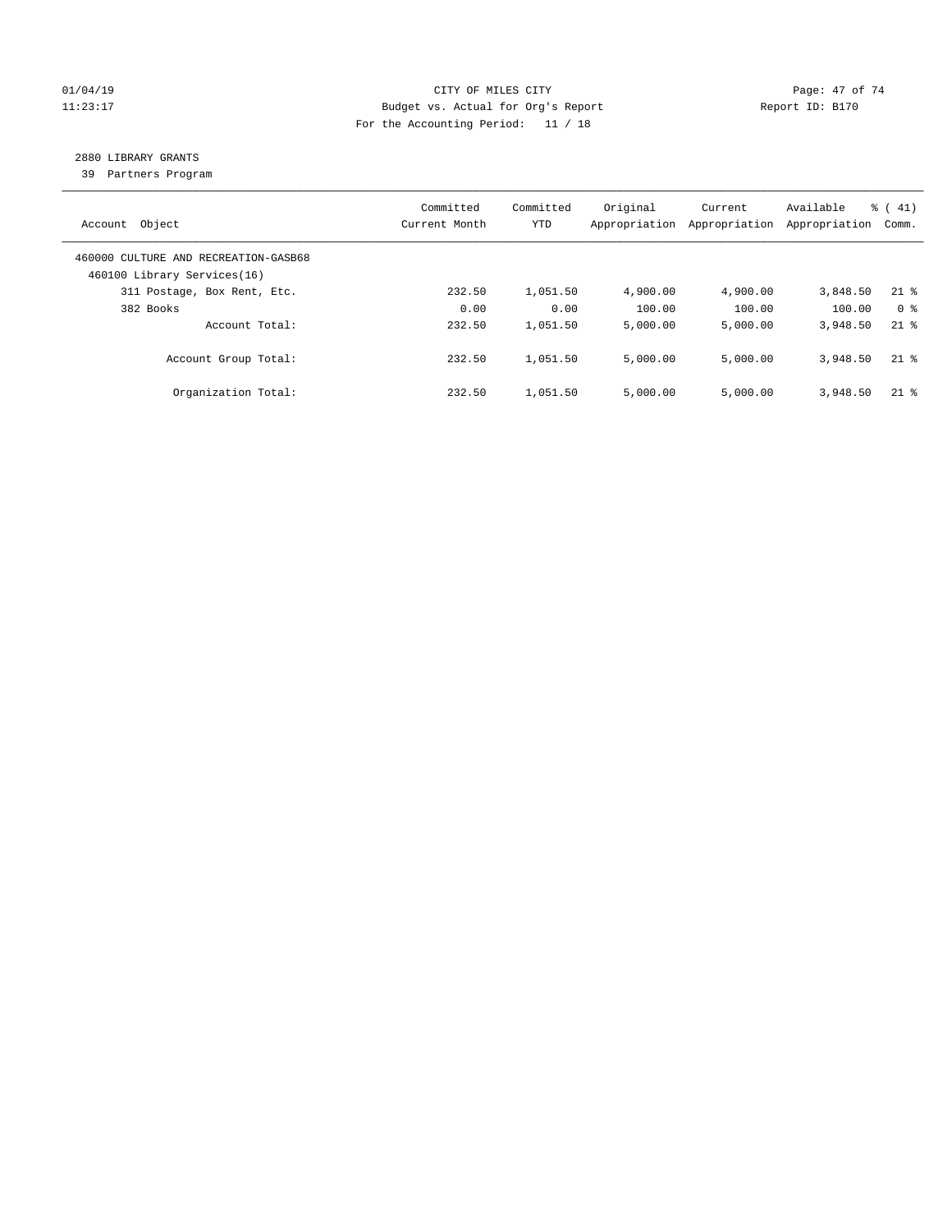# $O1/04/19$  Page: 47 of 74 11:23:17 Budget vs. Actual for Org's Report Changer Report ID: B170 For the Accounting Period: 11 / 18

# 2880 LIBRARY GRANTS

39 Partners Program

| Object<br>Account                                                   | Committed<br>Current Month | Committed<br><b>YTD</b> | Original<br>Appropriation | Current<br>Appropriation | Available<br>Appropriation | $\frac{1}{6}$ ( 41)<br>Comm. |
|---------------------------------------------------------------------|----------------------------|-------------------------|---------------------------|--------------------------|----------------------------|------------------------------|
| 460000 CULTURE AND RECREATION-GASB68<br>460100 Library Services(16) |                            |                         |                           |                          |                            |                              |
| 311 Postage, Box Rent, Etc.                                         | 232.50                     | 1,051.50                | 4,900.00                  | 4,900.00                 | 3,848.50                   | $21$ %                       |
| 382 Books                                                           | 0.00                       | 0.00                    | 100.00                    | 100.00                   | 100.00                     | 0 <sup>8</sup>               |
| Account Total:                                                      | 232.50                     | 1,051.50                | 5,000.00                  | 5,000.00                 | 3,948.50                   | $21*$                        |
| Account Group Total:                                                | 232.50                     | 1,051.50                | 5,000.00                  | 5,000.00                 | 3,948.50                   | $21$ %                       |
| Organization Total:                                                 | 232.50                     | 1,051.50                | 5.000.00                  | 5,000.00                 | 3,948.50                   | $21$ %                       |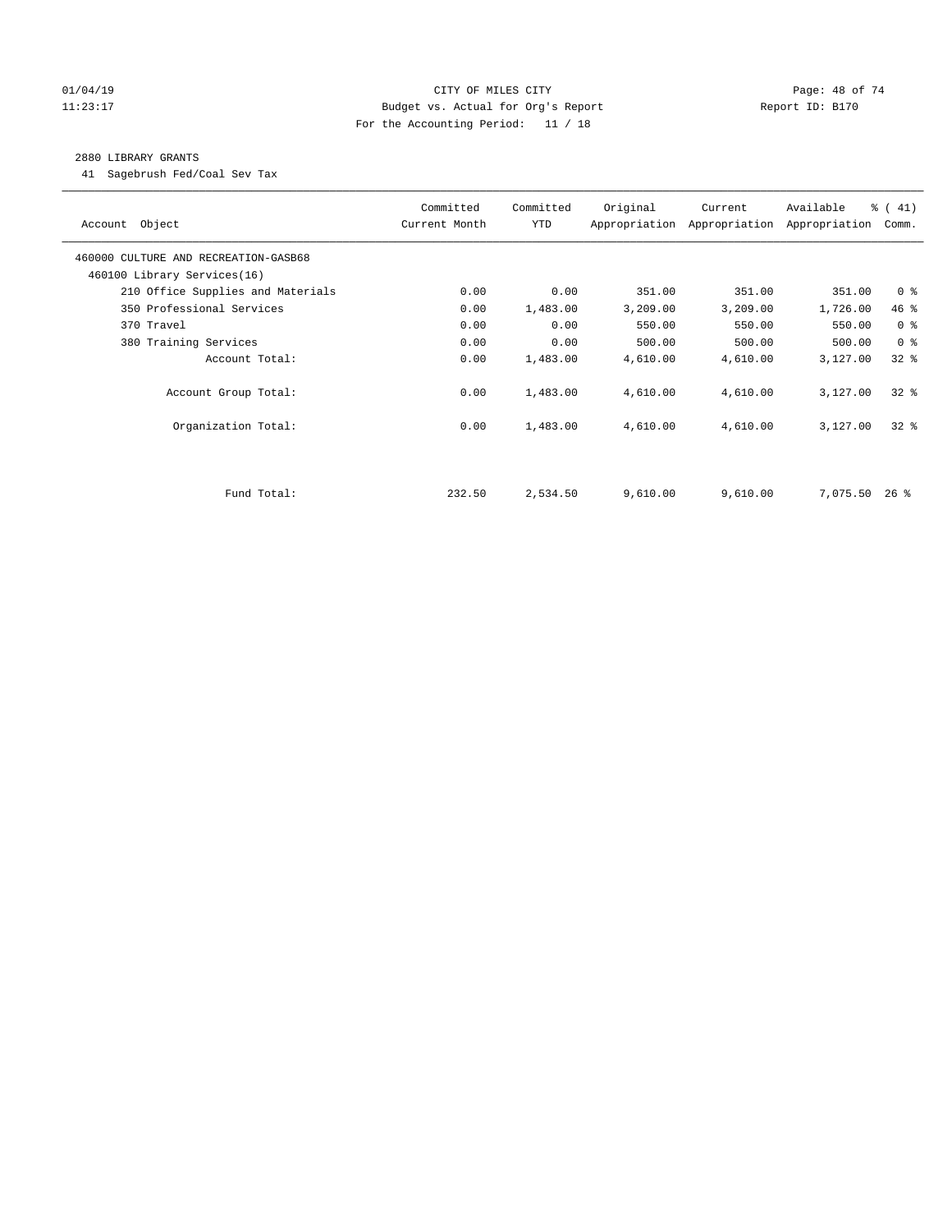# $O1/04/19$  Page: 48 of 74 11:23:17 Budget vs. Actual for Org's Report Changer Report ID: B170 For the Accounting Period: 11 / 18

# 2880 LIBRARY GRANTS

41 Sagebrush Fed/Coal Sev Tax

| Account Object                       | Committed<br>Current Month | Committed<br>YTD | Original | Current<br>Appropriation Appropriation | Available<br>Appropriation | % (41)<br>Comm. |
|--------------------------------------|----------------------------|------------------|----------|----------------------------------------|----------------------------|-----------------|
| 460000 CULTURE AND RECREATION-GASB68 |                            |                  |          |                                        |                            |                 |
| 460100 Library Services(16)          |                            |                  |          |                                        |                            |                 |
| 210 Office Supplies and Materials    | 0.00                       | 0.00             | 351.00   | 351.00                                 | 351.00                     | 0 <sup>8</sup>  |
| 350 Professional Services            | 0.00                       | 1,483.00         | 3,209.00 | 3,209.00                               | 1,726.00                   | 46 %            |
| 370 Travel                           | 0.00                       | 0.00             | 550.00   | 550.00                                 | 550.00                     | 0 <sup>8</sup>  |
| 380 Training Services                | 0.00                       | 0.00             | 500.00   | 500.00                                 | 500.00                     | 0 <sup>8</sup>  |
| Account Total:                       | 0.00                       | 1,483.00         | 4,610.00 | 4,610.00                               | 3,127.00                   | $32$ $%$        |
| Account Group Total:                 | 0.00                       | 1,483.00         | 4,610.00 | 4,610.00                               | 3,127.00                   | $32$ $%$        |
| Organization Total:                  | 0.00                       | 1,483.00         | 4,610.00 | 4,610.00                               | 3,127.00                   | $32$ $%$        |
|                                      |                            |                  |          |                                        |                            |                 |
| Fund Total:                          | 232.50                     | 2,534.50         | 9,610.00 | 9,610.00                               | 7,075.50                   | 26 %            |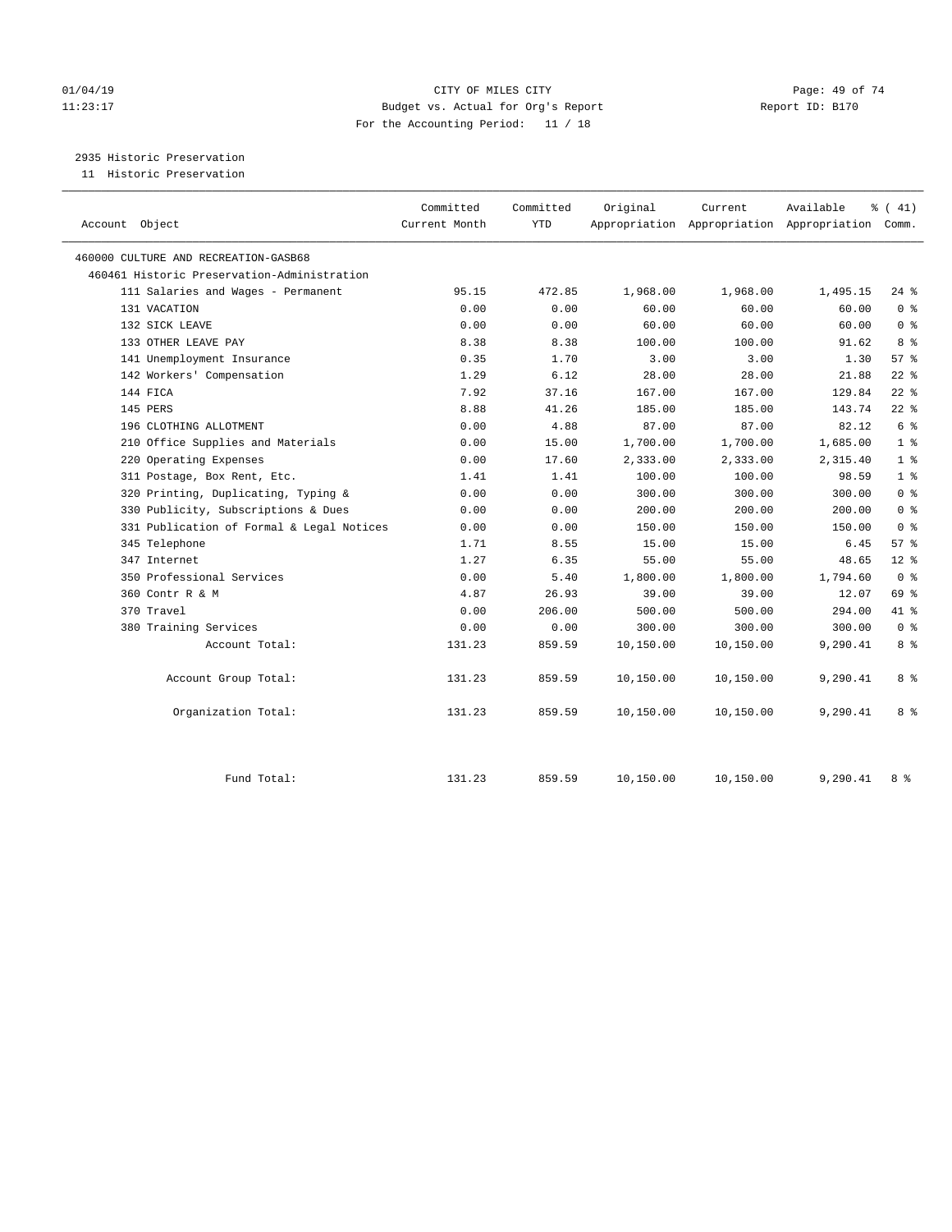# $O1/04/19$  Page: 49 of 74 11:23:17 Budget vs. Actual for Org's Report Changer Report ID: B170 For the Accounting Period: 11 / 18

2935 Historic Preservation

11 Historic Preservation

|                                             | Committed     | Committed  | Original  | Current   | Available                                       | $\frac{1}{6}$ ( 41) |
|---------------------------------------------|---------------|------------|-----------|-----------|-------------------------------------------------|---------------------|
| Account Object                              | Current Month | <b>YTD</b> |           |           | Appropriation Appropriation Appropriation Comm. |                     |
| 460000 CULTURE AND RECREATION-GASB68        |               |            |           |           |                                                 |                     |
| 460461 Historic Preservation-Administration |               |            |           |           |                                                 |                     |
| 111 Salaries and Wages - Permanent          | 95.15         | 472.85     | 1,968.00  | 1,968.00  | 1,495.15                                        | $24$ %              |
| 131 VACATION                                | 0.00          | 0.00       | 60.00     | 60.00     | 60.00                                           | 0 <sup>8</sup>      |
| 132 SICK LEAVE                              | 0.00          | 0.00       | 60.00     | 60.00     | 60.00                                           | 0 <sup>8</sup>      |
| 133 OTHER LEAVE PAY                         | 8.38          | 8.38       | 100.00    | 100.00    | 91.62                                           | 8 %                 |
| 141 Unemployment Insurance                  | 0.35          | 1.70       | 3.00      | 3.00      | 1.30                                            | 57%                 |
| 142 Workers' Compensation                   | 1.29          | 6.12       | 28.00     | 28.00     | 21.88                                           | $22$ %              |
| 144 FICA                                    | 7.92          | 37.16      | 167.00    | 167.00    | 129.84                                          | $22$ %              |
| 145 PERS                                    | 8.88          | 41.26      | 185.00    | 185.00    | 143.74                                          | $22$ %              |
| 196 CLOTHING ALLOTMENT                      | 0.00          | 4.88       | 87.00     | 87.00     | 82.12                                           | 6 <sup>°</sup>      |
| 210 Office Supplies and Materials           | 0.00          | 15.00      | 1,700.00  | 1,700.00  | 1,685.00                                        | 1 <sup>°</sup>      |
| 220 Operating Expenses                      | 0.00          | 17.60      | 2,333.00  | 2,333.00  | 2,315.40                                        | 1 <sup>8</sup>      |
| 311 Postage, Box Rent, Etc.                 | 1.41          | 1.41       | 100.00    | 100.00    | 98.59                                           | 1 <sup>8</sup>      |
| 320 Printing, Duplicating, Typing &         | 0.00          | 0.00       | 300.00    | 300.00    | 300.00                                          | 0 <sup>8</sup>      |
| 330 Publicity, Subscriptions & Dues         | 0.00          | 0.00       | 200.00    | 200.00    | 200.00                                          | 0 <sup>8</sup>      |
| 331 Publication of Formal & Legal Notices   | 0.00          | 0.00       | 150.00    | 150.00    | 150.00                                          | 0 <sup>8</sup>      |
| 345 Telephone                               | 1.71          | 8.55       | 15.00     | 15.00     | 6.45                                            | 57%                 |
| 347 Internet                                | 1.27          | 6.35       | 55.00     | 55.00     | 48.65                                           | $12*$               |
| 350 Professional Services                   | 0.00          | 5.40       | 1,800.00  | 1,800.00  | 1,794.60                                        | 0 <sup>8</sup>      |
| 360 Contr R & M                             | 4.87          | 26.93      | 39.00     | 39.00     | 12.07                                           | 69 %                |
| 370 Travel                                  | 0.00          | 206.00     | 500.00    | 500.00    | 294.00                                          | 41 %                |
| 380 Training Services                       | 0.00          | 0.00       | 300.00    | 300.00    | 300.00                                          | 0 <sup>8</sup>      |
| Account Total:                              | 131.23        | 859.59     | 10,150.00 | 10,150.00 | 9,290.41                                        | 8 %                 |
| Account Group Total:                        | 131.23        | 859.59     | 10,150.00 | 10,150.00 | 9,290.41                                        | 8 %                 |
| Organization Total:                         | 131.23        | 859.59     | 10,150.00 | 10,150.00 | 9,290.41                                        | 8 %                 |
| Fund Total:                                 | 131.23        | 859.59     | 10,150.00 | 10,150.00 | 9,290.41                                        | 8 %                 |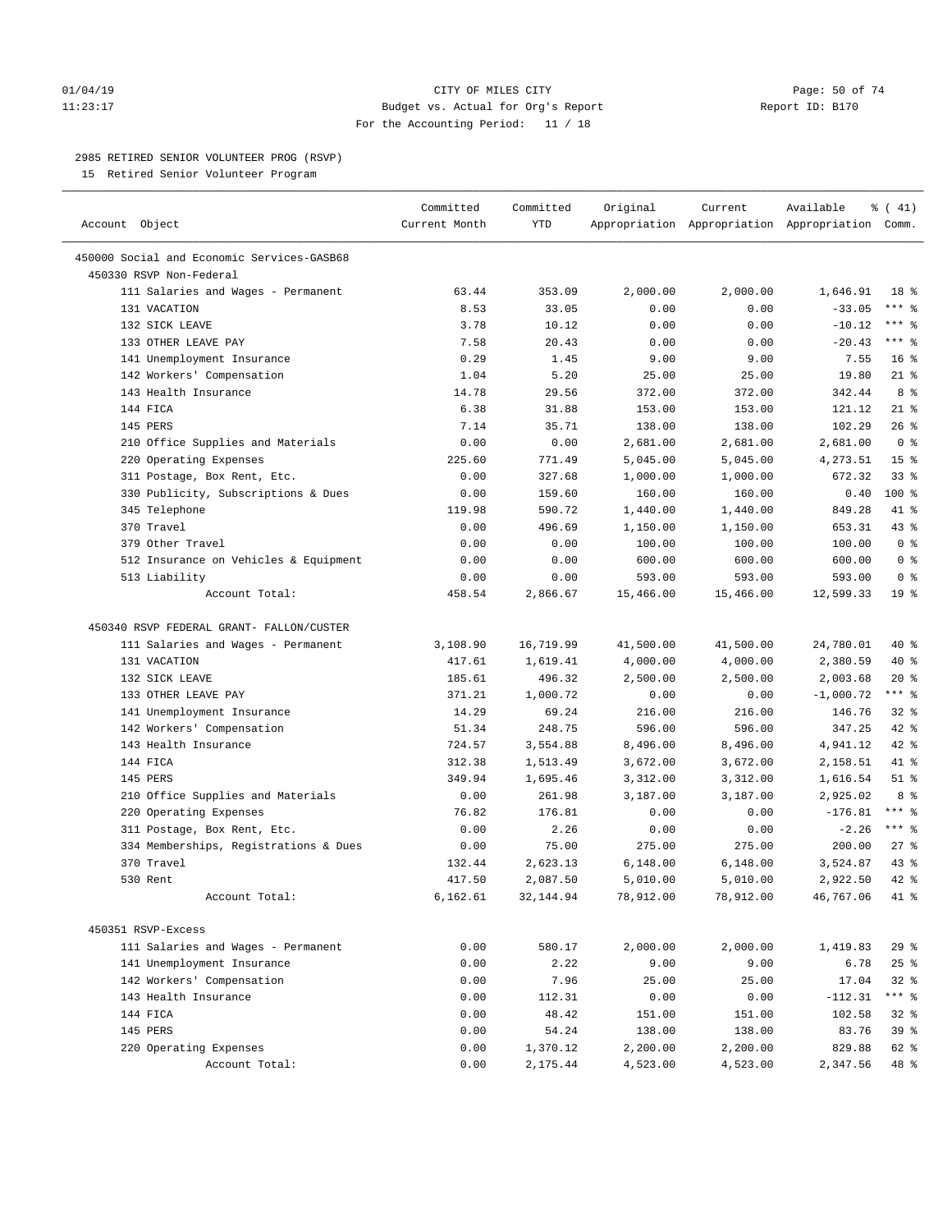# $O1/04/19$  Page: 50 of 74 11:23:17 Budget vs. Actual for Org's Report Report ID: B170 For the Accounting Period: 11 / 18

————————————————————————————————————————————————————————————————————————————————————————————————————————————————————————————————————

# 2985 RETIRED SENIOR VOLUNTEER PROG (RSVP)

15 Retired Senior Volunteer Program

|                                            | Committed     | Committed | Original  | Current   | Available                                       | $\frac{1}{6}$ ( 41) |  |
|--------------------------------------------|---------------|-----------|-----------|-----------|-------------------------------------------------|---------------------|--|
| Account Object                             | Current Month | YTD       |           |           | Appropriation Appropriation Appropriation Comm. |                     |  |
| 450000 Social and Economic Services-GASB68 |               |           |           |           |                                                 |                     |  |
| 450330 RSVP Non-Federal                    |               |           |           |           |                                                 |                     |  |
| 111 Salaries and Wages - Permanent         | 63.44         | 353.09    | 2,000.00  | 2,000.00  | 1,646.91                                        | 18 %                |  |
| 131 VACATION                               | 8.53          | 33.05     | 0.00      | 0.00      | $-33.05$                                        | $***$ $_{8}$        |  |
| 132 SICK LEAVE                             | 3.78          | 10.12     | 0.00      | 0.00      | $-10.12$                                        | *** 응               |  |
| 133 OTHER LEAVE PAY                        | 7.58          | 20.43     | 0.00      | 0.00      | $-20.43$                                        | $***$ $%$           |  |
| 141 Unemployment Insurance                 | 0.29          | 1.45      | 9.00      | 9.00      | 7.55                                            | 16 <sup>8</sup>     |  |
| 142 Workers' Compensation                  | 1.04          | 5.20      | 25.00     | 25.00     | 19.80                                           | $21$ %              |  |
| 143 Health Insurance                       | 14.78         | 29.56     | 372.00    | 372.00    | 342.44                                          | 8 %                 |  |
| 144 FICA                                   | 6.38          | 31.88     | 153.00    | 153.00    | 121.12                                          | $21$ %              |  |
| 145 PERS                                   | 7.14          | 35.71     | 138.00    | 138.00    | 102.29                                          | 26%                 |  |
| 210 Office Supplies and Materials          | 0.00          | 0.00      | 2,681.00  | 2,681.00  | 2,681.00                                        | 0 <sup>8</sup>      |  |
| 220 Operating Expenses                     | 225.60        | 771.49    | 5,045.00  | 5,045.00  | 4,273.51                                        | 15 <sup>°</sup>     |  |
| 311 Postage, Box Rent, Etc.                | 0.00          | 327.68    | 1,000.00  | 1,000.00  | 672.32                                          | $33$ $%$            |  |
| 330 Publicity, Subscriptions & Dues        | 0.00          | 159.60    | 160.00    | 160.00    | 0.40                                            | $100*$              |  |
| 345 Telephone                              | 119.98        | 590.72    | 1,440.00  | 1,440.00  | 849.28                                          | 41 %                |  |
| 370 Travel                                 | 0.00          | 496.69    | 1,150.00  | 1,150.00  | 653.31                                          | 43 %                |  |
| 379 Other Travel                           | 0.00          | 0.00      | 100.00    | 100.00    | 100.00                                          | 0 <sup>8</sup>      |  |
| 512 Insurance on Vehicles & Equipment      | 0.00          | 0.00      | 600.00    | 600.00    | 600.00                                          | 0 <sup>8</sup>      |  |
| 513 Liability                              | 0.00          | 0.00      | 593.00    | 593.00    | 593.00                                          | 0 <sup>8</sup>      |  |
| Account Total:                             | 458.54        | 2,866.67  | 15,466.00 | 15,466.00 | 12,599.33                                       | 19 <sup>°</sup>     |  |
|                                            |               |           |           |           |                                                 |                     |  |
| 450340 RSVP FEDERAL GRANT- FALLON/CUSTER   |               |           |           |           |                                                 |                     |  |
| 111 Salaries and Wages - Permanent         | 3,108.90      | 16,719.99 | 41,500.00 | 41,500.00 | 24,780.01                                       | 40 %                |  |
| 131 VACATION                               | 417.61        | 1,619.41  | 4,000.00  | 4,000.00  | 2,380.59                                        | 40 %                |  |
| 132 SICK LEAVE                             | 185.61        | 496.32    | 2,500.00  | 2,500.00  | 2,003.68                                        | $20*$               |  |
| 133 OTHER LEAVE PAY                        | 371.21        | 1,000.72  | 0.00      | 0.00      | $-1,000.72$                                     | $***$ $-$           |  |
| 141 Unemployment Insurance                 | 14.29         | 69.24     | 216.00    | 216.00    | 146.76                                          | $32$ $%$            |  |
| 142 Workers' Compensation                  | 51.34         | 248.75    | 596.00    | 596.00    | 347.25                                          | 42 %                |  |
| 143 Health Insurance                       | 724.57        | 3,554.88  | 8,496.00  | 8,496.00  | 4,941.12                                        | 42 %                |  |
| 144 FICA                                   | 312.38        | 1,513.49  | 3,672.00  | 3,672.00  | 2,158.51                                        | 41 %                |  |
| 145 PERS                                   | 349.94        | 1,695.46  | 3,312.00  | 3,312.00  | 1,616.54                                        | $51$ %              |  |
| 210 Office Supplies and Materials          | 0.00          | 261.98    | 3,187.00  | 3,187.00  | 2,925.02                                        | 8 %                 |  |
| 220 Operating Expenses                     | 76.82         | 176.81    | 0.00      | 0.00      | $-176.81$                                       | $***$ $-$           |  |
| 311 Postage, Box Rent, Etc.                | 0.00          | 2.26      | 0.00      | 0.00      | $-2.26$                                         | $***$ $-$           |  |
| 334 Memberships, Registrations & Dues      | 0.00          | 75.00     | 275.00    | 275.00    | 200.00                                          | $27$ %              |  |
| 370 Travel                                 | 132.44        | 2,623.13  | 6,148.00  | 6,148.00  | 3,524.87                                        | $43$ %              |  |
| 530 Rent                                   | 417.50        | 2,087.50  | 5,010.00  | 5,010.00  | 2,922.50                                        | $42$ %              |  |
| Account Total:                             | 6,162.61      | 32,144.94 | 78,912.00 | 78,912.00 | 46,767.06                                       | 41 %                |  |
|                                            |               |           |           |           |                                                 |                     |  |
| 450351 RSVP-Excess                         |               |           |           |           |                                                 |                     |  |
| 111 Salaries and Wages - Permanent         | 0.00          | 580.17    | 2,000.00  | 2,000.00  | 1,419.83                                        | 29%                 |  |
| 141 Unemployment Insurance                 | 0.00          | 2.22      | 9.00      | 9.00      | 6.78                                            | 25%                 |  |
| 142 Workers' Compensation                  | 0.00          | 7.96      | 25.00     | 25.00     | 17.04                                           | $32$ $%$            |  |
| 143 Health Insurance                       | 0.00          | 112.31    | 0.00      | 0.00      | $-112.31$                                       | *** %               |  |
| 144 FICA                                   | 0.00          | 48.42     | 151.00    | 151.00    | 102.58                                          | $32$ $%$            |  |
| 145 PERS                                   | 0.00          | 54.24     | 138.00    | 138.00    | 83.76                                           | 39 %                |  |
| 220 Operating Expenses                     | 0.00          | 1,370.12  | 2,200.00  | 2,200.00  | 829.88                                          | 62 %                |  |
| Account Total:                             | 0.00          | 2,175.44  | 4,523.00  | 4,523.00  | 2,347.56                                        | 48 %                |  |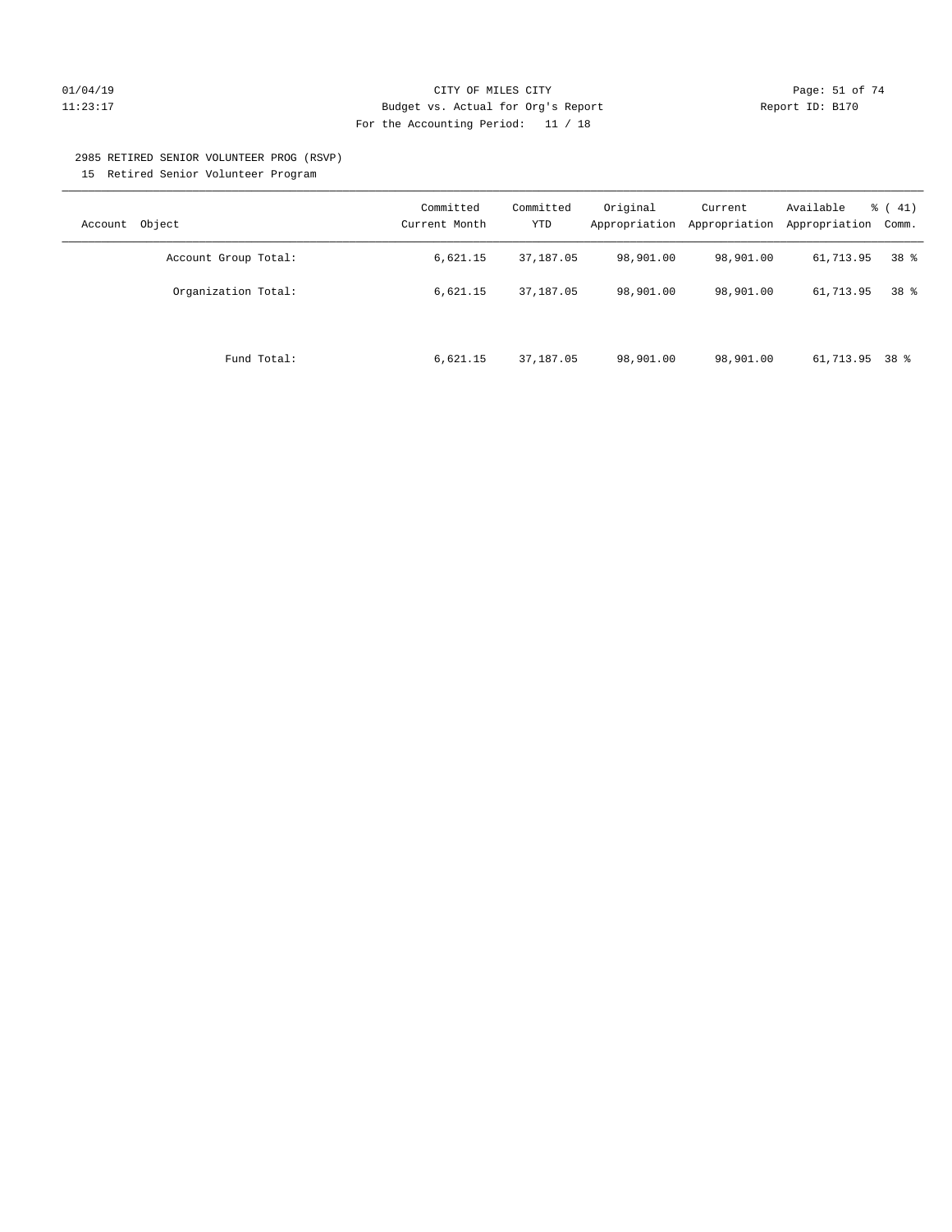# $O1/04/19$  Page: 51 of 74 11:23:17 Budget vs. Actual for Org's Report Report ID: B170 For the Accounting Period: 11 / 18

### 2985 RETIRED SENIOR VOLUNTEER PROG (RSVP)

15 Retired Senior Volunteer Program

| Object<br>Account    | Committed<br>Current Month | Committed<br><b>YTD</b> | Original<br>Appropriation | Current<br>Appropriation | Available<br>Appropriation | $\frac{1}{6}$ ( 41)<br>Comm. |
|----------------------|----------------------------|-------------------------|---------------------------|--------------------------|----------------------------|------------------------------|
| Account Group Total: | 6,621.15                   | 37,187.05               | 98,901.00                 | 98,901.00                | 61,713.95                  | 38 <sup>8</sup>              |
| Organization Total:  | 6,621.15                   | 37, 187, 05             | 98,901.00                 | 98,901.00                | 61,713.95                  | 38 <sup>8</sup>              |
| Fund Total:          | 6,621.15                   | 37, 187, 05             | 98,901.00                 | 98,901.00                | 61,713.95 38 %             |                              |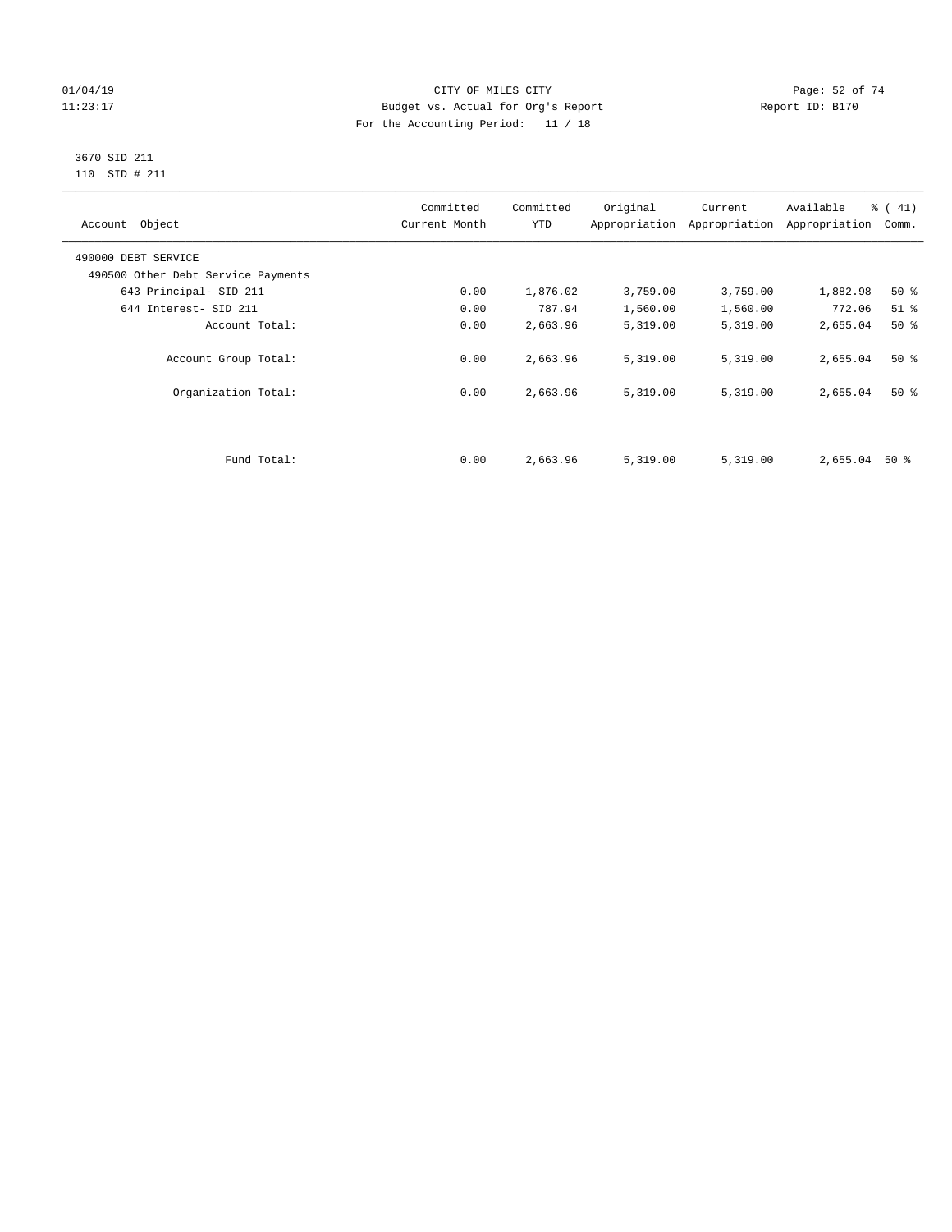# $O1/04/19$  Page: 52 of 74 11:23:17 Budget vs. Actual for Org's Report Changer Report ID: B170 For the Accounting Period: 11 / 18

### 3670 SID 211 110 SID # 211

| Account Object                     | Committed<br>Current Month | Committed<br><b>YTD</b> | Original | Current<br>Appropriation Appropriation | Available<br>Appropriation | % (41)<br>Comm. |
|------------------------------------|----------------------------|-------------------------|----------|----------------------------------------|----------------------------|-----------------|
| 490000 DEBT SERVICE                |                            |                         |          |                                        |                            |                 |
| 490500 Other Debt Service Payments |                            |                         |          |                                        |                            |                 |
| 643 Principal- SID 211             | 0.00                       | 1,876.02                | 3,759.00 | 3,759.00                               | 1,882.98                   | 50%             |
| 644 Interest- SID 211              | 0.00                       | 787.94                  | 1,560.00 | 1,560.00                               | 772.06                     | $51$ %          |
| Account Total:                     | 0.00                       | 2,663.96                | 5,319.00 | 5,319.00                               | 2,655.04                   | $50*$           |
| Account Group Total:               | 0.00                       | 2,663.96                | 5,319.00 | 5,319.00                               | 2,655.04                   | $50*$           |
| Organization Total:                | 0.00                       | 2,663.96                | 5,319.00 | 5,319.00                               | 2,655.04                   | $50*$           |
|                                    |                            |                         |          |                                        |                            |                 |
| Fund Total:                        | 0.00                       | 2,663.96                | 5,319.00 | 5,319.00                               | 2,655.04                   | 50 %            |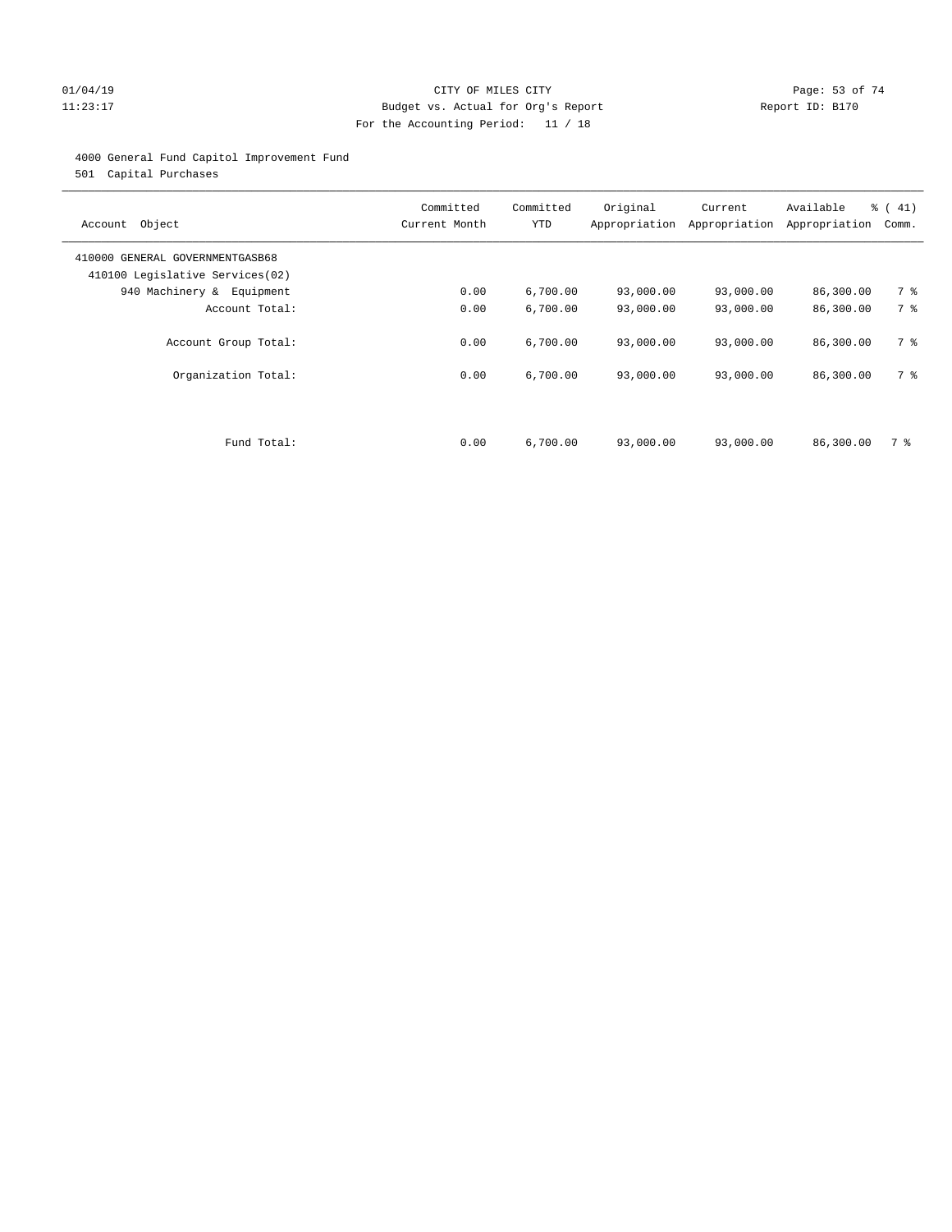# $O1/04/19$  Page: 53 of 74 11:23:17 Budget vs. Actual for Org's Report Changer Report ID: B170 For the Accounting Period: 11 / 18

# 4000 General Fund Capitol Improvement Fund

501 Capital Purchases

| Object<br>Account                                                  | Committed<br>Current Month | Committed<br><b>YTD</b> | Original<br>Appropriation | Current<br>Appropriation | Available<br>Appropriation | % (41)<br>Comm. |
|--------------------------------------------------------------------|----------------------------|-------------------------|---------------------------|--------------------------|----------------------------|-----------------|
| 410000 GENERAL GOVERNMENTGASB68<br>410100 Legislative Services(02) |                            |                         |                           |                          |                            |                 |
| 940 Machinery & Equipment                                          | 0.00                       | 6,700.00                | 93,000.00                 | 93,000.00                | 86,300.00                  | 7 %             |
| Account Total:                                                     | 0.00                       | 6,700.00                | 93,000.00                 | 93,000.00                | 86,300.00                  | 7 %             |
| Account Group Total:                                               | 0.00                       | 6,700.00                | 93,000.00                 | 93,000.00                | 86,300.00                  | 7 %             |
| Organization Total:                                                | 0.00                       | 6,700.00                | 93,000.00                 | 93,000.00                | 86,300.00                  | 7 %             |
|                                                                    |                            |                         |                           |                          |                            |                 |
| Fund Total:                                                        | 0.00                       | 6,700.00                | 93,000.00                 | 93,000.00                | 86,300.00                  | 7 %             |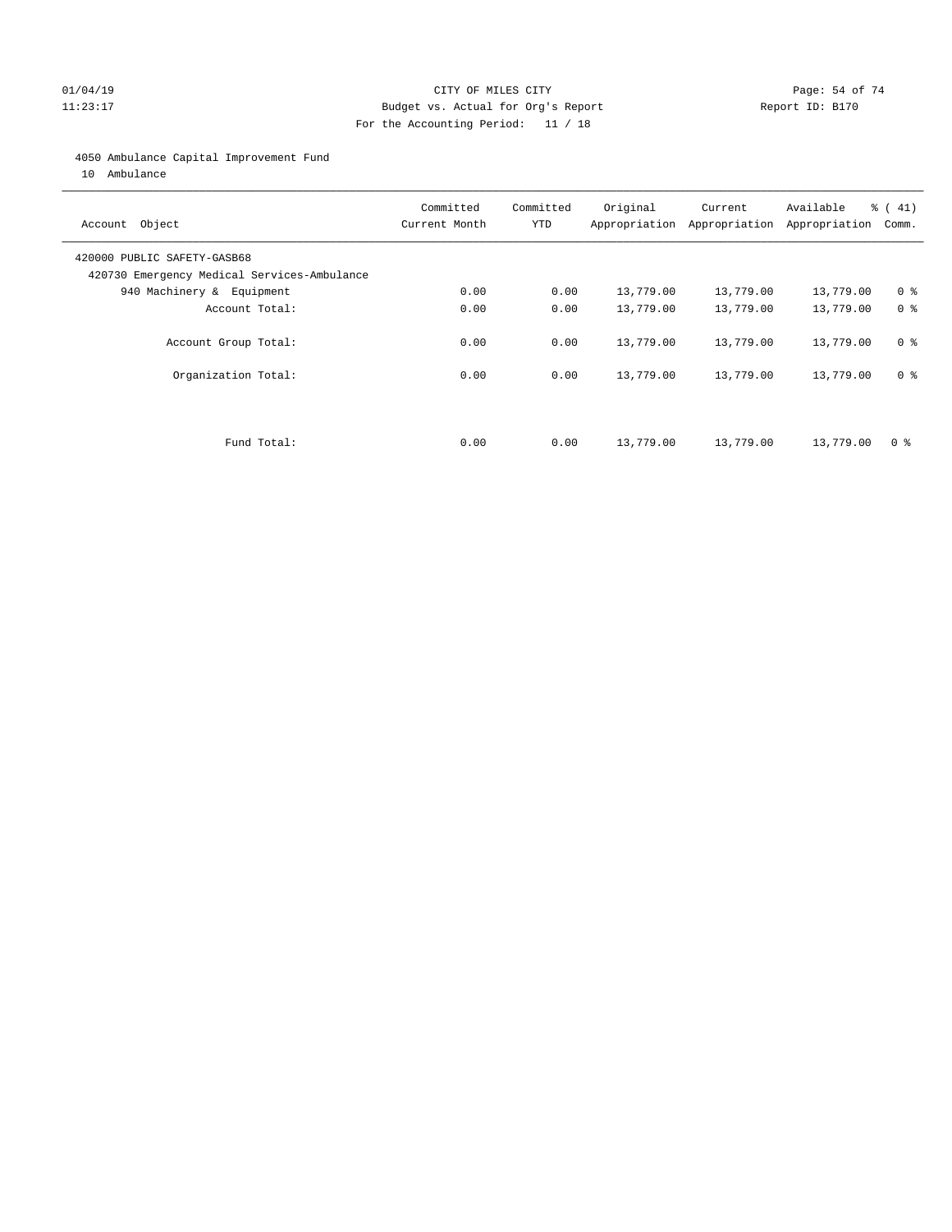# $O1/04/19$  Page: 54 of 74 11:23:17 Budget vs. Actual for Org's Report Changer Report ID: B170 For the Accounting Period: 11 / 18

# 4050 Ambulance Capital Improvement Fund

10 Ambulance

| Account Object                                                             | Committed<br>Current Month | Committed<br><b>YTD</b> | Original  | Current<br>Appropriation Appropriation | Available<br>Appropriation | $\frac{1}{6}$ ( 41)<br>Comm. |
|----------------------------------------------------------------------------|----------------------------|-------------------------|-----------|----------------------------------------|----------------------------|------------------------------|
| 420000 PUBLIC SAFETY-GASB68<br>420730 Emergency Medical Services-Ambulance |                            |                         |           |                                        |                            |                              |
| 940 Machinery & Equipment                                                  | 0.00                       | 0.00                    | 13,779.00 | 13,779.00                              | 13,779.00                  | 0 <sup>8</sup>               |
| Account Total:                                                             | 0.00                       | 0.00                    | 13,779.00 | 13,779.00                              | 13,779.00                  | 0 <sup>8</sup>               |
| Account Group Total:                                                       | 0.00                       | 0.00                    | 13,779.00 | 13,779.00                              | 13,779.00                  | 0 <sup>8</sup>               |
| Organization Total:                                                        | 0.00                       | 0.00                    | 13,779.00 | 13,779.00                              | 13,779.00                  | 0 <sup>8</sup>               |
|                                                                            |                            |                         |           |                                        |                            |                              |
| Fund Total:                                                                | 0.00                       | 0.00                    | 13,779.00 | 13,779.00                              | 13,779.00                  | 0 %                          |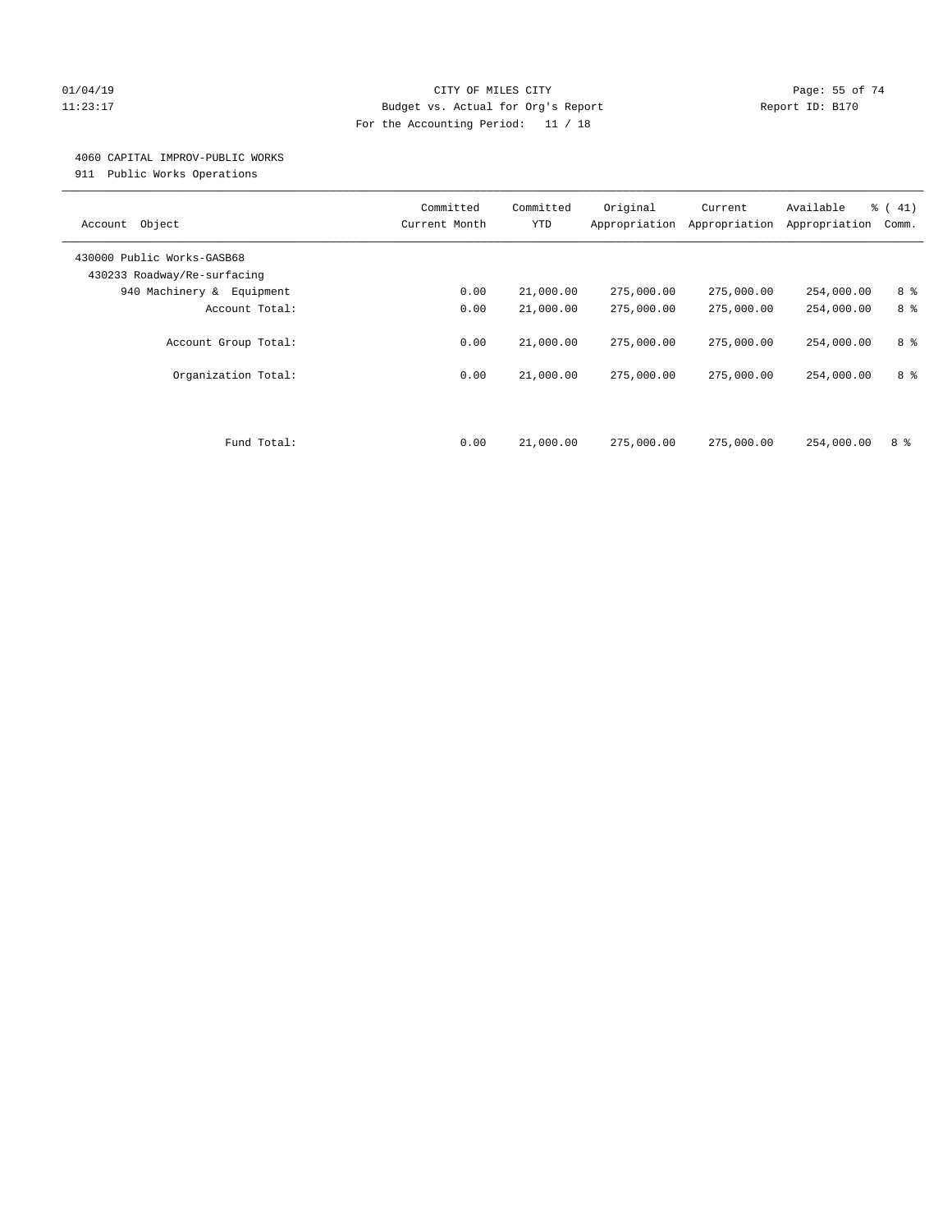# $O1/04/19$  Page: 55 of 74 11:23:17 Budget vs. Actual for Org's Report Changer Report ID: B170 For the Accounting Period: 11 / 18

# 4060 CAPITAL IMPROV-PUBLIC WORKS

911 Public Works Operations

| Object<br>Account                                         | Committed<br>Current Month | Committed<br><b>YTD</b> | Original<br>Appropriation | Current<br>Appropriation | Available<br>Appropriation | % (41)<br>Comm. |
|-----------------------------------------------------------|----------------------------|-------------------------|---------------------------|--------------------------|----------------------------|-----------------|
| 430000 Public Works-GASB68<br>430233 Roadway/Re-surfacing |                            |                         |                           |                          |                            |                 |
| 940 Machinery & Equipment                                 | 0.00                       | 21,000.00               | 275,000.00                | 275,000.00               | 254,000.00                 | 8 %             |
| Account Total:                                            | 0.00                       | 21,000.00               | 275,000.00                | 275,000.00               | 254,000.00                 | 8 %             |
| Account Group Total:                                      | 0.00                       | 21,000.00               | 275,000.00                | 275,000.00               | 254,000.00                 | 8 %             |
| Organization Total:                                       | 0.00                       | 21,000.00               | 275,000.00                | 275,000.00               | 254,000.00                 | 8 %             |
| Fund Total:                                               | 0.00                       | 21,000.00               | 275,000.00                | 275,000.00               | 254,000.00                 | 8 %             |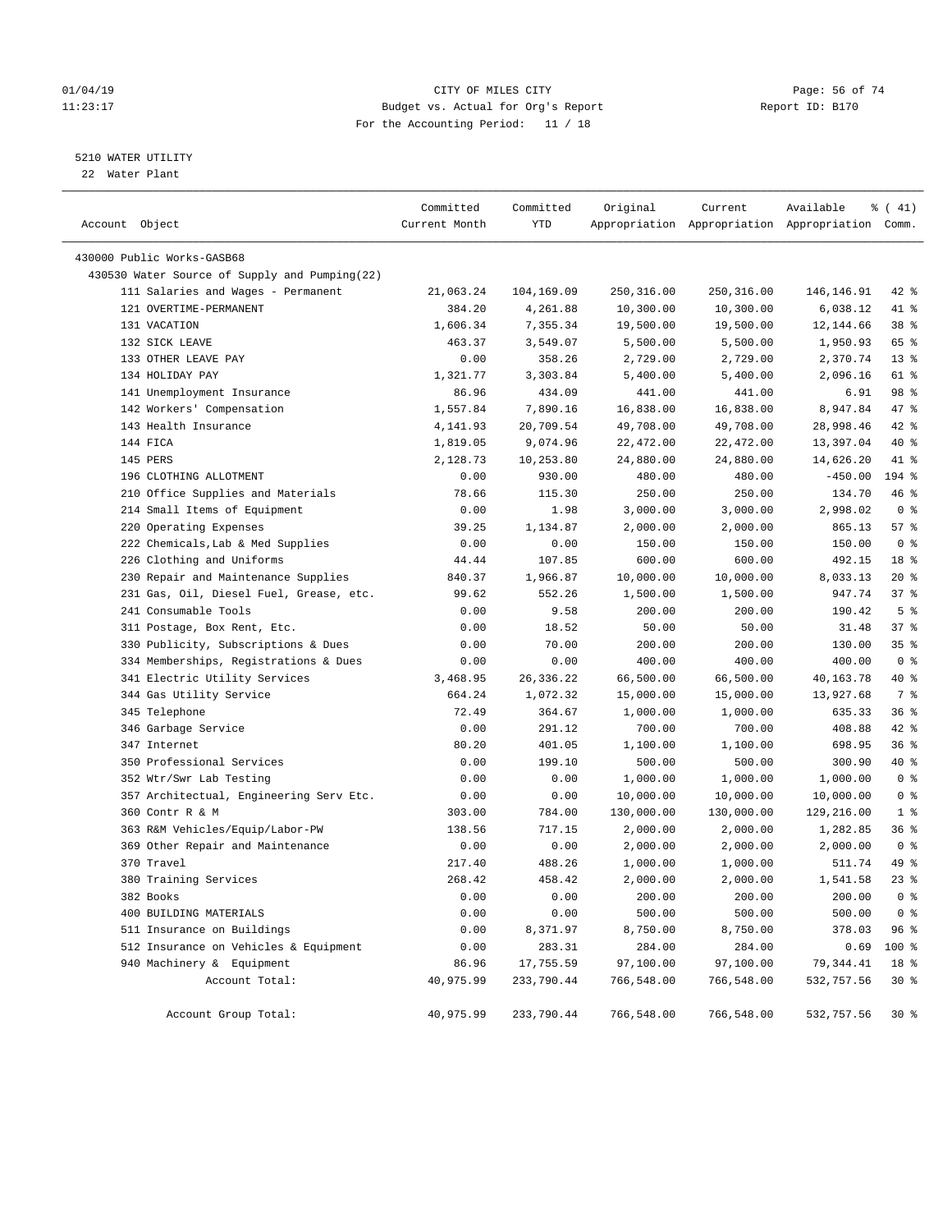# $O1/04/19$  Page: 56 of 74 11:23:17 Budget vs. Actual for Org's Report Changer Report ID: B170 For the Accounting Period: 11 / 18

————————————————————————————————————————————————————————————————————————————————————————————————————————————————————————————————————

# 5210 WATER UTILITY

22 Water Plant

|                                               | Committed     | Committed  | Original   | Current    | Available                                       | $\frac{1}{6}$ ( 41) |
|-----------------------------------------------|---------------|------------|------------|------------|-------------------------------------------------|---------------------|
| Account Object                                | Current Month | YTD        |            |            | Appropriation Appropriation Appropriation Comm. |                     |
| 430000 Public Works-GASB68                    |               |            |            |            |                                                 |                     |
| 430530 Water Source of Supply and Pumping(22) |               |            |            |            |                                                 |                     |
| 111 Salaries and Wages - Permanent            | 21,063.24     | 104,169.09 | 250,316.00 | 250,316.00 | 146,146.91                                      | 42 %                |
| 121 OVERTIME-PERMANENT                        | 384.20        | 4,261.88   | 10,300.00  | 10,300.00  | 6,038.12                                        | 41 %                |
| 131 VACATION                                  | 1,606.34      | 7,355.34   | 19,500.00  | 19,500.00  | 12,144.66                                       | 38 <sup>8</sup>     |
| 132 SICK LEAVE                                | 463.37        | 3,549.07   | 5,500.00   | 5,500.00   | 1,950.93                                        | 65 %                |
| 133 OTHER LEAVE PAY                           | 0.00          | 358.26     | 2,729.00   | 2,729.00   | 2,370.74                                        | $13*$               |
| 134 HOLIDAY PAY                               | 1,321.77      | 3,303.84   | 5,400.00   | 5,400.00   | 2,096.16                                        | 61 %                |
| 141 Unemployment Insurance                    | 86.96         | 434.09     | 441.00     | 441.00     | 6.91                                            | 98 %                |
| 142 Workers' Compensation                     | 1,557.84      | 7,890.16   | 16,838.00  | 16,838.00  | 8,947.84                                        | 47 %                |
| 143 Health Insurance                          | 4,141.93      | 20,709.54  | 49,708.00  | 49,708.00  | 28,998.46                                       | 42 %                |
| 144 FICA                                      | 1,819.05      | 9,074.96   | 22,472.00  | 22,472.00  | 13,397.04                                       | 40 %                |
| 145 PERS                                      | 2,128.73      | 10,253.80  | 24,880.00  | 24,880.00  | 14,626.20                                       | 41 %                |
| 196 CLOTHING ALLOTMENT                        | 0.00          | 930.00     | 480.00     | 480.00     | $-450.00$                                       | 194 %               |
| 210 Office Supplies and Materials             | 78.66         | 115.30     | 250.00     | 250.00     | 134.70                                          | 46 %                |
| 214 Small Items of Equipment                  | 0.00          | 1.98       | 3,000.00   | 3,000.00   | 2,998.02                                        | 0 <sup>8</sup>      |
| 220 Operating Expenses                        | 39.25         | 1,134.87   | 2,000.00   | 2,000.00   | 865.13                                          | 57%                 |
| 222 Chemicals, Lab & Med Supplies             | 0.00          | 0.00       | 150.00     | 150.00     | 150.00                                          | 0 <sup>8</sup>      |
| 226 Clothing and Uniforms                     | 44.44         | 107.85     | 600.00     | 600.00     | 492.15                                          | 18 <sup>8</sup>     |
| 230 Repair and Maintenance Supplies           | 840.37        | 1,966.87   | 10,000.00  | 10,000.00  | 8,033.13                                        | $20*$               |
| 231 Gas, Oil, Diesel Fuel, Grease, etc.       | 99.62         | 552.26     | 1,500.00   | 1,500.00   | 947.74                                          | 37%                 |
| 241 Consumable Tools                          | 0.00          | 9.58       | 200.00     | 200.00     | 190.42                                          | 5 <sup>8</sup>      |
| 311 Postage, Box Rent, Etc.                   | 0.00          | 18.52      | 50.00      | 50.00      | 31.48                                           | 37%                 |
| 330 Publicity, Subscriptions & Dues           | 0.00          | 70.00      | 200.00     | 200.00     | 130.00                                          | 35%                 |
| 334 Memberships, Registrations & Dues         | 0.00          | 0.00       | 400.00     | 400.00     | 400.00                                          | 0 <sup>8</sup>      |
| 341 Electric Utility Services                 | 3,468.95      | 26,336.22  | 66,500.00  | 66,500.00  | 40,163.78                                       | 40 %                |
| 344 Gas Utility Service                       | 664.24        | 1,072.32   | 15,000.00  | 15,000.00  | 13,927.68                                       | 7 %                 |
| 345 Telephone                                 | 72.49         | 364.67     | 1,000.00   | 1,000.00   | 635.33                                          | 36%                 |
| 346 Garbage Service                           | 0.00          | 291.12     | 700.00     | 700.00     | 408.88                                          | $42$ %              |
| 347 Internet                                  | 80.20         | 401.05     | 1,100.00   | 1,100.00   | 698.95                                          | 36%                 |
| 350 Professional Services                     | 0.00          | 199.10     | 500.00     | 500.00     | 300.90                                          | 40 %                |
| 352 Wtr/Swr Lab Testing                       | 0.00          | 0.00       | 1,000.00   | 1,000.00   | 1,000.00                                        | 0 <sup>8</sup>      |
| 357 Architectual, Engineering Serv Etc.       | 0.00          | 0.00       | 10,000.00  | 10,000.00  | 10,000.00                                       | 0 <sup>8</sup>      |
| 360 Contr R & M                               | 303.00        | 784.00     | 130,000.00 | 130,000.00 | 129,216.00                                      | 1 <sup>8</sup>      |
| 363 R&M Vehicles/Equip/Labor-PW               | 138.56        | 717.15     | 2,000.00   | 2,000.00   | 1,282.85                                        | 36%                 |
| 369 Other Repair and Maintenance              | 0.00          | 0.00       | 2,000.00   | 2,000.00   | 2,000.00                                        | 0 <sup>8</sup>      |
| 370 Travel                                    | 217.40        | 488.26     | 1,000.00   | 1,000.00   | 511.74                                          | 49 %                |
| 380 Training Services                         | 268.42        | 458.42     | 2,000.00   | 2,000.00   | 1,541.58                                        | $23$ $%$            |
| 382 Books                                     | 0.00          | 0.00       | 200.00     | 200.00     | 200.00                                          | 0 <sup>8</sup>      |
| 400 BUILDING MATERIALS                        | 0.00          | 0.00       | 500.00     | 500.00     | 500.00                                          | 0 <sup>8</sup>      |
| 511 Insurance on Buildings                    | 0.00          | 8,371.97   | 8,750.00   | 8,750.00   | 378.03                                          | 96%                 |
| 512 Insurance on Vehicles & Equipment         | 0.00          | 283.31     | 284.00     | 284.00     | 0.69                                            | 100 %               |
| 940 Machinery & Equipment                     | 86.96         | 17,755.59  | 97,100.00  | 97,100.00  | 79,344.41                                       | 18 %                |
| Account Total:                                | 40,975.99     | 233,790.44 | 766,548.00 | 766,548.00 | 532,757.56                                      | $30*$               |
| Account Group Total:                          | 40,975.99     | 233,790.44 | 766,548.00 | 766,548.00 | 532,757.56                                      | 30%                 |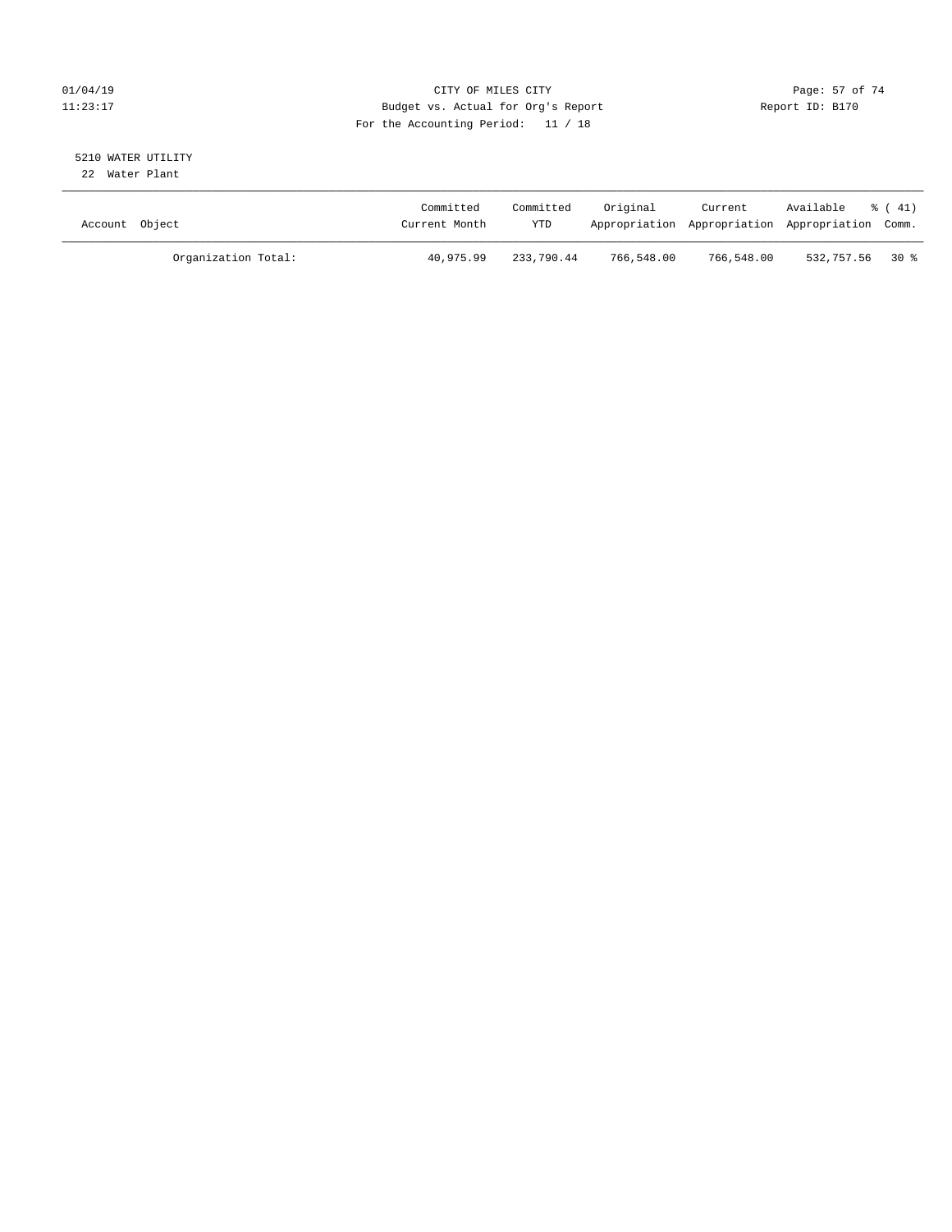# $O1/04/19$  Page: 57 of 74 11:23:17 Budget vs. Actual for Org's Report Changer Report ID: B170 For the Accounting Period: 11 / 18

# 5210 WATER UTILITY

22 Water Plant

| Account Object |                     | Committed<br>Current Month | Committed<br>YTD | Original   | Current    | Available<br>Appropriation Appropriation Appropriation Comm. | % ( 41) |
|----------------|---------------------|----------------------------|------------------|------------|------------|--------------------------------------------------------------|---------|
|                | Organization Total: | 40,975.99                  | 233,790.44       | 766,548.00 | 766,548.00 | 532,757.56 30 %                                              |         |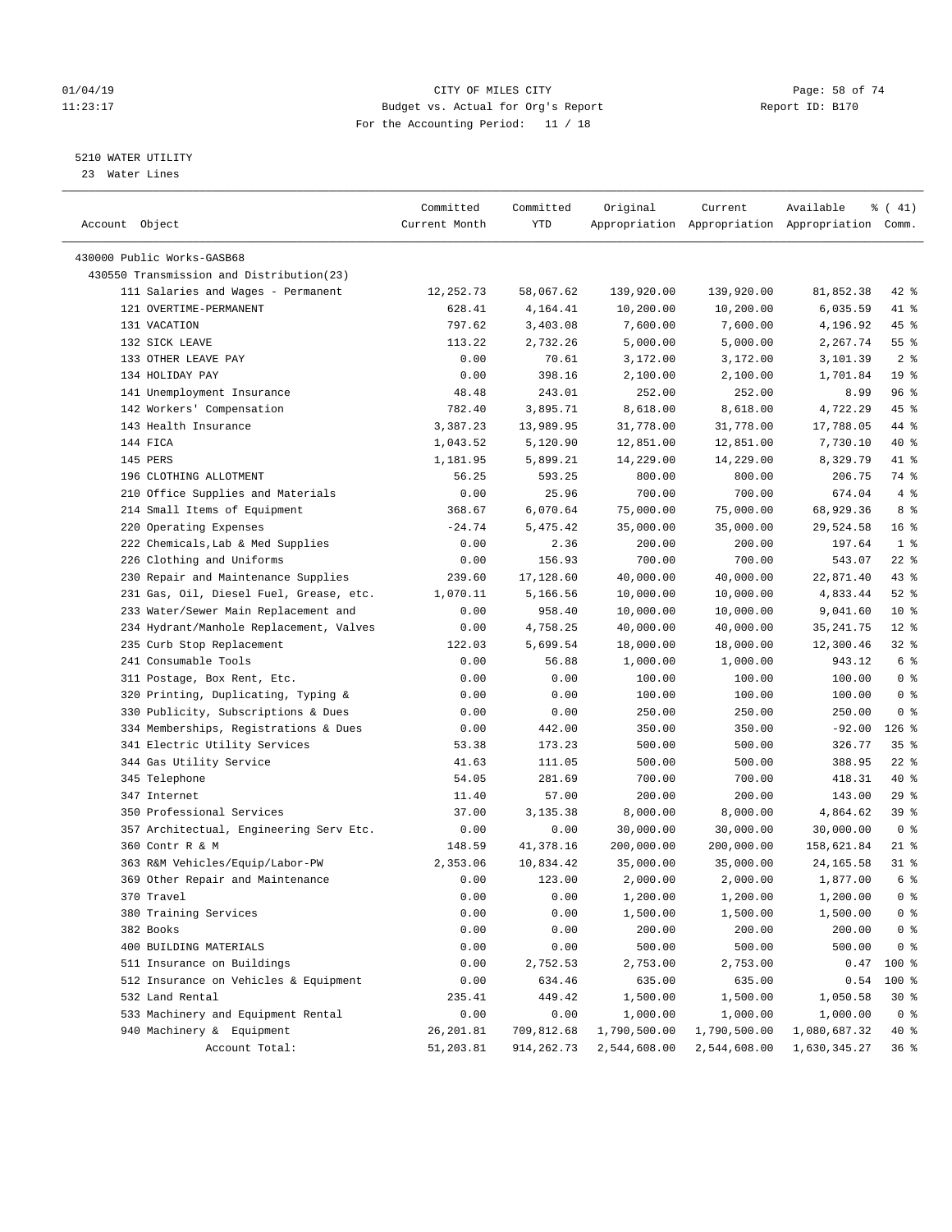# 01/04/19 Page: 58 of 74 11:23:17 Budget vs. Actual for Org's Report Report ID: B170 For the Accounting Period: 11 / 18

————————————————————————————————————————————————————————————————————————————————————————————————————————————————————————————————————

# 5210 WATER UTILITY

23 Water Lines

|                                          | Committed     | Committed  | Original     | Current                                         | Available    | $\frac{1}{6}$ ( 41) |
|------------------------------------------|---------------|------------|--------------|-------------------------------------------------|--------------|---------------------|
| Account Object                           | Current Month | YTD        |              | Appropriation Appropriation Appropriation Comm. |              |                     |
|                                          |               |            |              |                                                 |              |                     |
| 430000 Public Works-GASB68               |               |            |              |                                                 |              |                     |
| 430550 Transmission and Distribution(23) |               |            |              |                                                 |              |                     |
| 111 Salaries and Wages - Permanent       | 12,252.73     | 58,067.62  | 139,920.00   | 139,920.00                                      | 81,852.38    | $42$ %              |
| 121 OVERTIME-PERMANENT                   | 628.41        | 4,164.41   | 10,200.00    | 10,200.00                                       | 6,035.59     | 41 %                |
| 131 VACATION                             | 797.62        | 3,403.08   | 7,600.00     | 7,600.00                                        | 4,196.92     | 45 %                |
| 132 SICK LEAVE                           | 113.22        | 2,732.26   | 5,000.00     | 5,000.00                                        | 2,267.74     | 55 <sup>8</sup>     |
| 133 OTHER LEAVE PAY                      | 0.00          | 70.61      | 3,172.00     | 3,172.00                                        | 3,101.39     | 2 <sup>°</sup>      |
| 134 HOLIDAY PAY                          | 0.00          | 398.16     | 2,100.00     | 2,100.00                                        | 1,701.84     | 19 <sup>°</sup>     |
| 141 Unemployment Insurance               | 48.48         | 243.01     | 252.00       | 252.00                                          | 8.99         | 96 %                |
| 142 Workers' Compensation                | 782.40        | 3,895.71   | 8,618.00     | 8,618.00                                        | 4,722.29     | 45 %                |
| 143 Health Insurance                     | 3,387.23      | 13,989.95  | 31,778.00    | 31,778.00                                       | 17,788.05    | 44 %                |
| 144 FICA                                 | 1,043.52      | 5,120.90   | 12,851.00    | 12,851.00                                       | 7,730.10     | 40 %                |
| 145 PERS                                 | 1,181.95      | 5,899.21   | 14,229.00    | 14,229.00                                       | 8,329.79     | 41 %                |
| 196 CLOTHING ALLOTMENT                   | 56.25         | 593.25     | 800.00       | 800.00                                          | 206.75       | 74 %                |
| 210 Office Supplies and Materials        | 0.00          | 25.96      | 700.00       | 700.00                                          | 674.04       | 4%                  |
| 214 Small Items of Equipment             | 368.67        | 6,070.64   | 75,000.00    | 75,000.00                                       | 68,929.36    | 8 %                 |
| 220 Operating Expenses                   | $-24.74$      | 5,475.42   | 35,000.00    | 35,000.00                                       | 29,524.58    | 16 <sup>°</sup>     |
| 222 Chemicals, Lab & Med Supplies        | 0.00          | 2.36       | 200.00       | 200.00                                          | 197.64       | 1 <sup>°</sup>      |
| 226 Clothing and Uniforms                | 0.00          | 156.93     | 700.00       | 700.00                                          | 543.07       | $22$ %              |
| 230 Repair and Maintenance Supplies      | 239.60        | 17,128.60  | 40,000.00    | 40,000.00                                       | 22,871.40    | 43 %                |
| 231 Gas, Oil, Diesel Fuel, Grease, etc.  | 1,070.11      | 5,166.56   | 10,000.00    | 10,000.00                                       | 4,833.44     | $52$ $%$            |
| 233 Water/Sewer Main Replacement and     | 0.00          | 958.40     | 10,000.00    | 10,000.00                                       | 9,041.60     | $10*$               |
| 234 Hydrant/Manhole Replacement, Valves  | 0.00          | 4,758.25   | 40,000.00    | 40,000.00                                       | 35, 241.75   | $12*$               |
| 235 Curb Stop Replacement                | 122.03        | 5,699.54   | 18,000.00    | 18,000.00                                       | 12,300.46    | $32$ $%$            |
| 241 Consumable Tools                     | 0.00          | 56.88      | 1,000.00     | 1,000.00                                        | 943.12       | 6 <sup>8</sup>      |
| 311 Postage, Box Rent, Etc.              | 0.00          | 0.00       | 100.00       | 100.00                                          | 100.00       | 0 <sup>8</sup>      |
| 320 Printing, Duplicating, Typing &      | 0.00          | 0.00       | 100.00       | 100.00                                          | 100.00       | 0 <sup>8</sup>      |
| 330 Publicity, Subscriptions & Dues      | 0.00          | 0.00       | 250.00       | 250.00                                          | 250.00       | 0 <sup>8</sup>      |
| 334 Memberships, Registrations & Dues    | 0.00          | 442.00     | 350.00       | 350.00                                          | $-92.00$     | $126$ %             |
| 341 Electric Utility Services            | 53.38         | 173.23     | 500.00       | 500.00                                          | 326.77       | 35%                 |
| 344 Gas Utility Service                  | 41.63         | 111.05     | 500.00       | 500.00                                          | 388.95       | $22$ %              |
| 345 Telephone                            | 54.05         | 281.69     | 700.00       | 700.00                                          | 418.31       | 40 %                |
| 347 Internet                             | 11.40         | 57.00      | 200.00       | 200.00                                          | 143.00       | 29%                 |
| 350 Professional Services                | 37.00         | 3,135.38   | 8,000.00     | 8,000.00                                        | 4,864.62     | 39%                 |
| 357 Architectual, Engineering Serv Etc.  | 0.00          | 0.00       | 30,000.00    | 30,000.00                                       | 30,000.00    | 0 <sup>8</sup>      |
| 360 Contr R & M                          | 148.59        | 41,378.16  | 200,000.00   | 200,000.00                                      | 158,621.84   | $21$ %              |
| 363 R&M Vehicles/Equip/Labor-PW          | 2,353.06      | 10,834.42  | 35,000.00    | 35,000.00                                       | 24, 165.58   | $31$ %              |
| 369 Other Repair and Maintenance         | 0.00          | 123.00     | 2,000.00     | 2,000.00                                        | 1,877.00     | 6 <sup>8</sup>      |
| 370 Travel                               | 0.00          | 0.00       | 1,200.00     | 1,200.00                                        | 1,200.00     | 0 <sup>8</sup>      |
| 380 Training Services                    | 0.00          | 0.00       | 1,500.00     | 1,500.00                                        | 1,500.00     | 0 <sup>8</sup>      |
| 382 Books                                | 0.00          | 0.00       | 200.00       | 200.00                                          | 200.00       | 0 <sup>8</sup>      |
| 400 BUILDING MATERIALS                   | 0.00          | 0.00       | 500.00       | 500.00                                          | 500.00       | 0 <sup>8</sup>      |
| 511 Insurance on Buildings               | 0.00          | 2,752.53   | 2,753.00     | 2,753.00                                        | 0.47         | 100 %               |
| 512 Insurance on Vehicles & Equipment    | 0.00          | 634.46     | 635.00       | 635.00                                          | 0.54         | 100 %               |
| 532 Land Rental                          | 235.41        | 449.42     | 1,500.00     | 1,500.00                                        | 1,050.58     | $30*$               |
| 533 Machinery and Equipment Rental       | 0.00          | 0.00       | 1,000.00     | 1,000.00                                        | 1,000.00     | 0 <sup>8</sup>      |
| 940 Machinery & Equipment                | 26, 201.81    | 709,812.68 | 1,790,500.00 | 1,790,500.00                                    | 1,080,687.32 | 40 %                |
| Account Total:                           | 51,203.81     | 914,262.73 | 2,544,608.00 | 2,544,608.00                                    | 1,630,345.27 | 36%                 |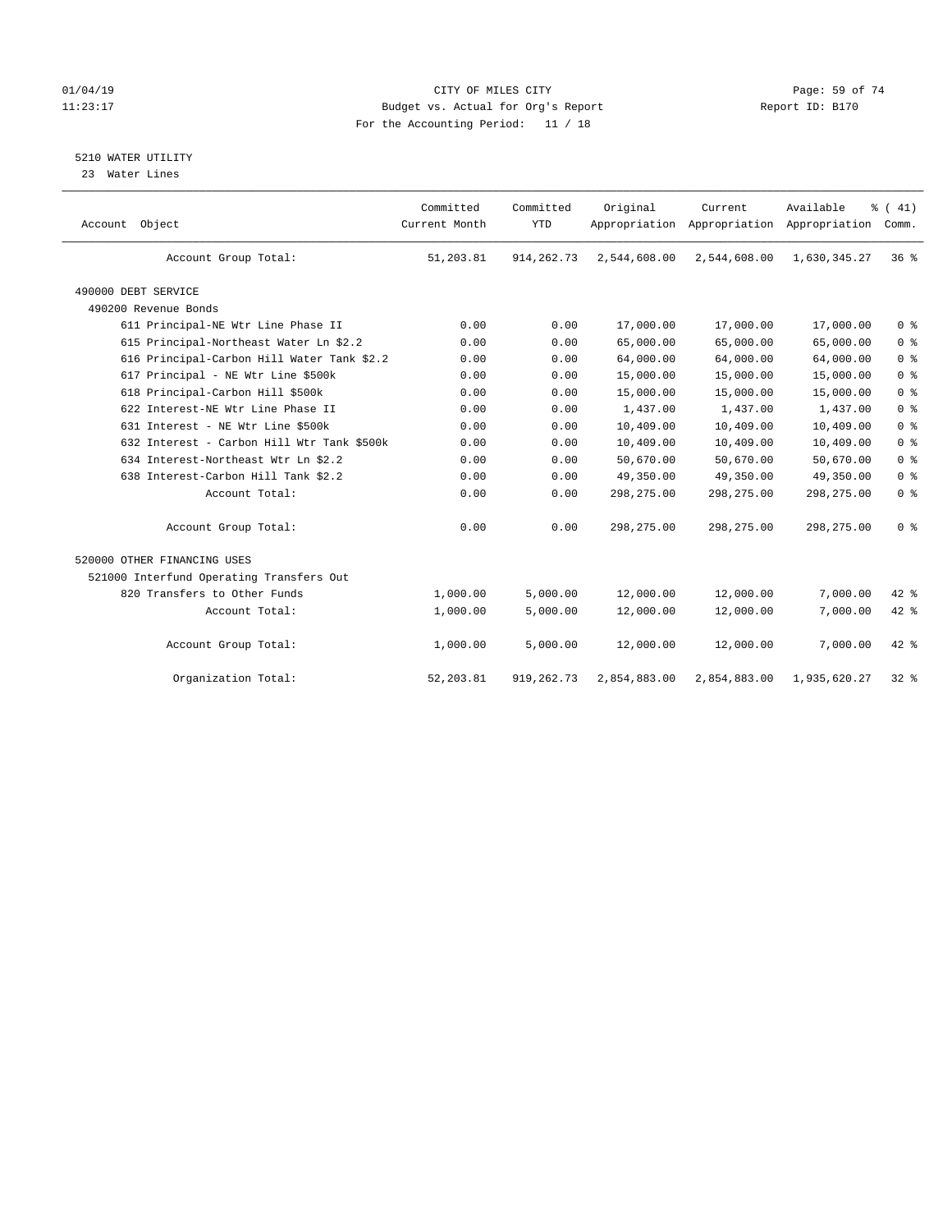# $O1/04/19$  Page: 59 of 74 11:23:17 Budget vs. Actual for Org's Report Changer Report ID: B170 For the Accounting Period: 11 / 18

# 5210 WATER UTILITY

23 Water Lines

| Account Object                             | Committed<br>Current Month | Committed<br><b>YTD</b> | Original     | Current<br>Appropriation Appropriation Appropriation | Available    | % (41)<br>Comm. |
|--------------------------------------------|----------------------------|-------------------------|--------------|------------------------------------------------------|--------------|-----------------|
| Account Group Total:                       | 51,203.81                  | 914, 262. 73            | 2,544,608.00 | 2,544,608.00                                         | 1,630,345.27 | 36 <sup>8</sup> |
| 490000 DEBT SERVICE                        |                            |                         |              |                                                      |              |                 |
| 490200 Revenue Bonds                       |                            |                         |              |                                                      |              |                 |
| 611 Principal-NE Wtr Line Phase II         | 0.00                       | 0.00                    | 17,000.00    | 17,000.00                                            | 17,000.00    | 0 <sup>8</sup>  |
| 615 Principal-Northeast Water Ln \$2.2     | 0.00                       | 0.00                    | 65,000.00    | 65,000.00                                            | 65,000.00    | 0 <sup>8</sup>  |
| 616 Principal-Carbon Hill Water Tank \$2.2 | 0.00                       | 0.00                    | 64,000.00    | 64,000.00                                            | 64,000.00    | 0 <sup>8</sup>  |
| 617 Principal - NE Wtr Line \$500k         | 0.00                       | 0.00                    | 15,000.00    | 15,000.00                                            | 15,000.00    | 0 <sup>8</sup>  |
| 618 Principal-Carbon Hill \$500k           | 0.00                       | 0.00                    | 15,000.00    | 15,000.00                                            | 15,000.00    | 0 <sup>8</sup>  |
| 622 Interest-NE Wtr Line Phase II          | 0.00                       | 0.00                    | 1,437.00     | 1,437.00                                             | 1,437.00     | 0 <sup>8</sup>  |
| 631 Interest - NE Wtr Line \$500k          | 0.00                       | 0.00                    | 10,409.00    | 10,409.00                                            | 10,409.00    | 0 <sup>8</sup>  |
| 632 Interest - Carbon Hill Wtr Tank \$500k | 0.00                       | 0.00                    | 10,409.00    | 10,409.00                                            | 10,409.00    | 0 <sup>8</sup>  |
| 634 Interest-Northeast Wtr Ln \$2.2        | 0.00                       | 0.00                    | 50,670.00    | 50,670.00                                            | 50,670.00    | 0 <sup>8</sup>  |
| 638 Interest-Carbon Hill Tank \$2.2        | 0.00                       | 0.00                    | 49,350.00    | 49,350.00                                            | 49,350.00    | 0 <sup>8</sup>  |
| Account Total:                             | 0.00                       | 0.00                    | 298, 275.00  | 298,275.00                                           | 298,275.00   | 0 <sup>8</sup>  |
| Account Group Total:                       | 0.00                       | 0.00                    | 298,275.00   | 298, 275.00                                          | 298, 275.00  | 0 <sup>8</sup>  |
| 520000 OTHER FINANCING USES                |                            |                         |              |                                                      |              |                 |
| 521000 Interfund Operating Transfers Out   |                            |                         |              |                                                      |              |                 |
| 820 Transfers to Other Funds               | 1,000.00                   | 5,000.00                | 12,000.00    | 12,000.00                                            | 7,000.00     | $42$ %          |
| Account Total:                             | 1,000.00                   | 5,000.00                | 12,000.00    | 12,000.00                                            | 7,000.00     | 42 %            |
| Account Group Total:                       | 1,000.00                   | 5,000.00                | 12,000.00    | 12,000.00                                            | 7,000.00     | $42$ %          |
| Organization Total:                        | 52, 203.81                 | 919, 262. 73            | 2,854,883.00 | 2,854,883.00                                         | 1,935,620.27 | $32$ $%$        |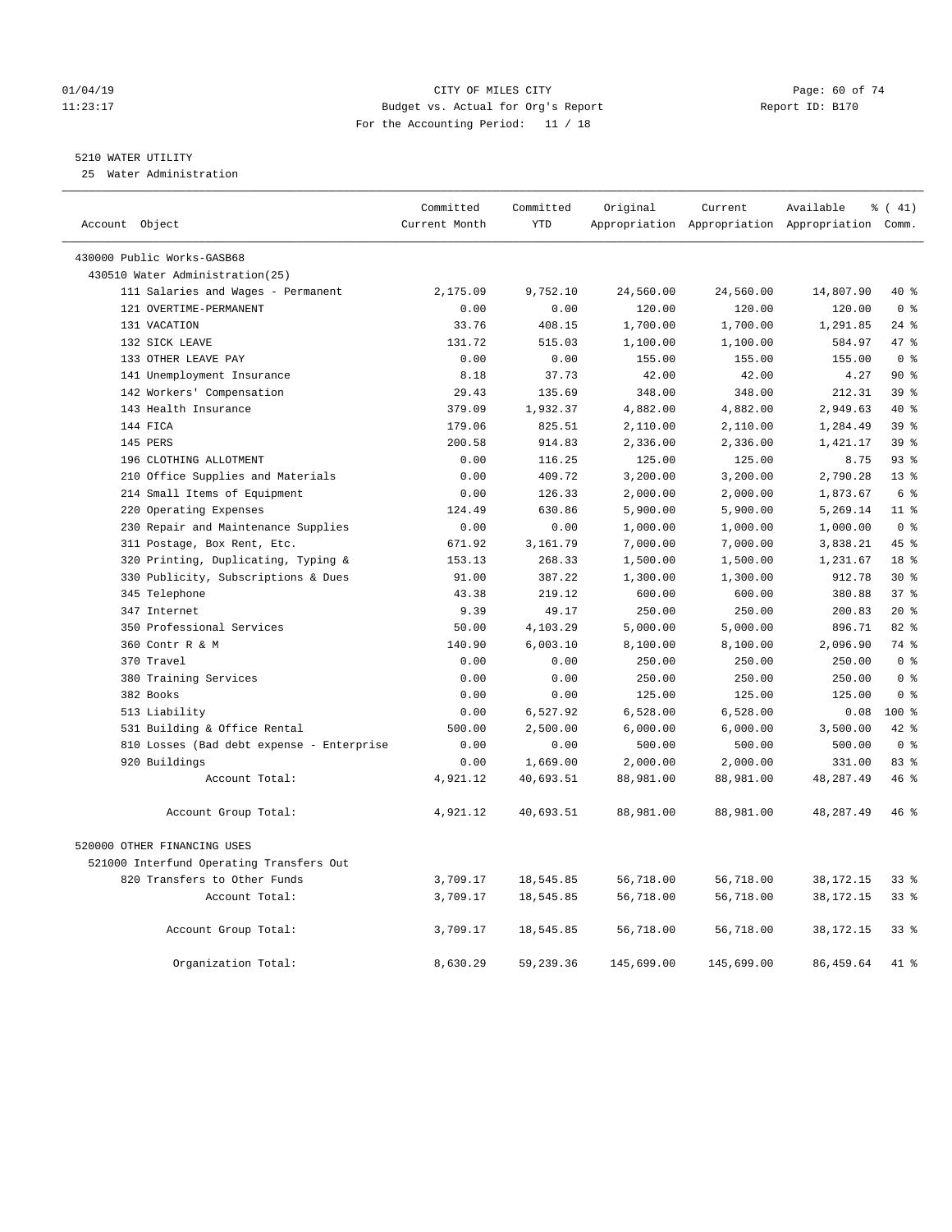# 01/04/19 Page: 60 of 74 11:23:17 Budget vs. Actual for Org's Report Report ID: B170 For the Accounting Period: 11 / 18

# 5210 WATER UTILITY

25 Water Administration

| Account Object                            | Committed<br>Current Month | Committed<br><b>YTD</b> | Original   | Current    | Available<br>Appropriation Appropriation Appropriation Comm. | $\frac{1}{6}$ ( 41) |
|-------------------------------------------|----------------------------|-------------------------|------------|------------|--------------------------------------------------------------|---------------------|
| 430000 Public Works-GASB68                |                            |                         |            |            |                                                              |                     |
| 430510 Water Administration(25)           |                            |                         |            |            |                                                              |                     |
| 111 Salaries and Wages - Permanent        | 2,175.09                   | 9,752.10                | 24,560.00  | 24,560.00  | 14,807.90                                                    | 40 %                |
| 121 OVERTIME-PERMANENT                    | 0.00                       | 0.00                    | 120.00     | 120.00     | 120.00                                                       | 0 <sup>8</sup>      |
| 131 VACATION                              | 33.76                      | 408.15                  | 1,700.00   | 1,700.00   | 1,291.85                                                     | $24$ %              |
| 132 SICK LEAVE                            | 131.72                     | 515.03                  | 1,100.00   | 1,100.00   | 584.97                                                       | 47.8                |
| 133 OTHER LEAVE PAY                       | 0.00                       | 0.00                    | 155.00     | 155.00     | 155.00                                                       | 0 <sup>8</sup>      |
| 141 Unemployment Insurance                | 8.18                       | 37.73                   | 42.00      | 42.00      | 4.27                                                         | $90*$               |
| 142 Workers' Compensation                 | 29.43                      | 135.69                  | 348.00     | 348.00     | 212.31                                                       | 39 %                |
| 143 Health Insurance                      | 379.09                     | 1,932.37                | 4,882.00   | 4,882.00   | 2,949.63                                                     | $40*$               |
| 144 FICA                                  | 179.06                     | 825.51                  | 2,110.00   | 2,110.00   | 1,284.49                                                     | 39 <sup>8</sup>     |
| 145 PERS                                  | 200.58                     | 914.83                  | 2,336.00   | 2,336.00   | 1,421.17                                                     | 39 %                |
| 196 CLOTHING ALLOTMENT                    | 0.00                       | 116.25                  | 125.00     | 125.00     | 8.75                                                         | 93%                 |
| 210 Office Supplies and Materials         | 0.00                       | 409.72                  | 3,200.00   | 3,200.00   | 2,790.28                                                     | $13*$               |
| 214 Small Items of Equipment              | 0.00                       | 126.33                  | 2,000.00   | 2,000.00   | 1,873.67                                                     | 6 %                 |
| 220 Operating Expenses                    | 124.49                     | 630.86                  | 5,900.00   | 5,900.00   | 5,269.14                                                     | 11 <sup>°</sup>     |
| 230 Repair and Maintenance Supplies       | 0.00                       | 0.00                    | 1,000.00   | 1,000.00   | 1,000.00                                                     | 0 <sup>8</sup>      |
| 311 Postage, Box Rent, Etc.               | 671.92                     | 3,161.79                | 7,000.00   | 7,000.00   | 3,838.21                                                     | 45%                 |
| 320 Printing, Duplicating, Typing &       | 153.13                     | 268.33                  | 1,500.00   | 1,500.00   | 1,231.67                                                     | 18 %                |
| 330 Publicity, Subscriptions & Dues       | 91.00                      | 387.22                  | 1,300.00   | 1,300.00   | 912.78                                                       | $30*$               |
| 345 Telephone                             | 43.38                      | 219.12                  | 600.00     | 600.00     | 380.88                                                       | 37%                 |
| 347 Internet                              | 9.39                       | 49.17                   | 250.00     | 250.00     | 200.83                                                       | $20*$               |
| 350 Professional Services                 | 50.00                      | 4,103.29                | 5,000.00   | 5,000.00   | 896.71                                                       | 82%                 |
| 360 Contr R & M                           | 140.90                     | 6,003.10                | 8,100.00   | 8,100.00   | 2,096.90                                                     | 74 %                |
| 370 Travel                                | 0.00                       | 0.00                    | 250.00     | 250.00     | 250.00                                                       | 0 %                 |
| 380 Training Services                     | 0.00                       | 0.00                    | 250.00     | 250.00     | 250.00                                                       | 0 <sup>8</sup>      |
| 382 Books                                 | 0.00                       | 0.00                    | 125.00     | 125.00     | 125.00                                                       | 0 <sup>8</sup>      |
| 513 Liability                             | 0.00                       | 6,527.92                | 6,528.00   | 6,528.00   | 0.08                                                         | $100*$              |
| 531 Building & Office Rental              | 500.00                     | 2,500.00                | 6,000.00   | 6,000.00   | 3,500.00                                                     | $42$ %              |
| 810 Losses (Bad debt expense - Enterprise | 0.00                       | 0.00                    | 500.00     | 500.00     | 500.00                                                       | 0 <sup>8</sup>      |
| 920 Buildings                             | 0.00                       | 1,669.00                | 2,000.00   | 2,000.00   | 331.00                                                       | 83 %                |
| Account Total:                            | 4,921.12                   | 40,693.51               | 88,981.00  | 88,981.00  | 48,287.49                                                    | 46%                 |
| Account Group Total:                      | 4,921.12                   | 40,693.51               | 88,981.00  | 88,981.00  | 48,287.49                                                    | 46%                 |
| 520000 OTHER FINANCING USES               |                            |                         |            |            |                                                              |                     |
| 521000 Interfund Operating Transfers Out  |                            |                         |            |            |                                                              |                     |
| 820 Transfers to Other Funds              | 3,709.17                   | 18,545.85               | 56,718.00  | 56,718.00  | 38, 172. 15                                                  | 338                 |
| Account Total:                            | 3,709.17                   | 18,545.85               | 56,718.00  | 56,718.00  | 38, 172. 15                                                  | 33 <sup>8</sup>     |
| Account Group Total:                      | 3,709.17                   | 18,545.85               | 56,718.00  | 56,718.00  | 38, 172. 15                                                  | 33%                 |
| Organization Total:                       | 8,630.29                   | 59,239.36               | 145,699.00 | 145,699.00 | 86, 459.64                                                   | 41 %                |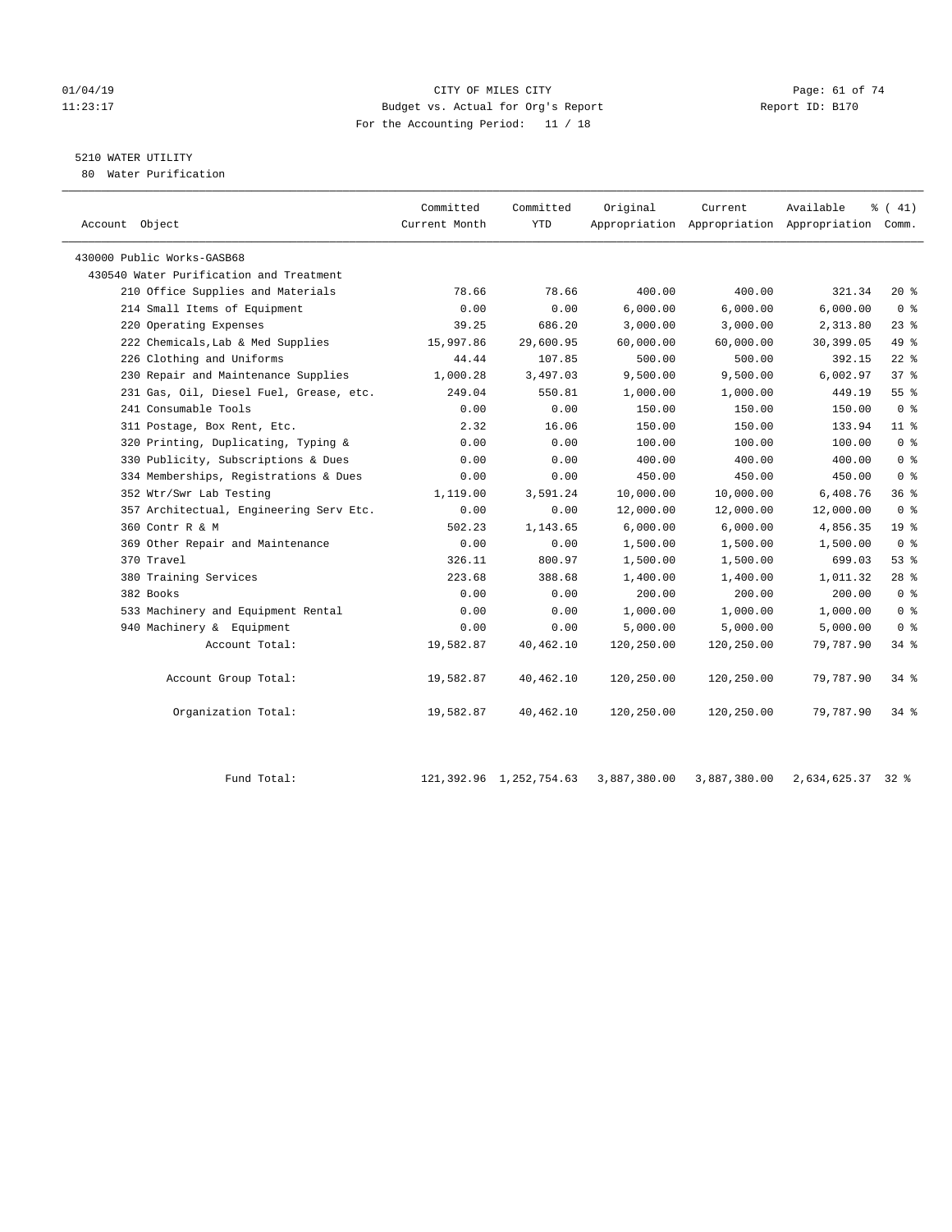# 01/04/19 Page: 61 of 74 11:23:17 Budget vs. Actual for Org's Report Report ID: B170 For the Accounting Period: 11 / 18

# 5210 WATER UTILITY

80 Water Purification

| Account Object                          | Committed<br>Current Month | Committed<br><b>YTD</b> | Original   | Current    | Available<br>Appropriation Appropriation Appropriation Comm. | $\frac{1}{6}$ ( 41) |
|-----------------------------------------|----------------------------|-------------------------|------------|------------|--------------------------------------------------------------|---------------------|
| 430000 Public Works-GASB68              |                            |                         |            |            |                                                              |                     |
| 430540 Water Purification and Treatment |                            |                         |            |            |                                                              |                     |
| 210 Office Supplies and Materials       | 78.66                      | 78.66                   | 400.00     | 400.00     | 321.34                                                       | $20*$               |
| 214 Small Items of Equipment            | 0.00                       | 0.00                    | 6,000.00   | 6,000.00   | 6,000.00                                                     | 0 <sup>8</sup>      |
| 220 Operating Expenses                  | 39.25                      | 686.20                  | 3,000.00   | 3,000.00   | 2,313.80                                                     | $23$ %              |
| 222 Chemicals, Lab & Med Supplies       | 15,997.86                  | 29,600.95               | 60,000.00  | 60,000.00  | 30,399.05                                                    | 49 %                |
| 226 Clothing and Uniforms               | 44.44                      | 107.85                  | 500.00     | 500.00     | 392.15                                                       | $22$ %              |
| 230 Repair and Maintenance Supplies     | 1,000.28                   | 3,497.03                | 9,500.00   | 9,500.00   | 6,002.97                                                     | 378                 |
| 231 Gas, Oil, Diesel Fuel, Grease, etc. | 249.04                     | 550.81                  | 1,000.00   | 1,000.00   | 449.19                                                       | 55 %                |
| 241 Consumable Tools                    | 0.00                       | 0.00                    | 150.00     | 150.00     | 150.00                                                       | 0 <sup>8</sup>      |
| 311 Postage, Box Rent, Etc.             | 2.32                       | 16.06                   | 150.00     | 150.00     | 133.94                                                       | $11$ %              |
| 320 Printing, Duplicating, Typing &     | 0.00                       | 0.00                    | 100.00     | 100.00     | 100.00                                                       | 0 <sup>8</sup>      |
| 330 Publicity, Subscriptions & Dues     | 0.00                       | 0.00                    | 400.00     | 400.00     | 400.00                                                       | 0 <sup>8</sup>      |
| 334 Memberships, Registrations & Dues   | 0.00                       | 0.00                    | 450.00     | 450.00     | 450.00                                                       | 0 <sup>8</sup>      |
| 352 Wtr/Swr Lab Testing                 | 1,119.00                   | 3,591.24                | 10,000.00  | 10,000.00  | 6,408.76                                                     | 36%                 |
| 357 Architectual, Engineering Serv Etc. | 0.00                       | 0.00                    | 12,000.00  | 12,000.00  | 12,000.00                                                    | 0 <sup>8</sup>      |
| 360 Contr R & M                         | 502.23                     | 1,143.65                | 6,000.00   | 6,000.00   | 4,856.35                                                     | 19 <sup>°</sup>     |
| 369 Other Repair and Maintenance        | 0.00                       | 0.00                    | 1,500.00   | 1,500.00   | 1,500.00                                                     | 0 <sup>8</sup>      |
| 370 Travel                              | 326.11                     | 800.97                  | 1,500.00   | 1,500.00   | 699.03                                                       | 53%                 |
| 380 Training Services                   | 223.68                     | 388.68                  | 1,400.00   | 1,400.00   | 1,011.32                                                     | $28$ %              |
| 382 Books                               | 0.00                       | 0.00                    | 200.00     | 200.00     | 200.00                                                       | 0 <sup>8</sup>      |
| 533 Machinery and Equipment Rental      | 0.00                       | 0.00                    | 1,000.00   | 1,000.00   | 1,000.00                                                     | 0 <sup>8</sup>      |
| 940 Machinery & Equipment               | 0.00                       | 0.00                    | 5,000.00   | 5,000.00   | 5,000.00                                                     | 0 <sup>8</sup>      |
| Account Total:                          | 19,582.87                  | 40,462.10               | 120,250.00 | 120,250.00 | 79,787.90                                                    | $34$ $%$            |
| Account Group Total:                    | 19,582.87                  | 40,462.10               | 120,250.00 | 120,250.00 | 79,787.90                                                    | $34$ $8$            |
| Organization Total:                     | 19,582.87                  | 40,462.10               | 120,250.00 | 120,250.00 | 79,787.90                                                    | 34 %                |
|                                         |                            |                         |            |            |                                                              |                     |

Fund Total: 121,392.96 1,252,754.63 3,887,380.00 3,887,380.00 2,634,625.37 32 %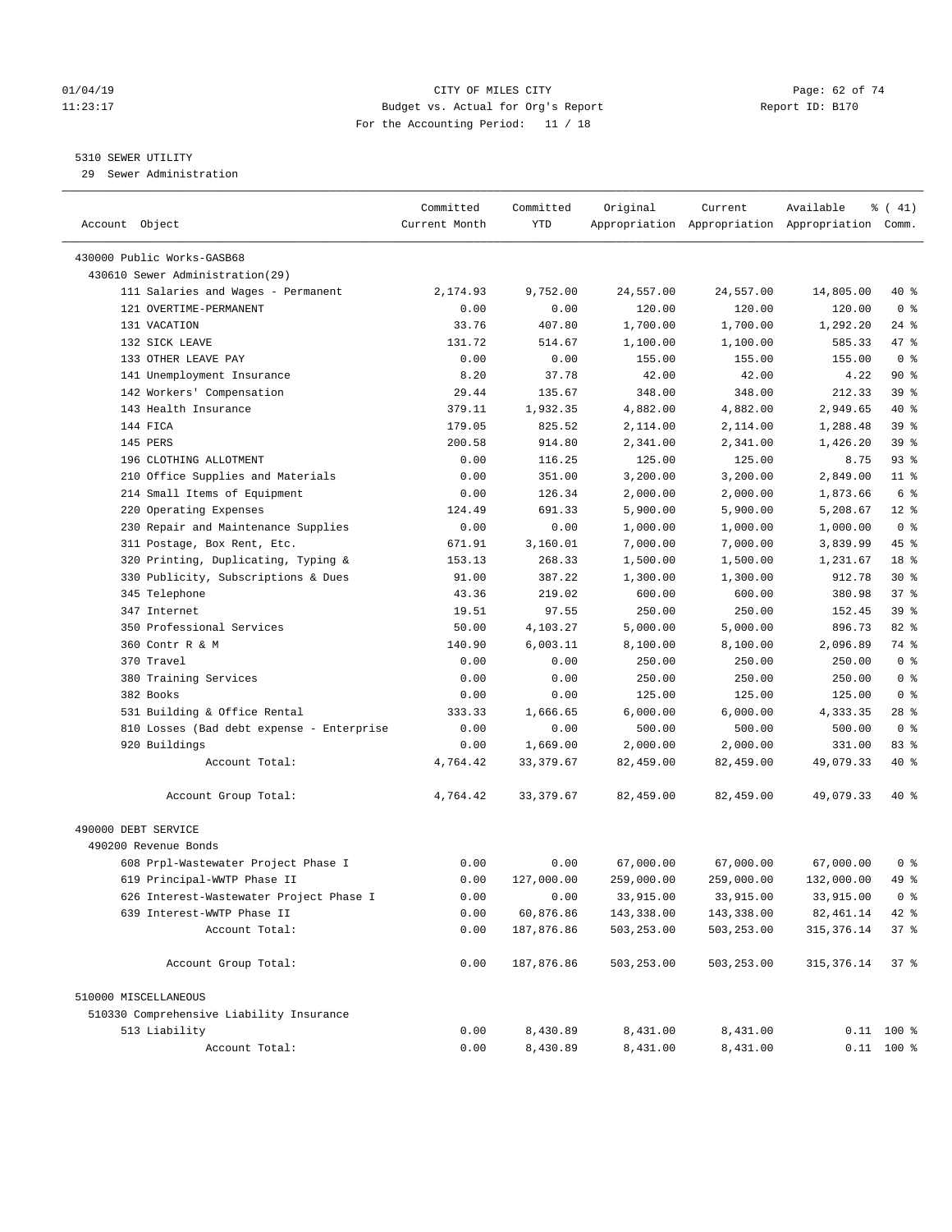# 01/04/19 Page: 62 of 74 11:23:17 Budget vs. Actual for Org's Report Report ID: B170 For the Accounting Period: 11 / 18

————————————————————————————————————————————————————————————————————————————————————————————————————————————————————————————————————

# 5310 SEWER UTILITY

29 Sewer Administration

|                                           | Committed                       | Committed  | Original   | Current    | Available                                       | $\frac{1}{6}$ ( 41) |
|-------------------------------------------|---------------------------------|------------|------------|------------|-------------------------------------------------|---------------------|
| Account Object                            | Current Month                   | YTD        |            |            | Appropriation Appropriation Appropriation Comm. |                     |
| 430000 Public Works-GASB68                |                                 |            |            |            |                                                 |                     |
| 430610 Sewer Administration(29)           |                                 |            |            |            |                                                 |                     |
| 111 Salaries and Wages - Permanent        | 2,174.93                        | 9,752.00   | 24,557.00  | 24,557.00  | 14,805.00                                       | 40 %                |
| 121 OVERTIME-PERMANENT                    | 0.00                            | 0.00       | 120.00     | 120.00     | 120.00                                          | 0 <sup>8</sup>      |
| 131 VACATION                              | 33.76                           | 407.80     | 1,700.00   | 1,700.00   | 1,292.20                                        | $24$ %              |
| 132 SICK LEAVE                            | 131.72                          | 514.67     | 1,100.00   | 1,100.00   | 585.33                                          | 47 %                |
| 133 OTHER LEAVE PAY                       | 0.00                            | 0.00       | 155.00     | 155.00     | 155.00                                          | 0 <sup>8</sup>      |
| 141 Unemployment Insurance                | 8.20                            | 37.78      | 42.00      | 42.00      | 4.22                                            | $90*$               |
| 142 Workers' Compensation                 | 29.44                           | 135.67     | 348.00     | 348.00     | 212.33                                          | 39 %                |
| 143 Health Insurance                      | 379.11                          | 1,932.35   | 4,882.00   | 4,882.00   | 2,949.65                                        | 40 %                |
| 144 FICA                                  | 179.05                          | 825.52     | 2,114.00   | 2,114.00   | 1,288.48                                        | 39%                 |
| 145 PERS                                  | 200.58                          | 914.80     | 2,341.00   | 2,341.00   | 1,426.20                                        | 39 <sup>°</sup>     |
| 196 CLOTHING ALLOTMENT                    | 0.00                            | 116.25     | 125.00     | 125.00     | 8.75                                            | $93$ $%$            |
| 210 Office Supplies and Materials         | 0.00                            | 351.00     | 3,200.00   | 3,200.00   | 2,849.00                                        | $11$ %              |
| 214 Small Items of Equipment              | 0.00                            | 126.34     | 2,000.00   | 2,000.00   | 1,873.66                                        | 6 %                 |
| 220 Operating Expenses                    | 124.49                          | 691.33     | 5,900.00   | 5,900.00   | 5,208.67                                        | $12*$               |
| 230 Repair and Maintenance Supplies       | 0.00                            | 0.00       | 1,000.00   | 1,000.00   | 1,000.00                                        | 0 <sup>8</sup>      |
| 311 Postage, Box Rent, Etc.               | 671.91                          | 3,160.01   | 7,000.00   | 7,000.00   | 3,839.99                                        | 45 %                |
| 320 Printing, Duplicating, Typing &       | 153.13                          | 268.33     | 1,500.00   | 1,500.00   | 1,231.67                                        | 18 %                |
| 330 Publicity, Subscriptions & Dues       | 91.00                           | 387.22     | 1,300.00   | 1,300.00   | 912.78                                          | $30*$               |
| 345 Telephone                             | 43.36                           | 219.02     | 600.00     | 600.00     | 380.98                                          | 37%                 |
| 347 Internet                              | 19.51                           | 97.55      | 250.00     | 250.00     | 152.45                                          | 39%                 |
| 350 Professional Services                 | 50.00                           | 4,103.27   | 5,000.00   | 5,000.00   | 896.73                                          | 82 %                |
| 360 Contr R & M                           | 140.90                          | 6,003.11   | 8,100.00   | 8,100.00   | 2,096.89                                        | 74 %                |
| 370 Travel                                | 0.00                            | 0.00       | 250.00     | 250.00     | 250.00                                          | 0 <sup>8</sup>      |
| 380 Training Services                     | 0.00                            | 0.00       | 250.00     | 250.00     | 250.00                                          | 0 <sup>8</sup>      |
| 382 Books                                 | 0.00                            | 0.00       | 125.00     | 125.00     | 125.00                                          | 0 <sup>8</sup>      |
| 531 Building & Office Rental              | 333.33                          | 1,666.65   | 6,000.00   | 6,000.00   | 4,333.35                                        | $28$ %              |
| 810 Losses (Bad debt expense - Enterprise | 0.00                            | 0.00       | 500.00     | 500.00     | 500.00                                          | 0 <sup>8</sup>      |
| 920 Buildings                             | 0.00                            | 1,669.00   | 2,000.00   | 2,000.00   | 331.00                                          | 83%                 |
| Account Total:                            | 4,764.42                        | 33, 379.67 | 82,459.00  | 82,459.00  | 49,079.33                                       | 40 %                |
|                                           |                                 |            |            |            |                                                 |                     |
| Account Group Total:                      | 4,764.42                        | 33, 379.67 | 82,459.00  | 82,459.00  | 49,079.33                                       | 40 %                |
| 490000 DEBT SERVICE                       |                                 |            |            |            |                                                 |                     |
| 490200 Revenue Bonds                      |                                 |            |            |            |                                                 |                     |
| 608 Prpl-Wastewater Project Phase I       | 0.00                            | 0.00       | 67,000.00  | 67,000.00  | 67,000.00                                       | 0 <sup>8</sup>      |
| 619 Principal-WWTP Phase II               | 0.00                            | 127,000.00 | 259,000.00 | 259,000.00 | 132,000.00                                      | 49 %                |
| 626 Interest-Wastewater Project Phase I   | 0.00                            | 0.00       | 33,915.00  | 33,915.00  | 33,915.00                                       | 0 <sup>8</sup>      |
| 639 Interest-WWTP Phase II                | 0.00                            | 60,876.86  | 143,338.00 | 143,338.00 | 82, 461.14                                      | 42 %                |
| Account Total:                            | ${\bf 0}$ . ${\bf 0}$ ${\bf 0}$ | 187,876.86 | 503,253.00 | 503,253.00 | 315, 376.14                                     | 37%                 |
| Account Group Total:                      | 0.00                            | 187,876.86 | 503,253.00 | 503,253.00 | 315, 376.14                                     | 37%                 |
| 510000 MISCELLANEOUS                      |                                 |            |            |            |                                                 |                     |
| 510330 Comprehensive Liability Insurance  |                                 |            |            |            |                                                 |                     |
| 513 Liability                             | 0.00                            | 8,430.89   | 8,431.00   | 8,431.00   |                                                 | $0.11$ 100 %        |
| Account Total:                            | 0.00                            | 8,430.89   | 8,431.00   | 8,431.00   |                                                 | $0.11$ 100 %        |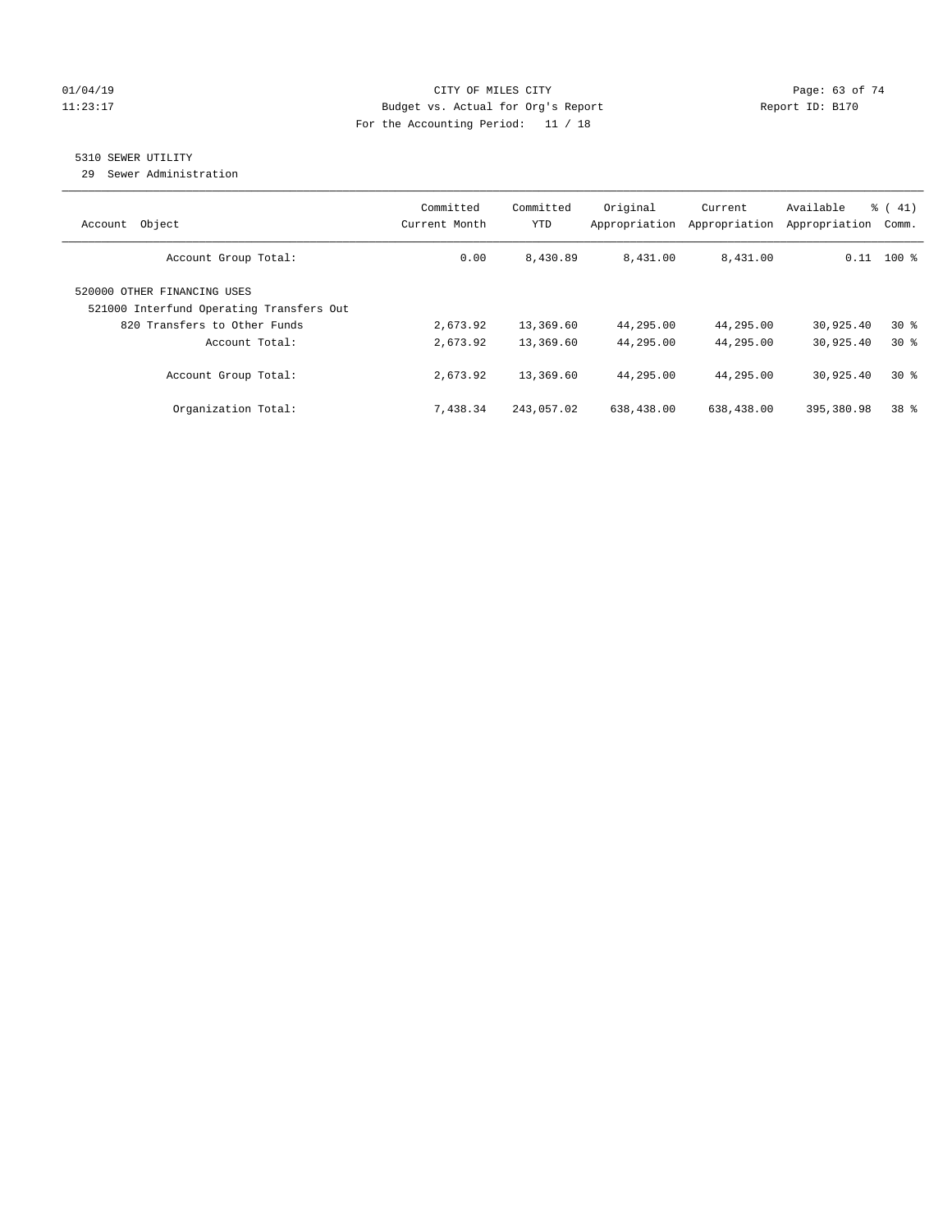# $O1/04/19$  Page: 63 of 74 11:23:17 Budget vs. Actual for Org's Report Changer Report ID: B170 For the Accounting Period: 11 / 18

# 5310 SEWER UTILITY

29 Sewer Administration

| Object<br>Account                                                                                       | Committed<br>Current Month | Committed<br>YTD | Original<br>Appropriation | Current<br>Appropriation | Available<br>Appropriation | % (41)<br>Comm. |
|---------------------------------------------------------------------------------------------------------|----------------------------|------------------|---------------------------|--------------------------|----------------------------|-----------------|
| Account Group Total:                                                                                    | 0.00                       | 8,430.89         | 8,431.00                  | 8,431.00                 |                            | $0.11$ 100 %    |
| 520000 OTHER FINANCING USES<br>521000 Interfund Operating Transfers Out<br>820 Transfers to Other Funds | 2,673.92                   | 13,369.60        | 44,295.00                 | 44,295.00                | 30,925.40                  | $30*$           |
| Account Total:                                                                                          | 2,673.92                   | 13,369.60        | 44,295.00                 | 44,295.00                | 30,925.40                  | $30*$           |
| Account Group Total:                                                                                    | 2,673.92                   | 13,369.60        | 44,295.00                 | 44,295.00                | 30,925.40                  | $30*$           |
| Organization Total:                                                                                     | 7,438.34                   | 243,057.02       | 638,438.00                | 638,438.00               | 395,380.98                 | 38 <sup>8</sup> |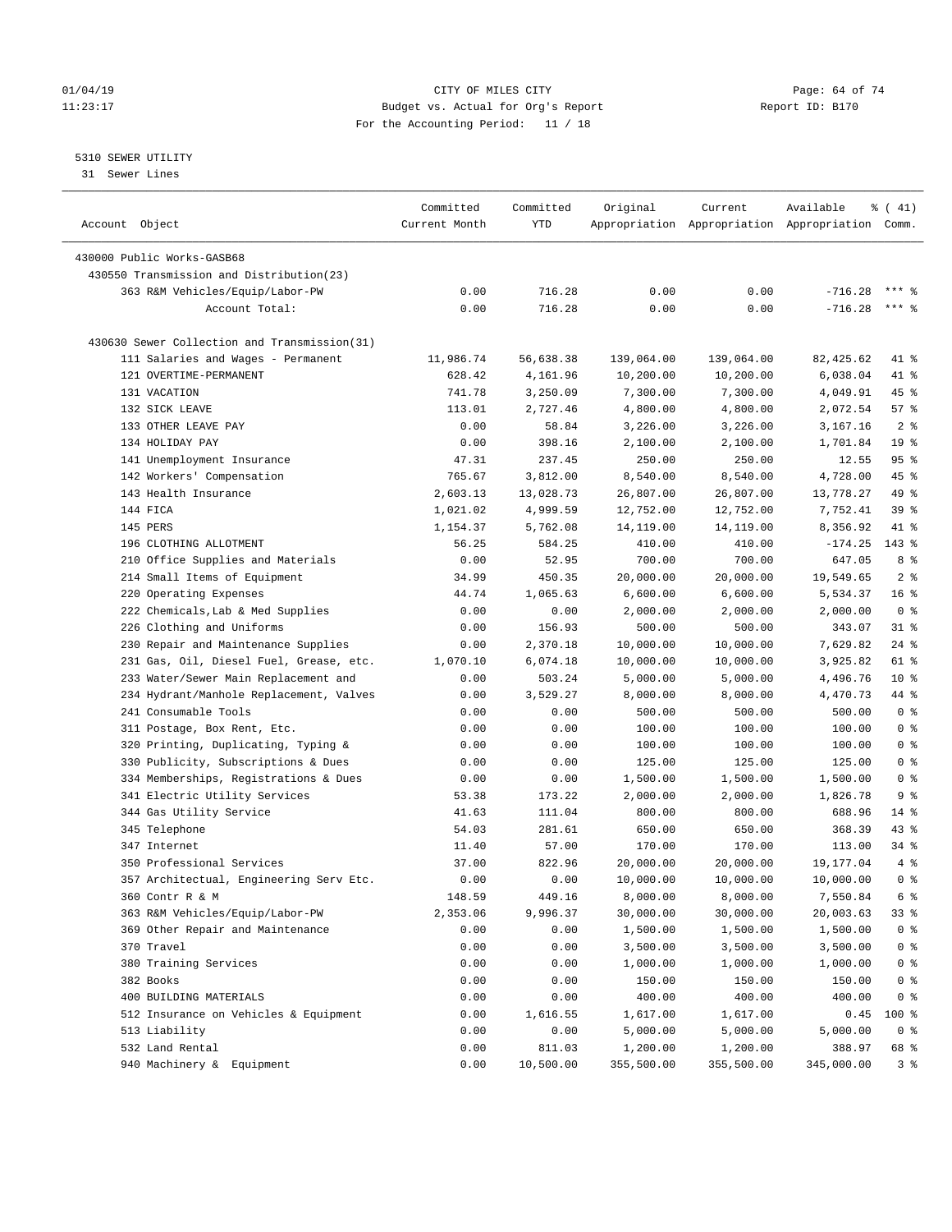# $O1/04/19$  Page: 64 of 74 11:23:17 Budget vs. Actual for Org's Report Changer Report ID: B170 For the Accounting Period: 11 / 18

# 5310 SEWER UTILITY

31 Sewer Lines

| Account Object                                     | Committed<br>Current Month | Committed<br>YTD | Original   | Current    | Available<br>Appropriation Appropriation Appropriation Comm. | $\frac{1}{6}$ ( 41) |
|----------------------------------------------------|----------------------------|------------------|------------|------------|--------------------------------------------------------------|---------------------|
| 430000 Public Works-GASB68                         |                            |                  |            |            |                                                              |                     |
|                                                    |                            |                  |            |            |                                                              |                     |
| 430550 Transmission and Distribution(23)           | 0.00                       | 716.28           | 0.00       | 0.00       | $-716.28$                                                    |                     |
| 363 R&M Vehicles/Equip/Labor-PW                    |                            |                  |            |            |                                                              | $***$ $%$           |
| Account Total:                                     | 0.00                       | 716.28           | 0.00       | 0.00       | $-716.28$                                                    |                     |
| 430630 Sewer Collection and Transmission(31)       |                            |                  |            |            |                                                              |                     |
| 111 Salaries and Wages - Permanent                 | 11,986.74                  | 56,638.38        | 139,064.00 | 139,064.00 | 82, 425.62                                                   | 41 %                |
| 121 OVERTIME-PERMANENT                             | 628.42                     | 4,161.96         | 10,200.00  | 10,200.00  | 6,038.04                                                     | 41 %                |
| 131 VACATION                                       | 741.78                     | 3,250.09         | 7,300.00   | 7,300.00   | 4,049.91                                                     | 45 %                |
| 132 SICK LEAVE                                     | 113.01                     | 2,727.46         | 4,800.00   | 4,800.00   | 2,072.54                                                     | 57%                 |
| 133 OTHER LEAVE PAY                                | 0.00                       | 58.84            | 3,226.00   | 3,226.00   | 3,167.16                                                     | 2 <sup>8</sup>      |
| 134 HOLIDAY PAY                                    | 0.00                       | 398.16           | 2,100.00   | 2,100.00   | 1,701.84                                                     | 19 <sup>°</sup>     |
| 141 Unemployment Insurance                         | 47.31                      | 237.45           | 250.00     | 250.00     | 12.55                                                        | 95%                 |
| 142 Workers' Compensation                          | 765.67                     | 3,812.00         | 8,540.00   | 8,540.00   | 4,728.00                                                     | 45 %                |
| 143 Health Insurance                               | 2,603.13                   | 13,028.73        | 26,807.00  | 26,807.00  | 13,778.27                                                    | 49 %                |
| 144 FICA                                           | 1,021.02                   | 4,999.59         | 12,752.00  | 12,752.00  | 7,752.41                                                     | 39%                 |
| 145 PERS                                           | 1,154.37                   | 5,762.08         | 14,119.00  | 14,119.00  | 8,356.92                                                     | 41 %                |
| 196 CLOTHING ALLOTMENT                             | 56.25                      | 584.25           | 410.00     | 410.00     | $-174.25$                                                    | $143$ %             |
| 210 Office Supplies and Materials                  | 0.00                       | 52.95            | 700.00     | 700.00     | 647.05                                                       | 8 %                 |
| 214 Small Items of Equipment                       | 34.99                      | 450.35           | 20,000.00  | 20,000.00  | 19,549.65                                                    | 2 <sup>°</sup>      |
| 220 Operating Expenses                             | 44.74                      | 1,065.63         | 6,600.00   | 6,600.00   | 5,534.37                                                     | 16 <sup>°</sup>     |
| 222 Chemicals, Lab & Med Supplies                  | 0.00                       | 0.00             | 2,000.00   | 2,000.00   | 2,000.00                                                     | 0 <sup>8</sup>      |
| 226 Clothing and Uniforms                          | 0.00                       | 156.93           | 500.00     | 500.00     | 343.07                                                       | $31$ %              |
| 230 Repair and Maintenance Supplies                | 0.00                       | 2,370.18         | 10,000.00  | 10,000.00  | 7,629.82                                                     | $24$ %              |
| 231 Gas, Oil, Diesel Fuel, Grease, etc.            | 1,070.10                   | 6,074.18         | 10,000.00  | 10,000.00  | 3,925.82                                                     | 61 %                |
| 233 Water/Sewer Main Replacement and               | 0.00                       | 503.24           | 5,000.00   | 5,000.00   | 4,496.76                                                     | $10*$               |
| 234 Hydrant/Manhole Replacement, Valves            | 0.00                       | 3,529.27         | 8,000.00   | 8,000.00   | 4,470.73                                                     | 44 %                |
| 241 Consumable Tools                               | 0.00                       | 0.00             | 500.00     | 500.00     | 500.00                                                       | 0 <sup>8</sup>      |
| 311 Postage, Box Rent, Etc.                        | 0.00                       | 0.00             | 100.00     | 100.00     | 100.00                                                       | 0 <sup>8</sup>      |
| 320 Printing, Duplicating, Typing &                | 0.00                       | 0.00             | 100.00     | 100.00     | 100.00                                                       | 0 <sup>8</sup>      |
| 330 Publicity, Subscriptions & Dues                | 0.00                       | 0.00             | 125.00     | 125.00     | 125.00                                                       | 0 <sup>8</sup>      |
| 334 Memberships, Registrations & Dues              | 0.00                       | 0.00             | 1,500.00   | 1,500.00   | 1,500.00                                                     | 0 <sup>8</sup>      |
| 341 Electric Utility Services                      | 53.38                      | 173.22           | 2,000.00   | 2,000.00   | 1,826.78                                                     | 9 <sup>°</sup>      |
| 344 Gas Utility Service                            | 41.63                      | 111.04           | 800.00     | 800.00     | 688.96                                                       | $14*$               |
| 345 Telephone                                      | 54.03                      | 281.61           | 650.00     | 650.00     | 368.39                                                       | 43 %                |
| 347 Internet                                       | 11.40                      | 57.00            | 170.00     | 170.00     | 113.00                                                       | $34$ $%$            |
| 350 Professional Services                          | 37.00                      | 822.96           | 20,000.00  | 20,000.00  | 19,177.04                                                    | 4%                  |
| 357 Architectual, Engineering Serv Etc.            | 0.00                       | 0.00             | 10,000.00  | 10,000.00  | 10,000.00                                                    | 0 <sup>8</sup>      |
|                                                    |                            |                  |            |            |                                                              | 6 %                 |
| 360 Contr R & M<br>363 R&M Vehicles/Equip/Labor-PW | 148.59                     | 449.16           | 8,000.00   | 8,000.00   | 7,550.84                                                     |                     |
|                                                    | 2,353.06                   | 9,996.37         | 30,000.00  | 30,000.00  | 20,003.63<br>1,500.00                                        | 33 %                |
| 369 Other Repair and Maintenance                   | 0.00                       | 0.00             | 1,500.00   | 1,500.00   |                                                              | 0 <sup>°</sup>      |
| 370 Travel                                         | 0.00                       | 0.00             | 3,500.00   | 3,500.00   | 3,500.00                                                     | 0 <sup>°</sup>      |
| 380 Training Services                              | 0.00                       | 0.00             | 1,000.00   | 1,000.00   | 1,000.00                                                     | 0 <sup>8</sup>      |
| 382 Books                                          | 0.00                       | 0.00             | 150.00     | 150.00     | 150.00                                                       | 0 <sup>8</sup>      |
| 400 BUILDING MATERIALS                             | 0.00                       | 0.00             | 400.00     | 400.00     | 400.00                                                       | 0 <sup>8</sup>      |
| 512 Insurance on Vehicles & Equipment              | 0.00                       | 1,616.55         | 1,617.00   | 1,617.00   | 0.45                                                         | 100 %               |
| 513 Liability                                      | 0.00                       | 0.00             | 5,000.00   | 5,000.00   | 5,000.00                                                     | 0 <sup>8</sup>      |
| 532 Land Rental                                    | 0.00                       | 811.03           | 1,200.00   | 1,200.00   | 388.97                                                       | 68 %                |
| 940 Machinery & Equipment                          | 0.00                       | 10,500.00        | 355,500.00 | 355,500.00 | 345,000.00                                                   | 3%                  |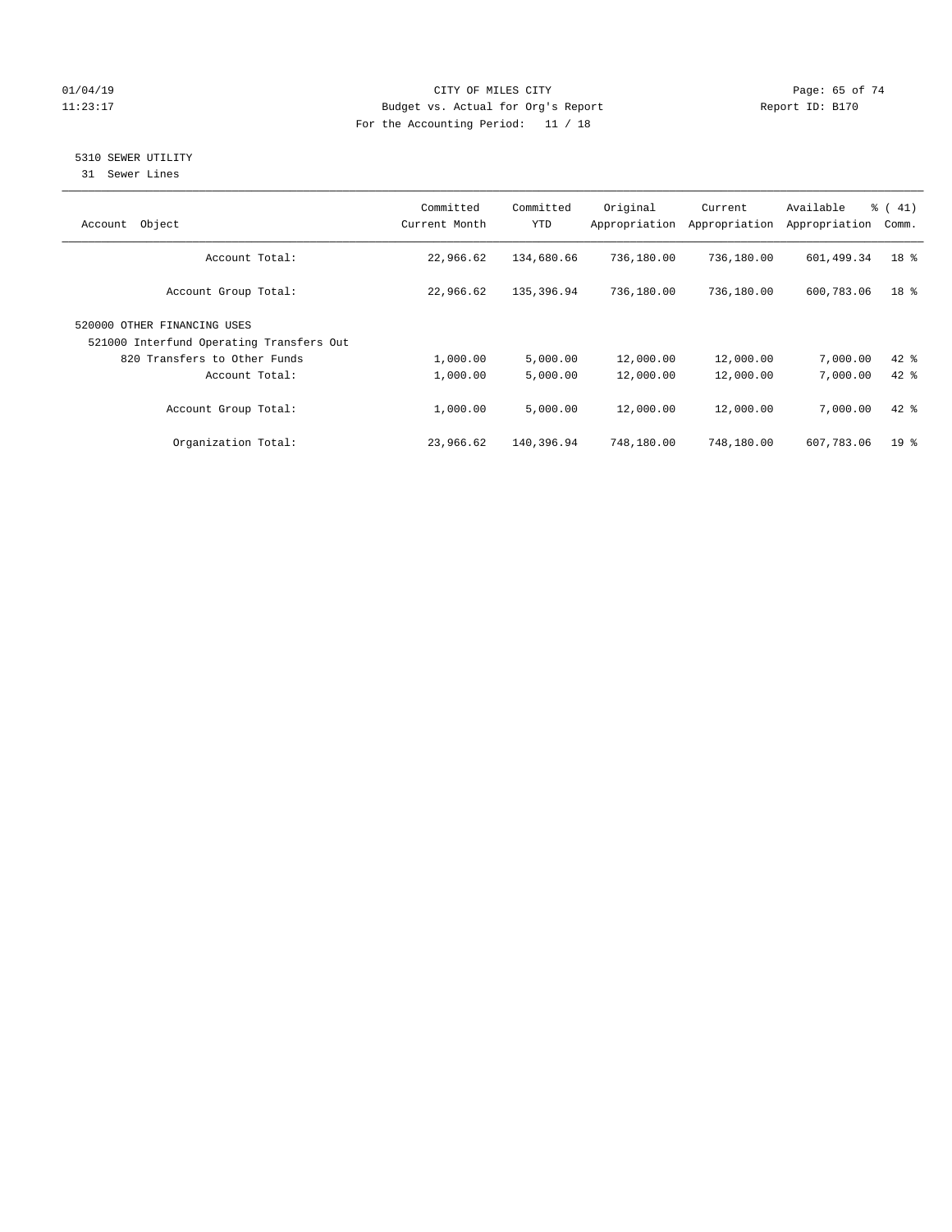# $O1/04/19$  Page: 65 of 74 11:23:17 Budget vs. Actual for Org's Report Changer Report ID: B170 For the Accounting Period: 11 / 18

# 5310 SEWER UTILITY

31 Sewer Lines

| Object<br>Account                                                       | Committed<br>Current Month | Committed<br><b>YTD</b> | Original<br>Appropriation | Current<br>Appropriation | Available<br>Appropriation | $\frac{1}{6}$ ( 41)<br>Comm. |
|-------------------------------------------------------------------------|----------------------------|-------------------------|---------------------------|--------------------------|----------------------------|------------------------------|
| Account Total:                                                          | 22,966.62                  | 134,680.66              | 736,180.00                | 736,180.00               | 601,499.34                 | 18 %                         |
| Account Group Total:                                                    | 22,966.62                  | 135,396.94              | 736,180.00                | 736,180.00               | 600,783.06                 | 18 <sup>8</sup>              |
| 520000 OTHER FINANCING USES<br>521000 Interfund Operating Transfers Out |                            |                         |                           |                          |                            |                              |
| 820 Transfers to Other Funds                                            | 1,000.00                   | 5,000.00                | 12,000.00                 | 12,000.00                | 7,000.00                   | $42$ %                       |
| Account Total:                                                          | 1,000.00                   | 5,000.00                | 12,000.00                 | 12,000.00                | 7,000.00                   | $42$ $%$                     |
| Account Group Total:                                                    | 1,000.00                   | 5,000.00                | 12,000.00                 | 12,000.00                | 7,000.00                   | $42*$                        |
| Organization Total:                                                     | 23,966.62                  | 140,396.94              | 748,180.00                | 748,180.00               | 607,783.06                 | 19 <sup>8</sup>              |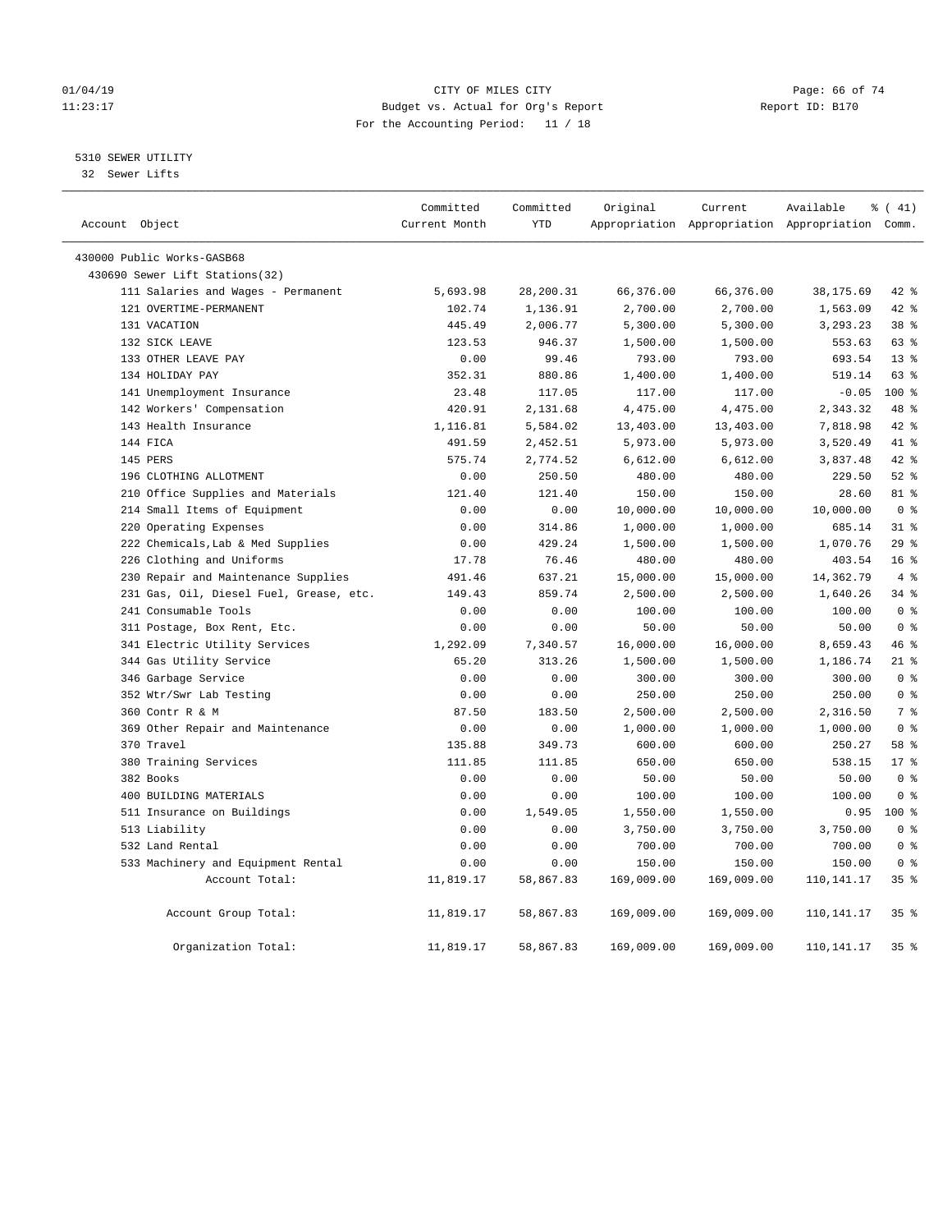# $O1/04/19$  Page: 66 of 74 11:23:17 Budget vs. Actual for Org's Report Changer Report ID: B170 For the Accounting Period: 11 / 18

# 5310 SEWER UTILITY

32 Sewer Lifts

| Account Object |                                         | Committed<br>Current Month | Committed<br><b>YTD</b> | Original   | Current    | Available<br>Appropriation Appropriation Appropriation Comm. | % (41)           |
|----------------|-----------------------------------------|----------------------------|-------------------------|------------|------------|--------------------------------------------------------------|------------------|
|                |                                         |                            |                         |            |            |                                                              |                  |
|                | 430000 Public Works-GASB68              |                            |                         |            |            |                                                              |                  |
|                | 430690 Sewer Lift Stations(32)          |                            |                         |            |            |                                                              |                  |
|                | 111 Salaries and Wages - Permanent      | 5,693.98                   | 28,200.31               | 66,376.00  | 66,376.00  | 38,175.69                                                    | $42$ %           |
|                | 121 OVERTIME-PERMANENT                  | 102.74                     | 1,136.91                | 2,700.00   | 2,700.00   | 1,563.09                                                     | 42 %             |
|                | 131 VACATION                            | 445.49                     | 2,006.77                | 5,300.00   | 5,300.00   | 3,293.23                                                     | 38 %             |
|                | 132 SICK LEAVE                          | 123.53                     | 946.37                  | 1,500.00   | 1,500.00   | 553.63                                                       | 63%              |
|                | 133 OTHER LEAVE PAY                     | 0.00                       | 99.46                   | 793.00     | 793.00     | 693.54                                                       | $13*$            |
|                | 134 HOLIDAY PAY                         | 352.31                     | 880.86                  | 1,400.00   | 1,400.00   | 519.14                                                       | 63 %             |
|                | 141 Unemployment Insurance              | 23.48                      | 117.05                  | 117.00     | 117.00     | $-0.05$                                                      | 100 <sub>8</sub> |
|                | 142 Workers' Compensation               | 420.91                     | 2,131.68                | 4,475.00   | 4,475.00   | 2,343.32                                                     | 48 %             |
|                | 143 Health Insurance                    | 1,116.81                   | 5,584.02                | 13,403.00  | 13,403.00  | 7,818.98                                                     | $42$ %           |
|                | 144 FICA                                | 491.59                     | 2,452.51                | 5,973.00   | 5,973.00   | 3,520.49                                                     | 41.8             |
|                | 145 PERS                                | 575.74                     | 2,774.52                | 6,612.00   | 6,612.00   | 3,837.48                                                     | $42$ %           |
|                | 196 CLOTHING ALLOTMENT                  | 0.00                       | 250.50                  | 480.00     | 480.00     | 229.50                                                       | $52$ $%$         |
|                | 210 Office Supplies and Materials       | 121.40                     | 121.40                  | 150.00     | 150.00     | 28.60                                                        | 81 %             |
|                | 214 Small Items of Equipment            | 0.00                       | 0.00                    | 10,000.00  | 10,000.00  | 10,000.00                                                    | 0 <sup>8</sup>   |
|                | 220 Operating Expenses                  | 0.00                       | 314.86                  | 1,000.00   | 1,000.00   | 685.14                                                       | $31$ %           |
|                | 222 Chemicals, Lab & Med Supplies       | 0.00                       | 429.24                  | 1,500.00   | 1,500.00   | 1,070.76                                                     | 29%              |
|                | 226 Clothing and Uniforms               | 17.78                      | 76.46                   | 480.00     | 480.00     | 403.54                                                       | 16 <sup>8</sup>  |
|                | 230 Repair and Maintenance Supplies     | 491.46                     | 637.21                  | 15,000.00  | 15,000.00  | 14,362.79                                                    | 4%               |
|                | 231 Gas, Oil, Diesel Fuel, Grease, etc. | 149.43                     | 859.74                  | 2,500.00   | 2,500.00   | 1,640.26                                                     | 34.8             |
|                | 241 Consumable Tools                    | 0.00                       | 0.00                    | 100.00     | 100.00     | 100.00                                                       | 0 <sup>8</sup>   |
|                | 311 Postage, Box Rent, Etc.             | 0.00                       | 0.00                    | 50.00      | 50.00      | 50.00                                                        | 0 <sup>8</sup>   |
|                | 341 Electric Utility Services           | 1,292.09                   | 7,340.57                | 16,000.00  | 16,000.00  | 8,659.43                                                     | 46 %             |
|                | 344 Gas Utility Service                 | 65.20                      | 313.26                  | 1,500.00   | 1,500.00   | 1,186.74                                                     | $21$ %           |
|                | 346 Garbage Service                     | 0.00                       | 0.00                    | 300.00     | 300.00     | 300.00                                                       | 0 <sup>8</sup>   |
|                | 352 Wtr/Swr Lab Testing                 | 0.00                       | 0.00                    | 250.00     | 250.00     | 250.00                                                       | 0 <sup>8</sup>   |
|                | 360 Contr R & M                         | 87.50                      | 183.50                  | 2,500.00   | 2,500.00   | 2,316.50                                                     | 7 %              |
|                | 369 Other Repair and Maintenance        | 0.00                       | 0.00                    | 1,000.00   | 1,000.00   | 1,000.00                                                     | 0 <sup>8</sup>   |
|                | 370 Travel                              | 135.88                     | 349.73                  | 600.00     | 600.00     | 250.27                                                       | 58 %             |
|                | 380 Training Services                   | 111.85                     | 111.85                  | 650.00     | 650.00     | 538.15                                                       | $17*$            |
|                | 382 Books                               | 0.00                       | 0.00                    | 50.00      | 50.00      | 50.00                                                        | 0 <sup>8</sup>   |
|                | 400 BUILDING MATERIALS                  | 0.00                       | 0.00                    | 100.00     | 100.00     | 100.00                                                       | 0 <sup>8</sup>   |
|                | 511 Insurance on Buildings              | 0.00                       | 1,549.05                | 1,550.00   | 1,550.00   | 0.95                                                         | $100*$           |
|                | 513 Liability                           | 0.00                       | 0.00                    | 3,750.00   | 3,750.00   | 3,750.00                                                     | 0 <sup>8</sup>   |
|                | 532 Land Rental                         | 0.00                       | 0.00                    | 700.00     | 700.00     | 700.00                                                       | 0 <sup>8</sup>   |
|                | 533 Machinery and Equipment Rental      | 0.00                       | 0.00                    | 150.00     | 150.00     | 150.00                                                       | 0 <sup>8</sup>   |
|                | Account Total:                          | 11,819.17                  | 58,867.83               | 169,009.00 | 169,009.00 | 110, 141. 17                                                 | 35 <sup>8</sup>  |
|                | Account Group Total:                    | 11,819.17                  | 58,867.83               | 169,009.00 | 169,009.00 | 110,141.17                                                   | 35%              |
|                | Organization Total:                     | 11,819.17                  | 58,867.83               | 169,009.00 | 169,009.00 | 110, 141. 17                                                 | 35 <sup>8</sup>  |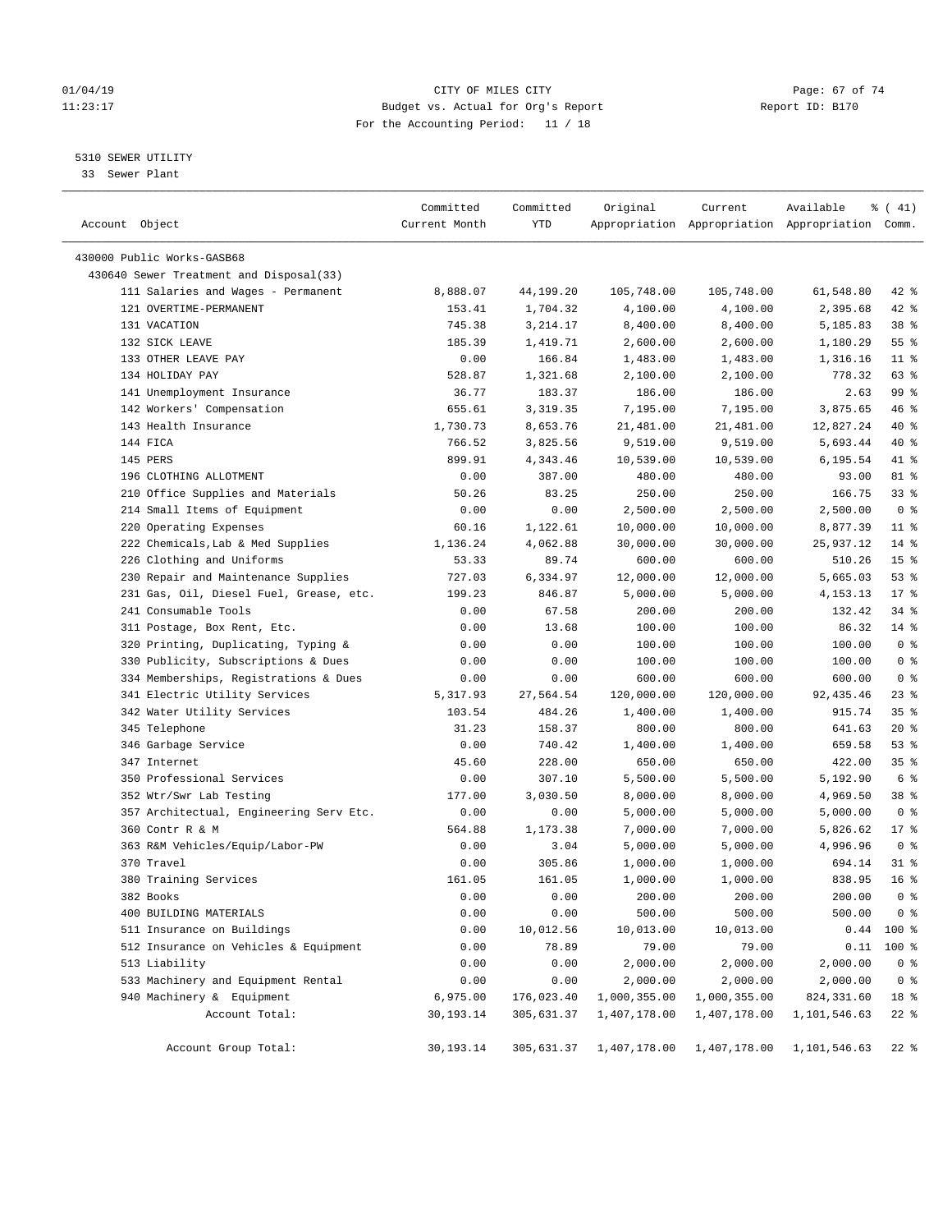# $O1/04/19$  Page: 67 of 74 11:23:17 Budget vs. Actual for Org's Report Changer Report ID: B170 For the Accounting Period: 11 / 18

————————————————————————————————————————————————————————————————————————————————————————————————————————————————————————————————————

# 5310 SEWER UTILITY

33 Sewer Plant

|                                         | Committed      | Committed  | Original                | Current            | Available                                       | $\frac{1}{6}$ ( 41) |
|-----------------------------------------|----------------|------------|-------------------------|--------------------|-------------------------------------------------|---------------------|
| Account Object                          | Current Month  | YTD        |                         |                    | Appropriation Appropriation Appropriation Comm. |                     |
| 430000 Public Works-GASB68              |                |            |                         |                    |                                                 |                     |
| 430640 Sewer Treatment and Disposal(33) |                |            |                         |                    |                                                 |                     |
| 111 Salaries and Wages - Permanent      | 8,888.07       | 44,199.20  | 105,748.00              | 105,748.00         | 61,548.80                                       | $42$ %              |
| 121 OVERTIME-PERMANENT                  | 153.41         | 1,704.32   | 4,100.00                | 4,100.00           | 2,395.68                                        | $42$ %              |
| 131 VACATION                            | 745.38         | 3,214.17   | 8,400.00                | 8,400.00           | 5,185.83                                        | 38 <sup>8</sup>     |
| 132 SICK LEAVE                          | 185.39         | 1,419.71   | 2,600.00                | 2,600.00           | 1,180.29                                        | $55$ $%$            |
| 133 OTHER LEAVE PAY                     | 0.00           | 166.84     | 1,483.00                | 1,483.00           | 1,316.16                                        | $11$ %              |
| 134 HOLIDAY PAY                         | 528.87         | 1,321.68   | 2,100.00                | 2,100.00           | 778.32                                          | 63 %                |
| 141 Unemployment Insurance              | 36.77          | 183.37     | 186.00                  | 186.00             | 2.63                                            | 99 %                |
| 142 Workers' Compensation               | 655.61         | 3,319.35   | 7,195.00                | 7,195.00           | 3,875.65                                        | 46 %                |
| 143 Health Insurance                    | 1,730.73       | 8,653.76   | 21,481.00               | 21,481.00          | 12,827.24                                       | 40 %                |
| 144 FICA                                | 766.52         | 3,825.56   | 9,519.00                | 9,519.00           | 5,693.44                                        | 40 %                |
| 145 PERS                                | 899.91         | 4,343.46   | 10,539.00               | 10,539.00          | 6,195.54                                        | 41 %                |
| 196 CLOTHING ALLOTMENT                  | 0.00           | 387.00     | 480.00                  | 480.00             | 93.00                                           | 81 %                |
| 210 Office Supplies and Materials       | 50.26          | 83.25      | 250.00                  | 250.00             | 166.75                                          | $33$ $%$            |
| 214 Small Items of Equipment            | 0.00           | 0.00       | 2,500.00                | 2,500.00           | 2,500.00                                        | 0 <sup>8</sup>      |
| 220 Operating Expenses                  | 60.16          | 1,122.61   | 10,000.00               | 10,000.00          | 8,877.39                                        | $11$ %              |
| 222 Chemicals, Lab & Med Supplies       | 1,136.24       | 4,062.88   | 30,000.00               | 30,000.00          | 25,937.12                                       | $14*$               |
| 226 Clothing and Uniforms               | 53.33          | 89.74      | 600.00                  | 600.00             | 510.26                                          | 15 <sup>°</sup>     |
| 230 Repair and Maintenance Supplies     | 727.03         | 6,334.97   |                         |                    | 5,665.03                                        | 53%                 |
| 231 Gas, Oil, Diesel Fuel, Grease, etc. |                | 846.87     | 12,000.00               | 12,000.00          | 4,153.13                                        | $17*$               |
| 241 Consumable Tools                    | 199.23<br>0.00 | 67.58      | 5,000.00<br>200.00      | 5,000.00<br>200.00 | 132.42                                          | 34%                 |
|                                         | 0.00           | 13.68      |                         | 100.00             | 86.32                                           | $14$ %              |
| 311 Postage, Box Rent, Etc.             |                |            | 100.00<br>100.00        | 100.00             | 100.00                                          | 0 <sup>8</sup>      |
| 320 Printing, Duplicating, Typing &     | 0.00           | 0.00       |                         |                    |                                                 | 0 <sup>8</sup>      |
| 330 Publicity, Subscriptions & Dues     | 0.00           | 0.00       | 100.00                  | 100.00             | 100.00                                          |                     |
| 334 Memberships, Registrations & Dues   | 0.00           | 0.00       | 600.00                  | 600.00             | 600.00                                          | 0 <sup>8</sup>      |
| 341 Electric Utility Services           | 5, 317.93      | 27,564.54  | 120,000.00              | 120,000.00         | 92, 435.46                                      | $23$ $%$            |
| 342 Water Utility Services              | 103.54         | 484.26     | 1,400.00                | 1,400.00           | 915.74                                          | 35%                 |
| 345 Telephone                           | 31.23          | 158.37     | 800.00                  | 800.00             | 641.63                                          | $20*$               |
| 346 Garbage Service                     | 0.00           | 740.42     | 1,400.00                | 1,400.00           | 659.58                                          | 53%                 |
| 347 Internet                            | 45.60          | 228.00     | 650.00                  | 650.00             | 422.00                                          | 35%                 |
| 350 Professional Services               | 0.00           | 307.10     | 5,500.00                | 5,500.00           | 5,192.90                                        | 6 <sup>°</sup>      |
| 352 Wtr/Swr Lab Testing                 | 177.00         | 3,030.50   | 8,000.00                | 8,000.00           | 4,969.50                                        | 38 %                |
| 357 Architectual, Engineering Serv Etc. | 0.00           | 0.00       | 5,000.00                | 5,000.00           | 5,000.00                                        | 0 <sup>8</sup>      |
| 360 Contr R & M                         | 564.88         | 1,173.38   | 7,000.00                | 7,000.00           | 5,826.62                                        | $17*$               |
| 363 R&M Vehicles/Equip/Labor-PW         | 0.00           | 3.04       | 5,000.00                | 5,000.00           | 4,996.96                                        | 0 <sup>8</sup>      |
| 370 Travel                              | 0.00           | 305.86     | 1,000.00                | 1,000.00           | 694.14                                          | $31$ %              |
| 380 Training Services                   | 161.05         | 161.05     | 1,000.00                | 1,000.00           | 838.95                                          | 16 <sup>8</sup>     |
| 382 Books                               | 0.00           | 0.00       | 200.00                  | 200.00             | 200.00                                          | 0 <sup>8</sup>      |
| 400 BUILDING MATERIALS                  | 0.00           | 0.00       | 500.00                  | 500.00             | 500.00                                          | 0 <sup>8</sup>      |
| 511 Insurance on Buildings              | 0.00           | 10,012.56  | 10,013.00               | 10,013.00          |                                                 | $0.44$ 100 %        |
| 512 Insurance on Vehicles & Equipment   | 0.00           | 78.89      | 79.00                   | 79.00              | 0.11                                            | $100*$              |
| 513 Liability                           | 0.00           | 0.00       | 2,000.00                | 2,000.00           | 2,000.00                                        | 0 <sup>8</sup>      |
| 533 Machinery and Equipment Rental      | 0.00           | 0.00       | 2,000.00                | 2,000.00           | 2,000.00                                        | 0 <sup>8</sup>      |
| 940 Machinery & Equipment               | 6,975.00       | 176,023.40 | 1,000,355.00            | 1,000,355.00       | 824, 331.60                                     | 18 %                |
| Account Total:                          | 30,193.14      | 305,631.37 | 1,407,178.00            | 1,407,178.00       | 1,101,546.63                                    | $22$ %              |
| Account Group Total:                    | 30,193.14      |            | 305,631.37 1,407,178.00 |                    | 1,407,178.00 1,101,546.63                       | $22$ %              |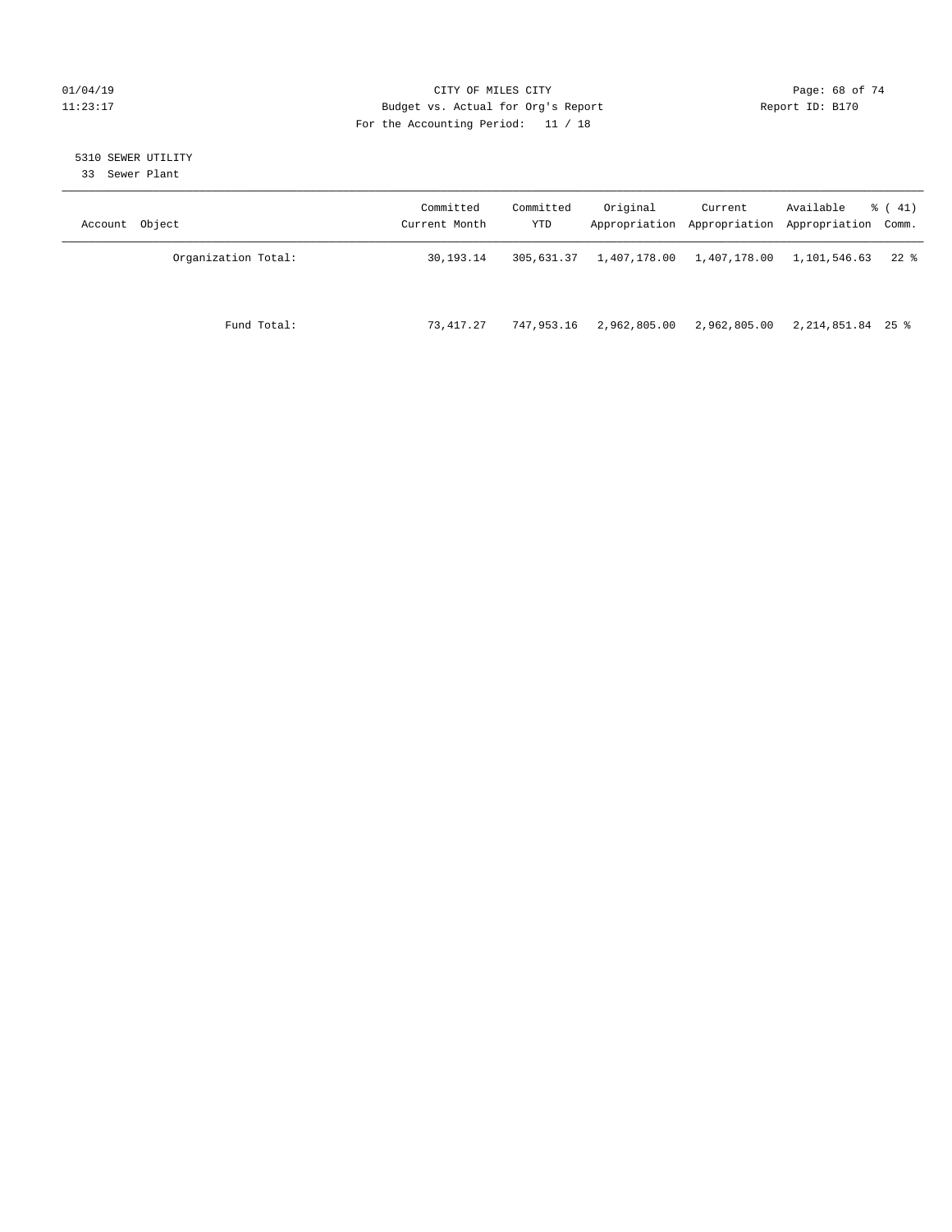# $O1/04/19$  Page: 68 of 74 11:23:17 Budget vs. Actual for Org's Report Changer Report ID: B170 For the Accounting Period: 11 / 18

# 5310 SEWER UTILITY

33 Sewer Plant

| Account Object      | Committed<br>Current Month | Committed<br>YTD | Original                  | Current      | Available<br>Appropriation Appropriation Appropriation Comm. | $\frac{1}{6}$ ( 41) |
|---------------------|----------------------------|------------------|---------------------------|--------------|--------------------------------------------------------------|---------------------|
| Organization Total: | 30,193.14                  | 305,631.37       | 1,407,178.00 1,407,178.00 |              | 1,101,546.63                                                 | $22$ %              |
| Fund Total:         | 73,417.27                  | 747.953.16       | 2,962,805.00              | 2,962,805.00 | 2,214,851.84 25 %                                            |                     |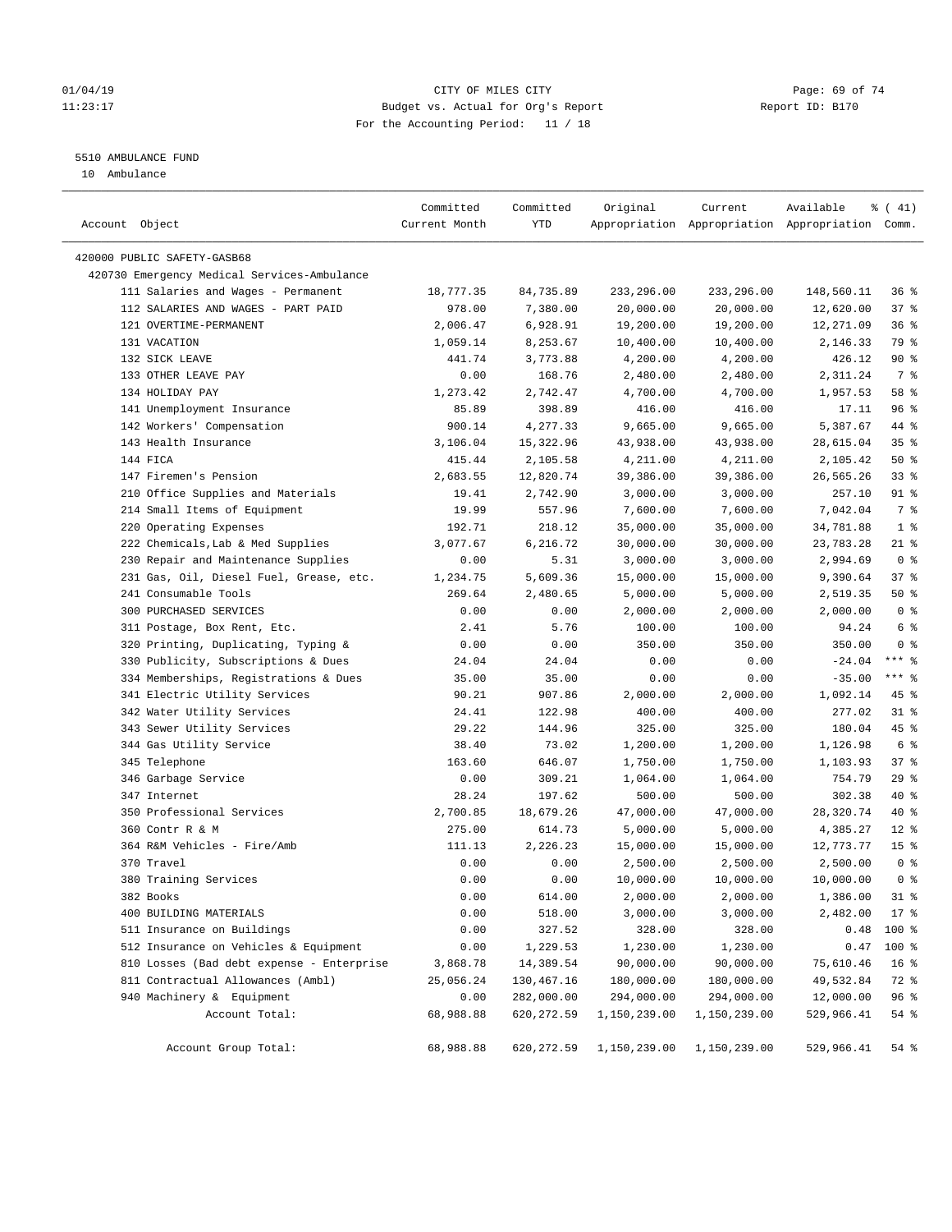# $O1/04/19$  Page: 69 of 74 11:23:17 Budget vs. Actual for Org's Report Changer Report ID: B170 For the Accounting Period: 11 / 18

————————————————————————————————————————————————————————————————————————————————————————————————————————————————————————————————————

# 5510 AMBULANCE FUND

10 Ambulance

|                                             | Committed     | Committed          | Original     | Current      | Available                                       | $\frac{1}{6}$ ( 41) |
|---------------------------------------------|---------------|--------------------|--------------|--------------|-------------------------------------------------|---------------------|
| Account Object                              | Current Month | YTD                |              |              | Appropriation Appropriation Appropriation Comm. |                     |
| 420000 PUBLIC SAFETY-GASB68                 |               |                    |              |              |                                                 |                     |
| 420730 Emergency Medical Services-Ambulance |               |                    |              |              |                                                 |                     |
| 111 Salaries and Wages - Permanent          | 18,777.35     | 84,735.89          | 233,296.00   | 233,296.00   | 148,560.11                                      | 36%                 |
| 112 SALARIES AND WAGES - PART PAID          | 978.00        | 7,380.00           | 20,000.00    | 20,000.00    | 12,620.00                                       | 37%                 |
| 121 OVERTIME-PERMANENT                      |               |                    |              |              |                                                 |                     |
|                                             | 2,006.47      | 6,928.91           | 19,200.00    | 19,200.00    | 12,271.09                                       | 36%                 |
| 131 VACATION                                | 1,059.14      | 8,253.67           | 10,400.00    | 10,400.00    | 2,146.33                                        | 79 %                |
| 132 SICK LEAVE<br>133 OTHER LEAVE PAY       | 441.74        | 3,773.88<br>168.76 | 4,200.00     | 4,200.00     | 426.12                                          | $90*$               |
|                                             | 0.00          |                    | 2,480.00     | 2,480.00     | 2,311.24                                        | 7 %                 |
| 134 HOLIDAY PAY                             | 1,273.42      | 2,742.47           | 4,700.00     | 4,700.00     | 1,957.53                                        | 58 %                |
| 141 Unemployment Insurance                  | 85.89         | 398.89             | 416.00       | 416.00       | 17.11                                           | 96%                 |
| 142 Workers' Compensation                   | 900.14        | 4,277.33           | 9,665.00     | 9,665.00     | 5,387.67                                        | 44 %                |
| 143 Health Insurance                        | 3,106.04      | 15,322.96          | 43,938.00    | 43,938.00    | 28,615.04                                       | 35%                 |
| 144 FICA                                    | 415.44        | 2,105.58           | 4,211.00     | 4,211.00     | 2,105.42                                        | 50%                 |
| 147 Firemen's Pension                       | 2,683.55      | 12,820.74          | 39,386.00    | 39,386.00    | 26,565.26                                       | 33%                 |
| 210 Office Supplies and Materials           | 19.41         | 2,742.90           | 3,000.00     | 3,000.00     | 257.10                                          | 91 %                |
| 214 Small Items of Equipment                | 19.99         | 557.96             | 7,600.00     | 7,600.00     | 7,042.04                                        | 7 %                 |
| 220 Operating Expenses                      | 192.71        | 218.12             | 35,000.00    | 35,000.00    | 34,781.88                                       | 1 <sup>8</sup>      |
| 222 Chemicals, Lab & Med Supplies           | 3,077.67      | 6,216.72           | 30,000.00    | 30,000.00    | 23,783.28                                       | $21$ %              |
| 230 Repair and Maintenance Supplies         | 0.00          | 5.31               | 3,000.00     | 3,000.00     | 2,994.69                                        | 0 <sup>8</sup>      |
| 231 Gas, Oil, Diesel Fuel, Grease, etc.     | 1,234.75      | 5,609.36           | 15,000.00    | 15,000.00    | 9,390.64                                        | 37%                 |
| 241 Consumable Tools                        | 269.64        | 2,480.65           | 5,000.00     | 5,000.00     | 2,519.35                                        | 50%                 |
| 300 PURCHASED SERVICES                      | 0.00          | 0.00               | 2,000.00     | 2,000.00     | 2,000.00                                        | 0 <sup>8</sup>      |
| 311 Postage, Box Rent, Etc.                 | 2.41          | 5.76               | 100.00       | 100.00       | 94.24                                           | 6 %                 |
| 320 Printing, Duplicating, Typing &         | 0.00          | 0.00               | 350.00       | 350.00       | 350.00                                          | 0 <sup>8</sup>      |
| 330 Publicity, Subscriptions & Dues         | 24.04         | 24.04              | 0.00         | 0.00         | $-24.04$                                        | $***$ $%$           |
| 334 Memberships, Registrations & Dues       | 35.00         | 35.00              | 0.00         | 0.00         | $-35.00$                                        | $***$ $_{8}$        |
| 341 Electric Utility Services               | 90.21         | 907.86             | 2,000.00     | 2,000.00     | 1,092.14                                        | 45 %                |
| 342 Water Utility Services                  | 24.41         | 122.98             | 400.00       | 400.00       | 277.02                                          | $31$ %              |
| 343 Sewer Utility Services                  | 29.22         | 144.96             | 325.00       | 325.00       | 180.04                                          | 45 %                |
| 344 Gas Utility Service                     | 38.40         | 73.02              | 1,200.00     | 1,200.00     | 1,126.98                                        | 6 %                 |
| 345 Telephone                               | 163.60        | 646.07             | 1,750.00     | 1,750.00     | 1,103.93                                        | 37%                 |
| 346 Garbage Service                         | 0.00          | 309.21             | 1,064.00     | 1,064.00     | 754.79                                          | 29%                 |
| 347 Internet                                | 28.24         | 197.62             | 500.00       | 500.00       | 302.38                                          | 40 %                |
| 350 Professional Services                   | 2,700.85      | 18,679.26          | 47,000.00    | 47,000.00    | 28,320.74                                       | 40 %                |
| 360 Contr R & M                             | 275.00        | 614.73             | 5,000.00     | 5,000.00     | 4,385.27                                        | $12*$               |
| 364 R&M Vehicles - Fire/Amb                 | 111.13        | 2,226.23           | 15,000.00    | 15,000.00    | 12,773.77                                       | 15 <sup>°</sup>     |
| 370 Travel                                  | 0.00          | 0.00               | 2,500.00     | 2,500.00     | 2,500.00                                        | 0 <sup>8</sup>      |
| 380 Training Services                       | 0.00          | 0.00               | 10,000.00    | 10,000.00    | 10,000.00                                       | 0 <sup>8</sup>      |
| 382 Books                                   | 0.00          | 614.00             | 2,000.00     | 2,000.00     | 1,386.00                                        | $31$ %              |
| 400 BUILDING MATERIALS                      | 0.00          | 518.00             | 3,000.00     | 3,000.00     | 2,482.00                                        | 17 %                |
| 511 Insurance on Buildings                  | 0.00          | 327.52             | 328.00       | 328.00       | 0.48                                            | 100 %               |
| 512 Insurance on Vehicles & Equipment       | 0.00          | 1,229.53           | 1,230.00     | 1,230.00     | 0.47                                            | 100 %               |
| 810 Losses (Bad debt expense - Enterprise   | 3,868.78      | 14,389.54          | 90,000.00    | 90,000.00    | 75,610.46                                       | 16 <sup>°</sup>     |
| 811 Contractual Allowances (Ambl)           | 25,056.24     | 130,467.16         | 180,000.00   | 180,000.00   | 49,532.84                                       | 72 %                |
| 940 Machinery & Equipment                   | 0.00          | 282,000.00         | 294,000.00   | 294,000.00   | 12,000.00                                       | 96 %                |
| Account Total:                              | 68,988.88     | 620, 272.59        | 1,150,239.00 | 1,150,239.00 | 529,966.41                                      | 54 %                |
| Account Group Total:                        | 68,988.88     | 620,272.59         | 1,150,239.00 | 1,150,239.00 | 529,966.41                                      | $54$ $%$            |
|                                             |               |                    |              |              |                                                 |                     |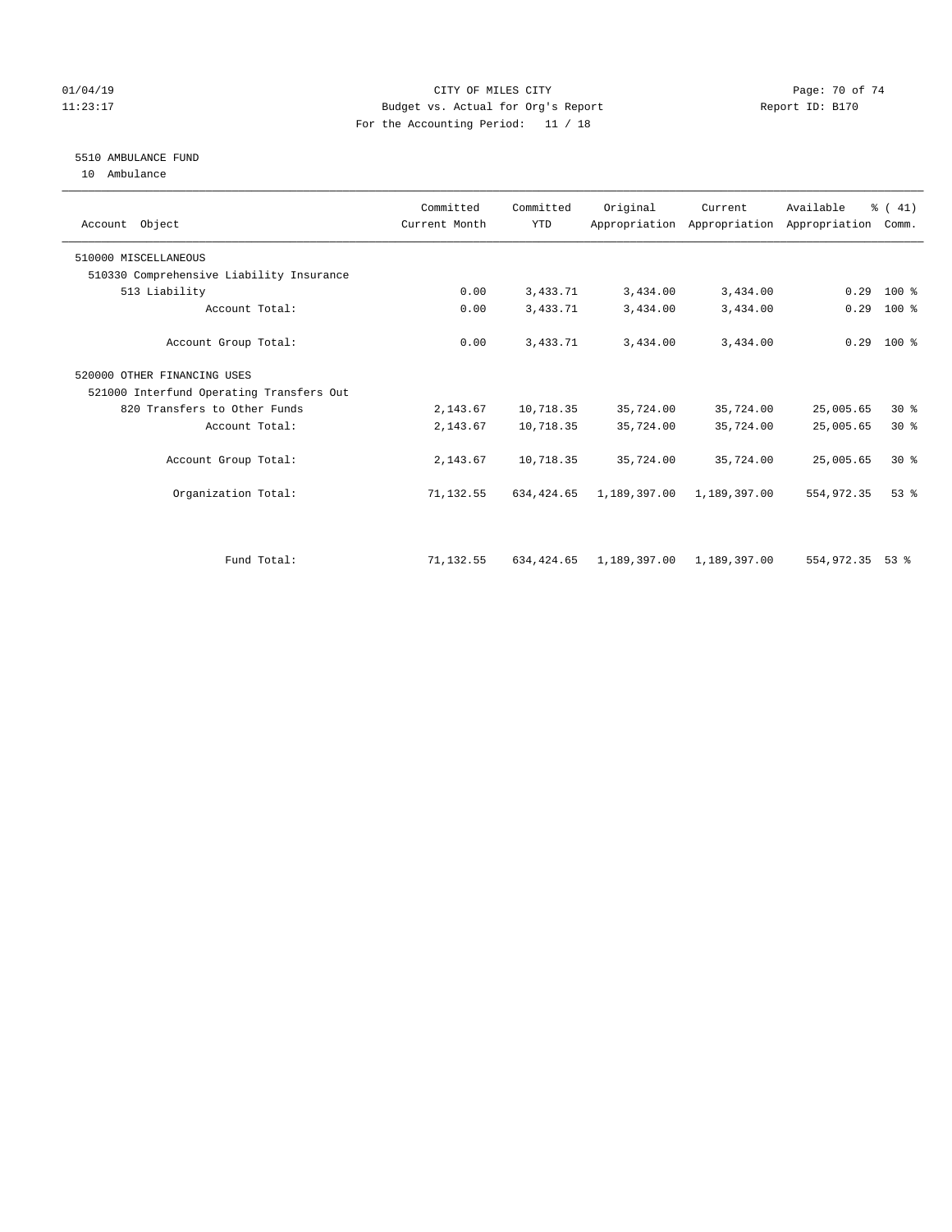# $O1/04/19$  Page: 70 of 74 11:23:17 Budget vs. Actual for Org's Report Changer Report ID: B170 For the Accounting Period: 11 / 18

# 5510 AMBULANCE FUND

10 Ambulance

| Account Object                           | Committed<br>Current Month | Committed<br><b>YTD</b> | Original     | Current      | Available<br>Appropriation Appropriation Appropriation | % (41)<br>Comm. |  |
|------------------------------------------|----------------------------|-------------------------|--------------|--------------|--------------------------------------------------------|-----------------|--|
| 510000 MISCELLANEOUS                     |                            |                         |              |              |                                                        |                 |  |
| 510330 Comprehensive Liability Insurance |                            |                         |              |              |                                                        |                 |  |
| 513 Liability                            | 0.00                       | 3,433.71                | 3,434.00     | 3,434.00     | 0.29                                                   | $100*$          |  |
| Account Total:                           | 0.00                       | 3,433.71                | 3,434.00     | 3,434.00     | 0.29                                                   | $100$ %         |  |
| Account Group Total:                     | 0.00                       | 3,433.71                | 3,434.00     | 3,434.00     |                                                        | $0.29$ 100 %    |  |
| 520000 OTHER FINANCING USES              |                            |                         |              |              |                                                        |                 |  |
| 521000 Interfund Operating Transfers Out |                            |                         |              |              |                                                        |                 |  |
| 820 Transfers to Other Funds             | 2,143.67                   | 10,718.35               | 35,724.00    | 35,724.00    | 25,005.65                                              | $30*$           |  |
| Account Total:                           | 2,143.67                   | 10,718.35               | 35,724.00    | 35,724.00    | 25,005.65                                              | $30*$           |  |
| Account Group Total:                     | 2,143.67                   | 10,718.35               | 35,724.00    | 35,724.00    | 25,005.65                                              | $30*$           |  |
| Organization Total:                      | 71,132.55                  | 634, 424.65             | 1,189,397.00 | 1,189,397.00 | 554, 972.35                                            | $53$ $%$        |  |
|                                          |                            |                         |              |              |                                                        |                 |  |
| Fund Total:                              | 71,132.55                  | 634, 424, 65            | 1,189,397.00 | 1,189,397.00 | 554,972.35                                             | $53$ $%$        |  |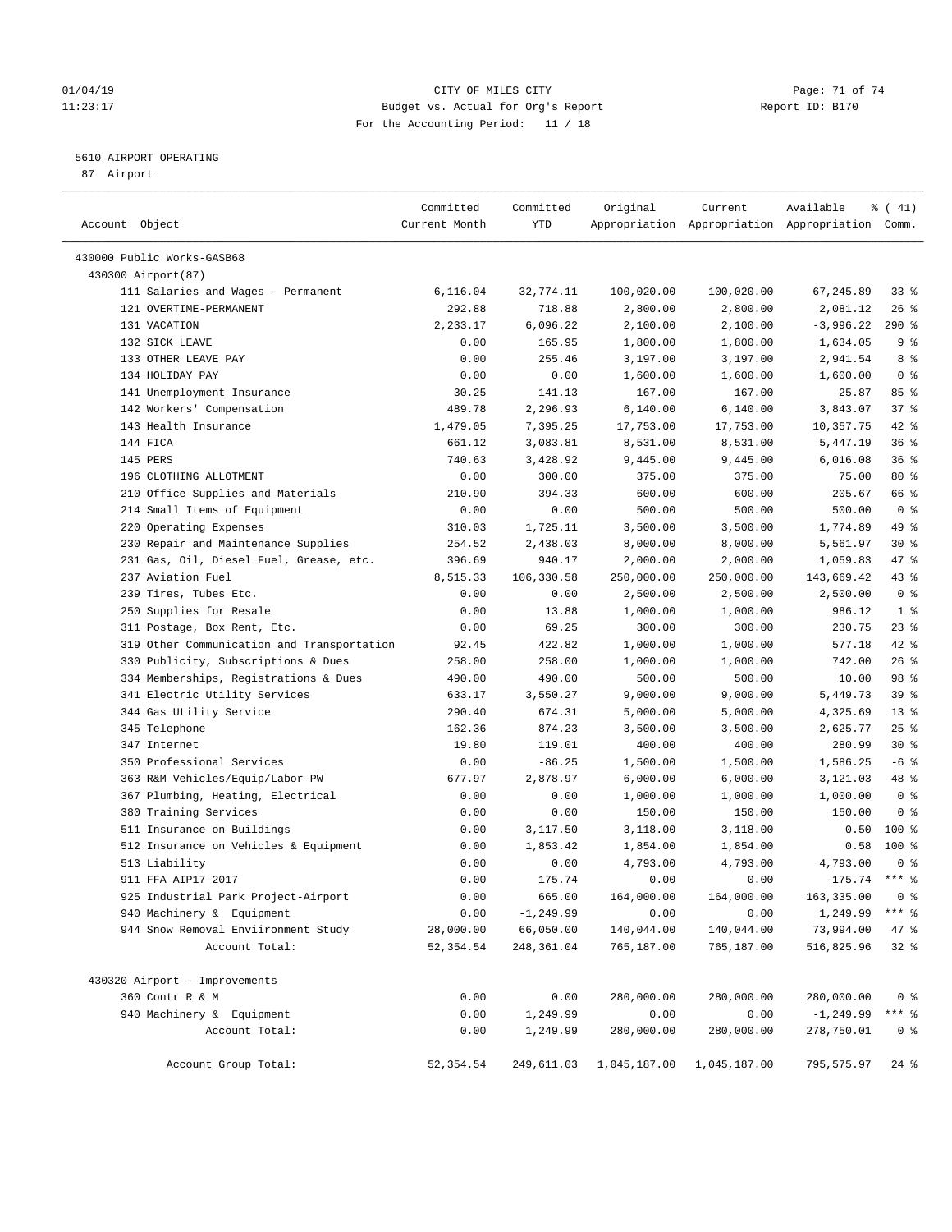# $O1/04/19$  Page: 71 of 74 11:23:17 Budget vs. Actual for Org's Report Changer Report ID: B170 For the Accounting Period: 11 / 18

————————————————————————————————————————————————————————————————————————————————————————————————————————————————————————————————————

# 5610 AIRPORT OPERATING

87 Airport

|                                                              | Committed     | Committed           | Original             | Current              | Available                                       | $\frac{1}{6}$ ( 41) |
|--------------------------------------------------------------|---------------|---------------------|----------------------|----------------------|-------------------------------------------------|---------------------|
| Account Object                                               | Current Month | YTD                 |                      |                      | Appropriation Appropriation Appropriation Comm. |                     |
| 430000 Public Works-GASB68                                   |               |                     |                      |                      |                                                 |                     |
|                                                              |               |                     |                      |                      |                                                 |                     |
| 430300 Airport(87)                                           | 6,116.04      |                     | 100,020.00           | 100,020.00           |                                                 | 33%                 |
| 111 Salaries and Wages - Permanent<br>121 OVERTIME-PERMANENT | 292.88        | 32,774.11<br>718.88 | 2,800.00             | 2,800.00             | 67,245.89<br>2,081.12                           | $26$ %              |
| 131 VACATION                                                 | 2,233.17      | 6,096.22            | 2,100.00             | 2,100.00             | $-3,996.22$                                     | $290*$              |
| 132 SICK LEAVE                                               | 0.00          | 165.95              |                      |                      |                                                 | 9%                  |
| 133 OTHER LEAVE PAY                                          | 0.00          | 255.46              | 1,800.00<br>3,197.00 | 1,800.00<br>3,197.00 | 1,634.05<br>2,941.54                            | 8 %                 |
| 134 HOLIDAY PAY                                              | 0.00          | 0.00                | 1,600.00             | 1,600.00             | 1,600.00                                        | 0 <sup>8</sup>      |
| 141 Unemployment Insurance                                   | 30.25         | 141.13              | 167.00               | 167.00               | 25.87                                           | 85%                 |
| 142 Workers' Compensation                                    | 489.78        | 2,296.93            | 6,140.00             | 6,140.00             | 3,843.07                                        | 37%                 |
| 143 Health Insurance                                         | 1,479.05      | 7,395.25            | 17,753.00            | 17,753.00            | 10,357.75                                       | $42$ %              |
| 144 FICA                                                     | 661.12        | 3,083.81            | 8,531.00             | 8,531.00             | 5,447.19                                        | 36%                 |
| 145 PERS                                                     | 740.63        | 3,428.92            | 9,445.00             | 9,445.00             | 6,016.08                                        | 36%                 |
| 196 CLOTHING ALLOTMENT                                       | 0.00          | 300.00              | 375.00               | 375.00               | 75.00                                           | 80 %                |
| 210 Office Supplies and Materials                            | 210.90        | 394.33              | 600.00               | 600.00               | 205.67                                          | 66 %                |
| 214 Small Items of Equipment                                 | 0.00          | 0.00                | 500.00               | 500.00               | 500.00                                          | 0 <sup>8</sup>      |
| 220 Operating Expenses                                       | 310.03        | 1,725.11            | 3,500.00             | 3,500.00             | 1,774.89                                        | 49 %                |
| 230 Repair and Maintenance Supplies                          | 254.52        | 2,438.03            | 8,000.00             | 8,000.00             | 5,561.97                                        | $30*$               |
| 231 Gas, Oil, Diesel Fuel, Grease, etc.                      | 396.69        | 940.17              | 2,000.00             | 2,000.00             | 1,059.83                                        | 47 %                |
| 237 Aviation Fuel                                            | 8,515.33      | 106,330.58          | 250,000.00           | 250,000.00           | 143,669.42                                      | 43 %                |
| 239 Tires, Tubes Etc.                                        | 0.00          | 0.00                | 2,500.00             | 2,500.00             | 2,500.00                                        | 0 <sup>8</sup>      |
| 250 Supplies for Resale                                      | 0.00          | 13.88               | 1,000.00             | 1,000.00             | 986.12                                          | 1 <sup>°</sup>      |
| 311 Postage, Box Rent, Etc.                                  | 0.00          | 69.25               | 300.00               | 300.00               | 230.75                                          | $23$ %              |
| 319 Other Communication and Transportation                   | 92.45         | 422.82              | 1,000.00             | 1,000.00             | 577.18                                          | 42 %                |
| 330 Publicity, Subscriptions & Dues                          | 258.00        | 258.00              | 1,000.00             | 1,000.00             | 742.00                                          | 26%                 |
| 334 Memberships, Registrations & Dues                        | 490.00        | 490.00              | 500.00               | 500.00               | 10.00                                           | 98 %                |
| 341 Electric Utility Services                                | 633.17        | 3,550.27            | 9,000.00             | 9,000.00             | 5,449.73                                        | 39 %                |
| 344 Gas Utility Service                                      | 290.40        | 674.31              | 5,000.00             | 5,000.00             | 4,325.69                                        | $13*$               |
| 345 Telephone                                                | 162.36        | 874.23              | 3,500.00             | 3,500.00             | 2,625.77                                        | 25%                 |
| 347 Internet                                                 | 19.80         | 119.01              | 400.00               | 400.00               | 280.99                                          | $30*$               |
| 350 Professional Services                                    | 0.00          | $-86.25$            | 1,500.00             | 1,500.00             | 1,586.25                                        | $-6$ %              |
| 363 R&M Vehicles/Equip/Labor-PW                              | 677.97        | 2,878.97            | 6,000.00             | 6,000.00             | 3,121.03                                        | 48 %                |
| 367 Plumbing, Heating, Electrical                            | 0.00          | 0.00                | 1,000.00             | 1,000.00             | 1,000.00                                        | 0 <sup>8</sup>      |
| 380 Training Services                                        | 0.00          | 0.00                | 150.00               | 150.00               | 150.00                                          | 0 <sup>8</sup>      |
| 511 Insurance on Buildings                                   | 0.00          | 3,117.50            | 3,118.00             | 3,118.00             | 0.50                                            | $100*$              |
| 512 Insurance on Vehicles & Equipment                        | 0.00          | 1,853.42            | 1,854.00             | 1,854.00             | 0.58                                            | $100*$              |
| 513 Liability                                                | 0.00          | 0.00                | 4,793.00             | 4,793.00             | 4,793.00                                        | 0 <sup>8</sup>      |
| 911 FFA AIP17-2017                                           | 0.00          | 175.74              | 0.00                 | 0.00                 | $-175.74$ *** %                                 |                     |
| 925 Industrial Park Project-Airport                          | 0.00          | 665.00              | 164,000.00           | 164,000.00           | 163,335.00 0 %                                  |                     |
| 940 Machinery & Equipment                                    | 0.00          | $-1, 249.99$        | 0.00                 | 0.00                 | 1,249.99 *** %                                  |                     |
| 944 Snow Removal Enviironment Study                          | 28,000.00     | 66,050.00           | 140,044.00           | 140,044.00           | 73,994.00                                       | 47 %                |
| Account Total:                                               | 52, 354.54    | 248,361.04          | 765,187.00           | 765,187.00           | 516,825.96                                      | $32*$               |
| 430320 Airport - Improvements                                |               |                     |                      |                      |                                                 |                     |
| 360 Contr R & M                                              | 0.00          | 0.00                | 280,000.00           | 280,000.00           | 280,000.00                                      | 0 <sup>8</sup>      |
| 940 Machinery & Equipment                                    | 0.00          | 1,249.99            | 0.00                 | 0.00                 | $-1, 249.99$                                    | $***$ $_{8}$        |
| Account Total:                                               | 0.00          | 1,249.99            | 280,000.00           | 280,000.00           | 278,750.01                                      | 0 <sup>8</sup>      |
|                                                              |               |                     |                      |                      |                                                 |                     |
| Account Group Total:                                         | 52,354.54     | 249,611.03          | 1,045,187.00         | 1,045,187.00         | 795,575.97                                      | $24$ %              |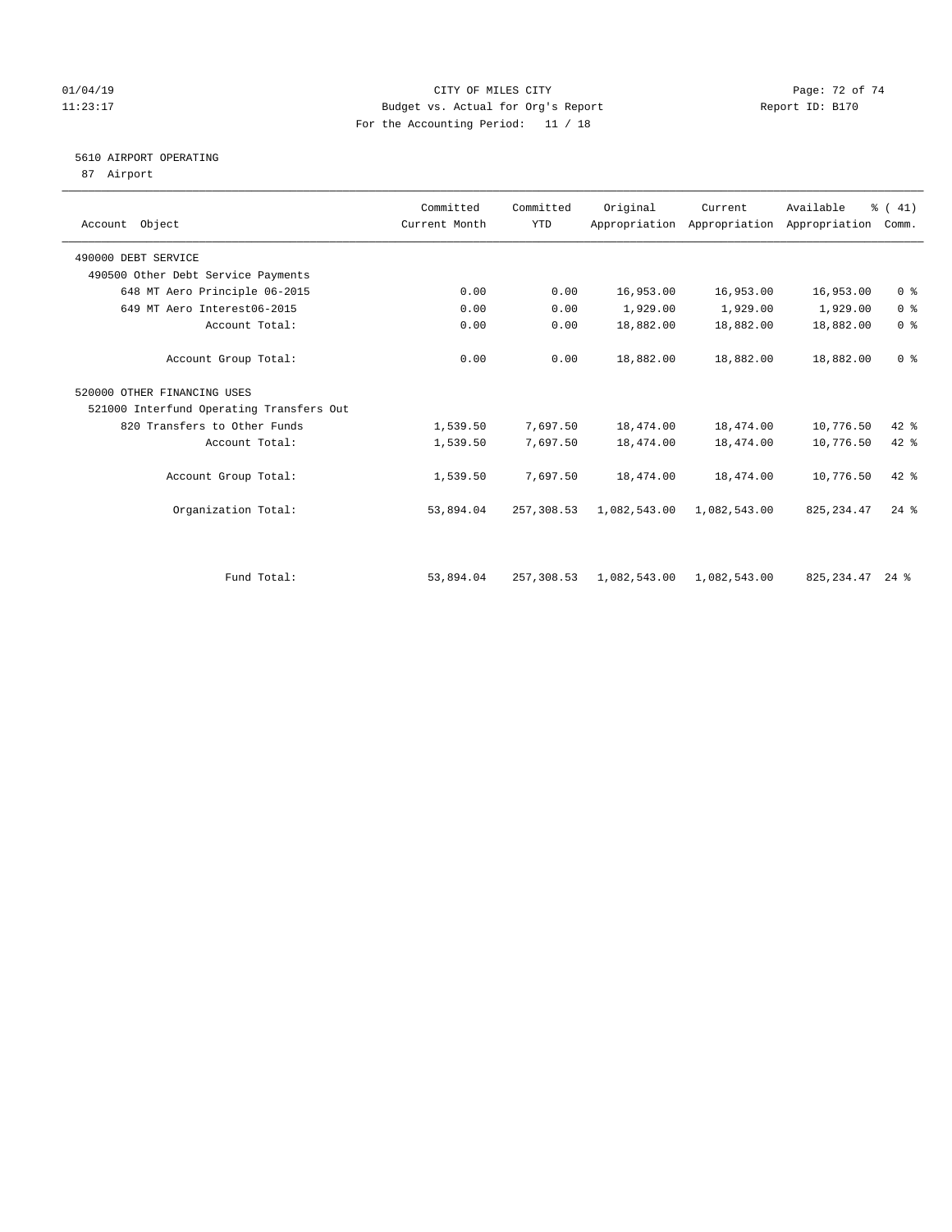### 01/04/19 Page: 72 of 74 11:23:17 Budget vs. Actual for Org's Report Report ID: B170 For the Accounting Period: 11 / 18

# 5610 AIRPORT OPERATING

87 Airport

| Account Object                           | Committed<br>Current Month | Committed<br><b>YTD</b> | Original                  | Current      | Available<br>Appropriation Appropriation Appropriation | % (41)<br>Comm. |
|------------------------------------------|----------------------------|-------------------------|---------------------------|--------------|--------------------------------------------------------|-----------------|
| 490000 DEBT SERVICE                      |                            |                         |                           |              |                                                        |                 |
| 490500 Other Debt Service Payments       |                            |                         |                           |              |                                                        |                 |
| 648 MT Aero Principle 06-2015            | 0.00                       | 0.00                    | 16,953.00                 | 16,953.00    | 16,953.00                                              | 0 <sup>8</sup>  |
| 649 MT Aero Interest06-2015              | 0.00                       | 0.00                    | 1,929.00                  | 1,929.00     | 1,929.00                                               | 0 <sup>8</sup>  |
| Account Total:                           | 0.00                       | 0.00                    | 18,882.00                 | 18,882.00    | 18,882.00                                              | 0 <sup>8</sup>  |
| Account Group Total:                     | 0.00                       | 0.00                    | 18,882.00                 | 18,882.00    | 18,882.00                                              | 0 <sup>8</sup>  |
| 520000 OTHER FINANCING USES              |                            |                         |                           |              |                                                        |                 |
| 521000 Interfund Operating Transfers Out |                            |                         |                           |              |                                                        |                 |
| 820 Transfers to Other Funds             | 1,539.50                   | 7,697.50                | 18,474.00                 | 18,474.00    | 10,776.50                                              | 42 %            |
| Account Total:                           | 1,539.50                   | 7,697.50                | 18,474.00                 | 18,474.00    | 10,776.50                                              | 42 %            |
| Account Group Total:                     | 1,539.50                   | 7,697.50                | 18,474.00                 | 18,474.00    | 10,776.50                                              | $42*$           |
| Organization Total:                      | 53,894.04                  | 257,308.53              | 1,082,543.00              | 1,082,543.00 | 825, 234.47                                            | $24$ $%$        |
|                                          |                            |                         |                           |              |                                                        |                 |
| Fund Total:                              | 53,894.04                  | 257,308.53              | 1,082,543.00 1,082,543.00 |              | 825, 234.47 24 %                                       |                 |